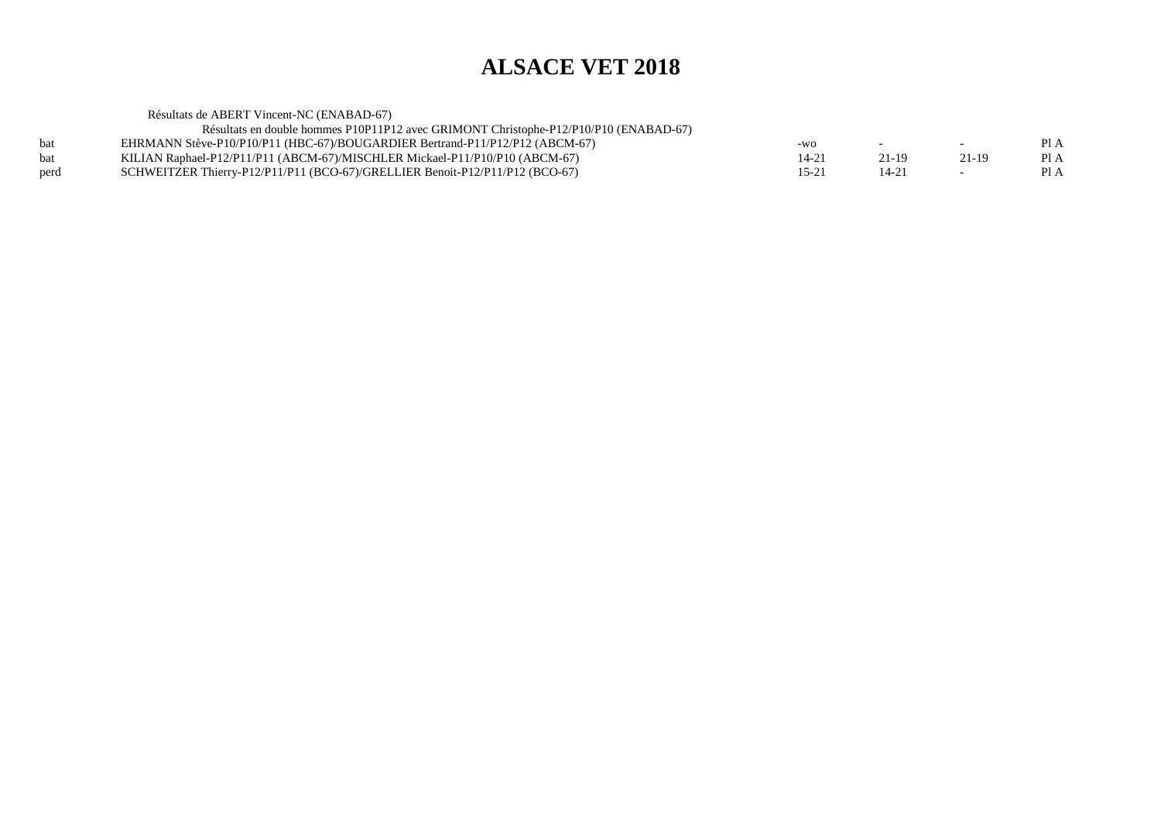$PIA$ 

 $PIA$ 

Résultats de ABERT Vincent-NC (ENABAD-67) Résultats en double hommes P10P11P12 avec GRIMONT Christophe-P12/P10/P10 (ENABAD-67)bat EHRMANN Stève-P10/P10/P11 (HBC-67)/BOUGARDIER Bertrand-P11/P12/P12 (ABCM-67)<br>KILIAN Raphael-P12/P11/P11 (ABCM-67)/MISCHLER Mickael-P11/P10/P10 (ABCM-67)  $-wo$  -  $-$  Pl A bat KILIAN Raphael-P12/P11/P11 (ABCM-67)/MISCHLER Mickael-P11/P10/P10 (ABCM-67)<br>SCHWEITZER Thierry-P12/P11/P11 (BCO-67)/GRELLIER Benoit-P12/P11/P12 (BCO-67)  $14-21$  21-19 21-19 PIA SCHWEITZER Thierry-P12/P11/P11 (BCO-67)/GRELLIER Benoit-P12/P11/P12 (BCO-67)  $15-21$  14-21 - PIA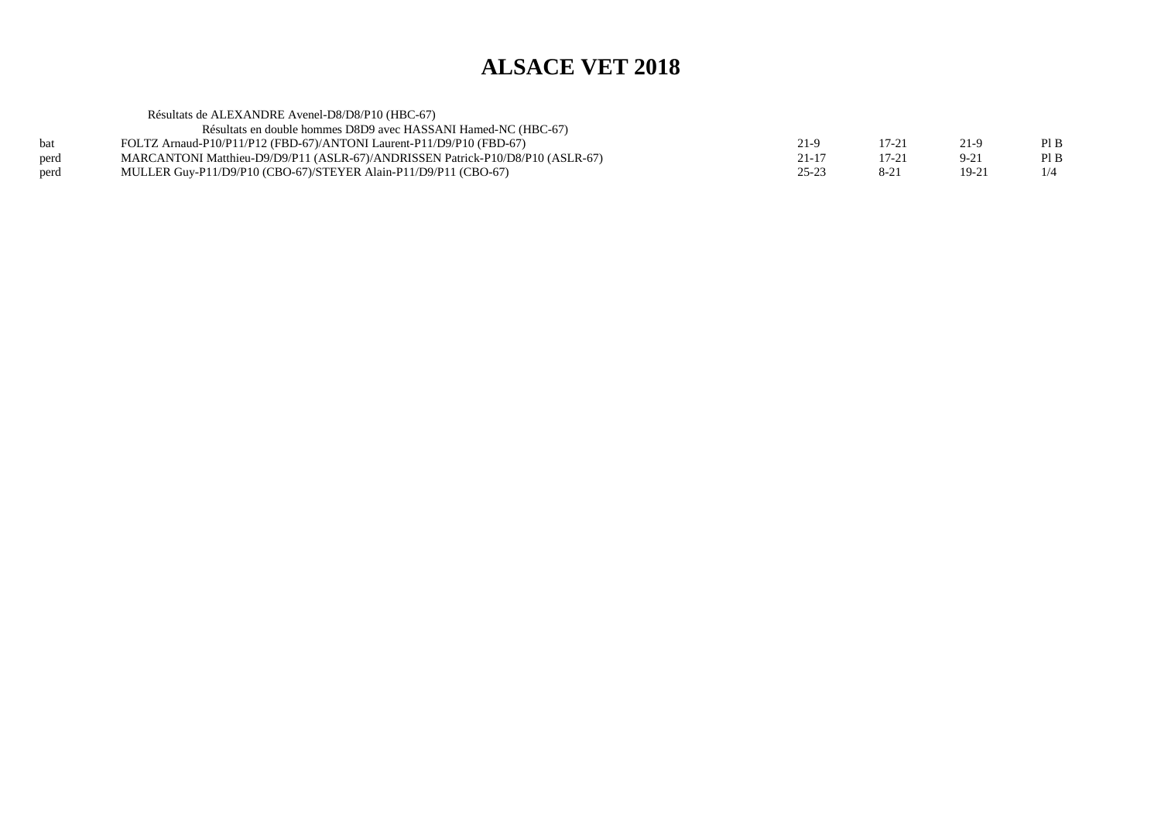|      | Résultats de ALEXANDRE Avenel-D8/D8/P10 (HBC-67)                               |           |           |          |      |
|------|--------------------------------------------------------------------------------|-----------|-----------|----------|------|
|      | Résultats en double hommes D8D9 avec HASSANI Hamed-NC (HBC-67)                 |           |           |          |      |
| bat  | FOLTZ Arnaud-P10/P11/P12 (FBD-67)/ANTONI Laurent-P11/D9/P10 (FBD-67)           | 21-9      | 17-21     | 21-9     | PI B |
| perd | MARCANTONI Matthieu-D9/D9/P11 (ASLR-67)/ANDRISSEN Patrick-P10/D8/P10 (ASLR-67) | $21 - 17$ | $17 - 21$ | $9 - 21$ | PI B |
| perd | MULLER Guy-P11/D9/P10 (CBO-67)/STEYER Alain-P11/D9/P11 (CBO-67)                | $25 - 23$ | $8 - 21$  | $19-21$  | 1/4  |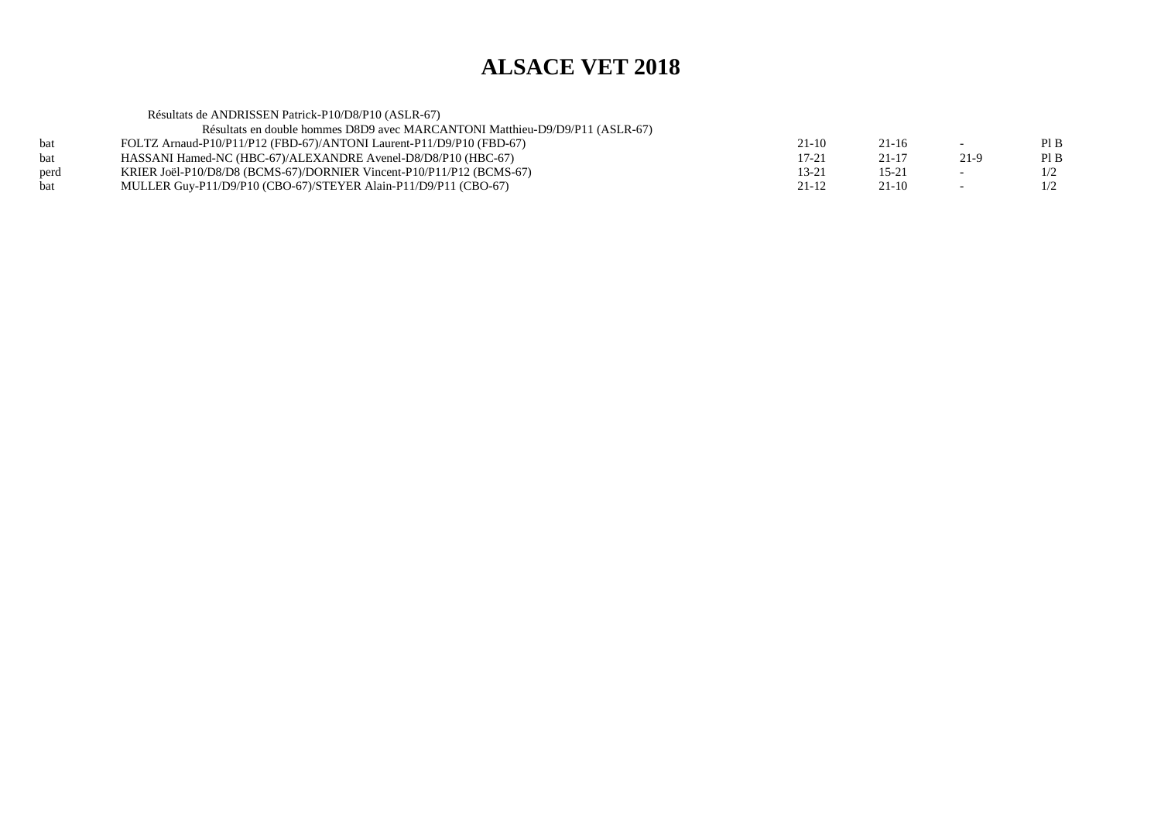Résultats de ANDRISSEN Patrick-P10/D8/P10 (ASLR-67)

| Résultats en double hommes D8D9 avec MARCANTONI Matthieu-D9/D9/P11 (ASLR-67) |  |
|------------------------------------------------------------------------------|--|
|------------------------------------------------------------------------------|--|

| bat  | FOLTZ Arnaud-P10/P11/P12 (FBD-67)/ANTONI Laurent-P11/D9/P10 (FBD-67) | 21-10 |  | Pl B |
|------|----------------------------------------------------------------------|-------|--|------|
| bat  | HASSANI Hamed-NC (HBC-67)/ALEXANDRE Avenel-D8/D8/P10 (HBC-67)        | 17-21 |  | Pl B |
| perd | KRIER Joël-P10/D8/D8 (BCMS-67)/DORNIER Vincent-P10/P11/P12 (BCMS-67) | 13-21 |  |      |
| bat  | MULLER Guy-P11/D9/P10 (CBO-67)/STEYER Alain-P11/D9/P11 (CBO-67)      | 21-12 |  |      |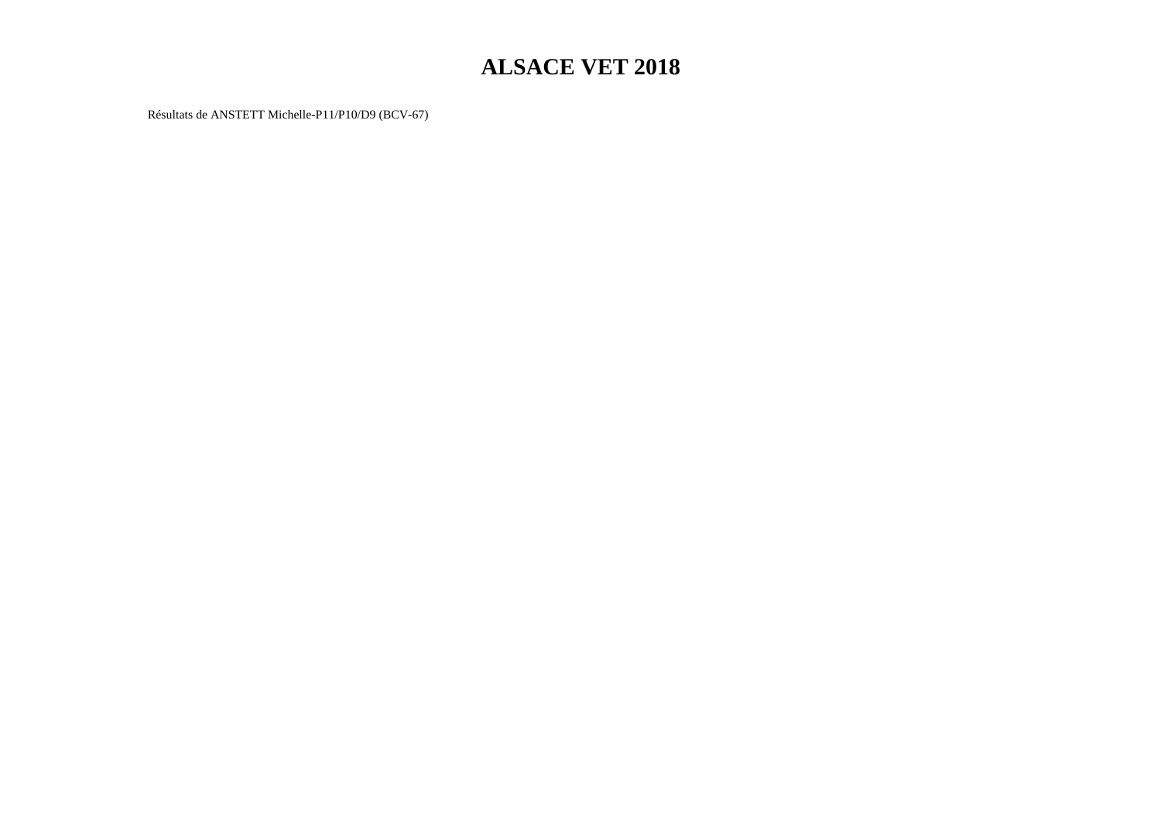Résultats de ANSTETT Michelle-P11/P10/D9 (BCV-67)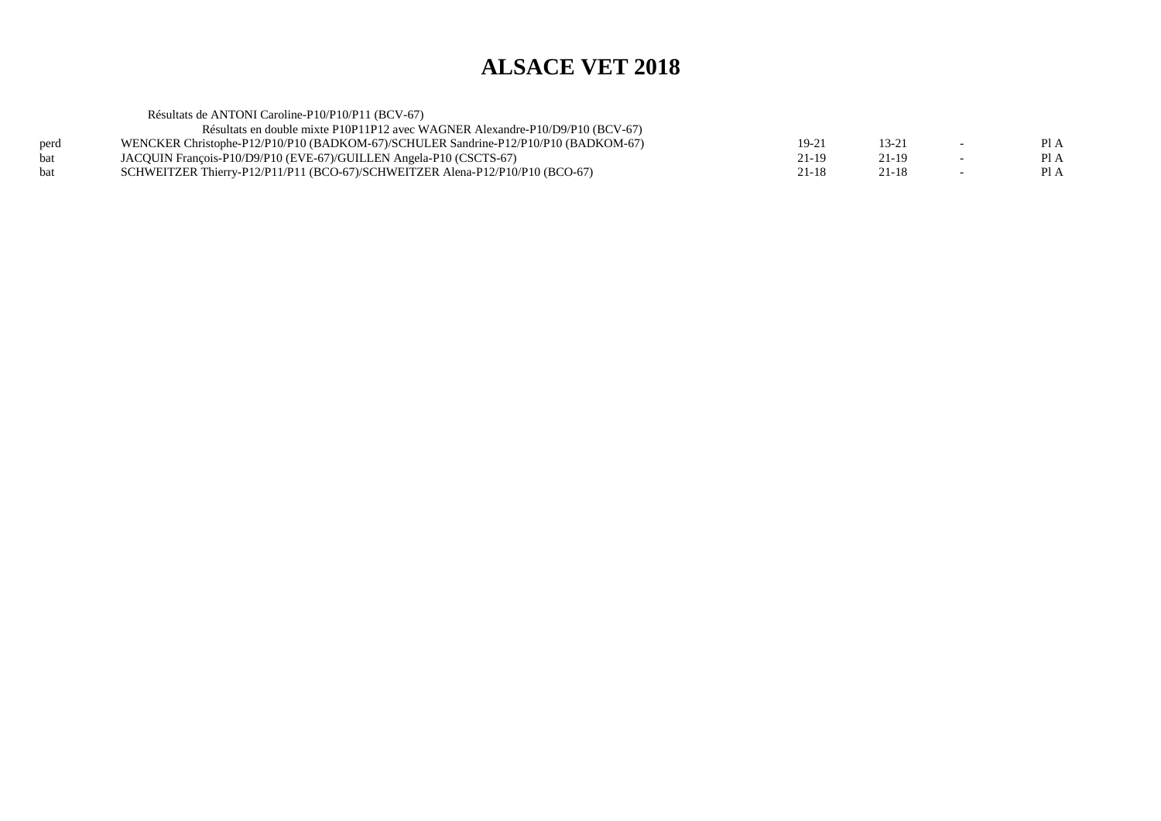Résultats de ANTONI Caroline-P10/P10/P11 (BCV-67) Résultats en double mixte P10P11P12 avec WAGNER Alexandre-P10/D9/P10 (BCV-67) perd WENCKER Christophe-P12/P10/P10 (BADKOM-67)/SCHULER Sandrine-P12/P10/P10 (BADKOM-67) 19-21 13-21 - Pl A $PIA$ bat JACQUIN François-P10/D9/P10 (EVE-67)/GUILLEN Angela-P10 (CSCTS-67)<br>bat SCHWEITZER Thierry-P12/P11/P11 (BCO-67)/SCHWEITZER Alena-P12/P10/  $21-19$   $21-19$   $-$  PIA  $PIA$ SCHWEITZER Thierry-P12/P11/P11 (BCO-67)/SCHWEITZER Alena-P12/P10/P10 (BCO-67)  $21-18$   $21-18$   $-$  PIA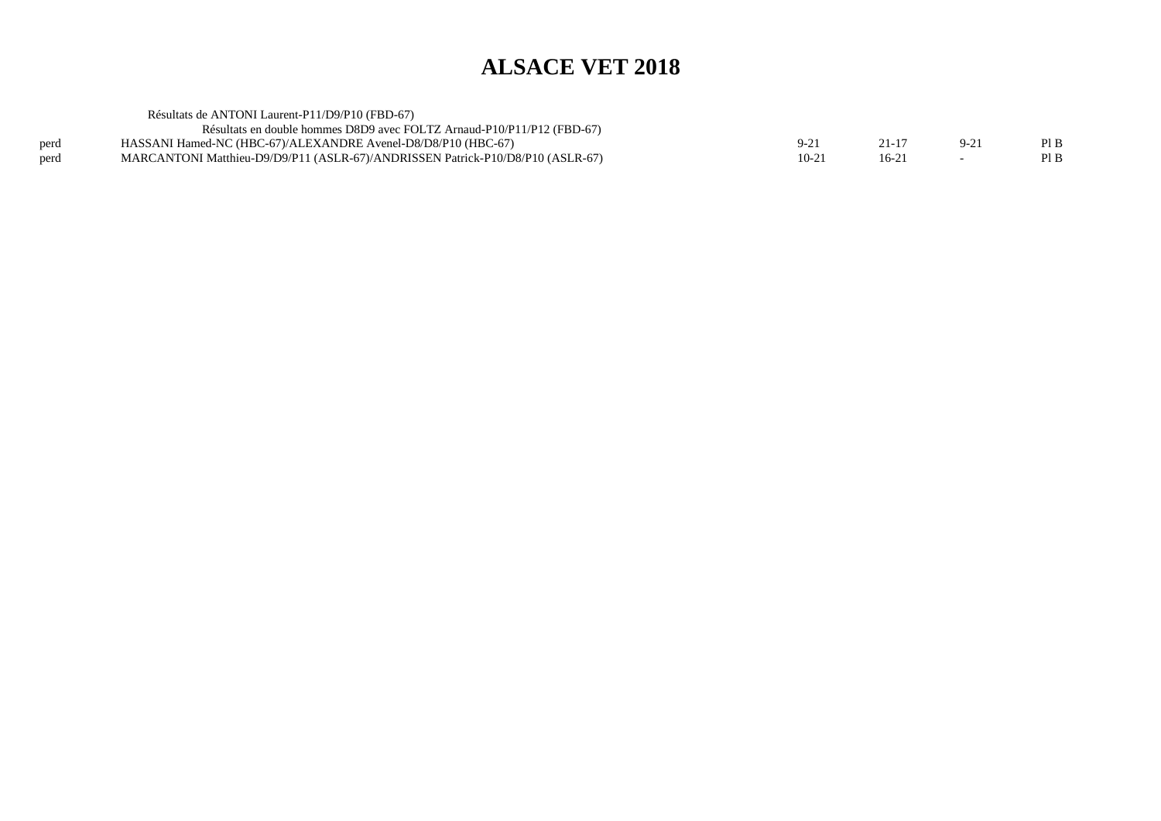|      | Résultats de ANTONI Laurent-P11/D9/P10 (FBD-67)                                |         |         |        |      |
|------|--------------------------------------------------------------------------------|---------|---------|--------|------|
|      | Résultats en double hommes D8D9 avec FOLTZ Arnaud-P10/P11/P12 (FBD-67)         |         |         |        |      |
| perd | HASSANI Hamed-NC (HBC-67)/ALEXANDRE Avenel-D8/D8/P10 (HBC-67)                  | $9-2$   | 21-17   | $9-21$ | PIB  |
| perd | MARCANTONI Matthieu-D9/D9/P11 (ASLR-67)/ANDRISSEN Patrick-P10/D8/P10 (ASLR-67) | $10-21$ | $16-21$ |        | Pl B |
|      |                                                                                |         |         |        |      |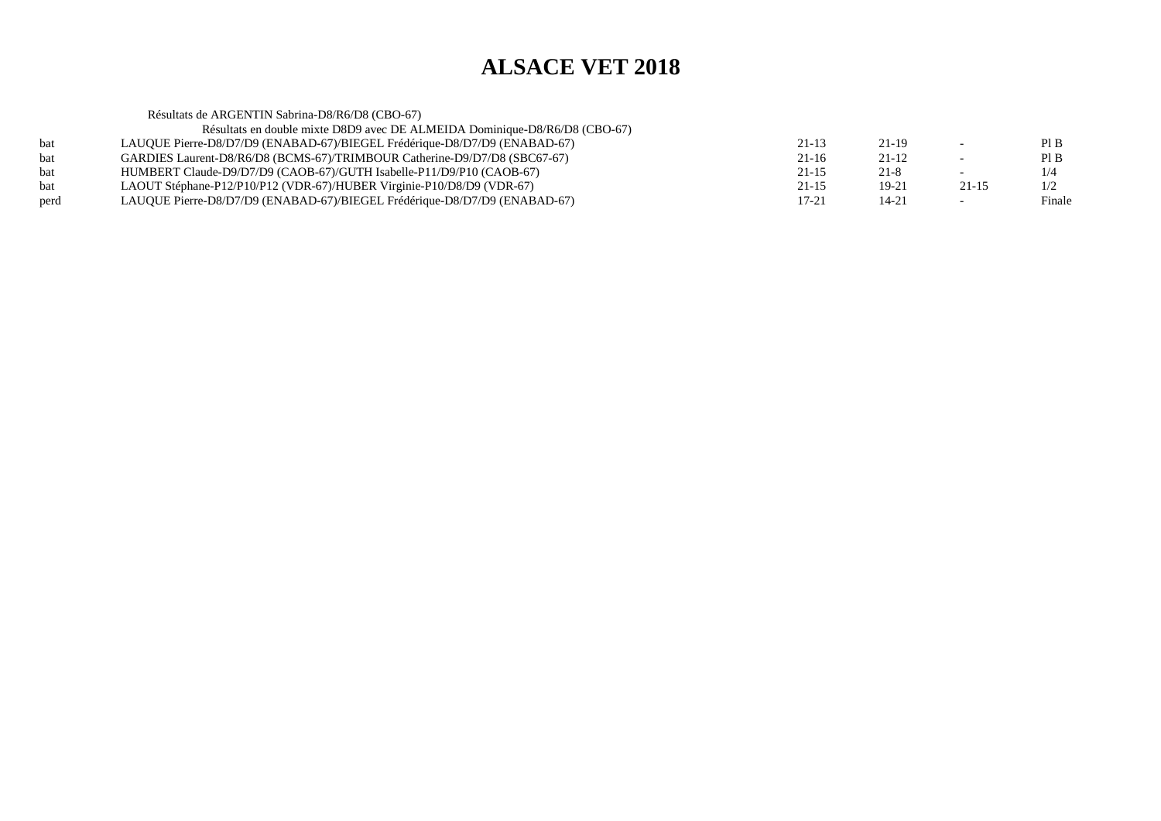Résultats de ARGENTIN Sabrina-D8/R6/D8 (CBO-67) Résultats en double mixte D8D9 avec DE ALMEIDA Dominique-D8/R6/D8 (CBO-67)bat LAUQUE Pierre-D8/D7/D9 (ENABAD-67)/BIEGEL Frédérique-D8/D7/D9 (ENABAD-67) $21-13$   $21-19$  - PIB  $PIB$ bat GARDIES Laurent-D8/R6/D8 (BCMS-67)/TRIMBOUR Catherine-D9/D7/D8 (SBC67-67) $21-16$   $21-12$  - PIB  $1/4$ bat HUMBERT Claude-D9/D7/D9 (CAOB-67)/GUTH Isabelle-P11/D9/P10 (CAOB-67)<br>LAOUT Stéphane-P12/P10/P12 (VDR-67)/HUBER Virginie-P10/D8/D9 (VDR-67)  $21-15$  21-8 - 1/4  $1/2$ LAOUT Stéphane-P12/P10/P12 (VDR-67)/HUBER Virginie-P10/D8/D9 (VDR-67)  $21-15$  19-21 21-15 1/2 Finale perd LAUQUE Pierre-D8/D7/D9 (ENABAD-67)/BIEGEL Frédérique-D8/D7/D9 (ENABAD-67) $17-21$   $14-21$   $-$  Finale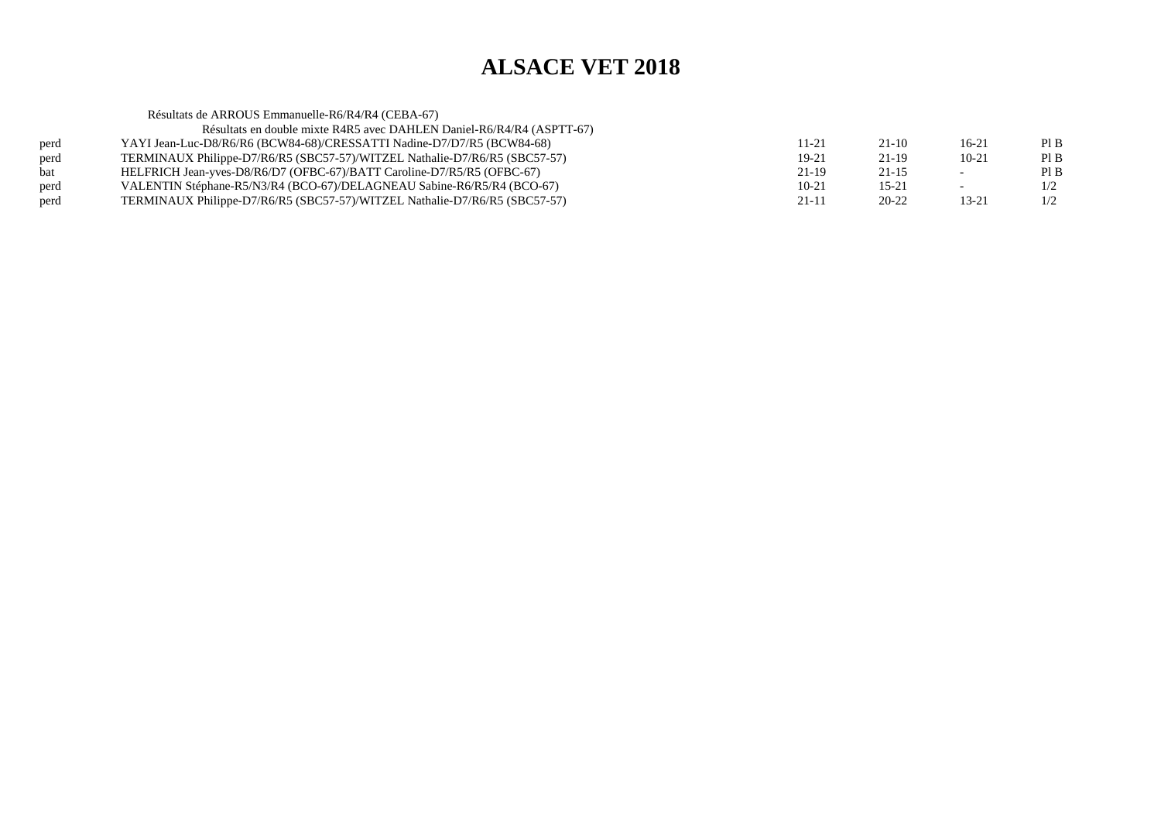|      | Résultats de ARROUS Emmanuelle-R6/R4/R4 (CEBA-67)                          |           |           |                          |      |
|------|----------------------------------------------------------------------------|-----------|-----------|--------------------------|------|
|      | Résultats en double mixte R4R5 avec DAHLEN Daniel-R6/R4/R4 (ASPTT-67)      |           |           |                          |      |
| perd | YAYI Jean-Luc-D8/R6/R6 (BCW84-68)/CRESSATTI Nadine-D7/D7/R5 (BCW84-68)     | 11-21     | $21-10$   | 16-21                    | Pl B |
| perd | TERMINAUX Philippe-D7/R6/R5 (SBC57-57)/WITZEL Nathalie-D7/R6/R5 (SBC57-57) | $19 - 21$ | $21-19$   | $10-21$                  | Pl B |
| bat  | HELFRICH Jean-yves-D8/R6/D7 (OFBC-67)/BATT Caroline-D7/R5/R5 (OFBC-67)     | 21-19     | $21 - 15$ | $\overline{\phantom{0}}$ | PIB  |
| perd | VALENTIN Stéphane-R5/N3/R4 (BCO-67)/DELAGNEAU Sabine-R6/R5/R4 (BCO-67)     | $10 - 21$ | $15 - 21$ | $\overline{\phantom{0}}$ | 1/2  |
| perd | TERMINAUX Philippe-D7/R6/R5 (SBC57-57)/WITZEL Nathalie-D7/R6/R5 (SBC57-57) | $21 - 11$ | $20 - 22$ | 13-21                    | 1/2  |
|      |                                                                            |           |           |                          |      |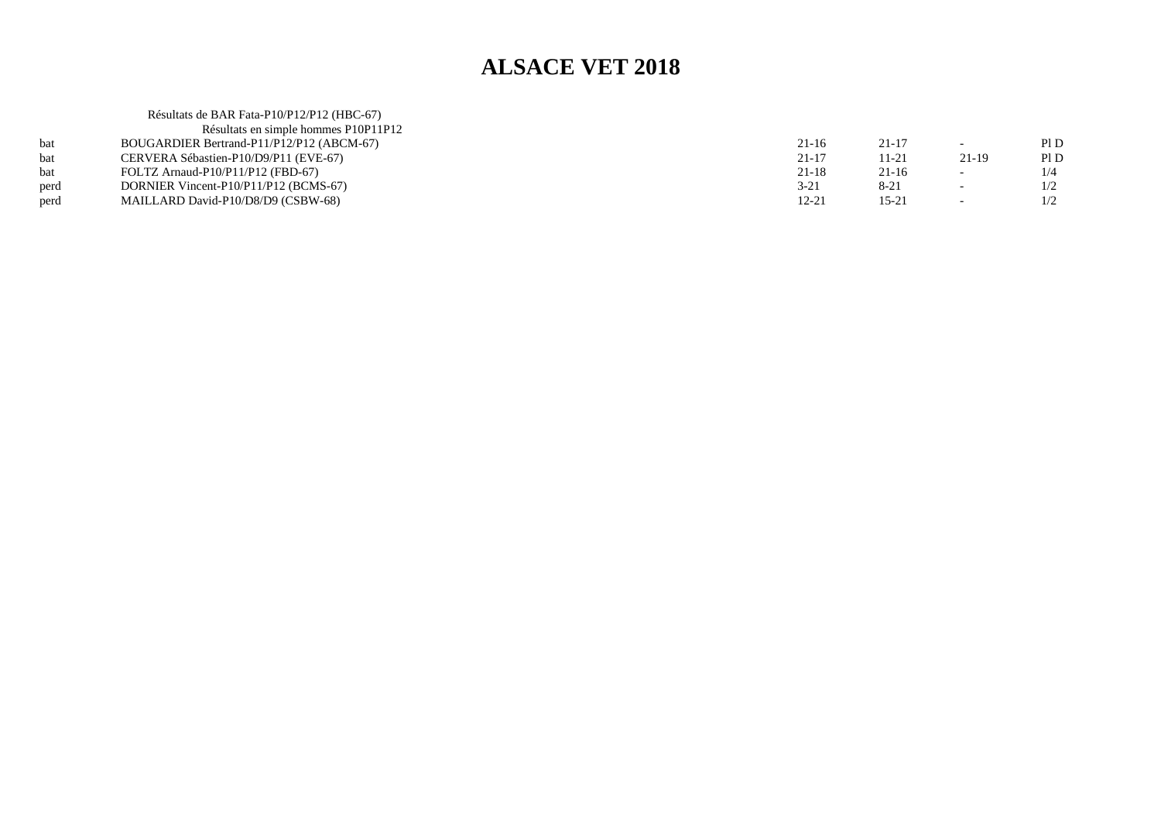|      | Résultats de BAR Fata-P10/P12/P12 (HBC-67) |           |           |                          |      |
|------|--------------------------------------------|-----------|-----------|--------------------------|------|
|      | Résultats en simple hommes P10P11P12       |           |           |                          |      |
|      | BOUGARDIER Bertrand-P11/P12/P12 (ABCM-67)  | $21 - 16$ | $21 - 17$ | $\sim$                   | Pl D |
| hat  | CERVERA Sébastien-P10/D9/P11 (EVE-67)      | $21 - 17$ | $11 - 21$ | 21-19                    | Pl D |
| bat  | FOLTZ Arnaud-P10/P11/P12 (FBD-67)          | $21 - 18$ | $21 - 16$ | $\overline{\phantom{a}}$ | 1/4  |
| perd | DORNIER Vincent-P10/P11/P12 (BCMS-67)      | $3 - 21$  | $8 - 21$  | $\overline{\phantom{0}}$ | 1/2  |
| perd | MAILLARD David-P10/D8/D9 (CSBW-68)         | $12 - 21$ | $15 - 21$ | $\overline{\phantom{0}}$ | 1/2  |
|      |                                            |           |           |                          |      |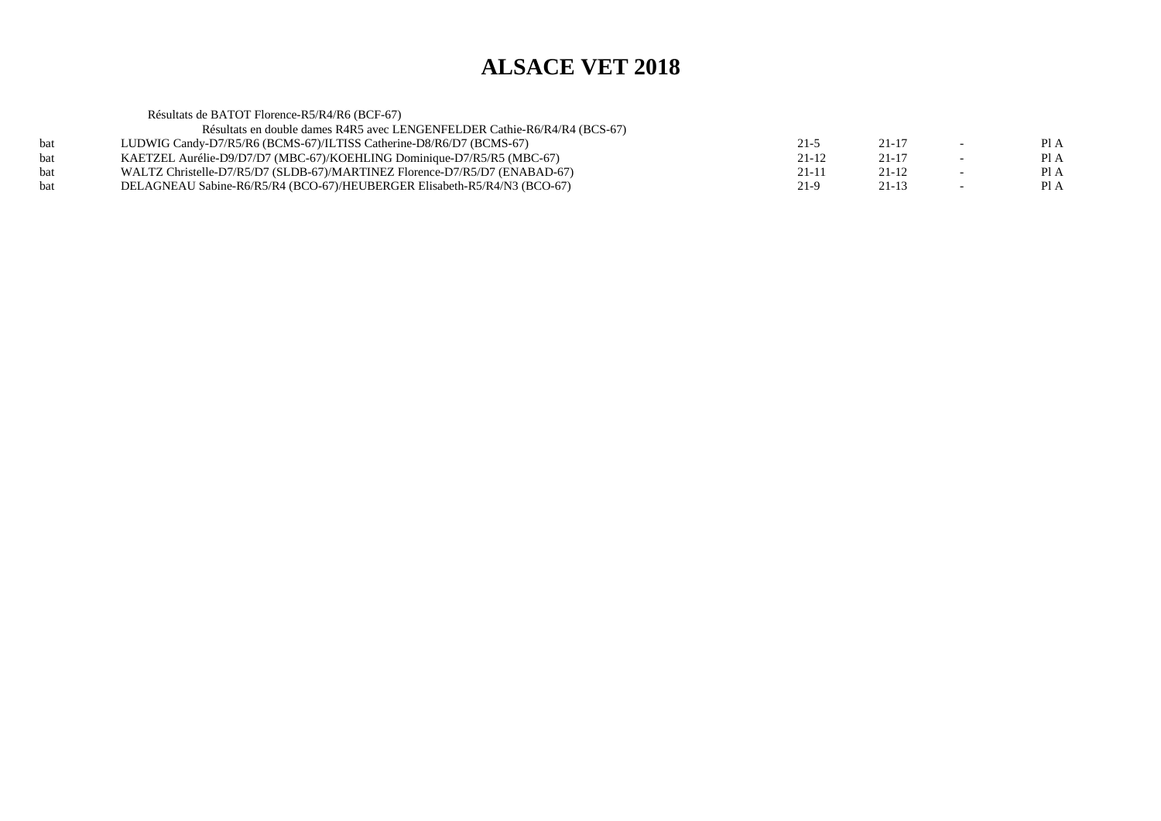Résultats de BATOT Florence-R5/R4/R6 (BCF-67) Résultats en double dames R4R5 avec LENGENFELDER Cathie-R6/R4/R4 (BCS-67)bat LUDWIG Candy-D7/R5/R6 (BCMS-67)/ILTISS Catherine-D8/R6/D7 (BCMS-67) $21-5$  21-17 - PIA  $PIA$ bat KAETZEL Aurélie-D9/D7/D7 (MBC-67)/KOEHLING Dominique-D7/R5/R5 (MBC-67)<br>bat WALTZ Christelle-D7/R5/D7 (SLDB-67)/MARTINEZ Florence-D7/R5/D7 (ENABAD-6  $21-12$   $21-17$  - PIA  $PIA$ bat WALTZ Christelle-D7/R5/D7 (SLDB-67)/MARTINEZ Florence-D7/R5/D7 (ENABAD-67)<br>bat DELAGNEAU Sabine-R6/R5/R4 (BCO-67)/HEUBERGER Elisabeth-R5/R4/N3 (BCO-67)  $21-11$   $21-12$   $-$  PIA Pl A bat DELAGNEAU Sabine-R6/R5/R4 (BCO-67)/HEUBERGER Elisabeth-R5/R4/N3 (BCO-67) $21-9$  21-13 - PIA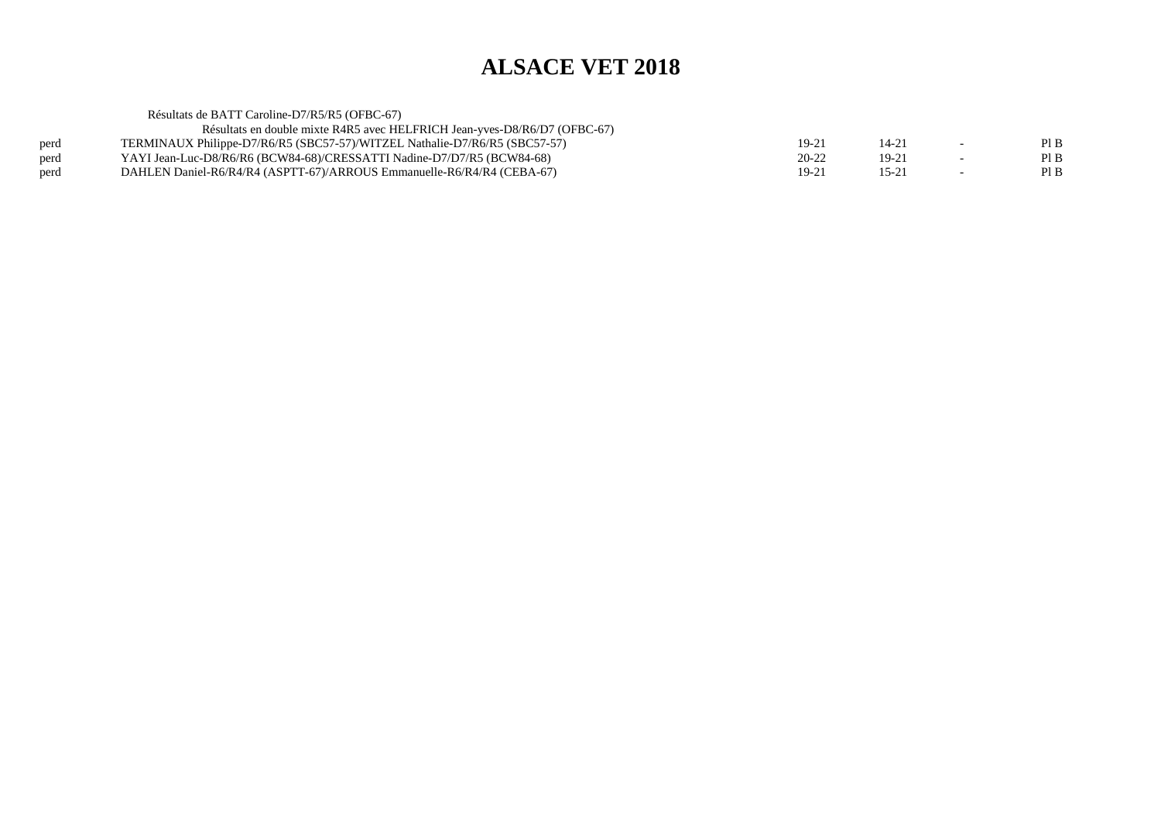Résultats de BATT Caroline-D7/R5/R5 (OFBC-67) Résultats en double mixte R4R5 avec HELFRICH Jean-yves-D8/R6/D7 (OFBC-67)perd TERMINAUX Philippe-D7/R6/R5 (SBC57-57)/WITZEL Nathalie-D7/R6/R5 (SBC57-57)<br>
YAYI Jean-Luc-D8/R6/R6 (BCW84-68)/CRESSATTI Nadine-D7/D7/R5 (BCW84-68)  $19-21$  14-21 - PIB  $\mathop{\rm Pl}\nolimits\mathop{\rm B}\nolimits$ perd YAYI Jean-Luc-D8/R6/R6 (BCW84-68)/CRESSATTI Nadine-D7/D7/R5 (BCW84-68)<br>perd DAHLEN Daniel-R6/R4/R4 (ASPTT-67)/ARROUS Emmanuelle-R6/R4/R4 (CEBA-67)  $20-22$  19-21 - PIB  $PIB$ perd DAHLEN Daniel-R6/R4/R4 (ASPTT-67)/ARROUS Emmanuelle-R6/R4/R4 (CEBA-67) $19-21$  15-21 - PIB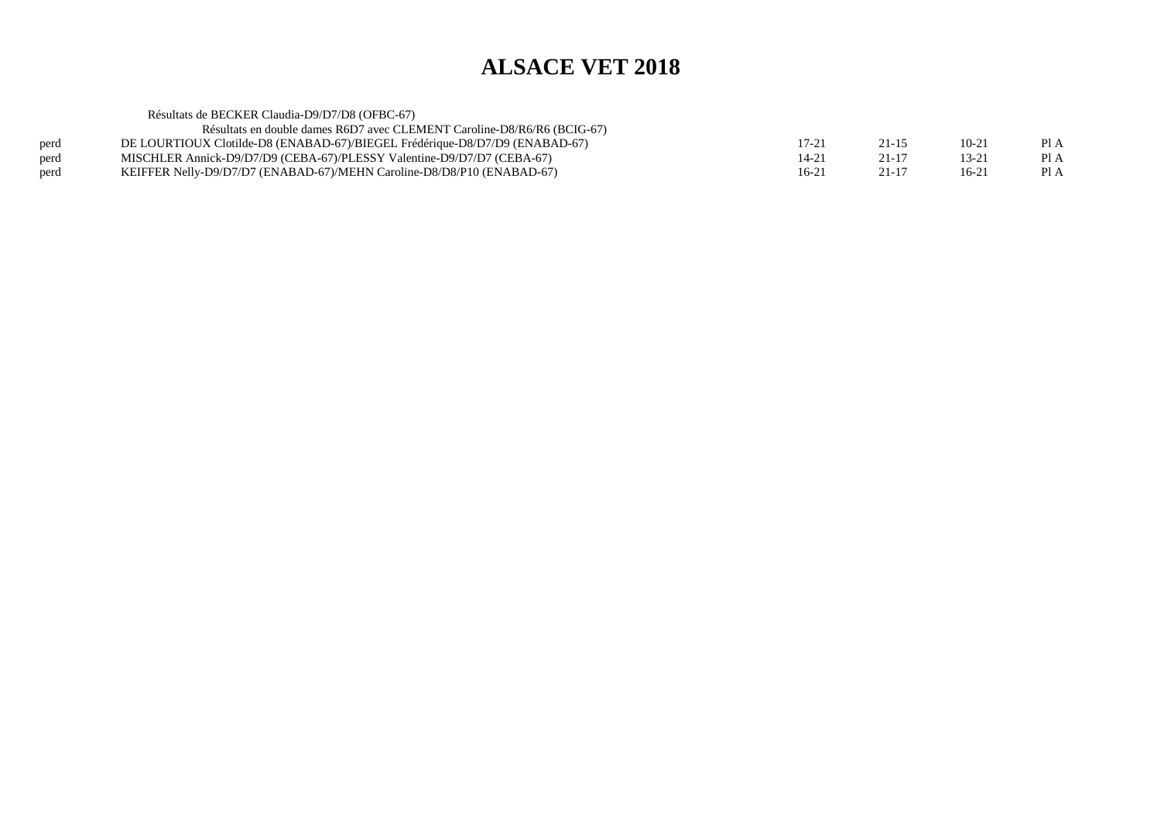|      | Résultats de BECKER Claudia-D9/D7/D8 (OFBC-67)                              |                |           |           |      |
|------|-----------------------------------------------------------------------------|----------------|-----------|-----------|------|
|      | Résultats en double dames R6D7 avec CLEMENT Caroline-D8/R6/R6 (BCIG-67)     |                |           |           |      |
| perd | DE LOURTIOUX Clotilde-D8 (ENABAD-67)/BIEGEL Frédérique-D8/D7/D9 (ENABAD-67) | $17 - 21$      | 21-15     | $10 - 21$ | Pl A |
| perd | MISCHLER Annick-D9/D7/D9 (CEBA-67)/PLESSY Valentine-D9/D7/D7 (CEBA-67)      | $14-2^{\circ}$ | $21 - 17$ | 13-21     | Pl A |
| perd | KEIFFER Nelly-D9/D7/D7 (ENABAD-67)/MEHN Caroline-D8/D8/P10 (ENABAD-67)      | $16-21$        | $21 - 17$ | $16-21$   | Pl A |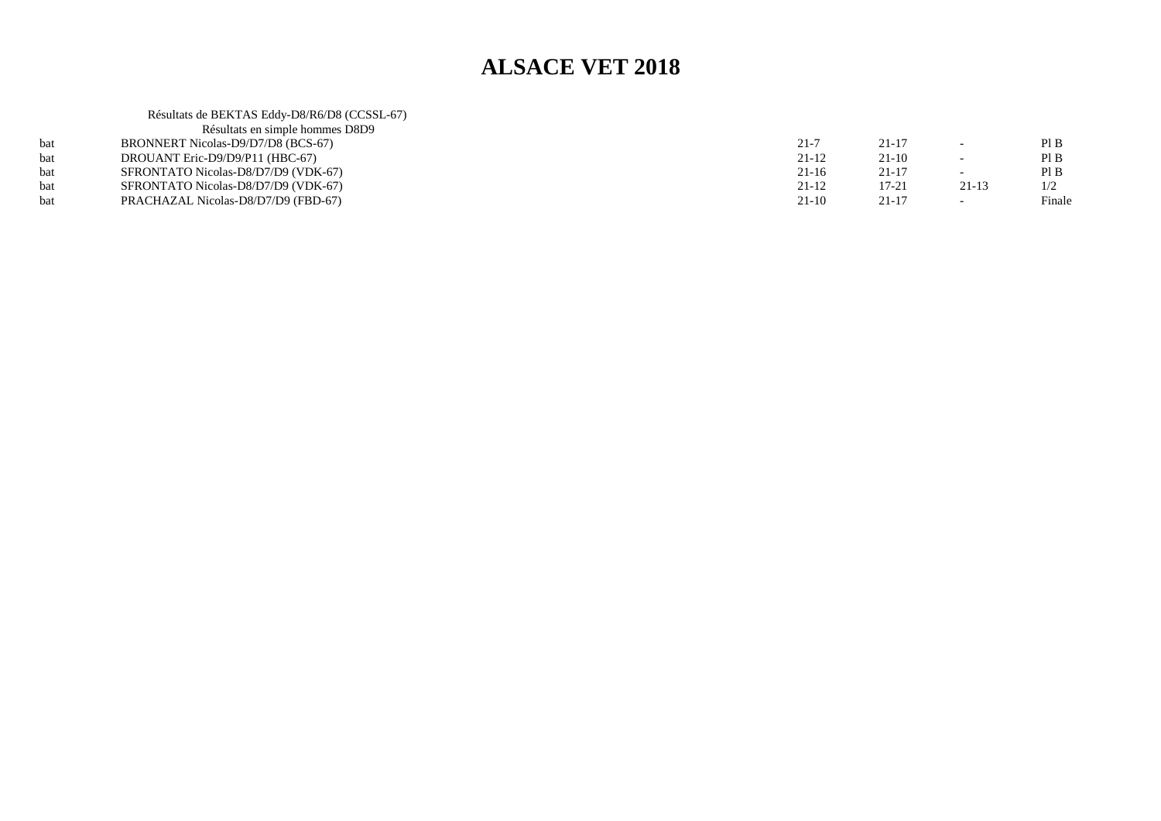|     | Résultats de BEKTAS Eddy-D8/R6/D8 (CCSSL-67) |           |           |           |        |
|-----|----------------------------------------------|-----------|-----------|-----------|--------|
|     | Résultats en simple hommes D8D9              |           |           |           |        |
| bat | BRONNERT Nicolas-D9/D7/D8 (BCS-67)           | $21 - 7$  | $21 - 17$ |           | Pl B   |
| bat | DROUANT Eric-D9/D9/P11 (HBC-67)              | 21-12     | $21-10$   |           | Pl B   |
| bat | SFRONTATO Nicolas-D8/D7/D9 (VDK-67)          | $21 - 16$ | $21 - 17$ |           | PIB    |
| bat | SFRONTATO Nicolas-D8/D7/D9 (VDK-67)          | 21-12     | $17 - 21$ | $21 - 13$ | 1/2    |
| bat | PRACHAZAL Nicolas-D8/D7/D9 (FBD-67)          | $21-10$   | $21 - 17$ |           | Finale |
|     |                                              |           |           |           |        |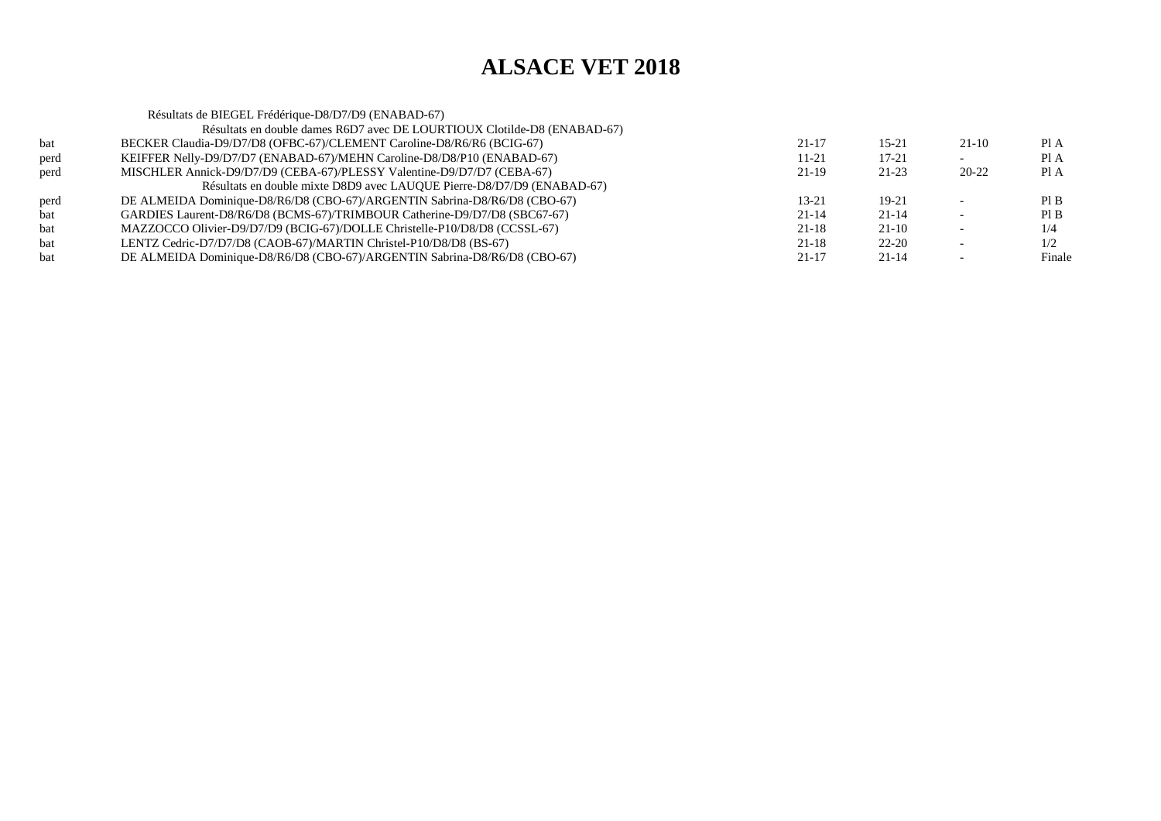|      | Résultats de BIEGEL Frédérique-D8/D7/D9 (ENABAD-67)                       |           |           |         |        |
|------|---------------------------------------------------------------------------|-----------|-----------|---------|--------|
|      | Résultats en double dames R6D7 avec DE LOURTIOUX Clotilde-D8 (ENABAD-67)  |           |           |         |        |
| bat  | BECKER Claudia-D9/D7/D8 (OFBC-67)/CLEMENT Caroline-D8/R6/R6 (BCIG-67)     | $21 - 17$ | $15 - 21$ | $21-10$ | PI A   |
| perd | KEIFFER Nelly-D9/D7/D7 (ENABAD-67)/MEHN Caroline-D8/D8/P10 (ENABAD-67)    | 11-21     | 17-21     |         | Pl A   |
| perd | MISCHLER Annick-D9/D7/D9 (CEBA-67)/PLESSY Valentine-D9/D7/D7 (CEBA-67)    | $21-19$   | $21-23$   | 20-22   | PI A   |
|      | Résultats en double mixte D8D9 avec LAUQUE Pierre-D8/D7/D9 (ENABAD-67)    |           |           |         |        |
| perd | DE ALMEIDA Dominique-D8/R6/D8 (CBO-67)/ARGENTIN Sabrina-D8/R6/D8 (CBO-67) | 13-21     | $19-21$   |         | PI B   |
| bat  | GARDIES Laurent-D8/R6/D8 (BCMS-67)/TRIMBOUR Catherine-D9/D7/D8 (SBC67-67) | $21 - 14$ | $21 - 14$ |         | PI B   |
| bat  | MAZZOCCO Olivier-D9/D7/D9 (BCIG-67)/DOLLE Christelle-P10/D8/D8 (CCSSL-67) | $21 - 18$ | $21 - 10$ |         | 1/4    |
| bat  | LENTZ Cedric-D7/D7/D8 (CAOB-67)/MARTIN Christel-P10/D8/D8 (BS-67)         | $21 - 18$ | $22 - 20$ |         | 1/2    |
| bat  | DE ALMEIDA Dominique-D8/R6/D8 (CBO-67)/ARGENTIN Sabrina-D8/R6/D8 (CBO-67) | $21-17$   | $21 - 14$ |         | Finale |
|      |                                                                           |           |           |         |        |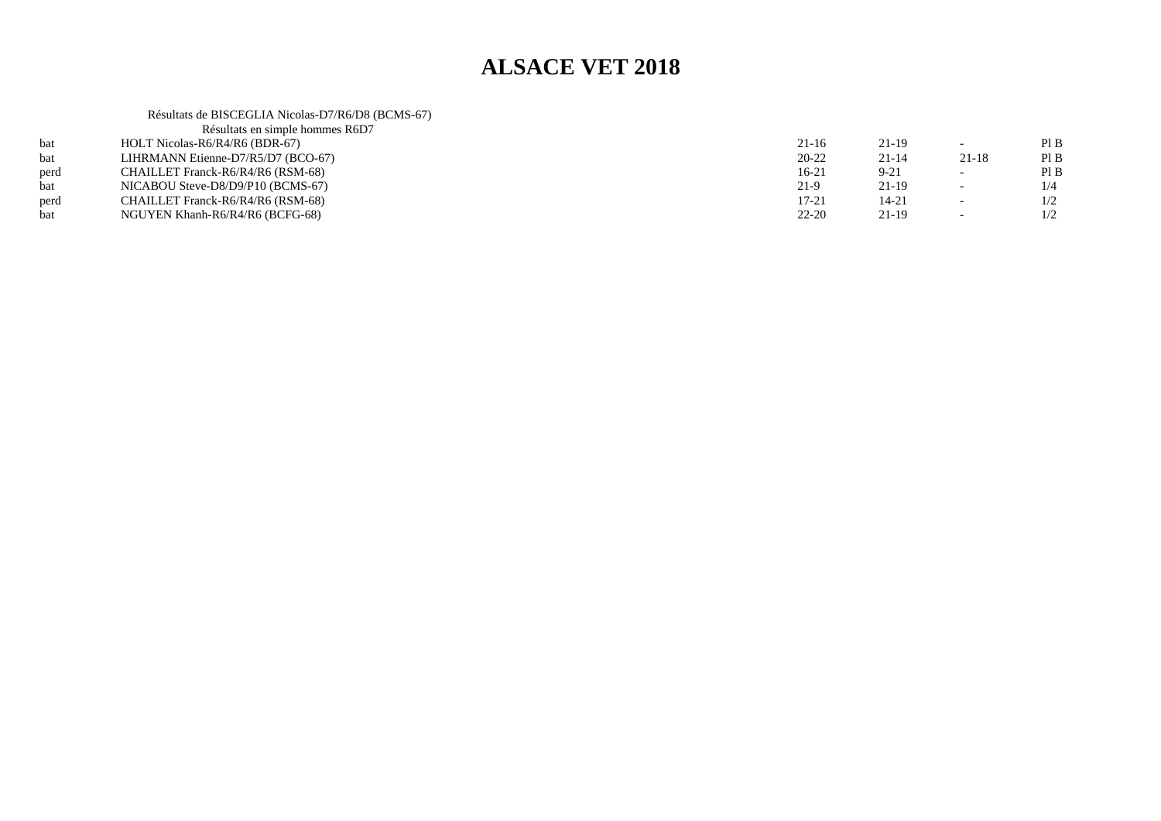Résultats de BISCEGLIA Nicolas-D7/R6/D8 (BCMS-67)

|      | Résultats en simple hommes R6D7    |           |           |                          |     |
|------|------------------------------------|-----------|-----------|--------------------------|-----|
|      | HOLT Nicolas-R6/R4/R6 (BDR-67)     | $21 - 16$ | 21-19     |                          | PIB |
| bat  | LIHRMANN Etienne-D7/R5/D7 (BCO-67) | $20 - 22$ | $21 - 14$ | $21 - 18$                | PIB |
| perd | CHAILLET Franck-R6/R4/R6 (RSM-68)  | $16-21$   | $9 - 21$  |                          | PIB |
| hat  | NICABOU Steve-D8/D9/P10 (BCMS-67)  | $21-9$    | $21-19$   | $\overline{\phantom{0}}$ | 1/4 |
| perd | CHAILLET Franck-R6/R4/R6 (RSM-68)  | $17 - 21$ | 14-21     |                          | 1/2 |
| bat  | NGUYEN Khanh-R6/R4/R6 (BCFG-68)    | $22 - 20$ | $21-19$   |                          | 1/2 |
|      |                                    |           |           |                          |     |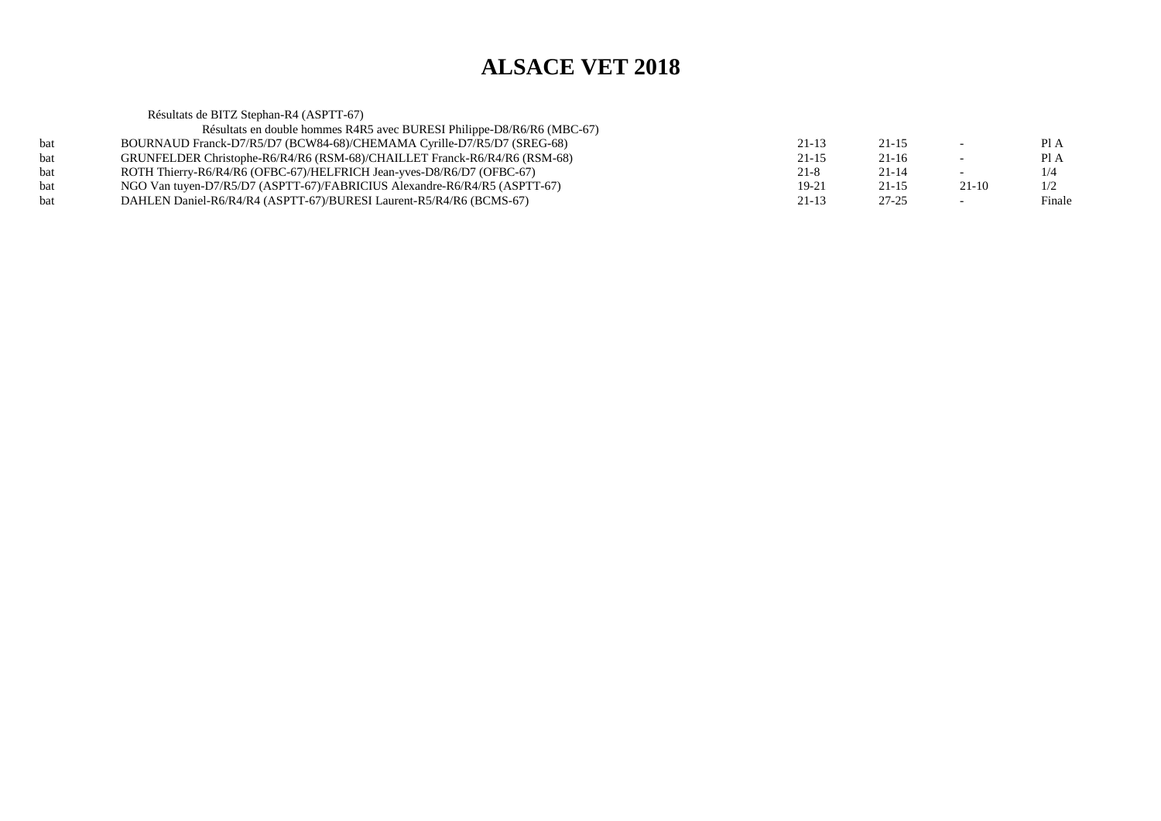Résultats de BITZ Stephan-R4 (ASPTT-67) Résultats en double hommes R4R5 avec BURESI Philippe-D8/R6/R6 (MBC-67)bat BOURNAUD Franck-D7/R5/D7 (BCW84-68)/CHEMAMA Cyrille-D7/R5/D7 (SREG-68) $21-13$   $21-15$   $-$  PIA Pl A bat GRUNFELDER Christophe-R6/R4/R6 (RSM-68)/CHAILLET Franck-R6/R4/R6 (RSM-68) $21-15$  21-16 - PIA  $1/4$ bat ROTH Thierry-R6/R4/R6 (OFBC-67)/HELFRICH Jean-yves-D8/R6/D7 (OFBC-67)<br>hat NGO Van tuyen-D7/R5/D7 (ASPTT-67)/FABRICIUS Alexandre-R6/R4/R5 (ASPTT  $21-8$  21-14 - 1/4  $1/2$ bat NGO Van tuyen-D7/R5/D7 (ASPTT-67)/FABRICIUS Alexandre-R6/R4/R5 (ASPTT-67) $19-21$   $21-15$   $21-10$   $1/2$ Finale bat DAHLEN Daniel-R6/R4/R4 (ASPTT-67)/BURESI Laurent-R5/R4/R6 (BCMS-67)(a) 21-13 27-25 - Finale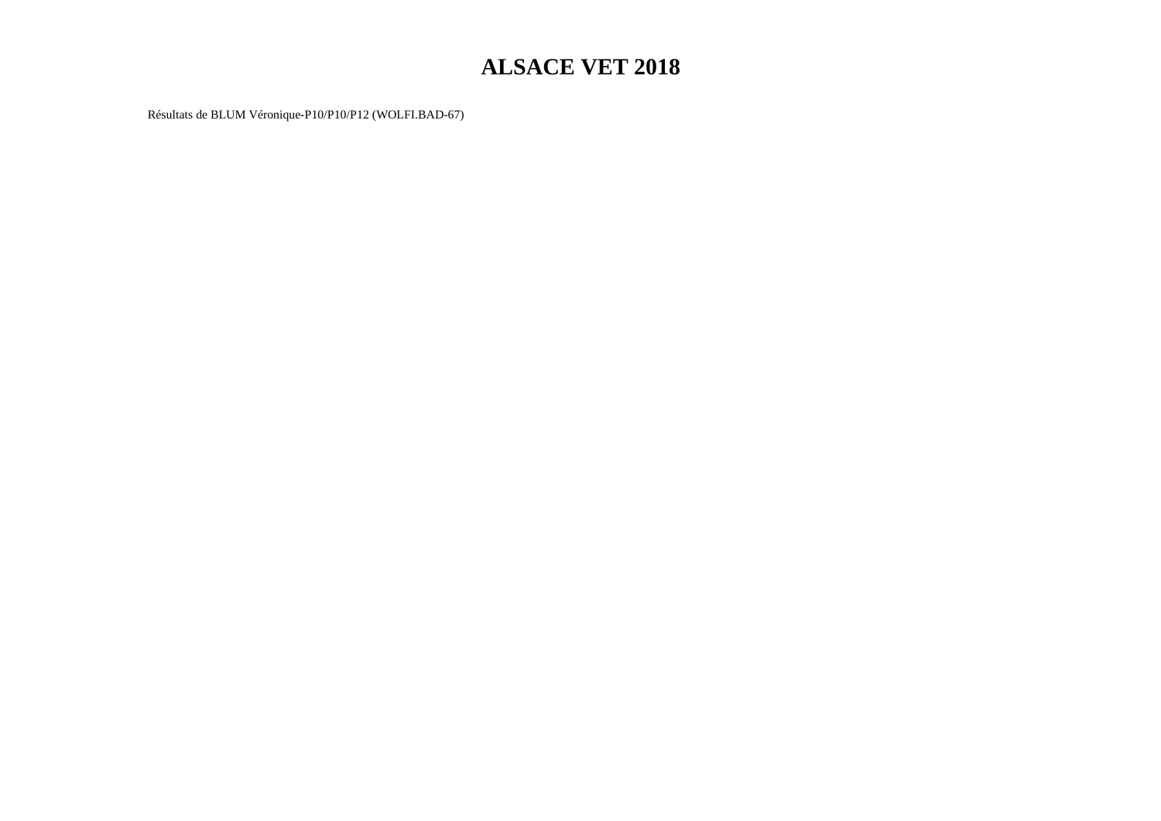Résultats de BLUM Véronique-P10/P10/P12 (WOLFI.BAD-67)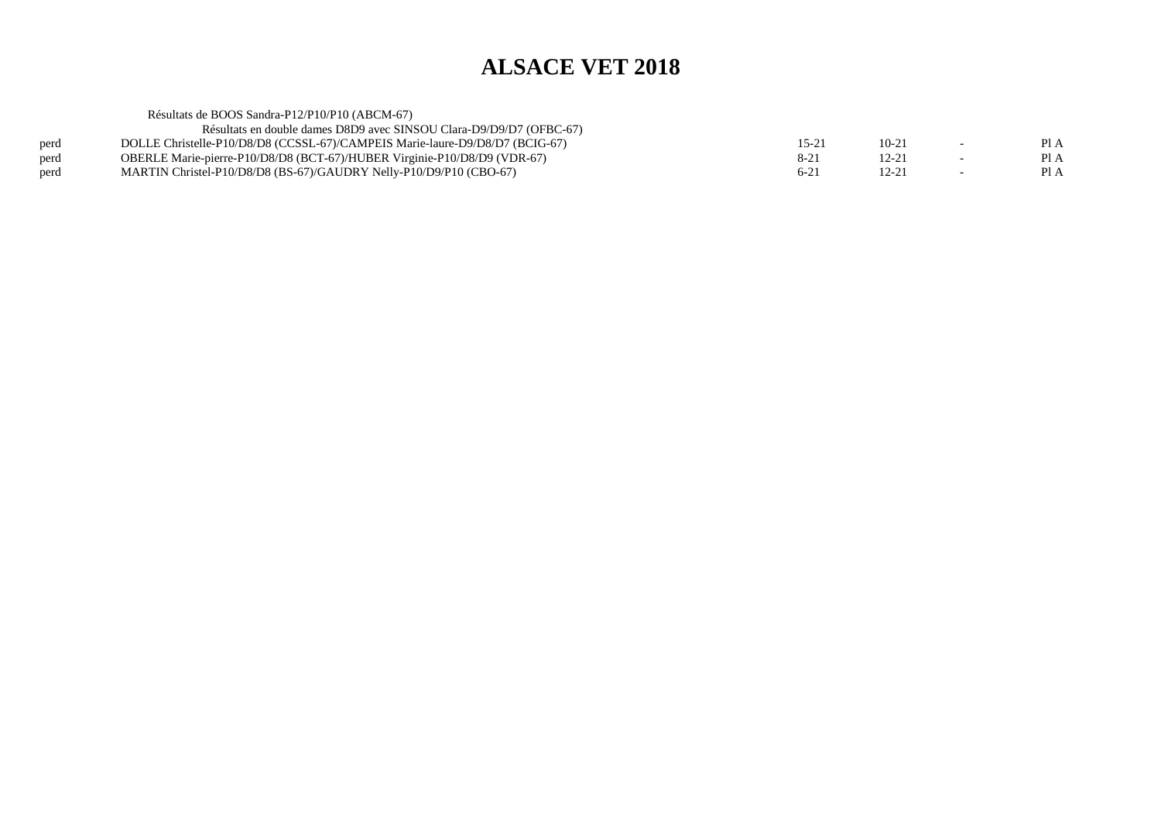| Résultats en double dames D8D9 avec SINSOU Clara-D9/D9/D7 (OFBC-67)          |          |                                                |                          |      |
|------------------------------------------------------------------------------|----------|------------------------------------------------|--------------------------|------|
| DOLLE Christelle-P10/D8/D8 (CCSSL-67)/CAMPEIS Marie-laure-D9/D8/D7 (BCIG-67) | 15-21    | $10 - 21$                                      | $\overline{\phantom{0}}$ | PI A |
| OBERLE Marie-pierre-P10/D8/D8 (BCT-67)/HUBER Virginie-P10/D8/D9 (VDR-67)     | $8 - 21$ | 12-21                                          |                          | PI A |
| MARTIN Christel-P10/D8/D8 (BS-67)/GAUDRY Nelly-P10/D9/P10 (CBO-67)           | $6 - 21$ | 12-21                                          |                          | PI A |
|                                                                              |          | Résultats de BOOS Sandra-P12/P10/P10 (ABCM-67) |                          |      |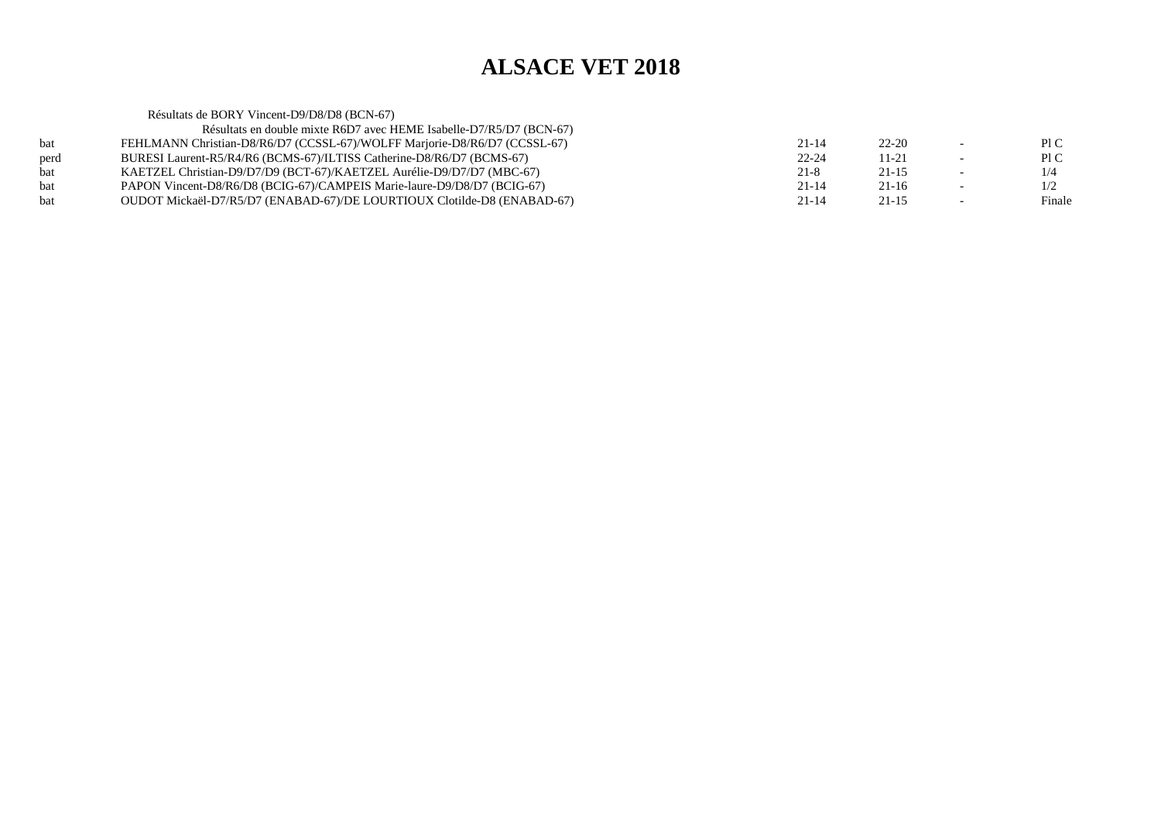|            | Résultats de BORY Vincent-D9/D8/D8 (BCN-67)                               |           |           |        |
|------------|---------------------------------------------------------------------------|-----------|-----------|--------|
|            | Résultats en double mixte R6D7 avec HEME Isabelle-D7/R5/D7 (BCN-67)       |           |           |        |
| bat        | FEHLMANN Christian-D8/R6/D7 (CCSSL-67)/WOLFF Marjorie-D8/R6/D7 (CCSSL-67) | $21 - 14$ | $22 - 20$ | P1C    |
| perd       | BURESI Laurent-R5/R4/R6 (BCMS-67)/ILTISS Catherine-D8/R6/D7 (BCMS-67)     | $22 - 24$ | $11 - 21$ | P1C    |
| <b>bat</b> | KAETZEL Christian-D9/D7/D9 (BCT-67)/KAETZEL Aurélie-D9/D7/D7 (MBC-67)     | $21 - 8$  | $21 - 15$ | 1/4    |
| <b>bat</b> | PAPON Vincent-D8/R6/D8 (BCIG-67)/CAMPEIS Marie-laure-D9/D8/D7 (BCIG-67)   | $21 - 14$ | $21 - 16$ | 1/2    |
| <b>bat</b> | OUDOT Mickaël-D7/R5/D7 (ENABAD-67)/DE LOURTIOUX Clotilde-D8 (ENABAD-67)   | $21 - 14$ | $21 - 15$ | Finale |
|            |                                                                           |           |           |        |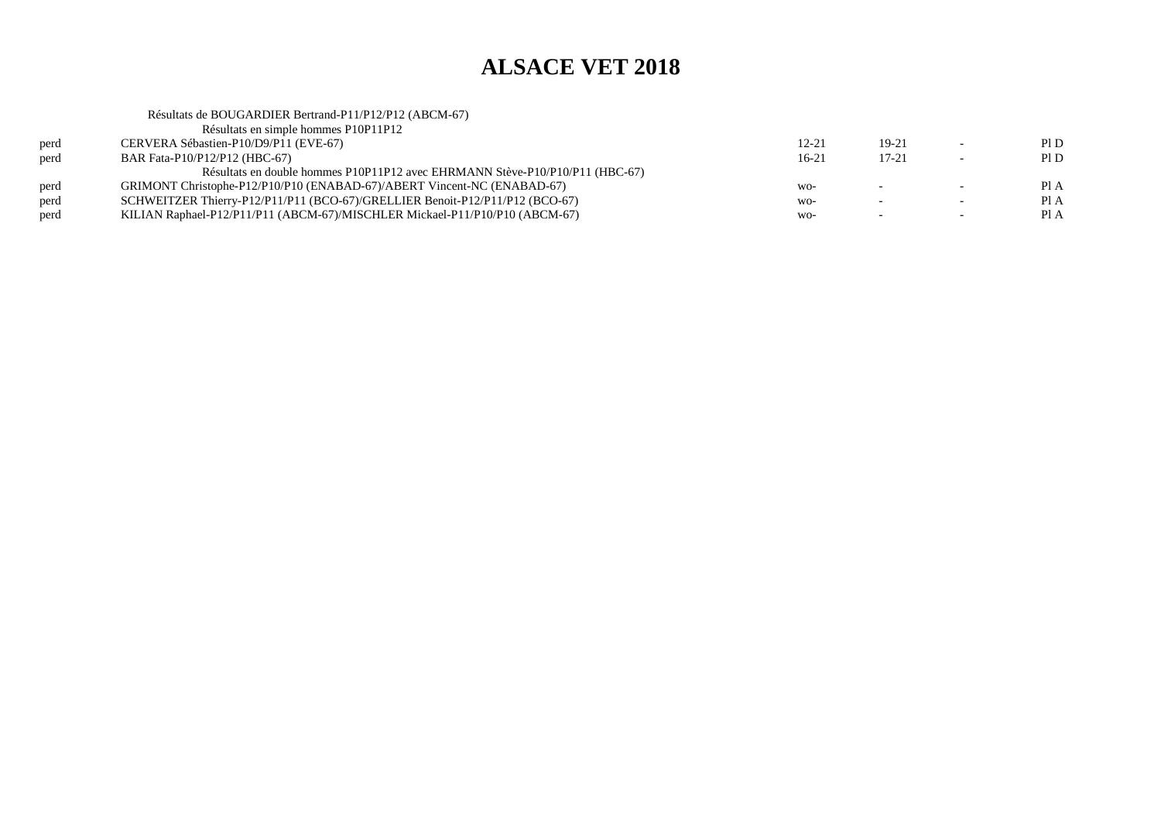|      | Résultats de BOUGARDIER Bertrand-P11/P12/P12 (ABCM-67)                       |           |                          |                          |      |
|------|------------------------------------------------------------------------------|-----------|--------------------------|--------------------------|------|
|      | Résultats en simple hommes P10P11P12                                         |           |                          |                          |      |
| perd | CERVERA Sébastien-P10/D9/P11 (EVE-67)                                        | $12 - 21$ | $19 - 21$                | $\overline{\phantom{0}}$ | PID  |
| perd | BAR Fata-P10/P12/P12 (HBC-67)                                                | $16-21$   | $17 - 21$                | $\overline{\phantom{0}}$ | PID  |
|      | Résultats en double hommes P10P11P12 avec EHRMANN Stève-P10/P10/P11 (HBC-67) |           |                          |                          |      |
| perd | GRIMONT Christophe-P12/P10/P10 (ENABAD-67)/ABERT Vincent-NC (ENABAD-67)      | $WO-$     | $\sim$                   | $\sim$                   | PI A |
| perd | SCHWEITZER Thierry-P12/P11/P11 (BCO-67)/GRELLIER Benoit-P12/P11/P12 (BCO-67) | $WO-$     | $\overline{\phantom{0}}$ | $\overline{\phantom{0}}$ | PI A |
| perd | KILIAN Raphael-P12/P11/P11 (ABCM-67)/MISCHLER Mickael-P11/P10/P10 (ABCM-67)  | $WO-$     | $\overline{\phantom{0}}$ | $\overline{\phantom{0}}$ | Pl A |
|      |                                                                              |           |                          |                          |      |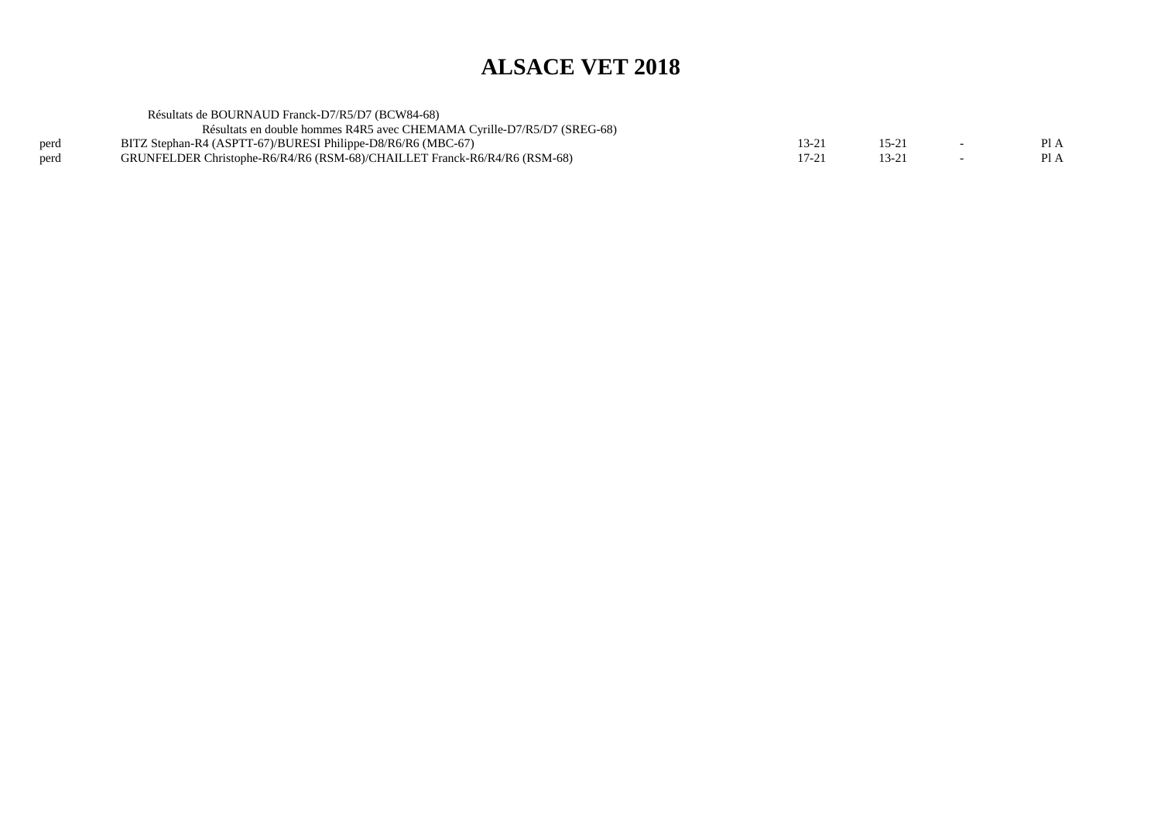|      | Résultats de BOURNAUD Franck-D7/R5/D7 (BCW84-68)                          |       |  |      |
|------|---------------------------------------------------------------------------|-------|--|------|
|      | Résultats en double hommes R4R5 avec CHEMAMA Cyrille-D7/R5/D7 (SREG-68)   |       |  |      |
| perd | BITZ Stephan-R4 (ASPTT-67)/BURESI Philippe-D8/R6/R6 (MBC-67)              | 13-21 |  | Pl A |
| perd | GRUNFELDER Christophe-R6/R4/R6 (RSM-68)/CHAILLET Franck-R6/R4/R6 (RSM-68) | 17-21 |  | Pl A |
|      |                                                                           |       |  |      |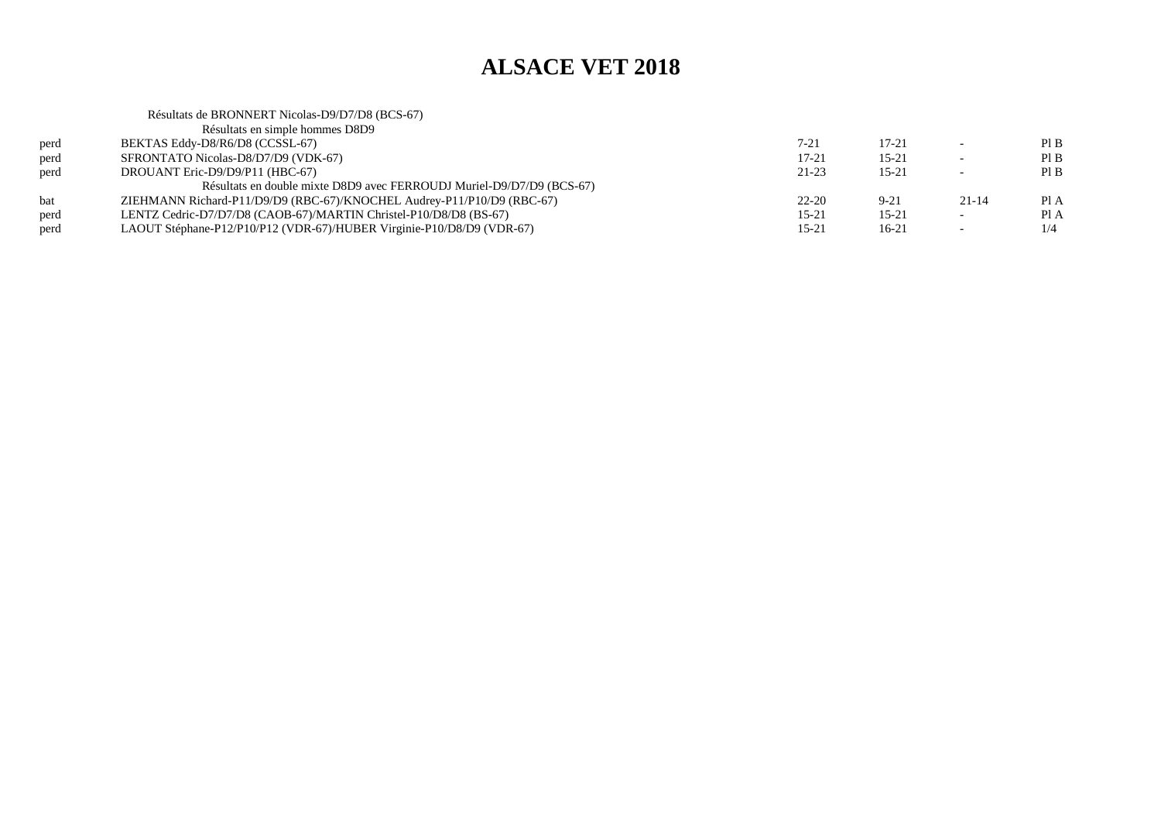|      | Résultats de BRONNERT Nicolas-D9/D7/D8 (BCS-67)                        |           |           |                          |      |
|------|------------------------------------------------------------------------|-----------|-----------|--------------------------|------|
|      | Résultats en simple hommes D8D9                                        |           |           |                          |      |
| perd | BEKTAS Eddy-D8/R6/D8 (CCSSL-67)                                        | $7 - 21$  | $17 - 21$ |                          | PIB  |
| perd | SFRONTATO Nicolas-D8/D7/D9 (VDK-67)                                    | $17 - 21$ | $15 - 21$ | $\overline{\phantom{0}}$ | PIB  |
| perd | DROUANT Eric-D9/D9/P11 (HBC-67)                                        | $21 - 23$ | $15 - 21$ | $\overline{\phantom{0}}$ | PIB  |
|      | Résultats en double mixte D8D9 avec FERROUDJ Muriel-D9/D7/D9 (BCS-67)  |           |           |                          |      |
| bat  | ZIEHMANN Richard-P11/D9/D9 (RBC-67)/KNOCHEL Audrey-P11/P10/D9 (RBC-67) | $22 - 20$ | $9 - 21$  | $21 - 14$                | Pl A |
| perd | LENTZ Cedric-D7/D7/D8 (CAOB-67)/MARTIN Christel-P10/D8/D8 (BS-67)      | $15 - 21$ | $15 - 21$ | $\overline{\phantom{0}}$ | Pl A |
| perd | LAOUT Stéphane-P12/P10/P12 (VDR-67)/HUBER Virginie-P10/D8/D9 (VDR-67)  | $15 - 21$ | $16-21$   |                          | 1/4  |
|      |                                                                        |           |           |                          |      |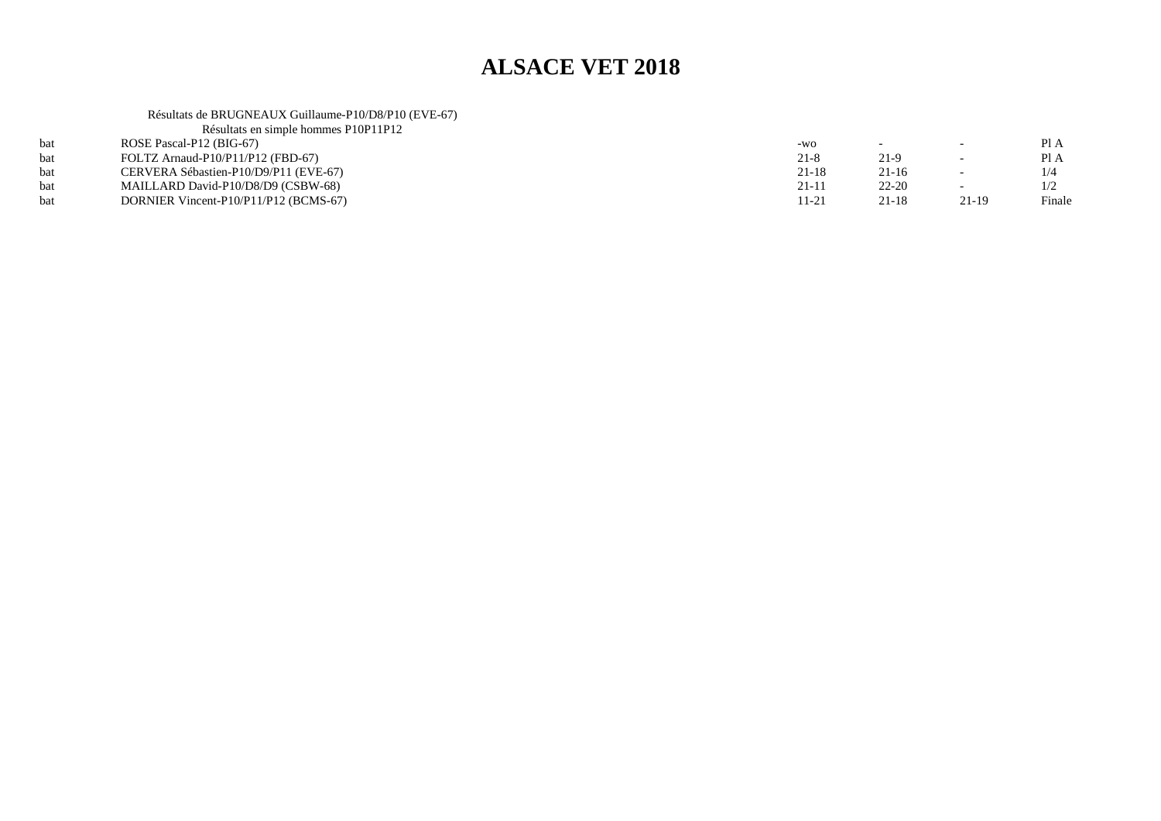Résultats de BRUGNEAUX Guillaume-P10/D8/P10 (EVE-67) Résultats en simple hommes P10P11P12

| Resultats en simple hommes PIUPIIPIZ  |          |           |       |        |
|---------------------------------------|----------|-----------|-------|--------|
| ROSE Pascal-P12 (BIG-67)              | $-WO$    |           |       | PI A   |
| FOLTZ Arnaud-P10/P11/P12 (FBD-67)     | $21 - 8$ | 21-9      |       | Pl A   |
| CERVERA Sébastien-P10/D9/P11 (EVE-67) | 21-18    | 21-16     |       |        |
| MAILLARD David-P10/D8/D9 (CSBW-68)    | 21-11    | $22 - 20$ |       |        |
| DORNIER Vincent-P10/P11/P12 (BCMS-67) | 11-21    | 21-18     | 21-19 | Finale |
|                                       |          |           |       |        |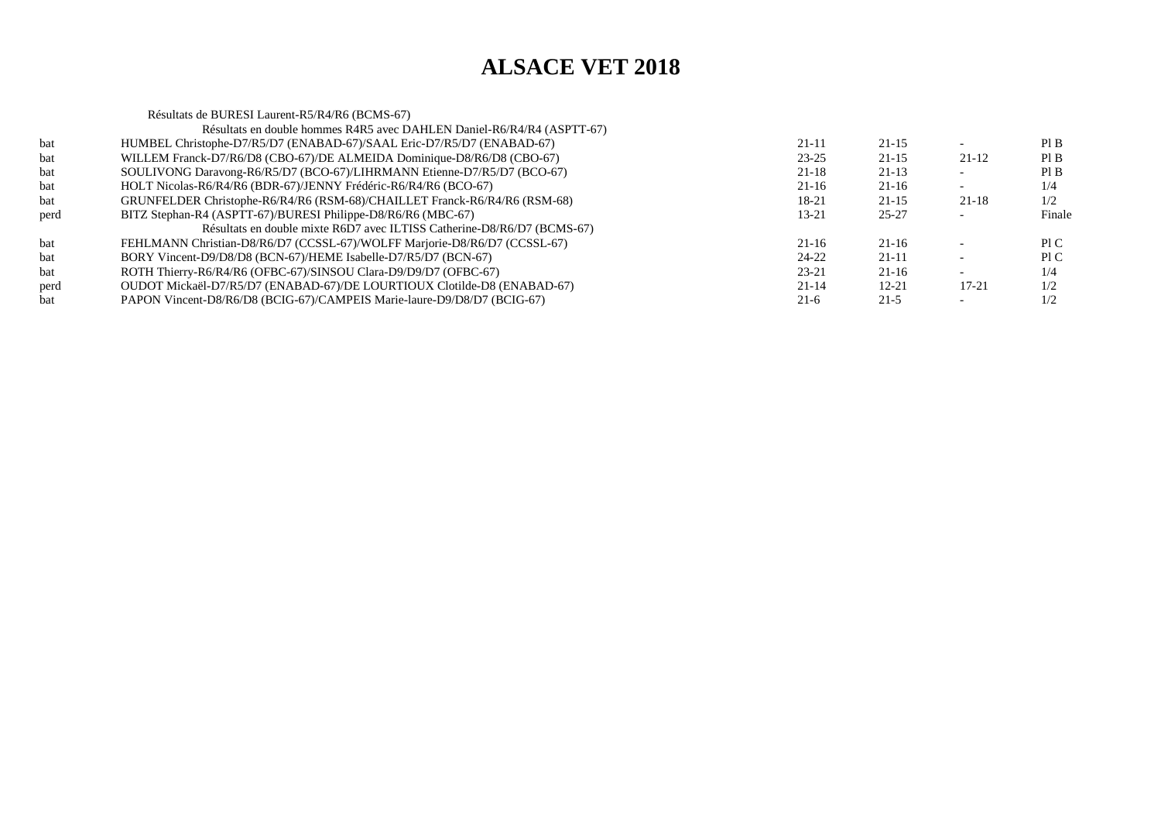|      | Résultats de BURESI Laurent-R5/R4/R6 (BCMS-67)                            |           |           |           |        |
|------|---------------------------------------------------------------------------|-----------|-----------|-----------|--------|
|      | Résultats en double hommes R4R5 avec DAHLEN Daniel-R6/R4/R4 (ASPTT-67)    |           |           |           |        |
| bat  | HUMBEL Christophe-D7/R5/D7 (ENABAD-67)/SAAL Eric-D7/R5/D7 (ENABAD-67)     | $21 - 11$ | $21 - 15$ |           | PI B   |
| bat  | WILLEM Franck-D7/R6/D8 (CBO-67)/DE ALMEIDA Dominique-D8/R6/D8 (CBO-67)    | $23 - 25$ | $21 - 15$ | 21-12     | Pl B   |
| bat  | SOULIVONG Daravong-R6/R5/D7 (BCO-67)/LIHRMANN Etienne-D7/R5/D7 (BCO-67)   | $21 - 18$ | $21 - 13$ |           | PIB    |
| bat  | HOLT Nicolas-R6/R4/R6 (BDR-67)/JENNY Frédéric-R6/R4/R6 (BCO-67)           | $21-16$   | $21 - 16$ |           | 1/4    |
| bat  | GRUNFELDER Christophe-R6/R4/R6 (RSM-68)/CHAILLET Franck-R6/R4/R6 (RSM-68) | 18-21     | $21 - 15$ | $21 - 18$ | 1/2    |
| perd | BITZ Stephan-R4 (ASPTT-67)/BURESI Philippe-D8/R6/R6 (MBC-67)              | 13-21     | $25 - 27$ |           | Finale |
|      | Résultats en double mixte R6D7 avec ILTISS Catherine-D8/R6/D7 (BCMS-67)   |           |           |           |        |
| bat  | FEHLMANN Christian-D8/R6/D7 (CCSSL-67)/WOLFF Marjorie-D8/R6/D7 (CCSSL-67) | $21 - 16$ | $21 - 16$ |           | P1C    |
| bat  | BORY Vincent-D9/D8/D8 (BCN-67)/HEME Isabelle-D7/R5/D7 (BCN-67)            | 24-22     | $21 - 11$ |           | P1C    |
| bat  | ROTH Thierry-R6/R4/R6 (OFBC-67)/SINSOU Clara-D9/D9/D7 (OFBC-67)           | $23 - 21$ | $21 - 16$ |           | 1/4    |
| perd | OUDOT Mickaël-D7/R5/D7 (ENABAD-67)/DE LOURTIOUX Clotilde-D8 (ENABAD-67)   | $21 - 14$ | $12 - 21$ | $17 - 21$ | 1/2    |
| bat  | PAPON Vincent-D8/R6/D8 (BCIG-67)/CAMPEIS Marie-laure-D9/D8/D7 (BCIG-67)   | $21-6$    | $21 - 5$  |           | 1/2    |
|      |                                                                           |           |           |           |        |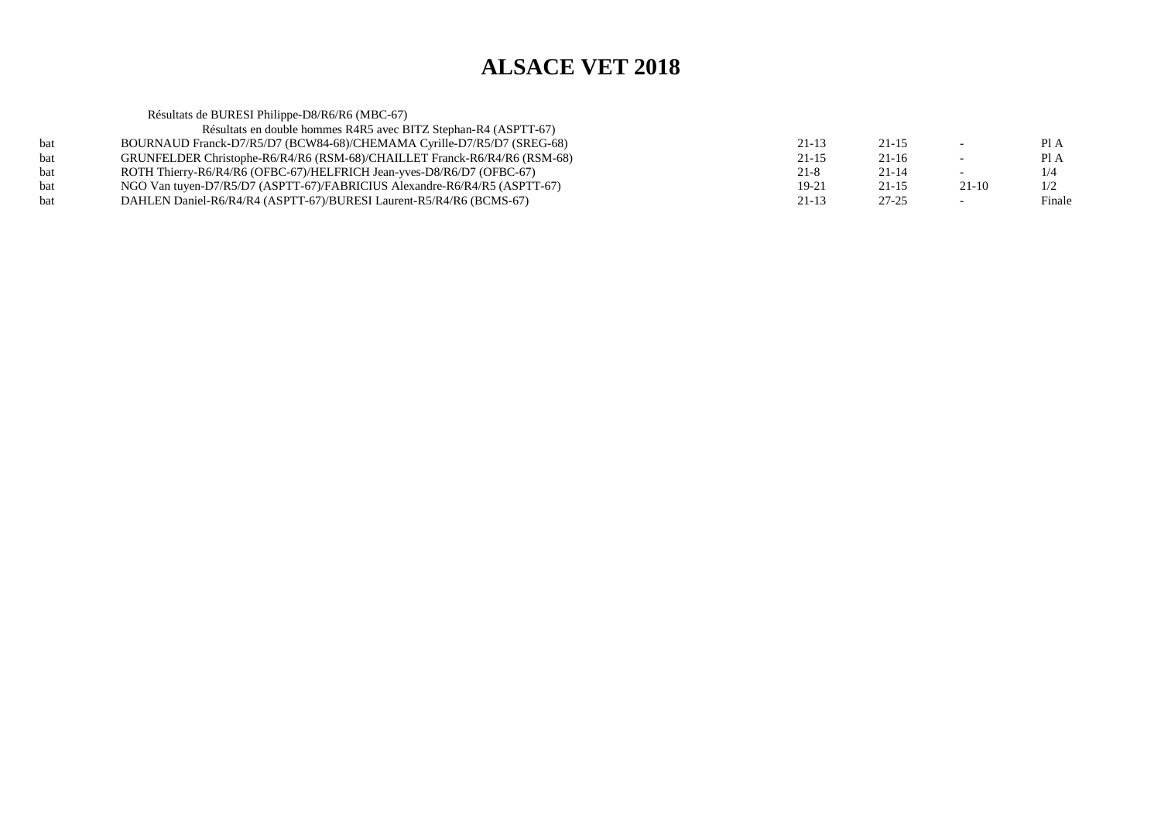Résultats de BURESI Philippe-D8/R6/R6 (MBC-67) Résultats en double hommes R4R5 avec BITZ Stephan-R4 (ASPTT-67) bat BOURNAUD Franck-D7/R5/D7 (BCW84-68)/CHEMAMA Cyrille-D7/R5/D7 (SREG-68) $21-13$   $21-15$   $-$  PIA Pl A bat GRUNFELDER Christophe-R6/R4/R6 (RSM-68)/CHAILLET Franck-R6/R4/R6 (RSM-68) $21-15$  21-16 - PIA  $1/4$ bat ROTH Thierry-R6/R4/R6 (OFBC-67)/HELFRICH Jean-yves-D8/R6/D7 (OFBC-67)  $21-8$  21-14 - 1/4  $1/2$ bat NGO Van tuyen-D7/R5/D7 (ASPTT-67)/FABRICIUS Alexandre-R6/R4/R5 (ASPTT-67) $19-21$   $21-15$   $21-10$   $1/2$ Finale bat DAHLEN Daniel-R6/R4/R4 (ASPTT-67)/BURESI Laurent-R5/R4/R6 (BCMS-67)(a) 21-13 27-25 - Finale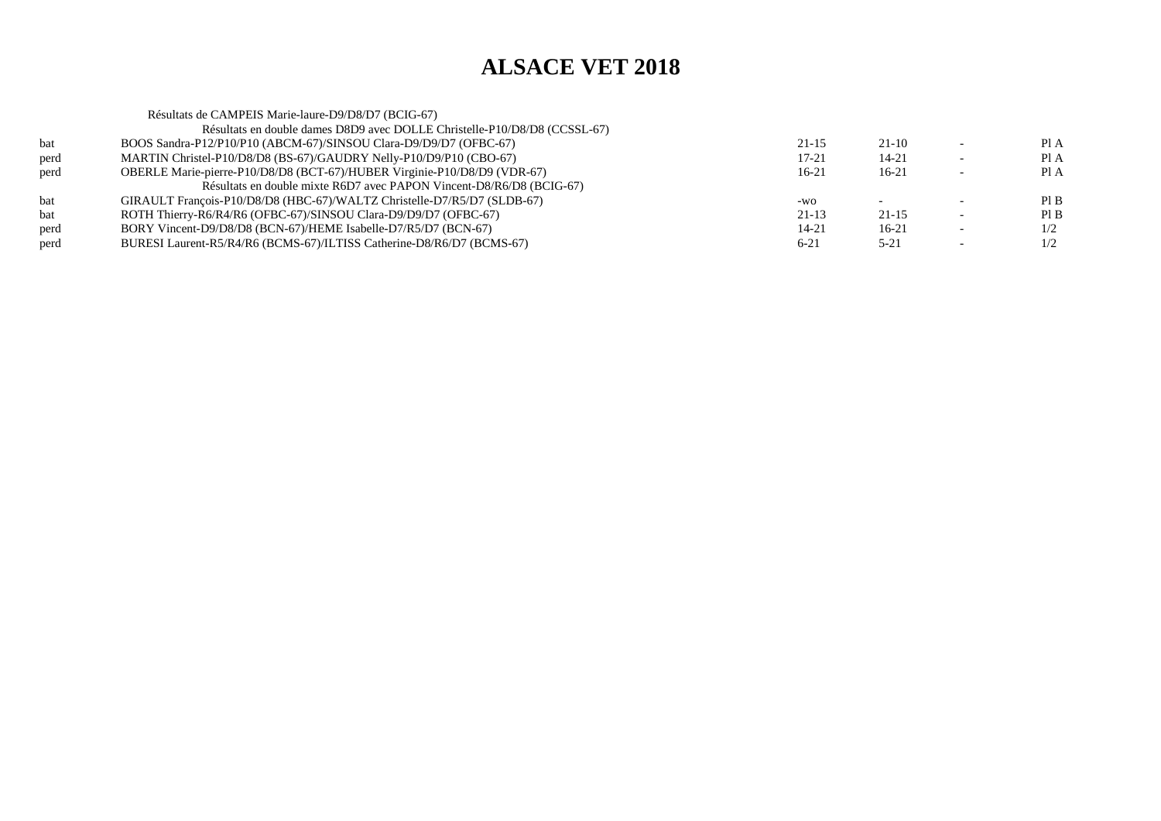|      | Résultats de CAMPEIS Marie-laure-D9/D8/D7 (BCIG-67)                       |           |           |      |
|------|---------------------------------------------------------------------------|-----------|-----------|------|
|      | Résultats en double dames D8D9 avec DOLLE Christelle-P10/D8/D8 (CCSSL-67) |           |           |      |
| bat  | BOOS Sandra-P12/P10/P10 (ABCM-67)/SINSOU Clara-D9/D9/D7 (OFBC-67)         | $21 - 15$ | $21-10$   | Pl A |
| perd | MARTIN Christel-P10/D8/D8 (BS-67)/GAUDRY Nelly-P10/D9/P10 (CBO-67)        | $17 - 21$ | 14-21     | Pl A |
| perd | OBERLE Marie-pierre-P10/D8/D8 (BCT-67)/HUBER Virginie-P10/D8/D9 (VDR-67)  | $16-21$   | $16-21$   | Pl A |
|      | Résultats en double mixte R6D7 avec PAPON Vincent-D8/R6/D8 (BCIG-67)      |           |           |      |
| bat  | GIRAULT François-P10/D8/D8 (HBC-67)/WALTZ Christelle-D7/R5/D7 (SLDB-67)   | -WQ       |           | PIB  |
| bat  | ROTH Thierry-R6/R4/R6 (OFBC-67)/SINSOU Clara-D9/D9/D7 (OFBC-67)           | 21-13     | $21 - 15$ | PIB  |
| perd | BORY Vincent-D9/D8/D8 (BCN-67)/HEME Isabelle-D7/R5/D7 (BCN-67)            | 14-21     | $16-21$   | 1/2  |
| perd | BURESI Laurent-R5/R4/R6 (BCMS-67)/ILTISS Catherine-D8/R6/D7 (BCMS-67)     | $6 - 21$  | $5 - 21$  | 1/2  |
|      |                                                                           |           |           |      |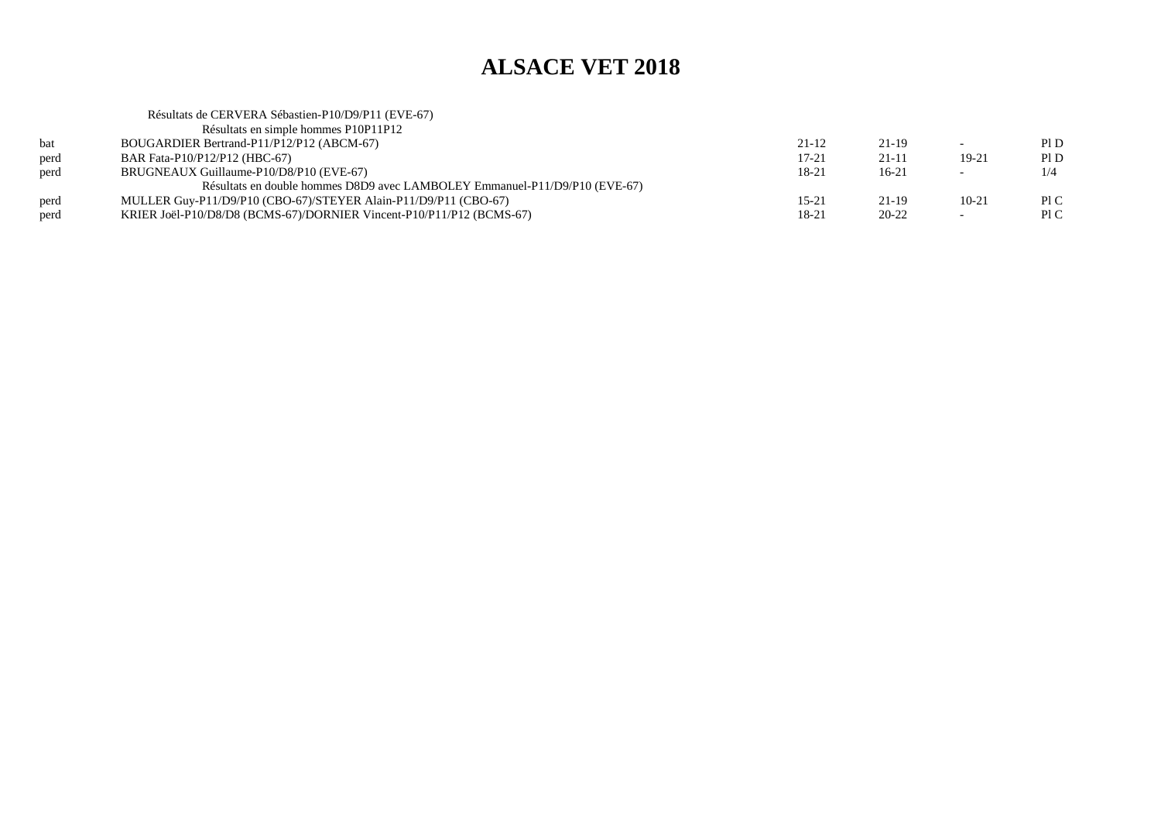|      | Résultats de CERVERA Sébastien-P10/D9/P11 (EVE-67)                         |           |           |                          |      |
|------|----------------------------------------------------------------------------|-----------|-----------|--------------------------|------|
|      | Résultats en simple hommes P10P11P12                                       |           |           |                          |      |
| bat  | BOUGARDIER Bertrand-P11/P12/P12 (ABCM-67)                                  | $21 - 12$ | 21-19     |                          | PID  |
| perd | BAR Fata-P10/P12/P12 (HBC-67)                                              | 17-21     | 21-11     | $19-21$                  | Pl D |
| perd | BRUGNEAUX Guillaume-P10/D8/P10 (EVE-67)                                    | 18-21     | $16-21$   | $\overline{\phantom{0}}$ | 1/4  |
|      | Résultats en double hommes D8D9 avec LAMBOLEY Emmanuel-P11/D9/P10 (EVE-67) |           |           |                          |      |
| perd | MULLER Guy-P11/D9/P10 (CBO-67)/STEYER Alain-P11/D9/P11 (CBO-67)            | 15-21     | 21-19     | $10-21$                  | P1C  |
| perd | KRIER Joël-P10/D8/D8 (BCMS-67)/DORNIER Vincent-P10/P11/P12 (BCMS-67)       | 18-21     | $20 - 22$ | $\sim$                   | P1C  |
|      |                                                                            |           |           |                          |      |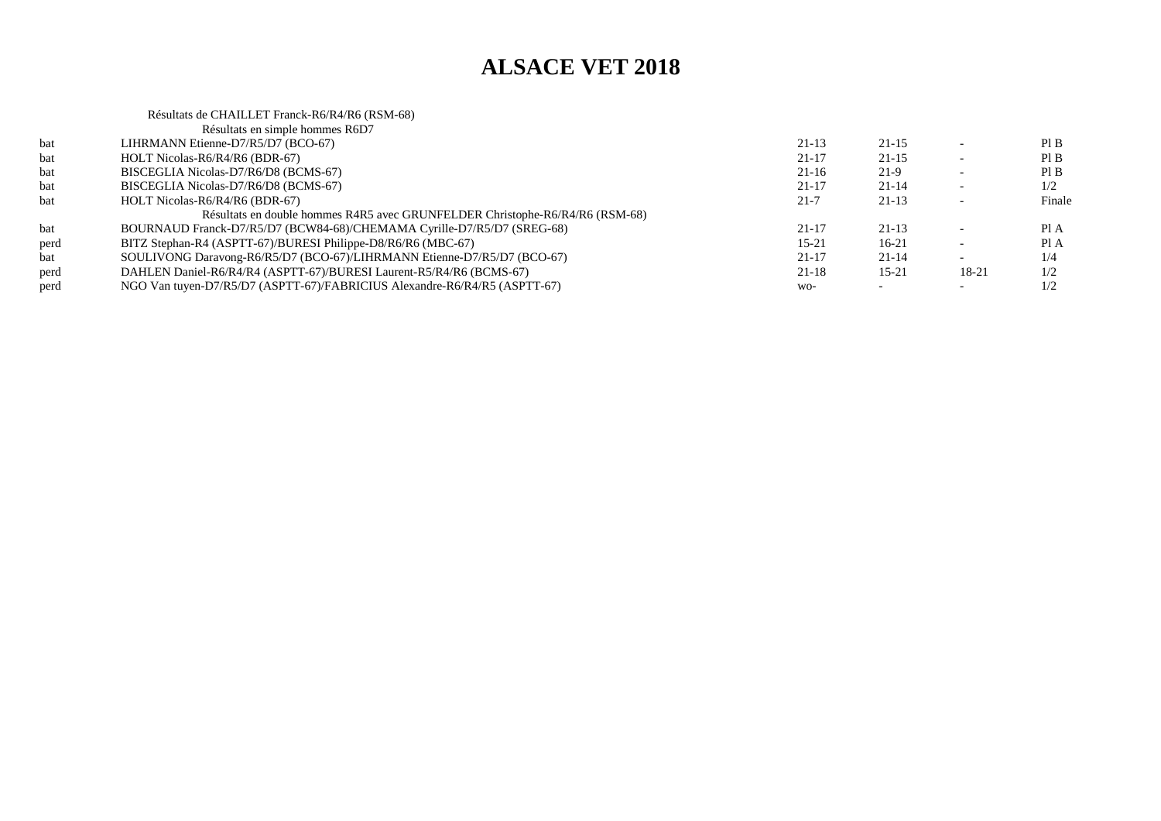## Résultats de CHAILLET Franck-R6/R4/R6 (RSM-68) Résultats en simple hommes R6D7

|      | Résultats en simple hommes R6D/                                              |           |           |       |        |
|------|------------------------------------------------------------------------------|-----------|-----------|-------|--------|
| bat  | LIHRMANN Etienne-D7/R5/D7 (BCO-67)                                           | $21-13$   | $21 - 15$ |       | PIB    |
| bat  | HOLT Nicolas-R6/R4/R6 (BDR-67)                                               | $21 - 17$ | $21 - 15$ |       | PI B   |
| bat  | BISCEGLIA Nicolas-D7/R6/D8 (BCMS-67)                                         | $21-16$   | $21-9$    |       | Pl B   |
| bat  | BISCEGLIA Nicolas-D7/R6/D8 (BCMS-67)                                         | 21-17     | $21 - 14$ |       | 1/2    |
| bat  | HOLT Nicolas-R6/R4/R6 (BDR-67)                                               | $21 - 7$  | $21-13$   |       | Finale |
|      | Résultats en double hommes R4R5 avec GRUNFELDER Christophe-R6/R4/R6 (RSM-68) |           |           |       |        |
| bat  | BOURNAUD Franck-D7/R5/D7 (BCW84-68)/CHEMAMA Cyrille-D7/R5/D7 (SREG-68)       | $21 - 17$ | $21-13$   |       | Pl A   |
| perd | BITZ Stephan-R4 (ASPTT-67)/BURESI Philippe-D8/R6/R6 (MBC-67)                 | $15 - 21$ | 16-21     |       | Pl A   |
| bat  | SOULIVONG Daravong-R6/R5/D7 (BCO-67)/LIHRMANN Etienne-D7/R5/D7 (BCO-67)      | $21 - 17$ | $21 - 14$ |       | 1/4    |
| perd | DAHLEN Daniel-R6/R4/R4 (ASPTT-67)/BURESI Laurent-R5/R4/R6 (BCMS-67)          | $21 - 18$ | $15 - 21$ | 18-21 | 1/2    |
| perd | NGO Van tuyen-D7/R5/D7 (ASPTT-67)/FABRICIUS Alexandre-R6/R4/R5 (ASPTT-67)    | $WO-$     |           |       | 1/2    |
|      |                                                                              |           |           |       |        |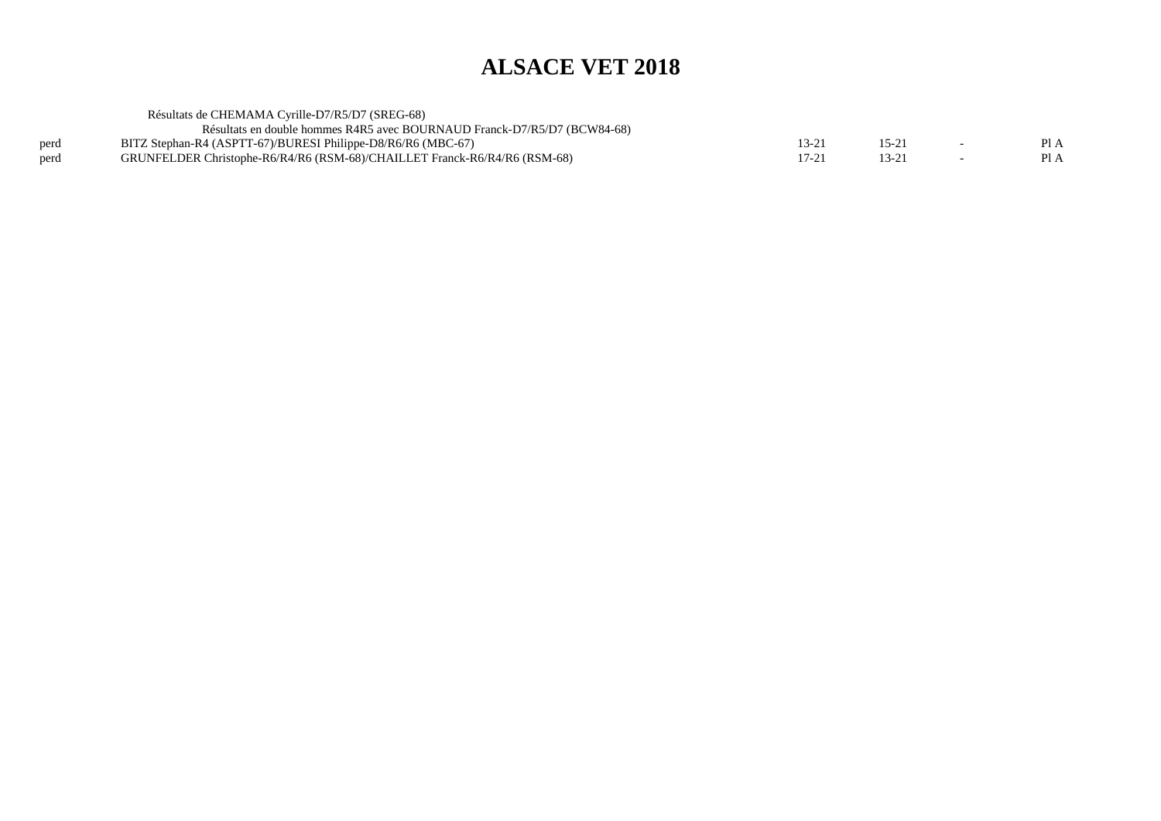|      | Résultats de CHEMAMA Cyrille-D7/R5/D7 (SREG-68)                           |                  |        |      |
|------|---------------------------------------------------------------------------|------------------|--------|------|
|      | Résultats en double hommes R4R5 avec BOURNAUD Franck-D7/R5/D7 (BCW84-68)  |                  |        |      |
| perd | BITZ Stephan-R4 (ASPTT-67)/BURESI Philippe-D8/R6/R6 (MBC-67)              | $13 - 2^{\circ}$ | $15-2$ | Pl A |
| perd | GRUNFELDER Christophe-R6/R4/R6 (RSM-68)/CHAILLET Franck-R6/R4/R6 (RSM-68) | $17-2$           | 13-2   | Pl A |
|      |                                                                           |                  |        |      |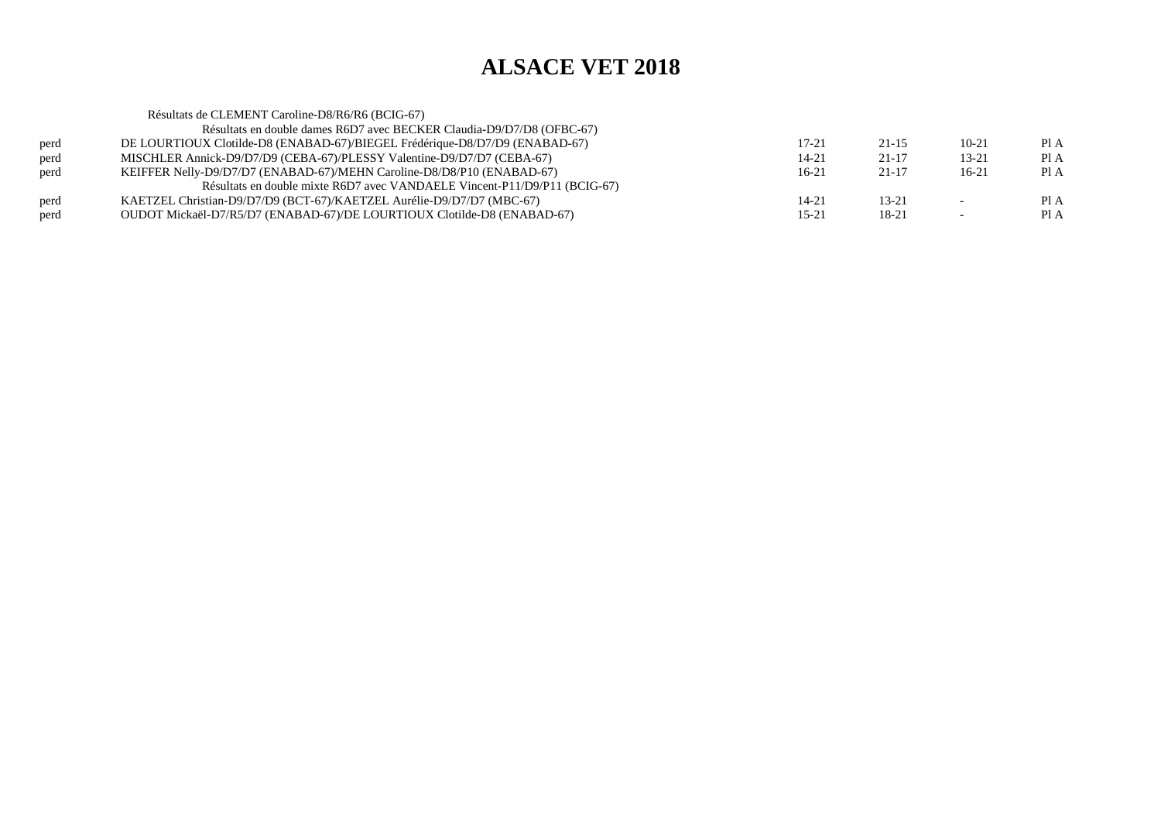|      | Résultats de CLEMENT Caroline-D8/R6/R6 (BCIG-67)                            |         |           |           |      |
|------|-----------------------------------------------------------------------------|---------|-----------|-----------|------|
|      | Résultats en double dames R6D7 avec BECKER Claudia-D9/D7/D8 (OFBC-67)       |         |           |           |      |
| perd | DE LOURTIOUX Clotilde-D8 (ENABAD-67)/BIEGEL Frédérique-D8/D7/D9 (ENABAD-67) | 17-21   | $21 - 15$ | $10-21$   | Pl A |
| perd | MISCHLER Annick-D9/D7/D9 (CEBA-67)/PLESSY Valentine-D9/D7/D7 (CEBA-67)      | 14-21   | $21 - 17$ | $13 - 21$ | Pl A |
| perd | KEIFFER Nelly-D9/D7/D7 (ENABAD-67)/MEHN Caroline-D8/D8/P10 (ENABAD-67)      | $16-21$ | 21-17     | $16-21$   | Pl A |
|      | Résultats en double mixte R6D7 avec VANDAELE Vincent-P11/D9/P11 (BCIG-67)   |         |           |           |      |
| perd | KAETZEL Christian-D9/D7/D9 (BCT-67)/KAETZEL Aurélie-D9/D7/D7 (MBC-67)       | 14-21   | $13 - 21$ |           | Pl A |
| perd | OUDOT Mickaël-D7/R5/D7 (ENABAD-67)/DE LOURTIOUX Clotilde-D8 (ENABAD-67)     | 15-21   | 18-21     |           | Pl A |
|      |                                                                             |         |           |           |      |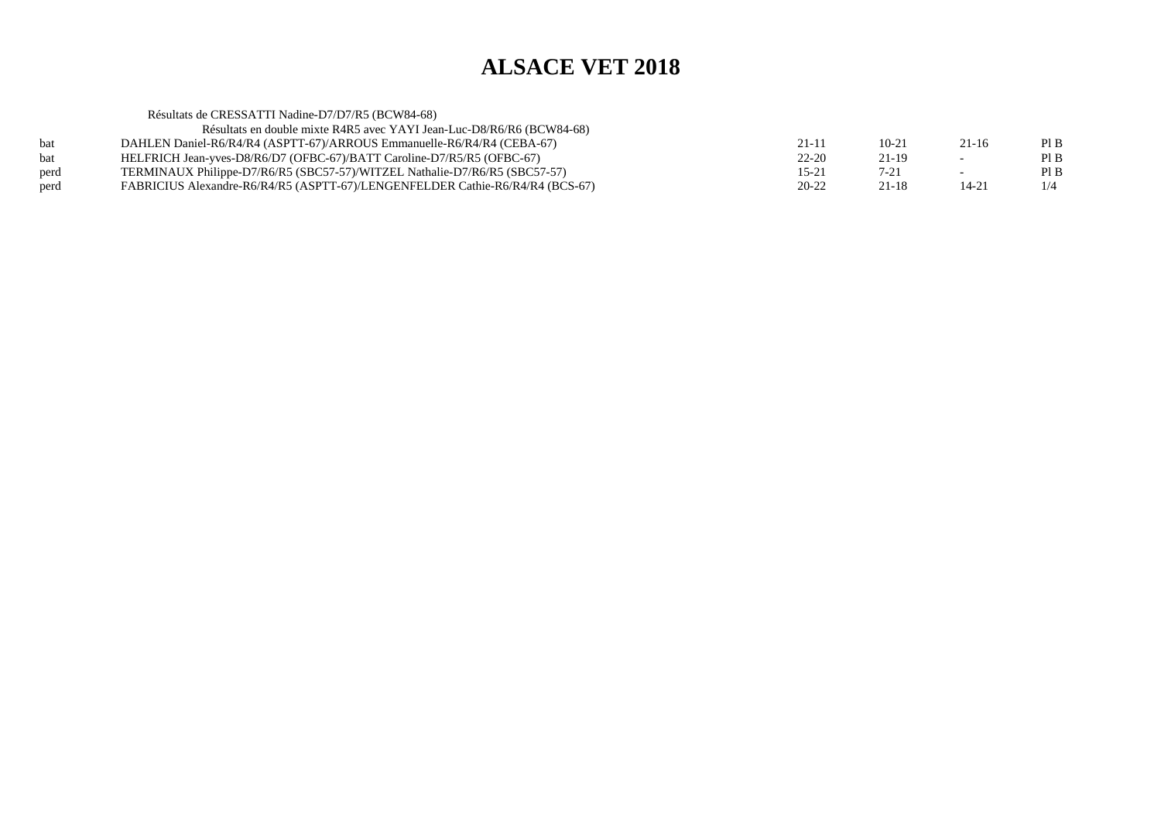|      | Résultats de CRESSATTI Nadine-D7/D7/R5 (BCW84-68)                             |           |           |           |      |
|------|-------------------------------------------------------------------------------|-----------|-----------|-----------|------|
|      | Résultats en double mixte R4R5 avec YAYI Jean-Luc-D8/R6/R6 (BCW84-68)         |           |           |           |      |
| bat  | DAHLEN Daniel-R6/R4/R4 (ASPTT-67)/ARROUS Emmanuelle-R6/R4/R4 (CEBA-67)        | $21 - 11$ | $10 - 21$ | $21 - 16$ | PIB  |
| bat  | HELFRICH Jean-yves-D8/R6/D7 (OFBC-67)/BATT Caroline-D7/R5/R5 (OFBC-67)        | $22 - 20$ | $21-19$   |           | Pl B |
| perd | TERMINAUX Philippe-D7/R6/R5 (SBC57-57)/WITZEL Nathalie-D7/R6/R5 (SBC57-57)    | 15-21     | $7-21$    |           | PIB  |
| perd | FABRICIUS Alexandre-R6/R4/R5 (ASPTT-67)/LENGENFELDER Cathie-R6/R4/R4 (BCS-67) | $20 - 22$ | 21-18     | $14 - 21$ | 1/4  |
|      |                                                                               |           |           |           |      |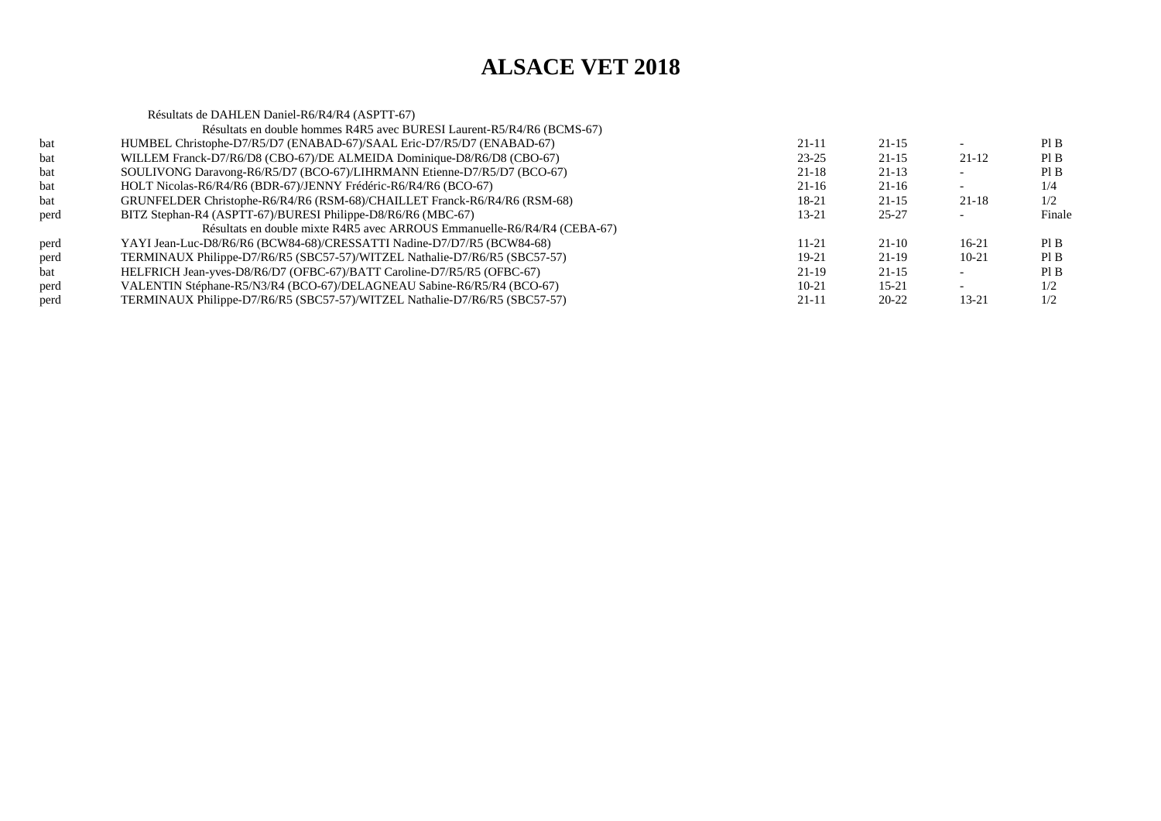|      | Résultats de DAHLEN Daniel-R6/R4/R4 (ASPTT-67)                             |           |           |           |        |
|------|----------------------------------------------------------------------------|-----------|-----------|-----------|--------|
|      | Résultats en double hommes R4R5 avec BURESI Laurent-R5/R4/R6 (BCMS-67)     |           |           |           |        |
| bat  | HUMBEL Christophe-D7/R5/D7 (ENABAD-67)/SAAL Eric-D7/R5/D7 (ENABAD-67)      | $21 - 11$ | $21 - 15$ |           | PI B   |
| bat  | WILLEM Franck-D7/R6/D8 (CBO-67)/DE ALMEIDA Dominique-D8/R6/D8 (CBO-67)     | $23 - 25$ | $21 - 15$ | 21-12     | Pl B   |
| bat  | SOULIVONG Daravong-R6/R5/D7 (BCO-67)/LIHRMANN Etienne-D7/R5/D7 (BCO-67)    | $21 - 18$ | $21-13$   |           | Pl B   |
| bat  | HOLT Nicolas-R6/R4/R6 (BDR-67)/JENNY Frédéric-R6/R4/R6 (BCO-67)            | $21 - 16$ | $21 - 16$ |           | 1/4    |
| bat  | GRUNFELDER Christophe-R6/R4/R6 (RSM-68)/CHAILLET Franck-R6/R4/R6 (RSM-68)  | 18-21     | $21 - 15$ | $21 - 18$ | 1/2    |
| perd | BITZ Stephan-R4 (ASPTT-67)/BURESI Philippe-D8/R6/R6 (MBC-67)               | $13 - 21$ | $25 - 27$ |           | Finale |
|      | Résultats en double mixte R4R5 avec ARROUS Emmanuelle-R6/R4/R4 (CEBA-67)   |           |           |           |        |
| perd | YAYI Jean-Luc-D8/R6/R6 (BCW84-68)/CRESSATTI Nadine-D7/D7/R5 (BCW84-68)     | $11 - 21$ | $21-10$   | 16-21     | Pl B   |
| perd | TERMINAUX Philippe-D7/R6/R5 (SBC57-57)/WITZEL Nathalie-D7/R6/R5 (SBC57-57) | $19-21$   | $21-19$   | $10-21$   | Pl B   |
| bat  | HELFRICH Jean-yves-D8/R6/D7 (OFBC-67)/BATT Caroline-D7/R5/R5 (OFBC-67)     | $21-19$   | $21 - 15$ |           | PIB    |
| perd | VALENTIN Stéphane-R5/N3/R4 (BCO-67)/DELAGNEAU Sabine-R6/R5/R4 (BCO-67)     | $10-21$   | $15 - 21$ |           | 1/2    |
| perd | TERMINAUX Philippe-D7/R6/R5 (SBC57-57)/WITZEL Nathalie-D7/R6/R5 (SBC57-57) | $21 - 11$ | $20 - 22$ | $13 - 21$ | 1/2    |
|      |                                                                            |           |           |           |        |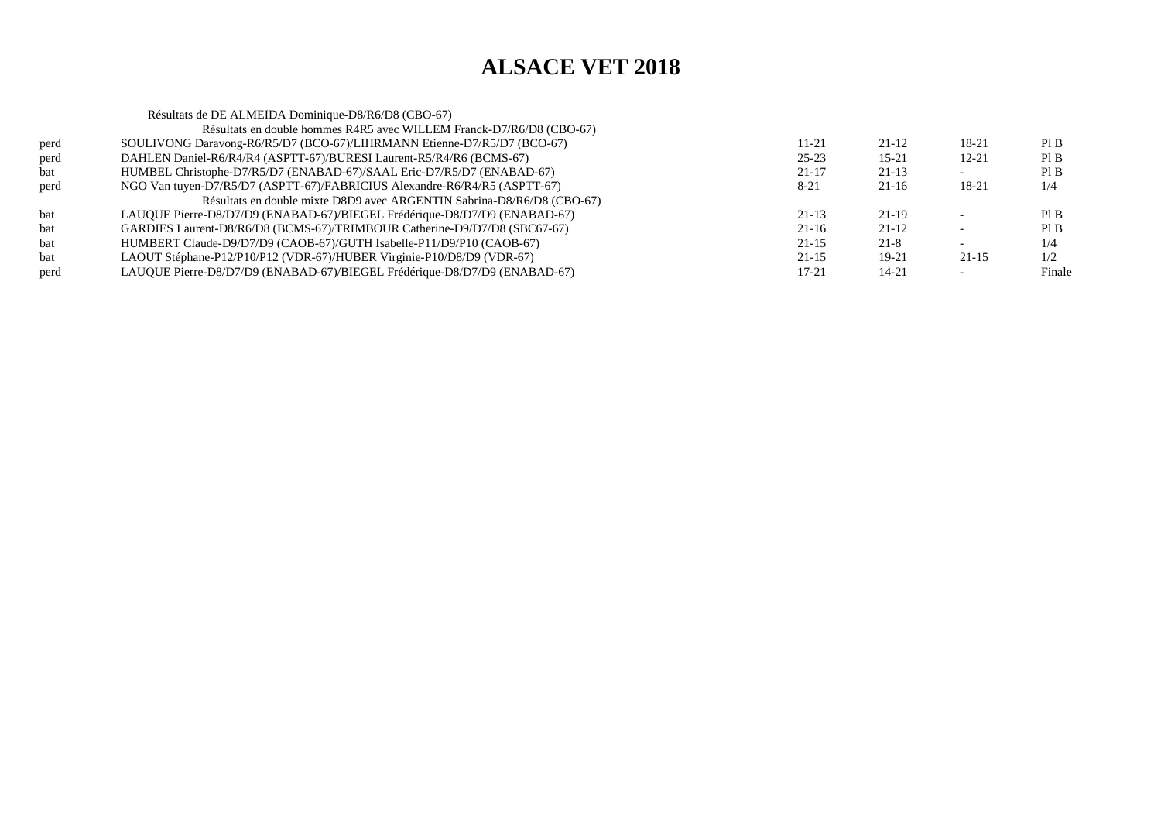|      | Résultats de DE ALMEIDA Dominique-D8/R6/D8 (CBO-67)                       |           |           |         |        |
|------|---------------------------------------------------------------------------|-----------|-----------|---------|--------|
|      | Résultats en double hommes R4R5 avec WILLEM Franck-D7/R6/D8 (CBO-67)      |           |           |         |        |
| perd | SOULIVONG Daravong-R6/R5/D7 (BCO-67)/LIHRMANN Etienne-D7/R5/D7 (BCO-67)   | 11-21     | $21 - 12$ | 18-21   | PI B   |
| perd | DAHLEN Daniel-R6/R4/R4 (ASPTT-67)/BURESI Laurent-R5/R4/R6 (BCMS-67)       | $25 - 23$ | $15 - 21$ | 12-21   | PI B   |
| bat  | HUMBEL Christophe-D7/R5/D7 (ENABAD-67)/SAAL Eric-D7/R5/D7 (ENABAD-67)     | $21 - 17$ | $21 - 13$ |         | PI B   |
| perd | NGO Van tuyen-D7/R5/D7 (ASPTT-67)/FABRICIUS Alexandre-R6/R4/R5 (ASPTT-67) | $8 - 21$  | $21-16$   | 18-21   | 1/4    |
|      | Résultats en double mixte D8D9 avec ARGENTIN Sabrina-D8/R6/D8 (CBO-67)    |           |           |         |        |
| bat  | LAUQUE Pierre-D8/D7/D9 (ENABAD-67)/BIEGEL Frédérique-D8/D7/D9 (ENABAD-67) | $21-13$   | 21-19     |         | PI B   |
| bat  | GARDIES Laurent-D8/R6/D8 (BCMS-67)/TRIMBOUR Catherine-D9/D7/D8 (SBC67-67) | $21 - 16$ | $21 - 12$ |         | PI B   |
| bat  | HUMBERT Claude-D9/D7/D9 (CAOB-67)/GUTH Isabelle-P11/D9/P10 (CAOB-67)      | $21 - 15$ | $21 - 8$  |         | 1/4    |
| bat  | LAOUT Stéphane-P12/P10/P12 (VDR-67)/HUBER Virginie-P10/D8/D9 (VDR-67)     | $21-15$   | 19-21     | $21-15$ | 1/2    |
| perd | LAUQUE Pierre-D8/D7/D9 (ENABAD-67)/BIEGEL Frédérique-D8/D7/D9 (ENABAD-67) | $17 - 21$ | 14-21     |         | Finale |
|      |                                                                           |           |           |         |        |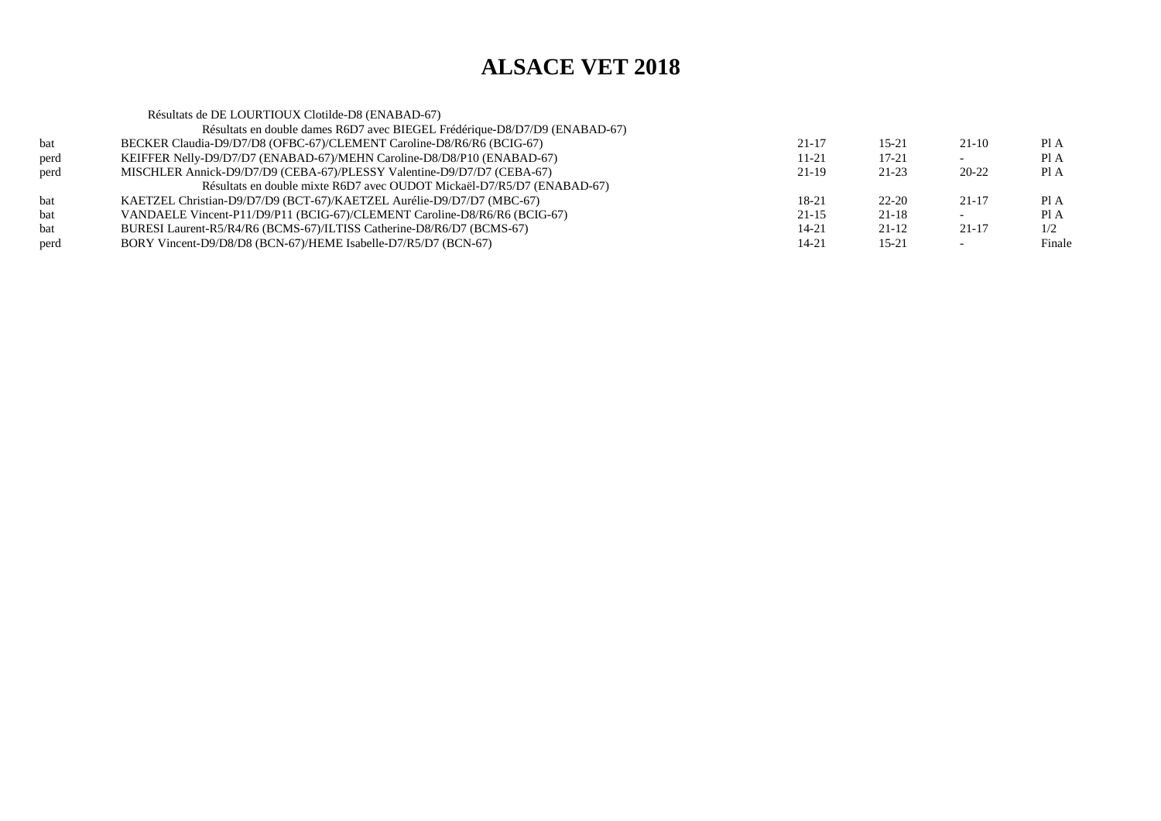|      | Résultats de DE LOURTIOUX Clotilde-D8 (ENABAD-67)                          |           |           |           |        |
|------|----------------------------------------------------------------------------|-----------|-----------|-----------|--------|
|      | Résultats en double dames R6D7 avec BIEGEL Frédérique-D8/D7/D9 (ENABAD-67) |           |           |           |        |
| bat  | BECKER Claudia-D9/D7/D8 (OFBC-67)/CLEMENT Caroline-D8/R6/R6 (BCIG-67)      | $21 - 17$ | $15 - 21$ | $21-10$   | Pl A   |
| perd | KEIFFER Nelly-D9/D7/D7 (ENABAD-67)/MEHN Caroline-D8/D8/P10 (ENABAD-67)     | 11-21     | $17 - 21$ |           | Pl A   |
| perd | MISCHLER Annick-D9/D7/D9 (CEBA-67)/PLESSY Valentine-D9/D7/D7 (CEBA-67)     | $21-19$   | $21 - 23$ | 20-22     | Pl A   |
|      | Résultats en double mixte R6D7 avec OUDOT Mickaël-D7/R5/D7 (ENABAD-67)     |           |           |           |        |
| bat  | KAETZEL Christian-D9/D7/D9 (BCT-67)/KAETZEL Aurélie-D9/D7/D7 (MBC-67)      | 18-21     | $22 - 20$ | $21 - 17$ | Pl A   |
| bat  | VANDAELE Vincent-P11/D9/P11 (BCIG-67)/CLEMENT Caroline-D8/R6/R6 (BCIG-67)  | $21 - 15$ | $21 - 18$ |           | Pl A   |
| bat  | BURESI Laurent-R5/R4/R6 (BCMS-67)/ILTISS Catherine-D8/R6/D7 (BCMS-67)      | 14-21     | $21-12$   | $21 - 17$ | 1/2    |
| perd | BORY Vincent-D9/D8/D8 (BCN-67)/HEME Isabelle-D7/R5/D7 (BCN-67)             | 14-21     | $15 - 21$ |           | Finale |
|      |                                                                            |           |           |           |        |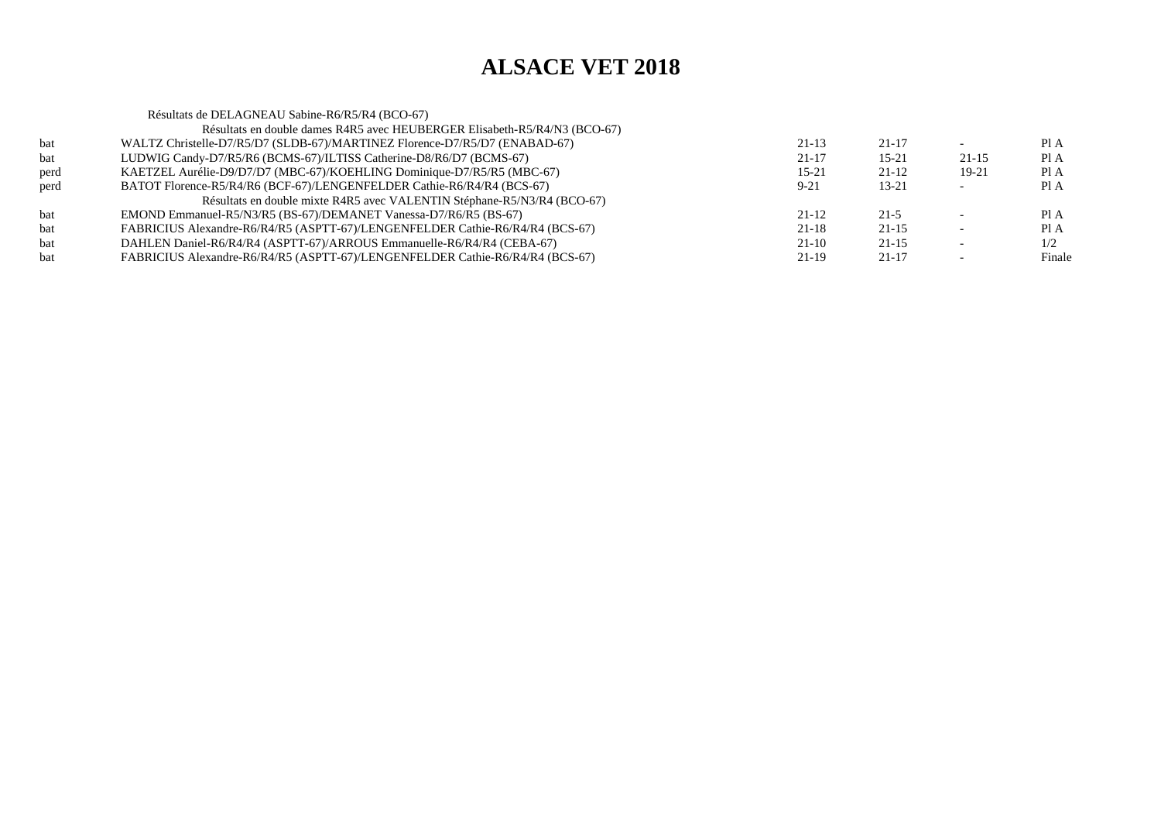|      | Résultats de DELAGNEAU Sabine-R6/R5/R4 (BCO-67)                               |           |           |         |        |
|------|-------------------------------------------------------------------------------|-----------|-----------|---------|--------|
|      | Résultats en double dames R4R5 avec HEUBERGER Elisabeth-R5/R4/N3 (BCO-67)     |           |           |         |        |
| bat  | WALTZ Christelle-D7/R5/D7 (SLDB-67)/MARTINEZ Florence-D7/R5/D7 (ENABAD-67)    | $21-13$   | $21 - 17$ |         | PI A   |
| bat  | LUDWIG Candy-D7/R5/R6 (BCMS-67)/ILTISS Catherine-D8/R6/D7 (BCMS-67)           | $21 - 17$ | $15 - 21$ | $21-15$ | Pl A   |
| perd | KAETZEL Aurélie-D9/D7/D7 (MBC-67)/KOEHLING Dominique-D7/R5/R5 (MBC-67)        | $15 - 21$ | $21 - 12$ | $19-21$ | PI A   |
| perd | BATOT Florence-R5/R4/R6 (BCF-67)/LENGENFELDER Cathie-R6/R4/R4 (BCS-67)        | $9 - 21$  | $13 - 21$ |         | Pl A   |
|      | Résultats en double mixte R4R5 avec VALENTIN Stéphane-R5/N3/R4 (BCO-67)       |           |           |         |        |
| bat  | EMOND Emmanuel-R5/N3/R5 (BS-67)/DEMANET Vanessa-D7/R6/R5 (BS-67)              | $21-12$   | $21-5$    |         | PI A   |
| bat  | FABRICIUS Alexandre-R6/R4/R5 (ASPTT-67)/LENGENFELDER Cathie-R6/R4/R4 (BCS-67) | $21 - 18$ | $21 - 15$ |         | PI A   |
| bat  | DAHLEN Daniel-R6/R4/R4 (ASPTT-67)/ARROUS Emmanuelle-R6/R4/R4 (CEBA-67)        | $21-10$   | $21 - 15$ |         | 1/2    |
| bat  | FABRICIUS Alexandre-R6/R4/R5 (ASPTT-67)/LENGENFELDER Cathie-R6/R4/R4 (BCS-67) | $21-19$   | $21 - 17$ |         | Finale |
|      |                                                                               |           |           |         |        |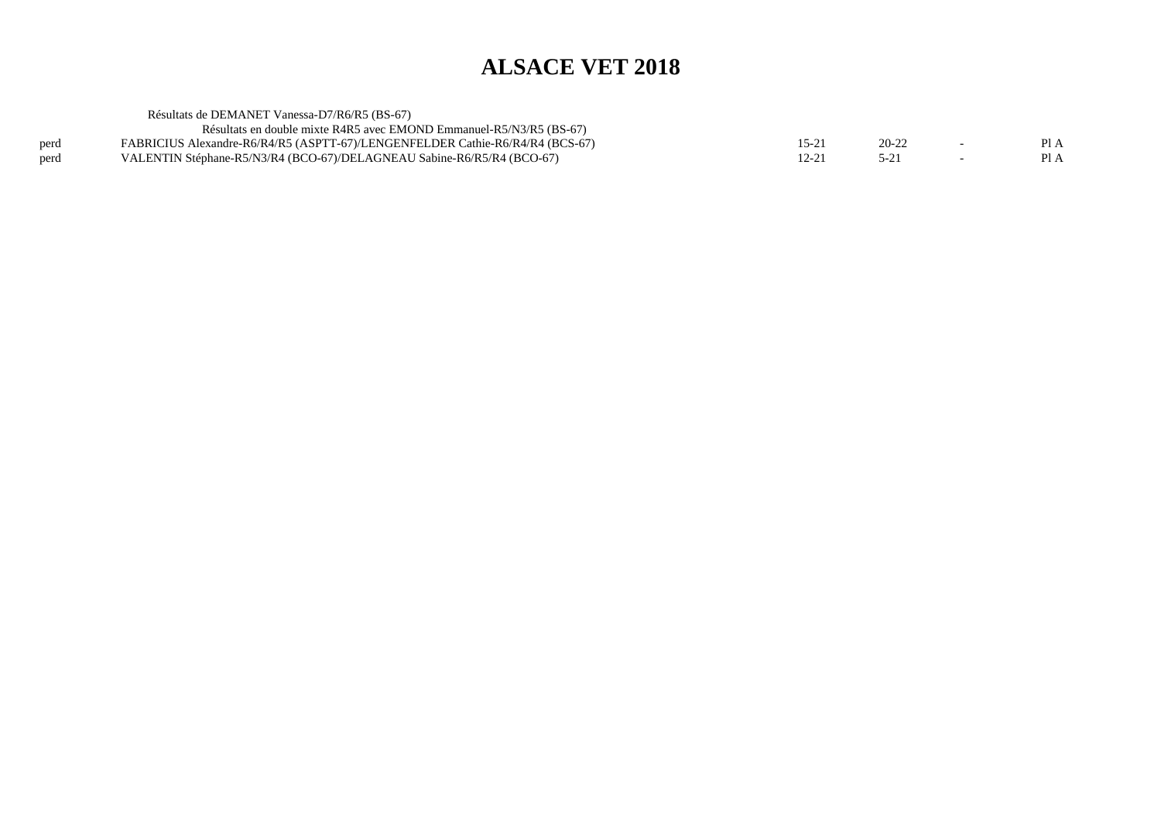|      | Résultats de DEMANET Vanessa-D7/R6/R5 (BS-67)                                 |           |           |        |      |
|------|-------------------------------------------------------------------------------|-----------|-----------|--------|------|
|      | Résultats en double mixte R4R5 avec EMOND Emmanuel-R5/N3/R5 (BS-67)           |           |           |        |      |
| perd | FABRICIUS Alexandre-R6/R4/R5 (ASPTT-67)/LENGENFELDER Cathie-R6/R4/R4 (BCS-67) | $15 - 21$ | $20 - 22$ | $\sim$ | Pl A |
| perd | VALENTIN Stéphane-R5/N3/R4 (BCO-67)/DELAGNEAU Sabine-R6/R5/R4 (BCO-67)        | 12-21     | $5 - 21$  |        | PI A |
|      |                                                                               |           |           |        |      |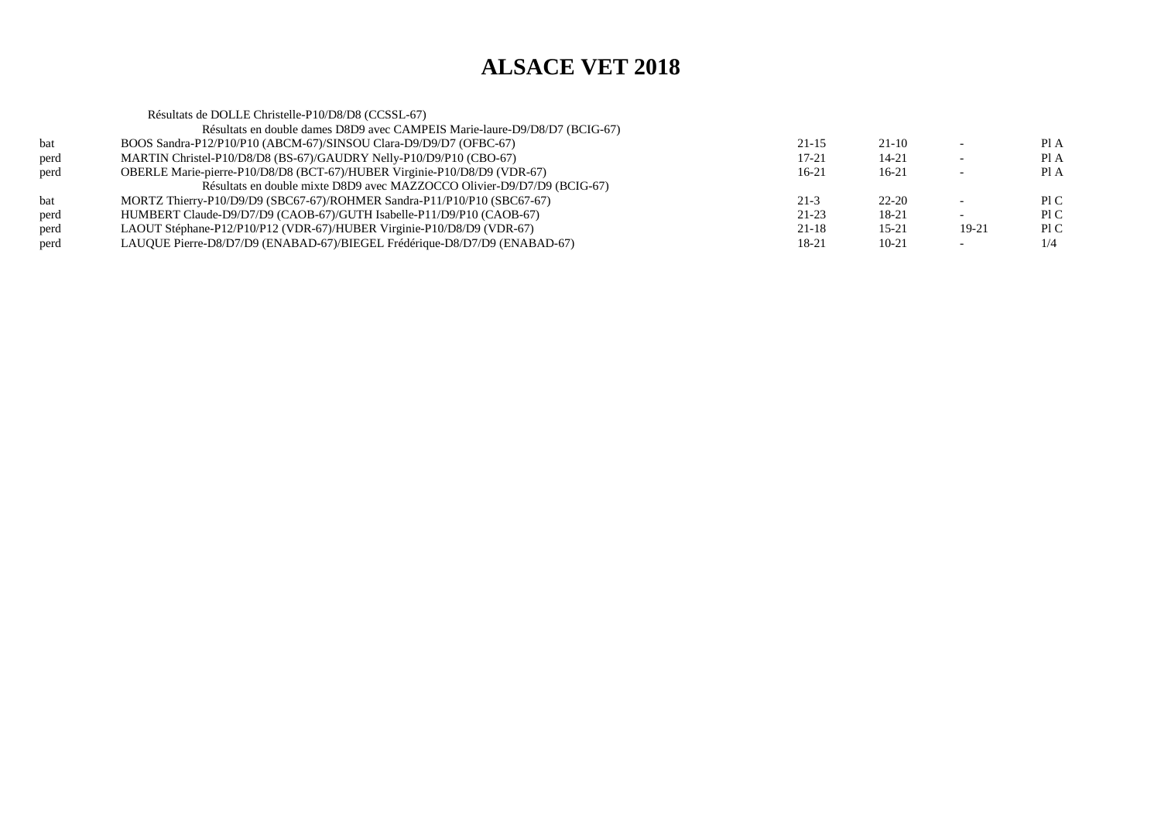|      | Résultats de DOLLE Christelle-P10/D8/D8 (CCSSL-67)                         |           |           |         |      |
|------|----------------------------------------------------------------------------|-----------|-----------|---------|------|
|      | Résultats en double dames D8D9 avec CAMPEIS Marie-laure-D9/D8/D7 (BCIG-67) |           |           |         |      |
| bat  | BOOS Sandra-P12/P10/P10 (ABCM-67)/SINSOU Clara-D9/D9/D7 (OFBC-67)          | $21 - 15$ | $21-10$   |         | PIA  |
| perd | MARTIN Christel-P10/D8/D8 (BS-67)/GAUDRY Nelly-P10/D9/P10 (CBO-67)         | $17 - 21$ | $14 - 21$ |         | Pl A |
| perd | OBERLE Marie-pierre-P10/D8/D8 (BCT-67)/HUBER Virginie-P10/D8/D9 (VDR-67)   | $16 - 21$ | 16-21     |         | Pl A |
|      | Résultats en double mixte D8D9 avec MAZZOCCO Olivier-D9/D7/D9 (BCIG-67)    |           |           |         |      |
| bat  | MORTZ Thierry-P10/D9/D9 (SBC67-67)/ROHMER Sandra-P11/P10/P10 (SBC67-67)    | $21-3$    | $22 - 20$ |         | P1C  |
| perd | HUMBERT Claude-D9/D7/D9 (CAOB-67)/GUTH Isabelle-P11/D9/P10 (CAOB-67)       | $21-23$   | 18-21     |         | P1C  |
| perd | LAOUT Stéphane-P12/P10/P12 (VDR-67)/HUBER Virginie-P10/D8/D9 (VDR-67)      | $21 - 18$ | $15 - 21$ | $19-21$ | P1C  |
| perd | LAUQUE Pierre-D8/D7/D9 (ENABAD-67)/BIEGEL Frédérique-D8/D7/D9 (ENABAD-67)  | 18-21     | $10 - 21$ |         | 1/4  |
|      |                                                                            |           |           |         |      |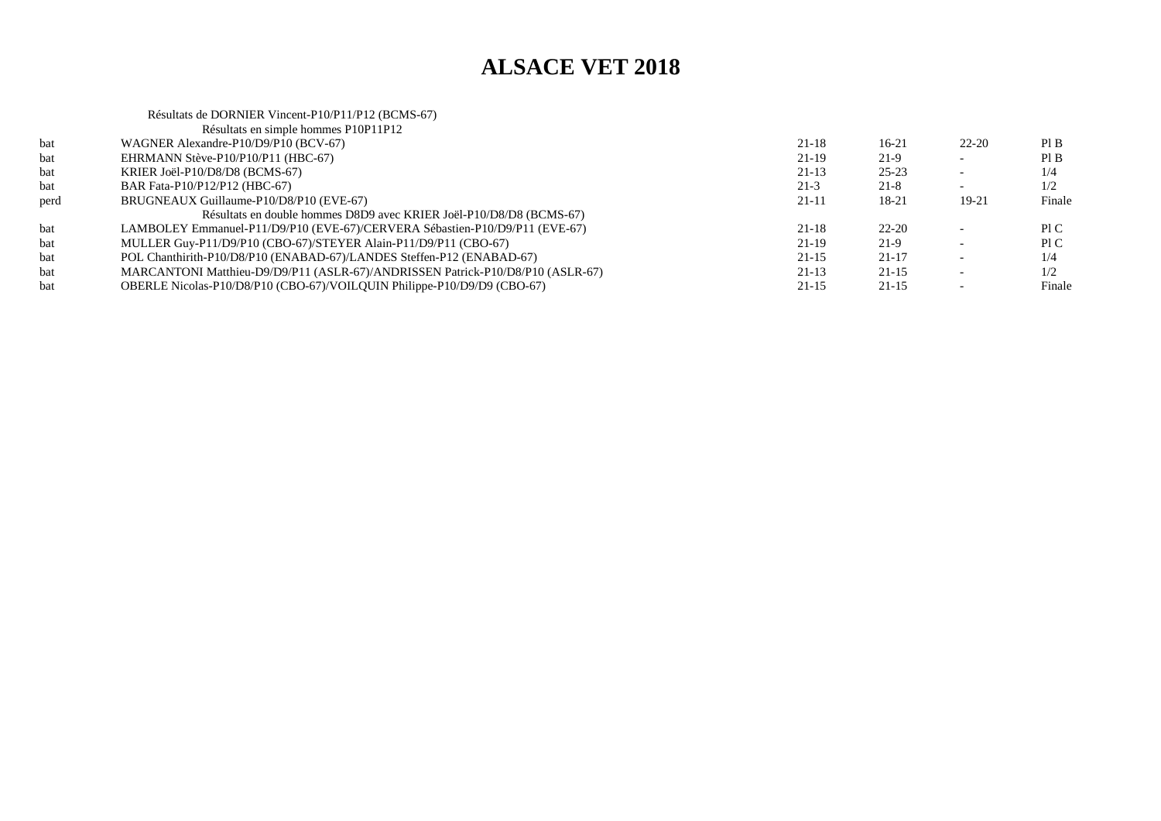#### Résultats de DORNIER Vincent-P10/P11/P12 (BCMS-67)Résultats en simple hommes P10P11P12bat WAGNER Alexandre-P10/D9/P10 (BCV-67) $21-18$  16-21 22-20 PIB  $PIB$ bat EHRMANN Stève-P10/P10/P11 (HBC-67)  $21-19$   $21-9$   $21-9$   $21-9$   $21-9$   $21-9$  $1/4$ bat KRIER Joël-P10/D8/D8 (BCMS-67) $21-13$   $25-23$   $-1/4$  $1/2$ bat BAR Fata-P10/P12/P12 (HBC-67) $21-3$   $21-8$   $1/2$ Finale perd BRUGNEAUX Guillaume-P10/D8/P10 (EVE-67)(a) 21-11 18-21 19-21 Finale Résultats en double hommes D8D9 avec KRIER Joël-P10/D8/D8 (BCMS-67) bat LAMBOLEY Emmanuel-P11/D9/P10 (EVE-67)/CERVERA Sébastien-P10/D9/P11 (EVE-67) $21-18$   $22-20$  - PIC Pl C bat MULLER Guy-P11/D9/P10 (CBO-67)/STEYER Alain-P11/D9/P11 (CBO-67) $21-19$  21-9 - PIC  $1/4$ bat POL Chanthirith-P10/D8/P10 (ENABAD-67)/LANDES Steffen-P12 (ENABAD-67) $21-15$  21-17 - 1/4  $1/2$ bat MARCANTONI Matthieu-D9/D9/P11 (ASLR-67)/ANDRISSEN Patrick-P10/D8/P10 (ASLR-67) 21-13 21-13 21-15 -Finale bat OBERLE Nicolas-P10/D8/P10 (CBO-67)/VOILQUIN Philippe-P10/D9/D9 (CBO-67)(a) 21-15 21-15 - Tinale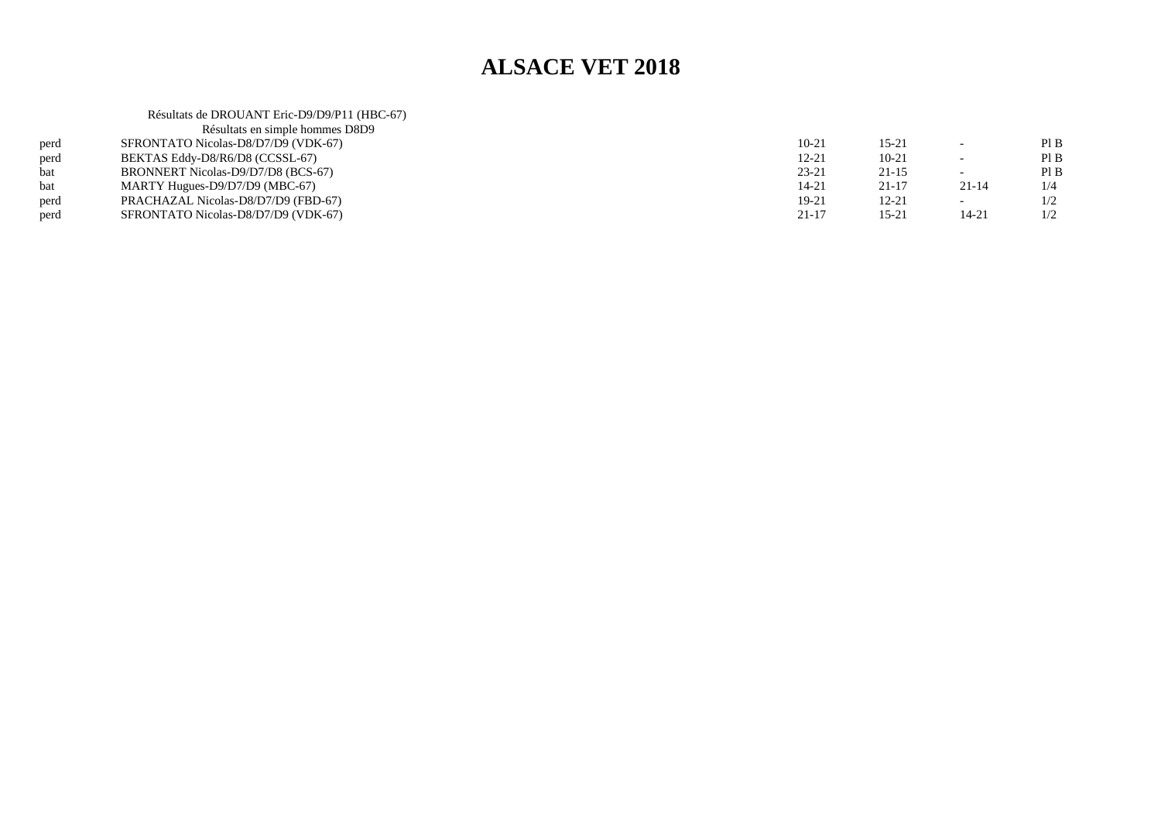|      | Résultats de DROUANT Eric-D9/D9/P11 (HBC-67) |           |           |                          |     |
|------|----------------------------------------------|-----------|-----------|--------------------------|-----|
|      | Résultats en simple hommes D8D9              |           |           |                          |     |
| perd | SFRONTATO Nicolas-D8/D7/D9 (VDK-67)          | $10 - 21$ | 15-21     | $\overline{\phantom{0}}$ | PIB |
| perd | BEKTAS Eddy-D8/R6/D8 (CCSSL-67)              | $12 - 21$ | $10-21$   | $\overline{\phantom{0}}$ | PIB |
| bat  | BRONNERT Nicolas-D9/D7/D8 (BCS-67)           | $23 - 21$ | $21 - 15$ | $\overline{\phantom{0}}$ | PIB |
| bat  | MARTY Hugues-D9/D7/D9 (MBC-67)               | $14 - 21$ | $21 - 17$ | $21 - 14$                | 1/4 |
| perd | PRACHAZAL Nicolas-D8/D7/D9 (FBD-67)          | 19-21     | 12-21     | $\overline{\phantom{a}}$ | 1/2 |
| perd | SFRONTATO Nicolas-D8/D7/D9 (VDK-67)          | $21 - 17$ | 15-21     | 14-21                    | 1/2 |
|      |                                              |           |           |                          |     |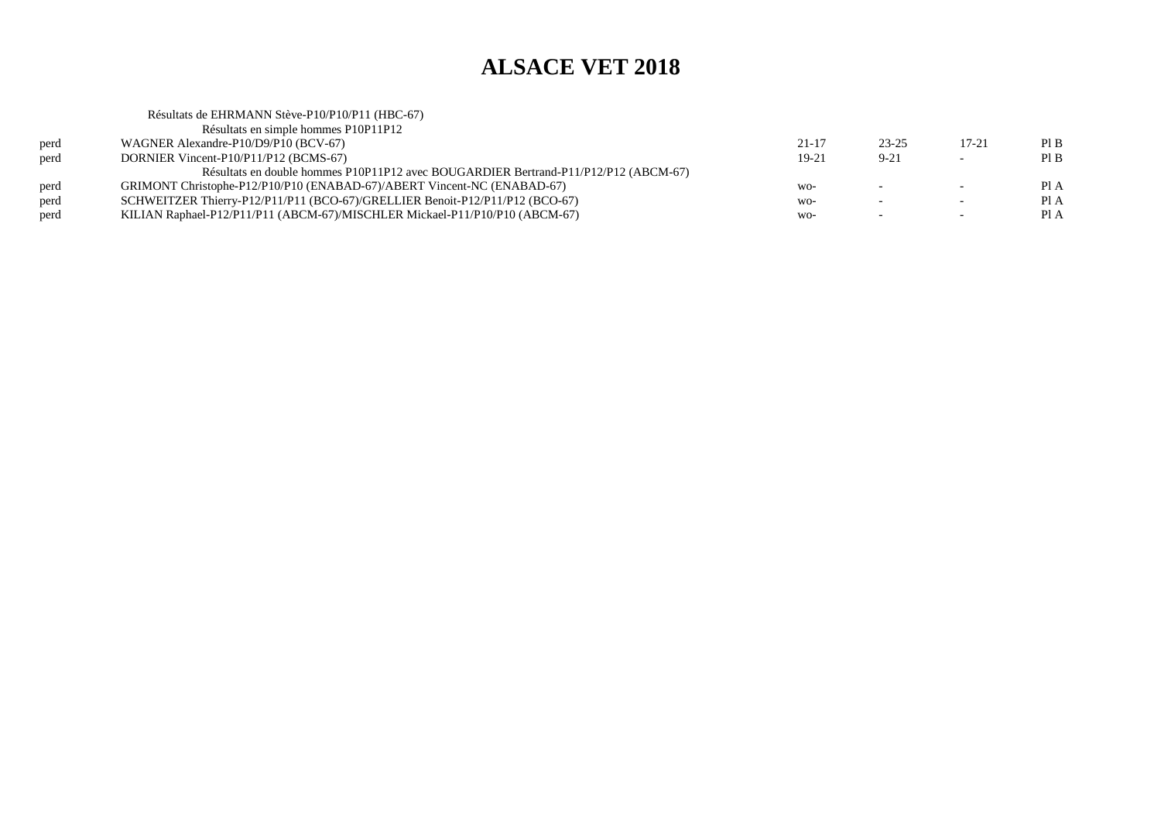|      | Résultats de EHRMANN Stève-P10/P10/P11 (HBC-67)                                     |           |                          |                          |      |
|------|-------------------------------------------------------------------------------------|-----------|--------------------------|--------------------------|------|
|      | Résultats en simple hommes P10P11P12                                                |           |                          |                          |      |
| perd | WAGNER Alexandre-P10/D9/P10 (BCV-67)                                                | 21-17     | $23 - 25$                | $17 - 21$                | PIB  |
| perd | DORNIER Vincent-P10/P11/P12 (BCMS-67)                                               | $19 - 21$ | $9 - 21$                 | $\overline{\phantom{0}}$ | PIB  |
|      | Résultats en double hommes P10P11P12 avec BOUGARDIER Bertrand-P11/P12/P12 (ABCM-67) |           |                          |                          |      |
| perd | GRIMONT Christophe-P12/P10/P10 (ENABAD-67)/ABERT Vincent-NC (ENABAD-67)             | $WO-$     | $\overline{\phantom{0}}$ | $\overline{\phantom{0}}$ | PI A |
| perd | SCHWEITZER Thierry-P12/P11/P11 (BCO-67)/GRELLIER Benoit-P12/P11/P12 (BCO-67)        | WO-       |                          | $\sim$                   | Pl A |
| perd | KILIAN Raphael-P12/P11/P11 (ABCM-67)/MISCHLER Mickael-P11/P10/P10 (ABCM-67)         | WO-       |                          | $\overline{\phantom{0}}$ | Pl A |
|      |                                                                                     |           |                          |                          |      |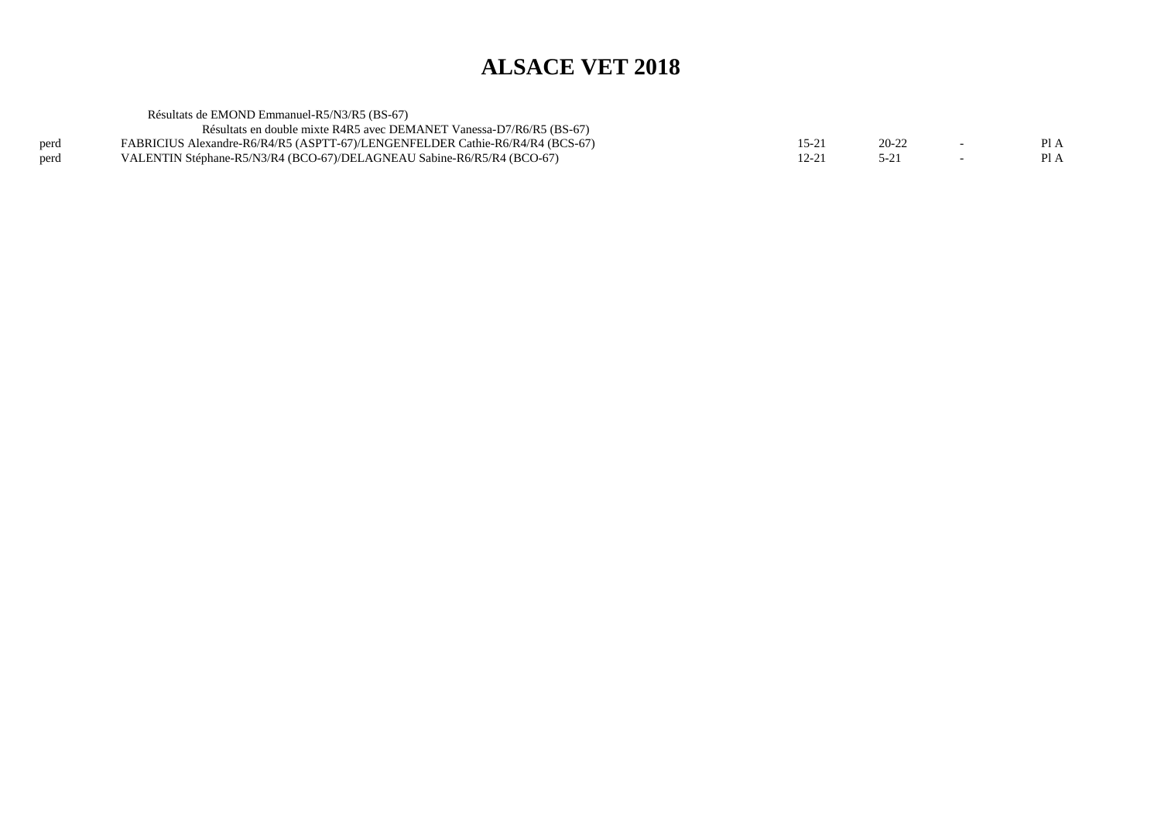|      | Résultats de EMOND Emmanuel-R5/N3/R5 (BS-67)                                  |           |           |                          |      |
|------|-------------------------------------------------------------------------------|-----------|-----------|--------------------------|------|
|      | Résultats en double mixte R4R5 avec DEMANET Vanessa-D7/R6/R5 (BS-67)          |           |           |                          |      |
| perd | FABRICIUS Alexandre-R6/R4/R5 (ASPTT-67)/LENGENFELDER Cathie-R6/R4/R4 (BCS-67) | $15 - 21$ | $20 - 22$ |                          | Pl A |
| perd | VALENTIN Stéphane-R5/N3/R4 (BCO-67)/DELAGNEAU Sabine-R6/R5/R4 (BCO-67)        | 12-21     |           | $\overline{\phantom{0}}$ | PI A |
|      |                                                                               |           |           |                          |      |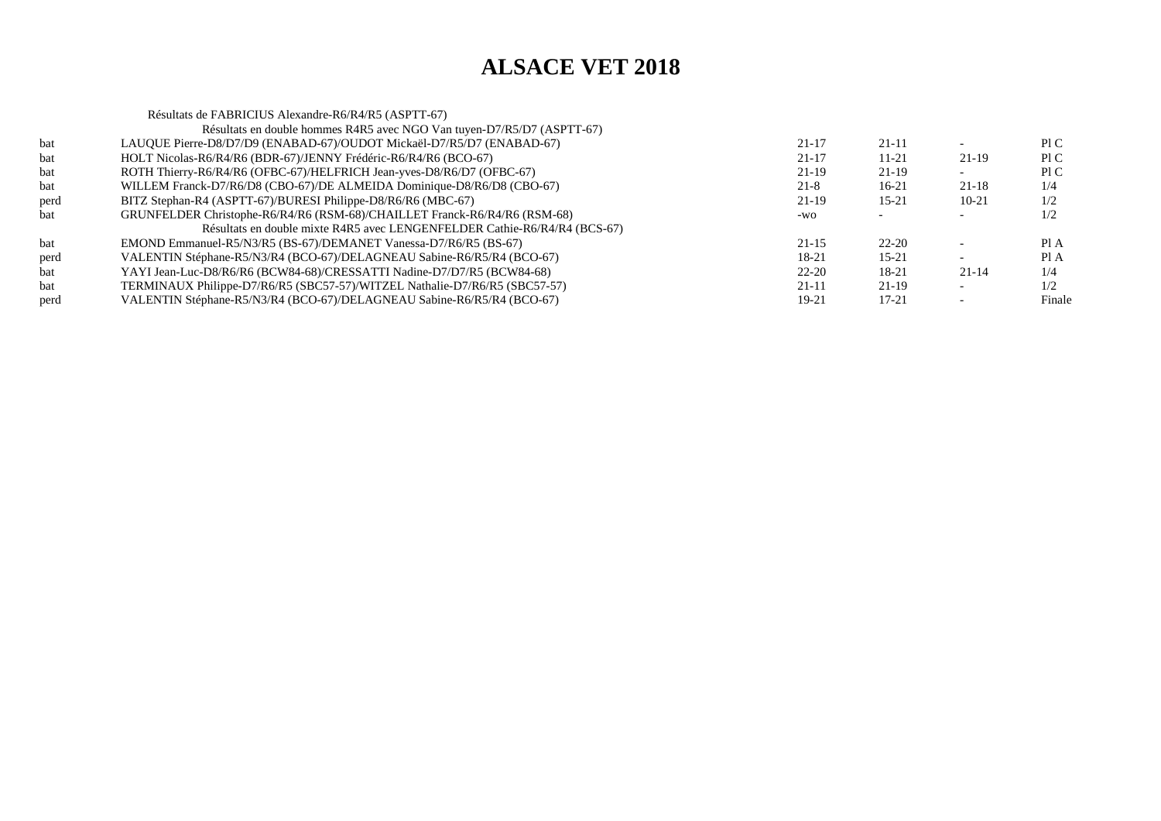|      | Résultats de FABRICIUS Alexandre-R6/R4/R5 (ASPTT-67)                       |           |           |           |        |
|------|----------------------------------------------------------------------------|-----------|-----------|-----------|--------|
|      | Résultats en double hommes R4R5 avec NGO Van tuyen-D7/R5/D7 (ASPTT-67)     |           |           |           |        |
| bat  | LAUQUE Pierre-D8/D7/D9 (ENABAD-67)/OUDOT Mickaël-D7/R5/D7 (ENABAD-67)      | $21 - 17$ | $21 - 11$ |           | P1C    |
| bat  | HOLT Nicolas-R6/R4/R6 (BDR-67)/JENNY Frédéric-R6/R4/R6 (BCO-67)            | $21 - 17$ | $11 - 21$ | 21-19     | PI C   |
| bat  | ROTH Thierry-R6/R4/R6 (OFBC-67)/HELFRICH Jean-yves-D8/R6/D7 (OFBC-67)      | 21-19     | $21-19$   |           | PI C   |
| bat  | WILLEM Franck-D7/R6/D8 (CBO-67)/DE ALMEIDA Dominique-D8/R6/D8 (CBO-67)     | $21 - 8$  | $16-21$   | $21 - 18$ | 1/4    |
| perd | BITZ Stephan-R4 (ASPTT-67)/BURESI Philippe-D8/R6/R6 (MBC-67)               | $21-19$   | $15 - 21$ | $10-21$   | 1/2    |
| bat  | GRUNFELDER Christophe-R6/R4/R6 (RSM-68)/CHAILLET Franck-R6/R4/R6 (RSM-68)  | $-WO$     |           |           | 1/2    |
|      | Résultats en double mixte R4R5 avec LENGENFELDER Cathie-R6/R4/R4 (BCS-67)  |           |           |           |        |
| bat  | EMOND Emmanuel-R5/N3/R5 (BS-67)/DEMANET Vanessa-D7/R6/R5 (BS-67)           | $21 - 15$ | $22 - 20$ |           | Pl A   |
| perd | VALENTIN Stéphane-R5/N3/R4 (BCO-67)/DELAGNEAU Sabine-R6/R5/R4 (BCO-67)     | 18-21     | $15 - 21$ |           | Pl A   |
| bat  | YAYI Jean-Luc-D8/R6/R6 (BCW84-68)/CRESSATTI Nadine-D7/D7/R5 (BCW84-68)     | $22 - 20$ | 18-21     | $21 - 14$ | 1/4    |
| bat  | TERMINAUX Philippe-D7/R6/R5 (SBC57-57)/WITZEL Nathalie-D7/R6/R5 (SBC57-57) | $21-11$   | $21-19$   |           | 1/2    |
| perd | VALENTIN Stéphane-R5/N3/R4 (BCO-67)/DELAGNEAU Sabine-R6/R5/R4 (BCO-67)     | 19-21     | $17 - 21$ |           | Finale |
|      |                                                                            |           |           |           |        |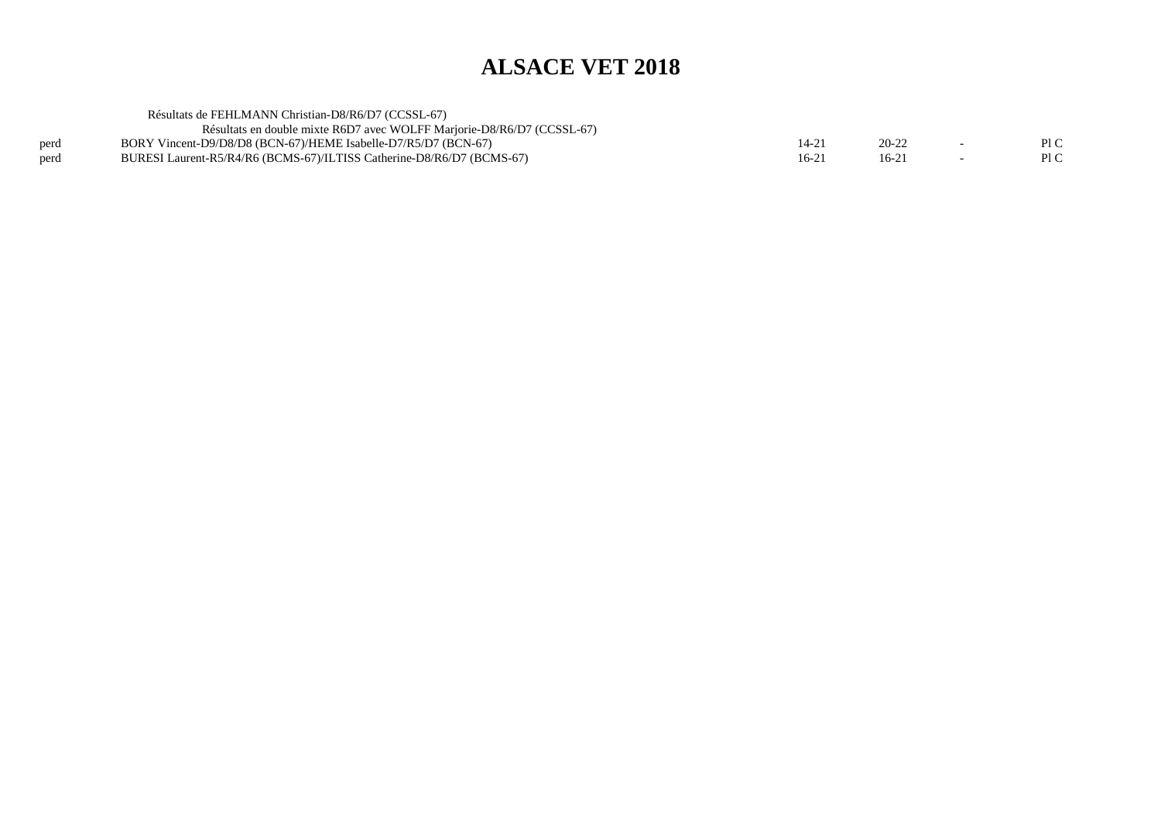|      | Résultats de FEHLMANN Christian-D8/R6/D7 (CCSSL-67)                    |       |           |     |
|------|------------------------------------------------------------------------|-------|-----------|-----|
|      | Résultats en double mixte R6D7 avec WOLFF Marjorie-D8/R6/D7 (CCSSL-67) |       |           |     |
| perd | BORY Vincent-D9/D8/D8 (BCN-67)/HEME Isabelle-D7/R5/D7 (BCN-67)         | 14-21 | $20 - 22$ | P1C |
| perd | BURESI Laurent-R5/R4/R6 (BCMS-67)/ILTISS Catherine-D8/R6/D7 (BCMS-67)  | 16-21 | 16-21     | P1C |
|      |                                                                        |       |           |     |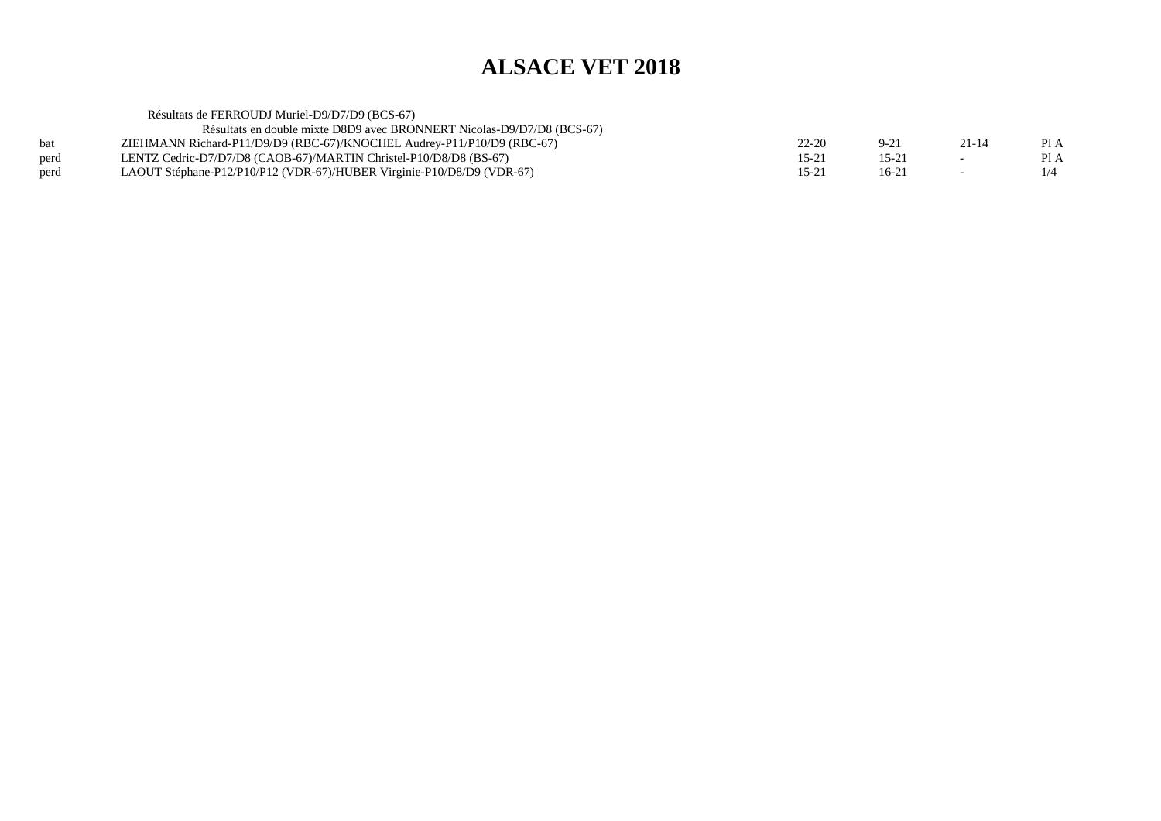|            | Résultats de FERROUDJ Muriel-D9/D7/D9 (BCS-67)                         |               |           |                          |      |
|------------|------------------------------------------------------------------------|---------------|-----------|--------------------------|------|
|            | Résultats en double mixte D8D9 avec BRONNERT Nicolas-D9/D7/D8 (BCS-67) |               |           |                          |      |
| <b>bat</b> | ZIEHMANN Richard-P11/D9/D9 (RBC-67)/KNOCHEL Audrey-P11/P10/D9 (RBC-67) | $22 - 20$     | $9 - 21$  | $21 - 14$                | PI A |
| perd       | LENTZ Cedric-D7/D7/D8 (CAOB-67)/MARTIN Christel-P10/D8/D8 (BS-67)      | $15 - 21$     | $15 - 21$ | $\overline{a}$           | PI A |
| perd       | LAOUT Stéphane-P12/P10/P12 (VDR-67)/HUBER Virginie-P10/D8/D9 (VDR-67)  | $15 - 2^{-7}$ | $16-21$   | $\overline{\phantom{0}}$ | 1/4  |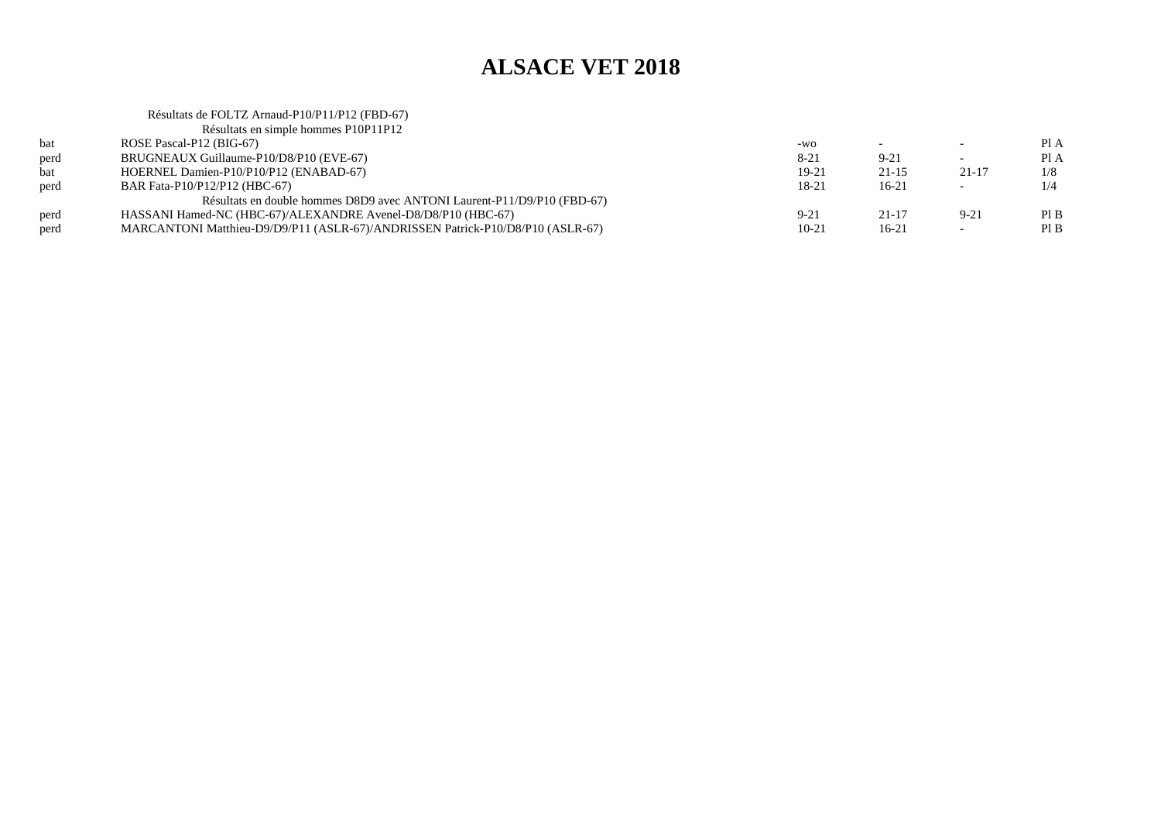#### Résultats de FOLTZ Arnaud-P10/P11/P12 (FBD-67)Résultats en simple hommes P10P11P12

| bat  | ROSE Pascal-P12 (BIG-67)                                                       | $-WO$     |           |           | PIA  |
|------|--------------------------------------------------------------------------------|-----------|-----------|-----------|------|
| perd | BRUGNEAUX Guillaume-P10/D8/P10 (EVE-67)                                        | $8 - 21$  | $9 - 21$  |           | Pl A |
| bat  | HOERNEL Damien-P10/P10/P12 (ENABAD-67)                                         | 19-21     | $21 - 15$ | $21 - 17$ | 1/8  |
| perd | BAR Fata-P10/P12/P12 (HBC-67)                                                  | 18-21     | $16-21$   | <b>.</b>  | 1/4  |
|      | Résultats en double hommes D8D9 avec ANTONI Laurent-P11/D9/P10 (FBD-67)        |           |           |           |      |
| perd | HASSANI Hamed-NC (HBC-67)/ALEXANDRE Avenel-D8/D8/P10 (HBC-67)                  | $9 - 21$  | $21 - 17$ | $9 - 21$  | PIB  |
| perd | MARCANTONI Matthieu-D9/D9/P11 (ASLR-67)/ANDRISSEN Patrick-P10/D8/P10 (ASLR-67) | $10 - 21$ | $16-21$   |           | PIB  |
|      |                                                                                |           |           |           |      |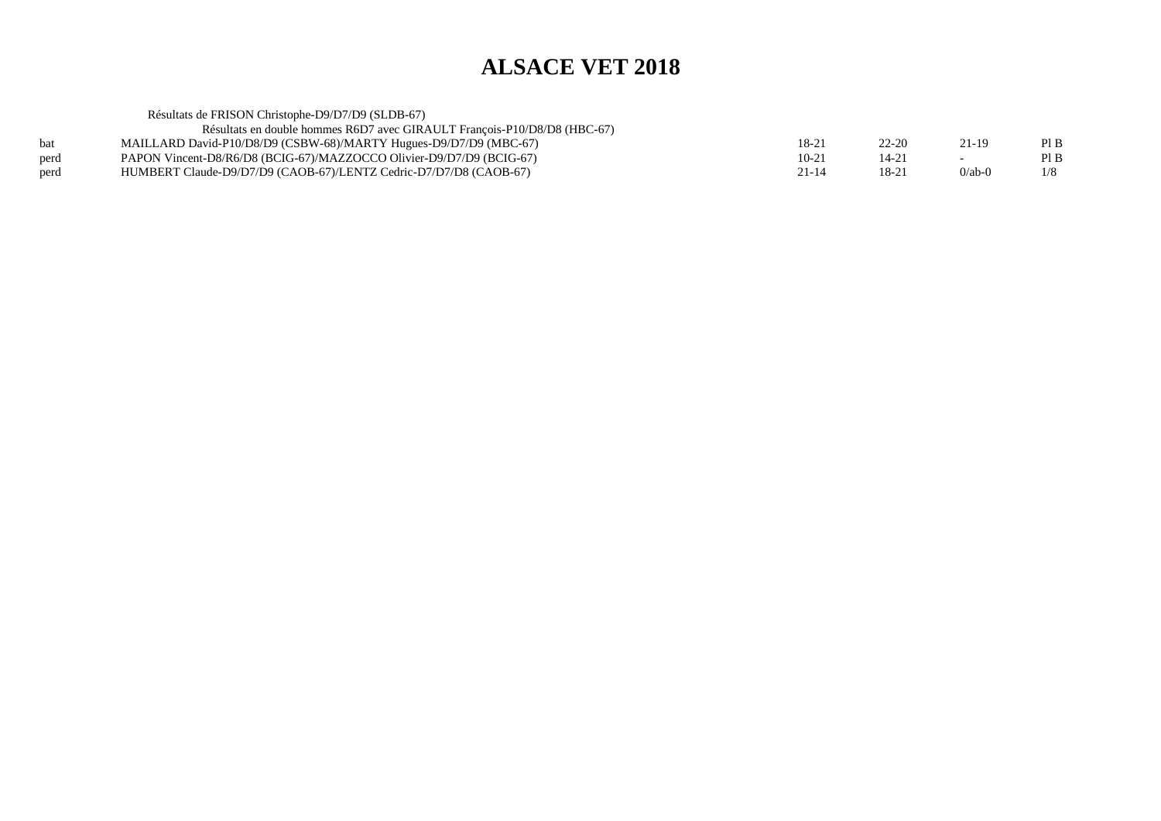Résultats de FRISON Christophe-D9/D7/D9 (SLDB-67) Résultats en double hommes R6D7 avec GIRAULT François-P10/D8/D8 (HBC-67)

| bat  | MAILLARD David-P10/D8/D9 (CSBW-68)/MARTY Hugues-D9/D7/D9 (MBC-67)    | $18-21$ | $22 - 20$ |              | Pl B |
|------|----------------------------------------------------------------------|---------|-----------|--------------|------|
| perd | PAPON Vincent-D8/R6/D8 (BCIG-67)/MAZZOCCO Olivier-D9/D7/D9 (BCIG-67) | $10-21$ |           |              | Pl B |
| perd | HUMBERT Claude-D9/D7/D9 (CAOB-67)/LENTZ Cedric-D7/D7/D8 (CAOB-67)    |         |           | $0$ /ab- $0$ | 1/8  |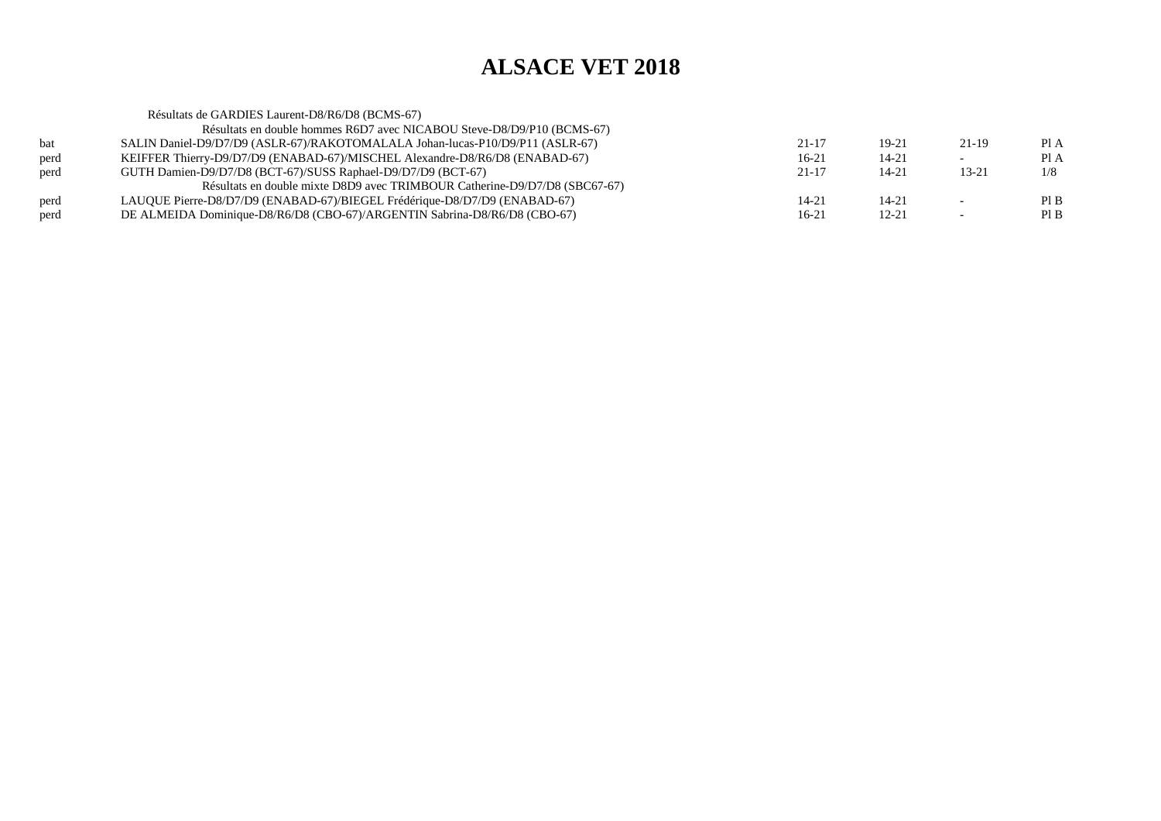|      | Résultats de GARDIES Laurent-D8/R6/D8 (BCMS-67)                               |           |           |           |      |
|------|-------------------------------------------------------------------------------|-----------|-----------|-----------|------|
|      | Résultats en double hommes R6D7 avec NICABOU Steve-D8/D9/P10 (BCMS-67)        |           |           |           |      |
| bat  | SALIN Daniel-D9/D7/D9 (ASLR-67)/RAKOTOMALALA Johan-lucas-P10/D9/P11 (ASLR-67) | 21-17     | 19-21     | 21-19     | Pl A |
| perd | KEIFFER Thierry-D9/D7/D9 (ENABAD-67)/MISCHEL Alexandre-D8/R6/D8 (ENABAD-67)   | 16-21     | $14 - 21$ |           | Pl A |
| perd | GUTH Damien-D9/D7/D8 (BCT-67)/SUSS Raphael-D9/D7/D9 (BCT-67)                  | $21 - 17$ | $14 - 21$ | $13 - 21$ | 1/8  |
|      | Résultats en double mixte D8D9 avec TRIMBOUR Catherine-D9/D7/D8 (SBC67-67)    |           |           |           |      |
| perd | LAUQUE Pierre-D8/D7/D9 (ENABAD-67)/BIEGEL Frédérique-D8/D7/D9 (ENABAD-67)     | $14 - 21$ | $14 - 21$ |           | PIB  |
| perd | DE ALMEIDA Dominique-D8/R6/D8 (CBO-67)/ARGENTIN Sabrina-D8/R6/D8 (CBO-67)     | 16-21     | $12 - 21$ |           | PIB  |
|      |                                                                               |           |           |           |      |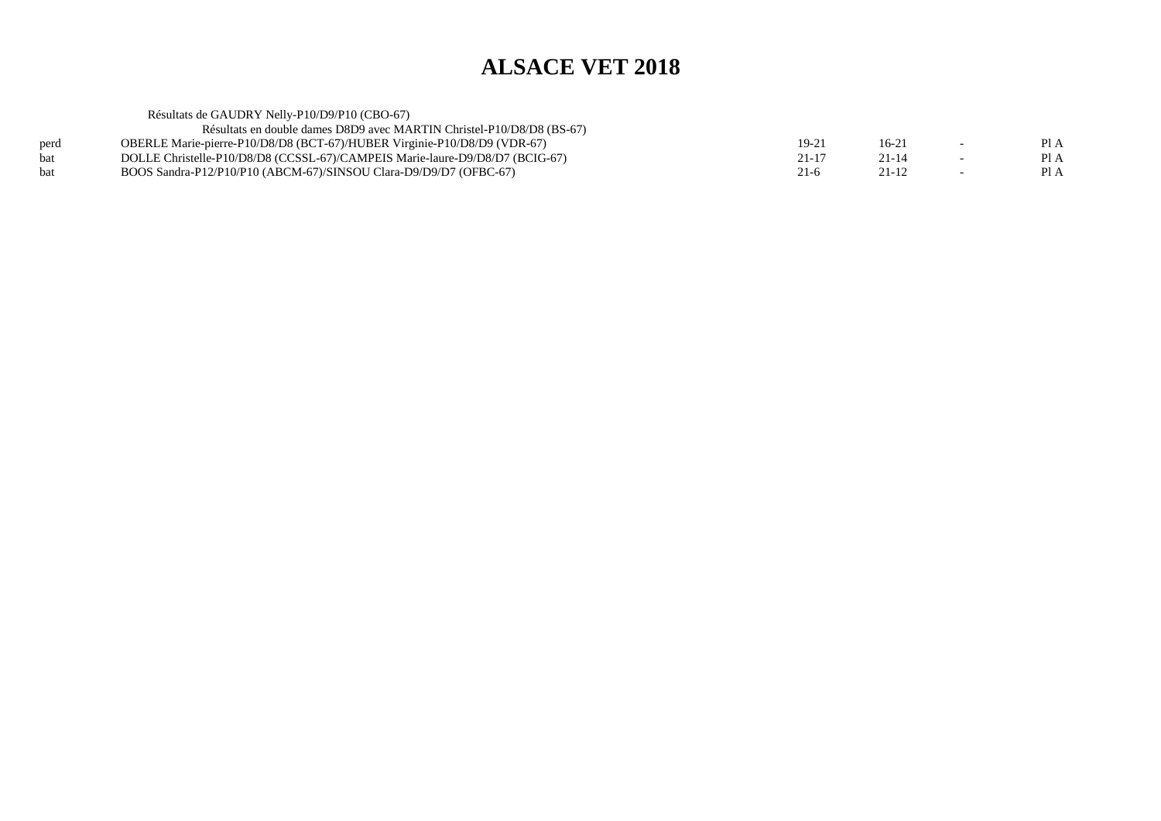| Résultats de GAUDRY Nelly-P10/D9/P10 (CBO-67)                                |           |           |                          |      |
|------------------------------------------------------------------------------|-----------|-----------|--------------------------|------|
| Résultats en double dames D8D9 avec MARTIN Christel-P10/D8/D8 (BS-67)        |           |           |                          |      |
| OBERLE Marie-pierre-P10/D8/D8 (BCT-67)/HUBER Virginie-P10/D8/D9 (VDR-67)     | 19-21     | $16 - 21$ | $\overline{\phantom{0}}$ | PI A |
| DOLLE Christelle-P10/D8/D8 (CCSSL-67)/CAMPEIS Marie-laure-D9/D8/D7 (BCIG-67) | $21 - 17$ | $21 - 14$ | $\overline{\phantom{0}}$ | PI A |
| BOOS Sandra-P12/P10/P10 (ABCM-67)/SINSOU Clara-D9/D9/D7 (OFBC-67)            | $21-6$    | 21-12     |                          | PI A |
|                                                                              |           |           |                          |      |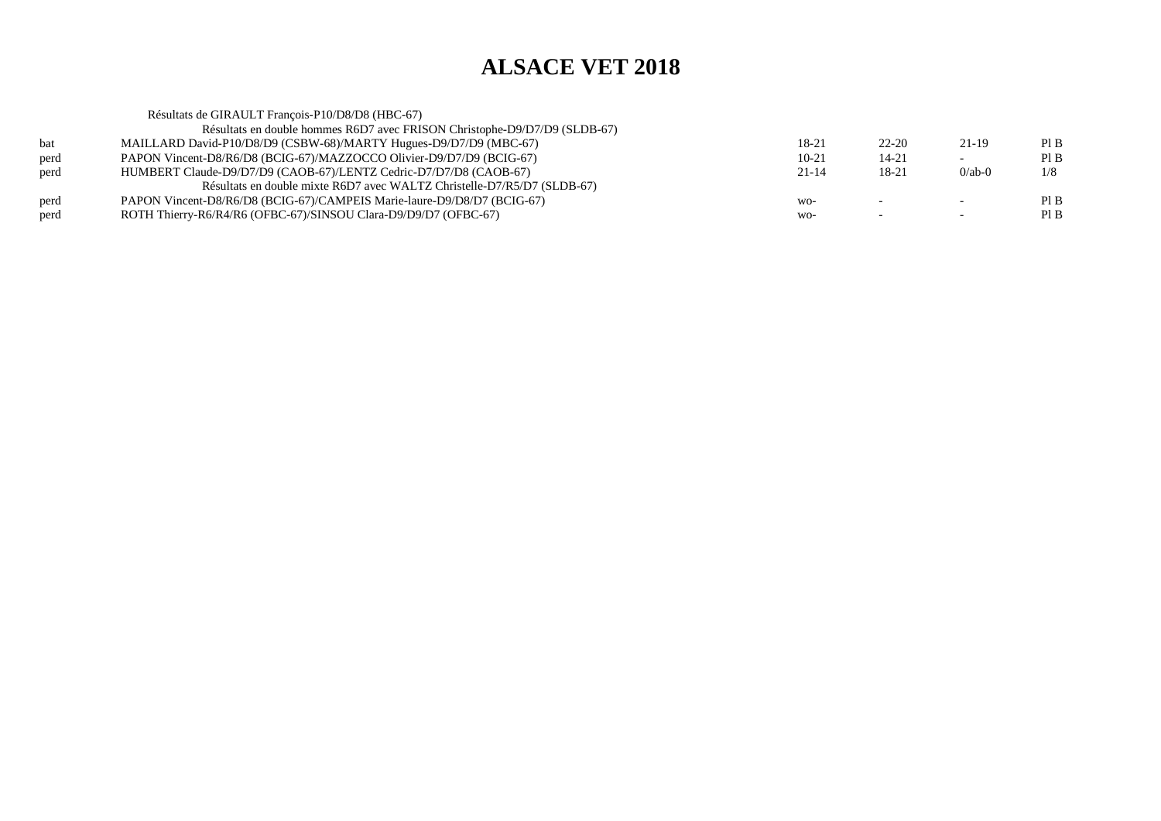|      | Résultats de GIRAULT François-P10/D8/D8 (HBC-67)                          |           |                          |                          |     |
|------|---------------------------------------------------------------------------|-----------|--------------------------|--------------------------|-----|
|      | Résultats en double hommes R6D7 avec FRISON Christophe-D9/D7/D9 (SLDB-67) |           |                          |                          |     |
| bat  | MAILLARD David-P10/D8/D9 (CSBW-68)/MARTY Hugues-D9/D7/D9 (MBC-67)         | 18-21     | $22 - 20$                | $21-19$                  | PIB |
| perd | PAPON Vincent-D8/R6/D8 (BCIG-67)/MAZZOCCO Olivier-D9/D7/D9 (BCIG-67)      | $10-21$   | $14 - 21$                | $\overline{\phantom{0}}$ | PIB |
| perd | HUMBERT Claude-D9/D7/D9 (CAOB-67)/LENTZ Cedric-D7/D7/D8 (CAOB-67)         | $21 - 14$ | 18-21                    | $0$ /ab-0                | 1/8 |
|      | Résultats en double mixte R6D7 avec WALTZ Christelle-D7/R5/D7 (SLDB-67)   |           |                          |                          |     |
| perd | PAPON Vincent-D8/R6/D8 (BCIG-67)/CAMPEIS Marie-laure-D9/D8/D7 (BCIG-67)   | WO-       | $\overline{\phantom{0}}$ | $\overline{\phantom{0}}$ | PIB |
| perd | ROTH Thierry-R6/R4/R6 (OFBC-67)/SINSOU Clara-D9/D9/D7 (OFBC-67)           | WO-       |                          | $\overline{\phantom{0}}$ | PIB |
|      |                                                                           |           |                          |                          |     |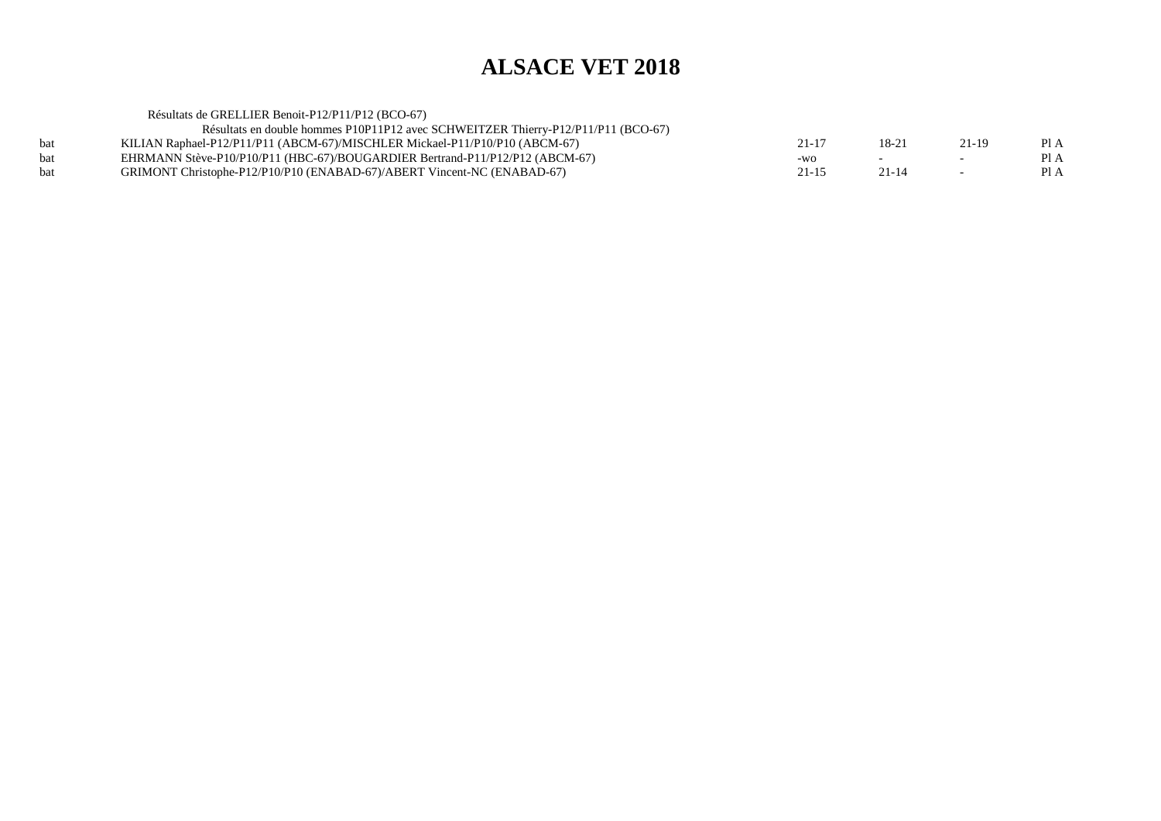|            | Résultats de GRELLIER Benoit-P12/P11/P12 (BCO-67)                                 |           |       |        |      |
|------------|-----------------------------------------------------------------------------------|-----------|-------|--------|------|
|            | Résultats en double hommes P10P11P12 avec SCHWEITZER Thierry-P12/P11/P11 (BCO-67) |           |       |        |      |
| <b>bat</b> | KILIAN Raphael-P12/P11/P11 (ABCM-67)/MISCHLER Mickael-P11/P10/P10 (ABCM-67)       | 21-17     | 18-21 | 21-19  | Pl A |
| <b>bat</b> | EHRMANN Stève-P10/P10/P11 (HBC-67)/BOUGARDIER Bertrand-P11/P12/P12 (ABCM-67)      | -WO       |       | $\sim$ | PI A |
| <b>bat</b> | GRIMONT Christophe-P12/P10/P10 (ENABAD-67)/ABERT Vincent-NC (ENABAD-67)           | $21 - 15$ | 21-14 | $\sim$ | PI A |
|            |                                                                                   |           |       |        |      |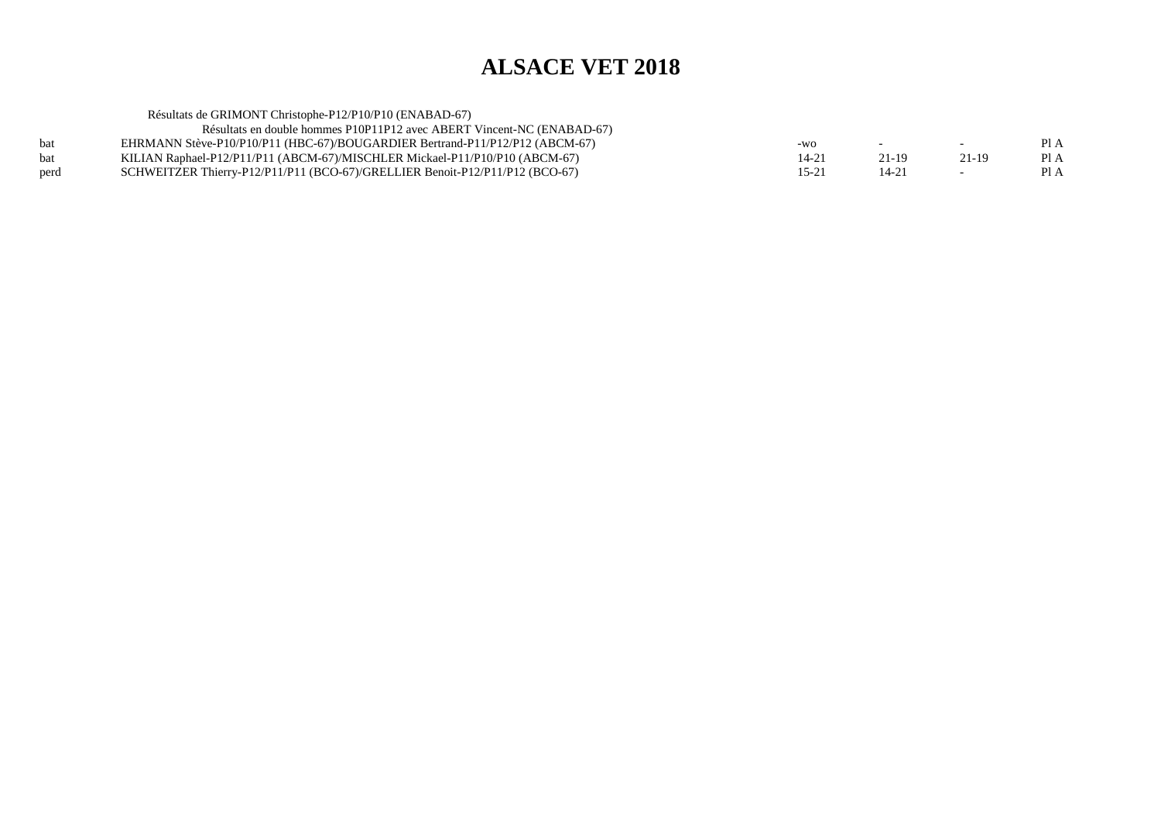|            | Résultats de GRIMONT Christophe-P12/P10/P10 (ENABAD-67)                      |           |        |         |      |
|------------|------------------------------------------------------------------------------|-----------|--------|---------|------|
|            | Résultats en double hommes P10P11P12 avec ABERT Vincent-NC (ENABAD-67)       |           |        |         |      |
| <b>bat</b> | EHRMANN Stève-P10/P10/P11 (HBC-67)/BOUGARDIER Bertrand-P11/P12/P12 (ABCM-67) | $-WO$     | $\sim$ | $\sim$  | PI A |
| bat        | KILIAN Raphael-P12/P11/P11 (ABCM-67)/MISCHLER Mickael-P11/P10/P10 (ABCM-67)  | 14-21     | 21-19  | $21-19$ | PI A |
| perd       | SCHWEITZER Thierry-P12/P11/P11 (BCO-67)/GRELLIER Benoit-P12/P11/P12 (BCO-67) | $15 - 21$ | 14-21  |         | PI A |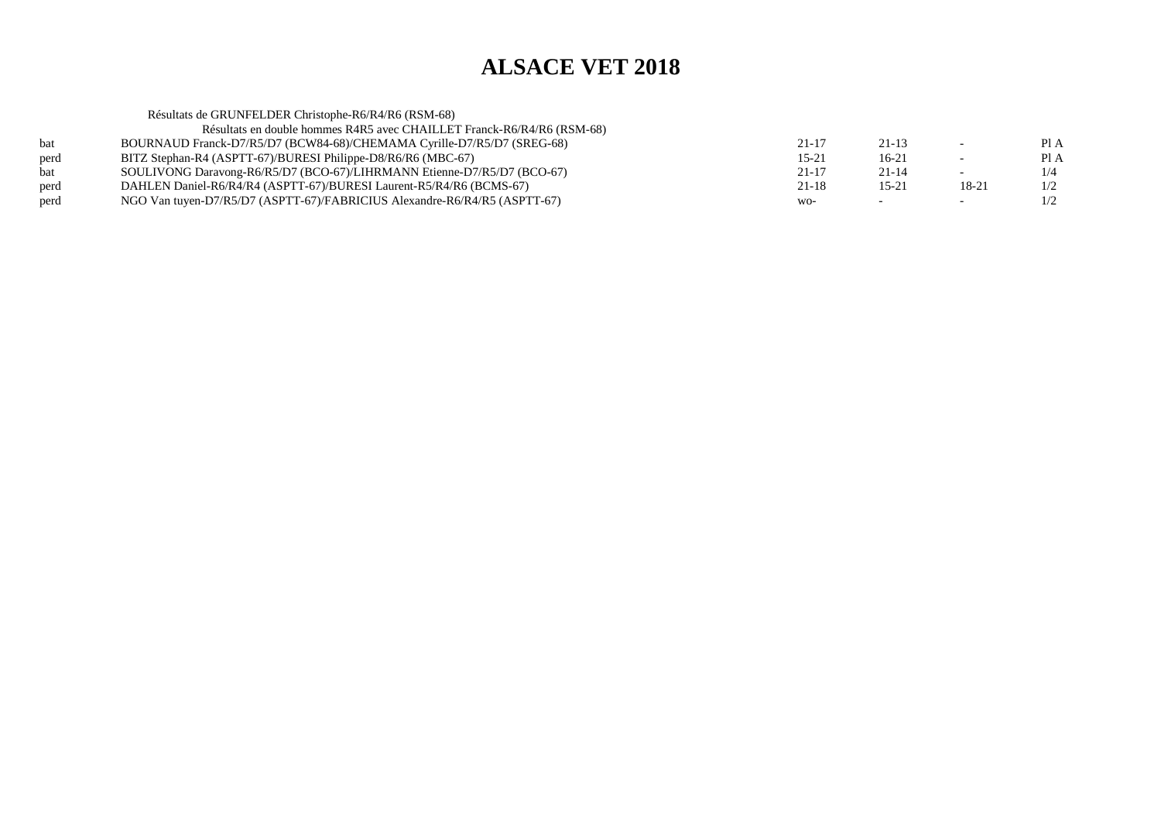| Résultats de GRUNFELDER Christophe-R6/R4/R6 (RSM-68)                      |           |           |                          |      |
|---------------------------------------------------------------------------|-----------|-----------|--------------------------|------|
| Résultats en double hommes R4R5 avec CHAILLET Franck-R6/R4/R6 (RSM-68)    |           |           |                          |      |
| BOURNAUD Franck-D7/R5/D7 (BCW84-68)/CHEMAMA Cyrille-D7/R5/D7 (SREG-68)    | $21 - 17$ | $21 - 13$ | $\overline{\phantom{0}}$ | PIA  |
| BITZ Stephan-R4 (ASPTT-67)/BURESI Philippe-D8/R6/R6 (MBC-67)              | $15 - 21$ | $16-21$   | $\overline{\phantom{0}}$ | PI A |
| SOULIVONG Daravong-R6/R5/D7 (BCO-67)/LIHRMANN Etienne-D7/R5/D7 (BCO-67)   | $21 - 17$ | $21 - 14$ | $\overline{\phantom{0}}$ | 1/4  |
| DAHLEN Daniel-R6/R4/R4 (ASPTT-67)/BURESI Laurent-R5/R4/R6 (BCMS-67)       | 21-18     | $15 - 21$ | 18-21                    | 1/2  |
| NGO Van tuyen-D7/R5/D7 (ASPTT-67)/FABRICIUS Alexandre-R6/R4/R5 (ASPTT-67) | WO-       |           | $\overline{\phantom{0}}$ | 1/2  |
|                                                                           |           |           |                          |      |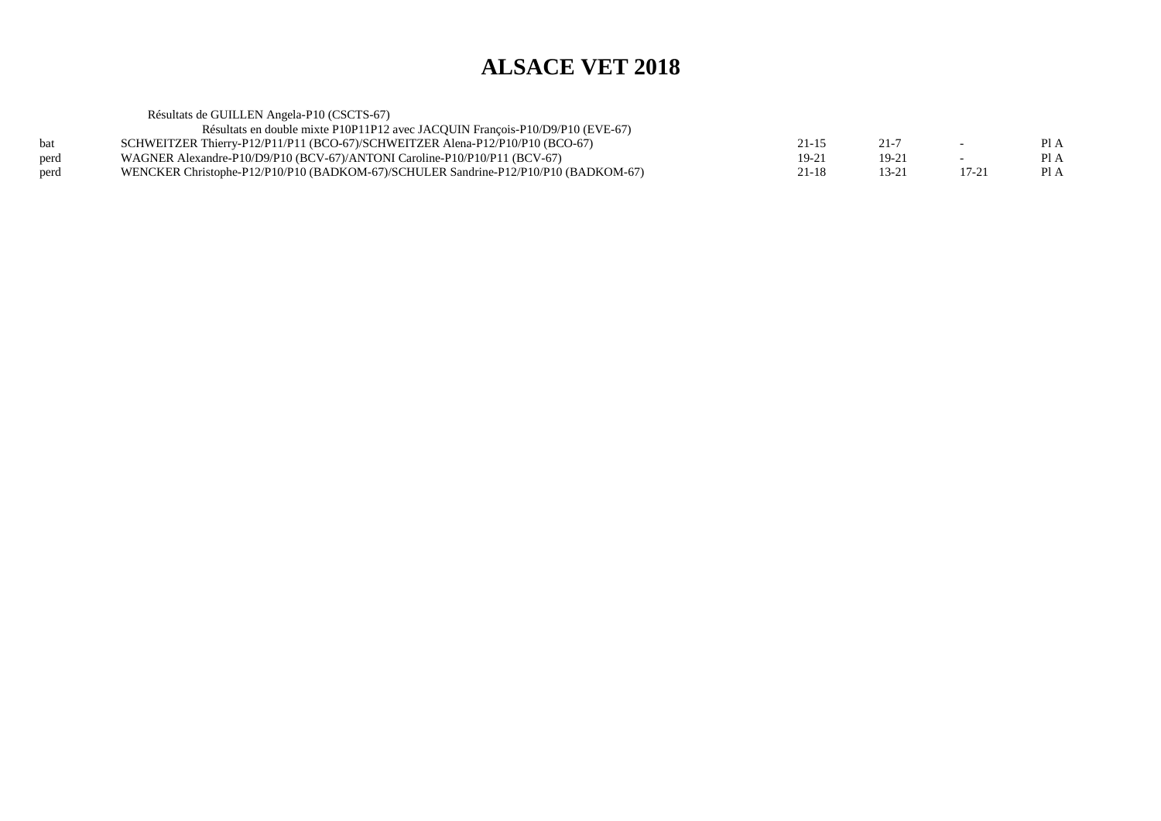Résultats de GUILLEN Angela-P10 (CSCTS-67) Résultats en double mixte P10P11P12 avec JACQUIN François-P10/D9/P10 (EVE-67)bat SCHWEITZER Thierry-P12/P11/P11 (BCO-67)/SCHWEITZER Alena-P12/P10/P10 (BCO-67)<br>perd WAGNER Alexandre-P10/D9/P10 (BCV-67)/ANTONI Caroline-P10/P10/P11 (BCV-67)  $21-15$   $21-7$  - PIA  $PIA$ perd WAGNER Alexandre-P10/D9/P10 (BCV-67)/ANTONI Caroline-P10/P10/P11 (BCV-67)<br>wENCKER Christophe-P12/P10/P10 (BADKOM-67)/SCHULER Sandrine-P12/P10/P10  $19-21$  19-21 - PIA  $1$  Pl A perd WENCKER Christophe-P12/P10/P10 (BADKOM-67)/SCHULER Sandrine-P12/P10/P10 (BADKOM-67) 21-18 13-21 17-21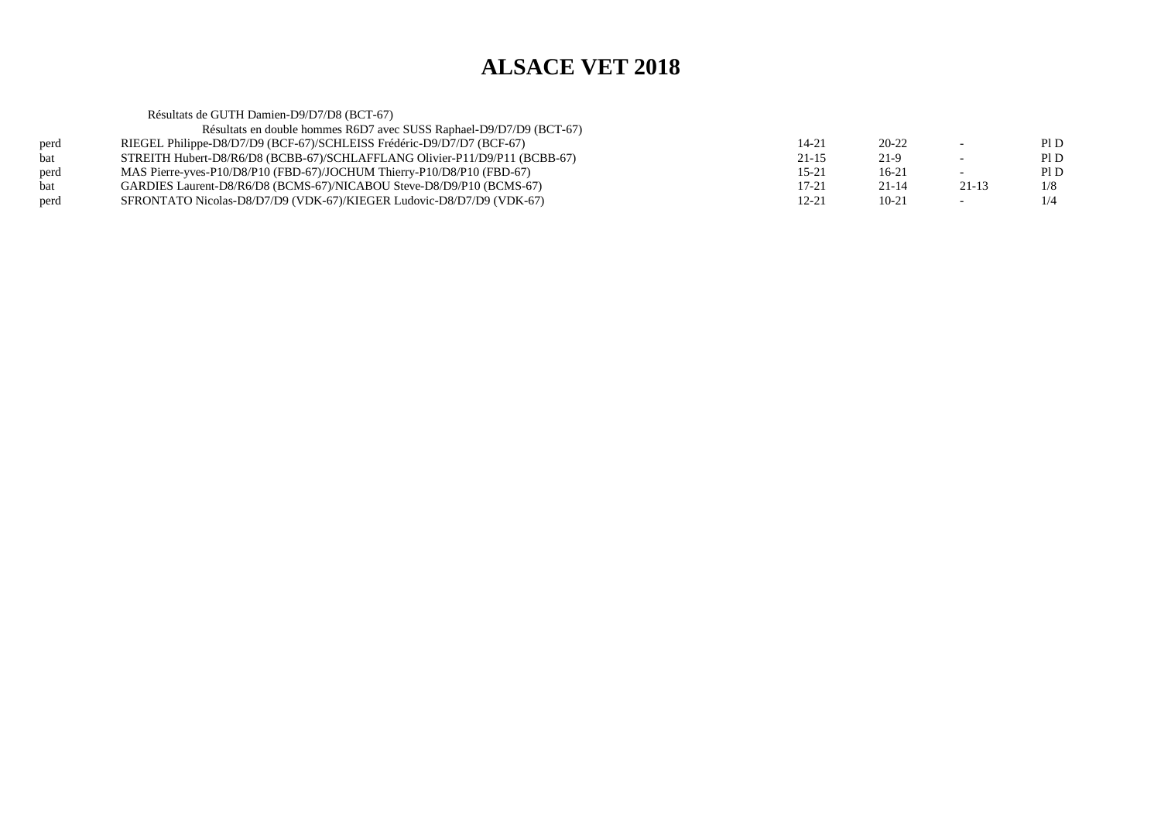|            | Résultats de GUTH Damien-D9/D7/D8 (BCT-67)                                 |           |           |                          |     |
|------------|----------------------------------------------------------------------------|-----------|-----------|--------------------------|-----|
|            | Résultats en double hommes R6D7 avec SUSS Raphael-D9/D7/D9 (BCT-67)        |           |           |                          |     |
| perd       | RIEGEL Philippe-D8/D7/D9 (BCF-67)/SCHLEISS Frédéric-D9/D7/D7 (BCF-67)      | $14 - 21$ | $20 - 22$ | $\overline{\phantom{0}}$ | PID |
| <b>bat</b> | STREITH Hubert-D8/R6/D8 (BCBB-67)/SCHLAFFLANG Olivier-P11/D9/P11 (BCBB-67) | $21 - 15$ | 21-9      | $\overline{\phantom{a}}$ | PID |
| perd       | MAS Pierre-yves-P10/D8/P10 (FBD-67)/JOCHUM Thierry-P10/D8/P10 (FBD-67)     | $15 - 21$ | $16-21$   | $-$                      | PID |
| bat        | GARDIES Laurent-D8/R6/D8 (BCMS-67)/NICABOU Steve-D8/D9/P10 (BCMS-67)       | $17 - 21$ | $21 - 14$ | $21-13$                  | 1/8 |
| perd       | SFRONTATO Nicolas-D8/D7/D9 (VDK-67)/KIEGER Ludovic-D8/D7/D9 (VDK-67)       | 12-21     | $10-21$   | $\sim$                   | 1/4 |
|            |                                                                            |           |           |                          |     |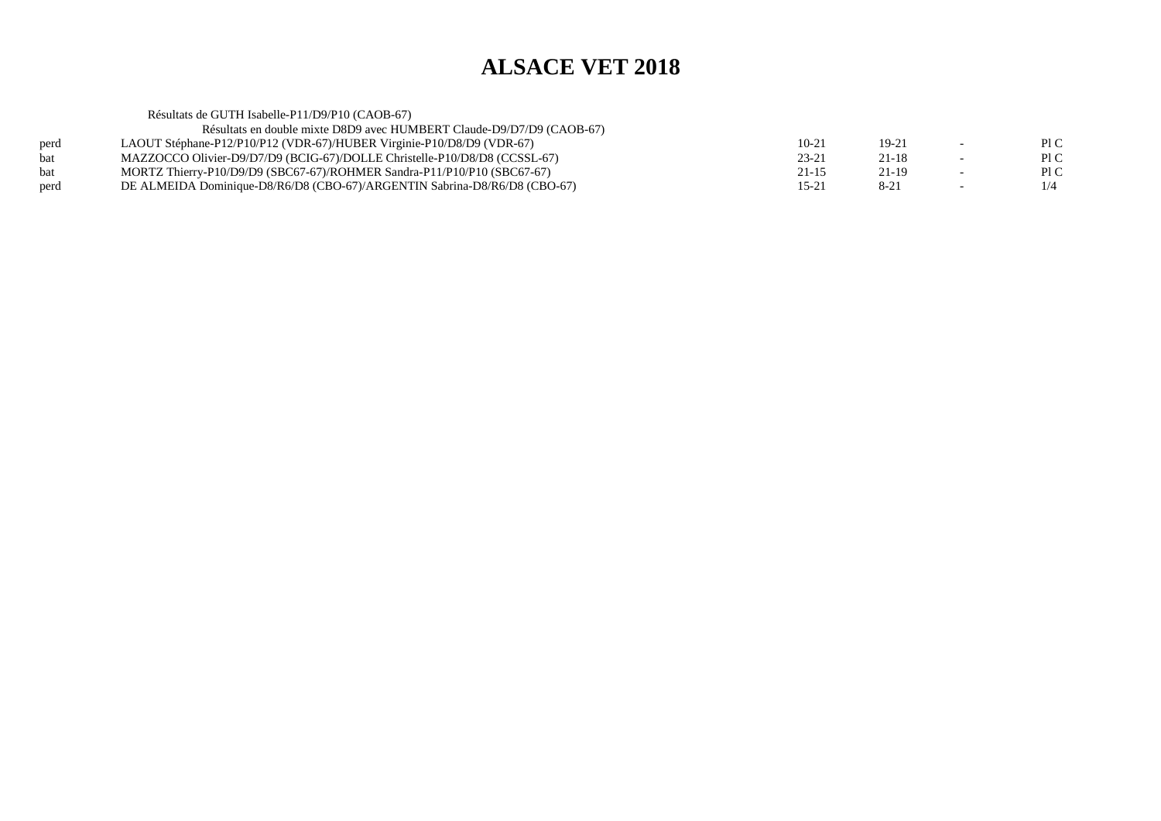Résultats de GUTH Isabelle-P11/D9/P10 (CAOB-67) Résultats en double mixte D8D9 avec HUMBERT Claude-D9/D7/D9 (CAOB-67)perd LAOUT Stéphane-P12/P10/P12 (VDR-67)/HUBER Virginie-P10/D8/D9 (VDR-67)<br>bat MAZZOCCO Olivier-D9/D7/D9 (BCIG-67)/DOLLE Christelle-P10/D8/D8 (CCSSL  $10-21$  19-21 - PIC  $\mathop{\rm Pl} C$ bat MAZZOCCO Olivier-D9/D7/D9 (BCIG-67)/DOLLE Christelle-P10/D8/D8 (CCSSL-67)<br>bat MORTZ Thierry-P10/D9/D9 (SBC67-67)/ROHMER Sandra-P11/P10/P10 (SBC67-67)  $23-21$  21-18 - PIC  $P1C$ bat MORTZ Thierry-P10/D9/D9 (SBC67-67)/ROHMER Sandra-P11/P10/P10 (SBC67-67)  $21-15$   $21-19$   $-$  PIC  $1/4$ perd DE ALMEIDA Dominique-D8/R6/D8 (CBO-67)/ARGENTIN Sabrina-D8/R6/D8 (CBO-67) $15-21$  8-21 -  $1/4$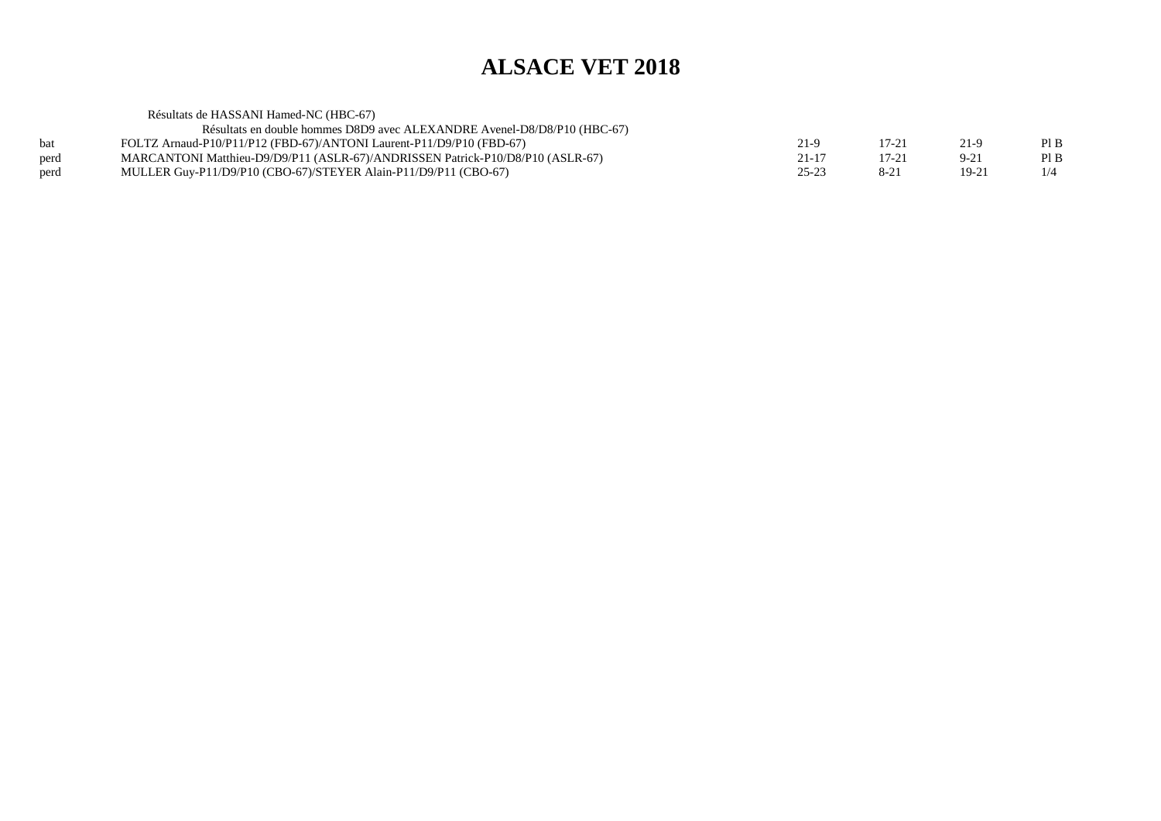Résultats de HASSANI Hamed-NC (HBC-67) Résultats en double hommes D8D9 avec ALEXANDRE Avenel-D8/D8/P10 (HBC-67)bat FOLTZ Arnaud-P10/P11/P12 (FBD-67)/ANTONI Laurent-P11/D9/P10 (FBD-67)<br>mARCANTONI Matthieu-D9/D9/P11 (ASLR-67)/ANDRISSEN Patrick-P10/D8/F  $21-9$  17-21 21-9 PIB  $\mathop{\rm Pl}\nolimits\mathop{\rm B}\nolimits$ perd MARCANTONI Matthieu-D9/D9/P11 (ASLR-67)/ANDRISSEN Patrick-P10/D8/P10 (ASLR-67) 21-17 17-21 9-21<br>
perd MULLER Guy-P11/D9/P10 (CBO-67)/STEYER Alain-P11/D9/P11 (CBO-67) 25-23 8-21 19-21  $1/4$ perd MULLER Guy-P11/D9/P10 (CBO-67)/STEYER Alain-P11/D9/P11 (CBO-67) $25-23$  8-21 19-21 1/4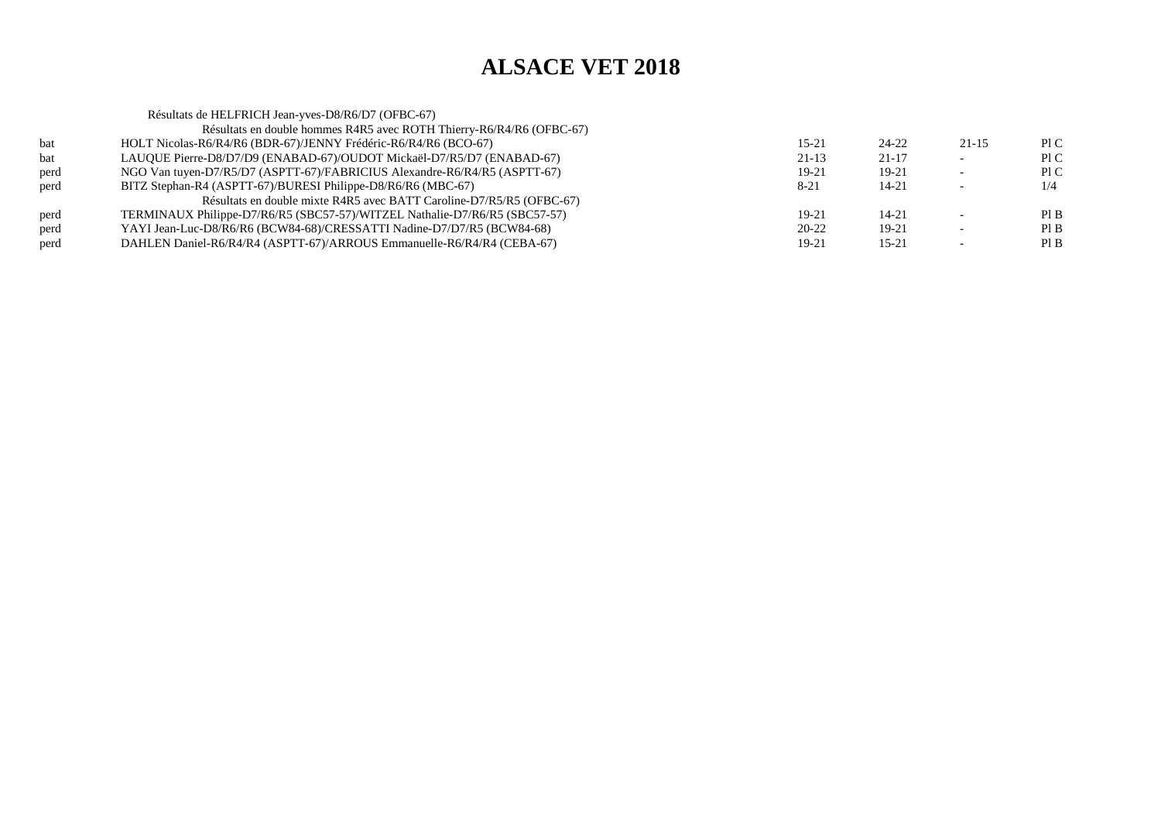|      | Résultats de HELFRICH Jean-yves-D8/R6/D7 (OFBC-67)                         |           |           |                          |     |
|------|----------------------------------------------------------------------------|-----------|-----------|--------------------------|-----|
|      | Résultats en double hommes R4R5 avec ROTH Thierry-R6/R4/R6 (OFBC-67)       |           |           |                          |     |
| bat  | HOLT Nicolas-R6/R4/R6 (BDR-67)/JENNY Frédéric-R6/R4/R6 (BCO-67)            | $15 - 21$ | 24-22     | $21 - 15$                | P1C |
| bat  | LAUQUE Pierre-D8/D7/D9 (ENABAD-67)/OUDOT Mickaël-D7/R5/D7 (ENABAD-67)      | $21-13$   | $21 - 17$ |                          | P1C |
| perd | NGO Van tuyen-D7/R5/D7 (ASPTT-67)/FABRICIUS Alexandre-R6/R4/R5 (ASPTT-67)  | $19-21$   | 19-21     | $\overline{\phantom{0}}$ | P1C |
| perd | BITZ Stephan-R4 (ASPTT-67)/BURESI Philippe-D8/R6/R6 (MBC-67)               | $8 - 21$  | 14-21     |                          | 1/4 |
|      | Résultats en double mixte R4R5 avec BATT Caroline-D7/R5/R5 (OFBC-67)       |           |           |                          |     |
| perd | TERMINAUX Philippe-D7/R6/R5 (SBC57-57)/WITZEL Nathalie-D7/R6/R5 (SBC57-57) | $19-21$   | $14 - 21$ |                          | PIB |
| perd | YAYI Jean-Luc-D8/R6/R6 (BCW84-68)/CRESSATTI Nadine-D7/D7/R5 (BCW84-68)     | $20 - 22$ | 19-21     |                          | PIB |
| perd | DAHLEN Daniel-R6/R4/R4 (ASPTT-67)/ARROUS Emmanuelle-R6/R4/R4 (CEBA-67)     | 19-21     | $15 - 21$ |                          | PIB |
|      |                                                                            |           |           |                          |     |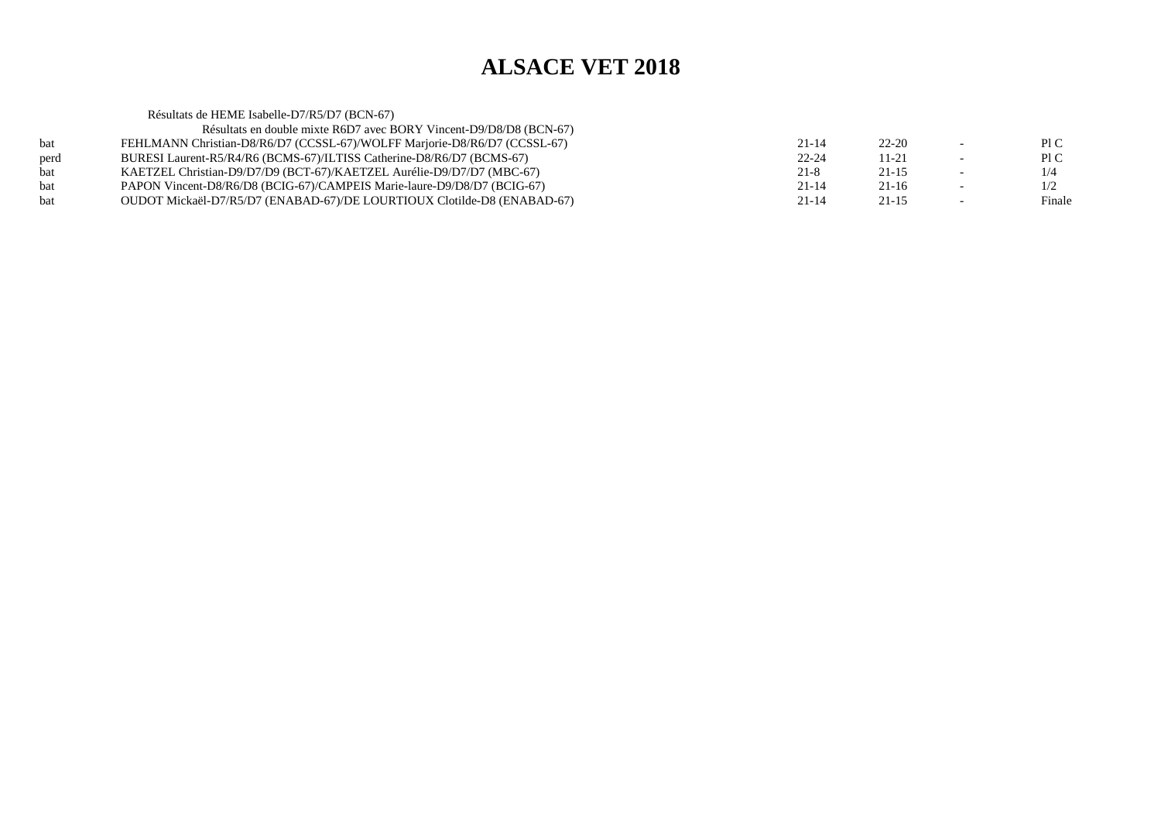Résultats de HEME Isabelle-D7/R5/D7 (BCN-67) Résultats en double mixte R6D7 avec BORY Vincent-D9/D8/D8 (BCN-67) bat FEHLMANN Christian-D8/R6/D7 (CCSSL-67)/WOLFF Marjorie-D8/R6/D7 (CCSSL-67) $21-14$   $22-20$  - PIC Pl C perd BURESI Laurent-R5/R4/R6 (BCMS-67)/ILTISS Catherine-D8/R6/D7 (BCMS-67) $22-24$  11-21 - PIC  $1/4$ bat KAETZEL Christian-D9/D7/D9 (BCT-67)/KAETZEL Aurélie-D9/D7/D7 (MBC-67) $21-8$  21-15 - 1/4  $1/2$ bat PAPON Vincent-D8/R6/D8 (BCIG-67)/CAMPEIS Marie-laure-D9/D8/D7 (BCIG-67) $21-14$   $21-16$   $-1/2$ Finale bat OUDOT Mickaël-D7/R5/D7 (ENABAD-67)/DE LOURTIOUX Clotilde-D8 (ENABAD-67) $21-14$   $21-15$   $-$  Finale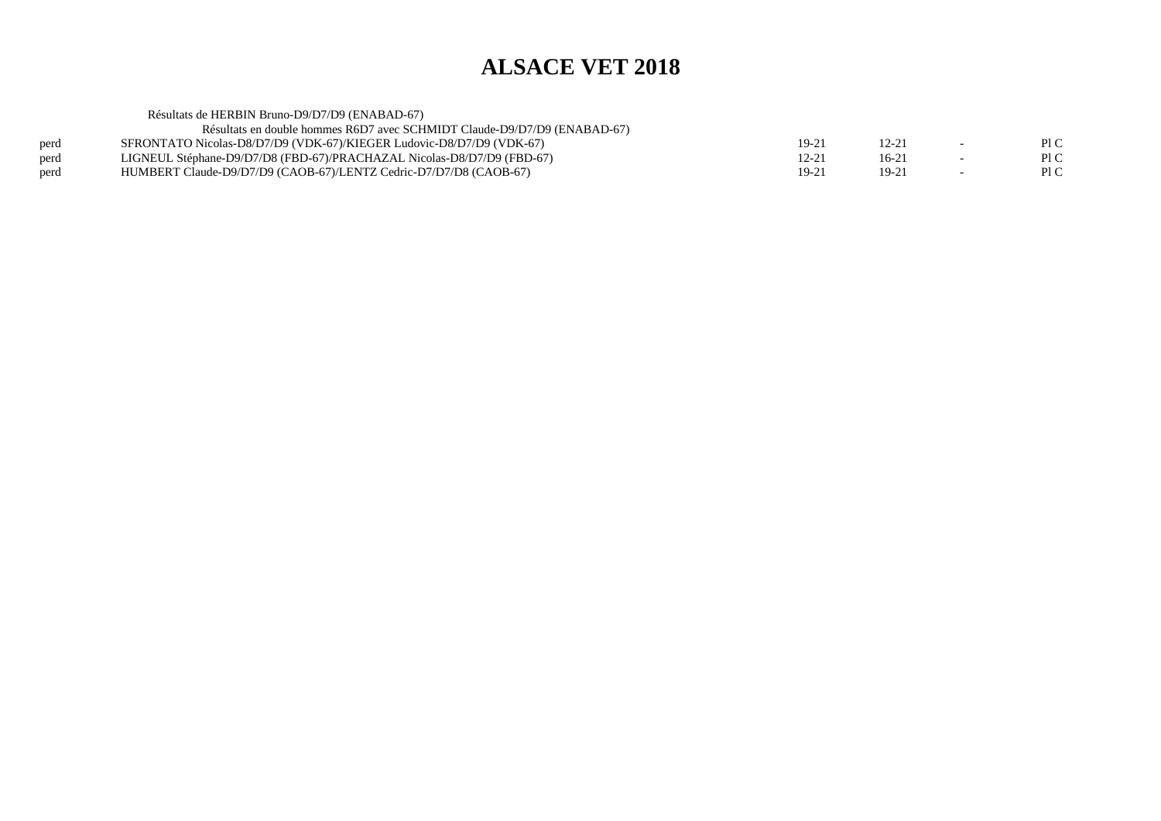Résultats de HERBIN Bruno-D9/D7/D9 (ENABAD-67) Résultats en double hommes R6D7 avec SCHMIDT Claude-D9/D7/D9 (ENABAD-67)perd SFRONTATO Nicolas-D8/D7/D9 (VDK-67)/KIEGER Ludovic-D8/D7/D9 (VDK-67)<br>perd LIGNEUL Stéphane-D9/D7/D8 (FBD-67)/PRACHAZAL Nicolas-D8/D7/D9 (FBD-67  $19-21$  12-21 - PIC  $\mathop{\rm Pl} C$ perd LIGNEUL Stéphane-D9/D7/D8 (FBD-67)/PRACHAZAL Nicolas-D8/D7/D9 (FBD-67)<br>perd HUMBERT Claude-D9/D7/D9 (CAOB-67)/LENTZ Cedric-D7/D7/D8 (CAOB-67)  $12-21$   $16-21$   $-$  PIC  $P1C$ perd HUMBERT Claude-D9/D7/D9 (CAOB-67)/LENTZ Cedric-D7/D7/D8 (CAOB-67) $19-21$  19-21 - PIC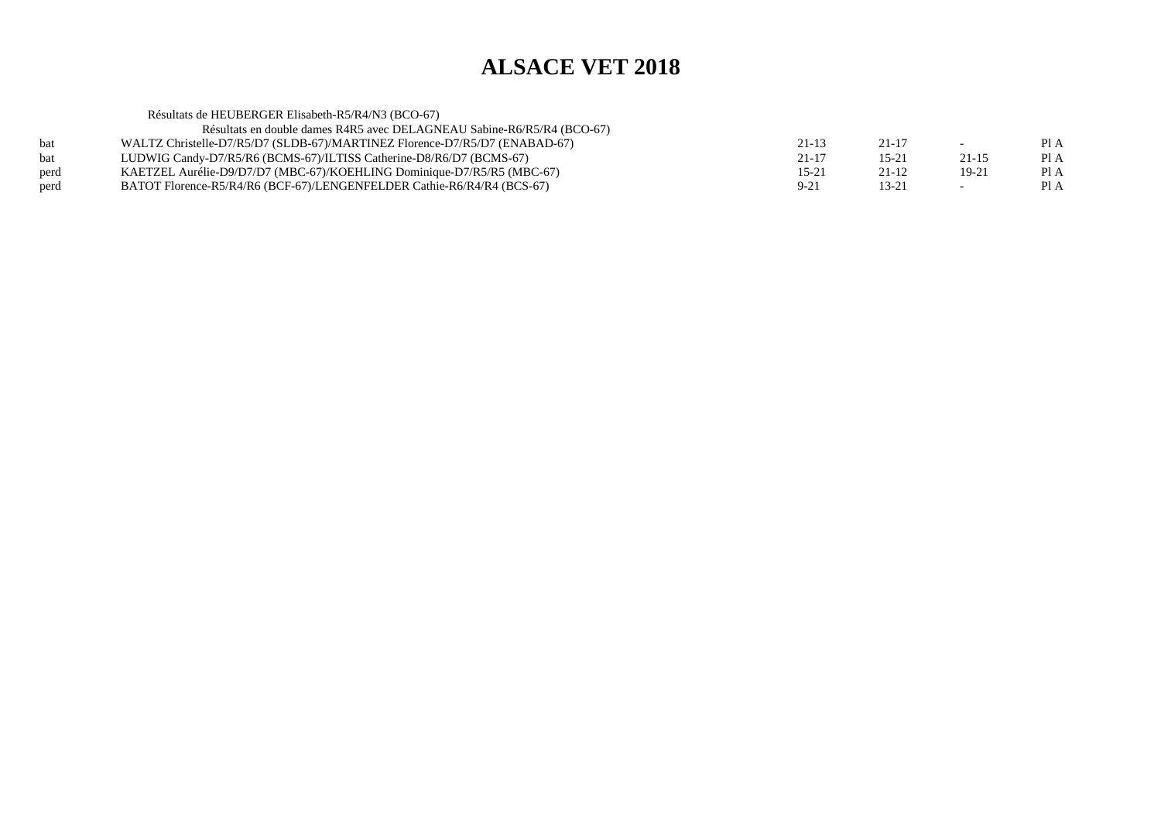|      | Résultats de HEUBERGER Elisabeth-R5/R4/N3 (BCO-67)                         |           |           |       |      |
|------|----------------------------------------------------------------------------|-----------|-----------|-------|------|
|      | Résultats en double dames R4R5 avec DELAGNEAU Sabine-R6/R5/R4 (BCO-67)     |           |           |       |      |
| bat  | WALTZ Christelle-D7/R5/D7 (SLDB-67)/MARTINEZ Florence-D7/R5/D7 (ENABAD-67) | 21-13     | 21-17     | $-$   | PI A |
| bat  | LUDWIG Candy-D7/R5/R6 (BCMS-67)/ILTISS Catherine-D8/R6/D7 (BCMS-67)        | 21-17     | $15 - 21$ | 21-15 | Pl A |
| perd | KAETZEL Aurélie-D9/D7/D7 (MBC-67)/KOEHLING Dominique-D7/R5/R5 (MBC-67)     | $15 - 21$ | $21-12$   | 19-21 | PI A |
| perd | BATOT Florence-R5/R4/R6 (BCF-67)/LENGENFELDER Cathie-R6/R4/R4 (BCS-67)     | $9 - 21$  | $13 - 21$ |       | Pl A |
|      |                                                                            |           |           |       |      |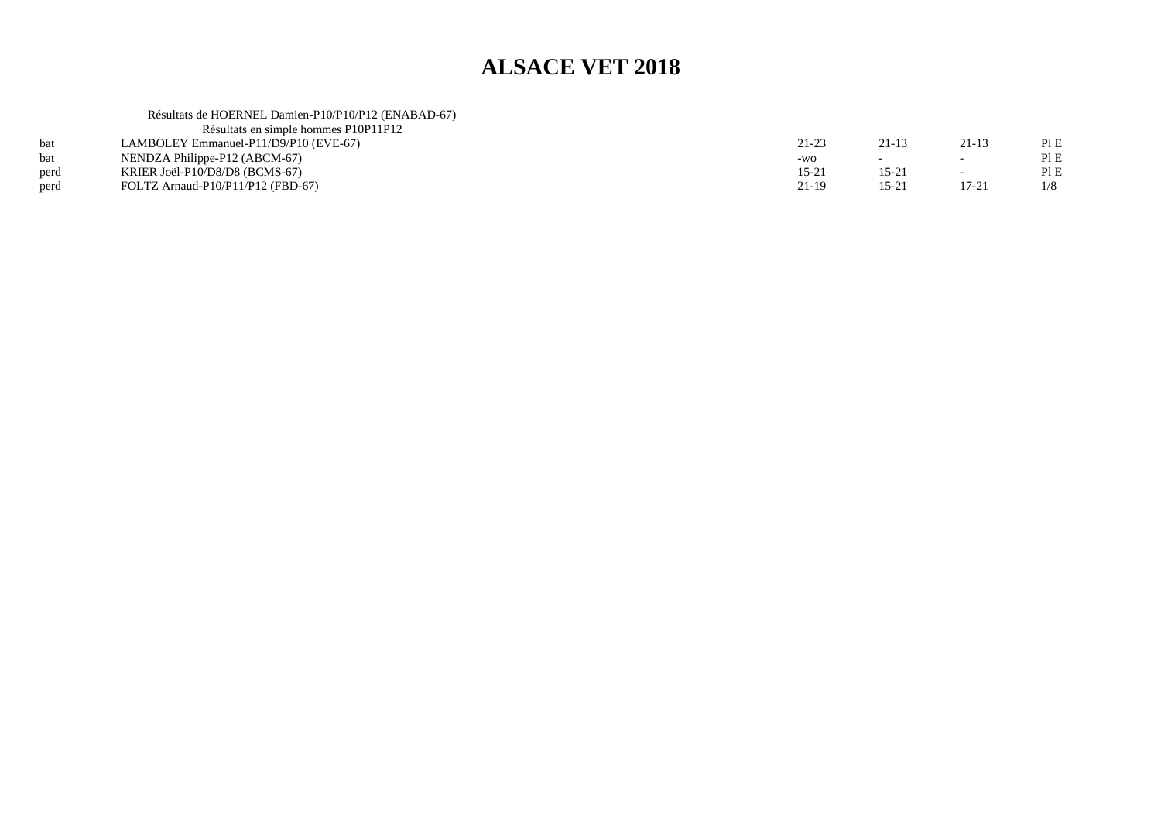## Résultats de HOERNEL Damien-P10/P10/P12 (ENABAD-67) Résultats en simple hommes P10P11P12

|      | Résultats en simple hommes PIOPIIPI2  |                  |                |                          |      |
|------|---------------------------------------|------------------|----------------|--------------------------|------|
| bat  | LAMBOLEY Emmanuel-P11/D9/P10 (EVE-67) | 21-23            | 21-13          | $21-13$                  | PIE  |
| bat  | NENDZA Philippe-P12 (ABCM-67)         | $-WO$            |                | $\overline{\phantom{0}}$ | PI E |
| perd | KRIER Joël-P10/D8/D8 (BCMS-67)        | $15 - 2^{\circ}$ | 15-2           | $\overline{\phantom{0}}$ | PIE  |
| perd | FOLTZ Arnaud-P $10/P11/P12$ (FBD-67)  | 21-19            | $15-2^{\circ}$ | $17 - 21$                | 1/8  |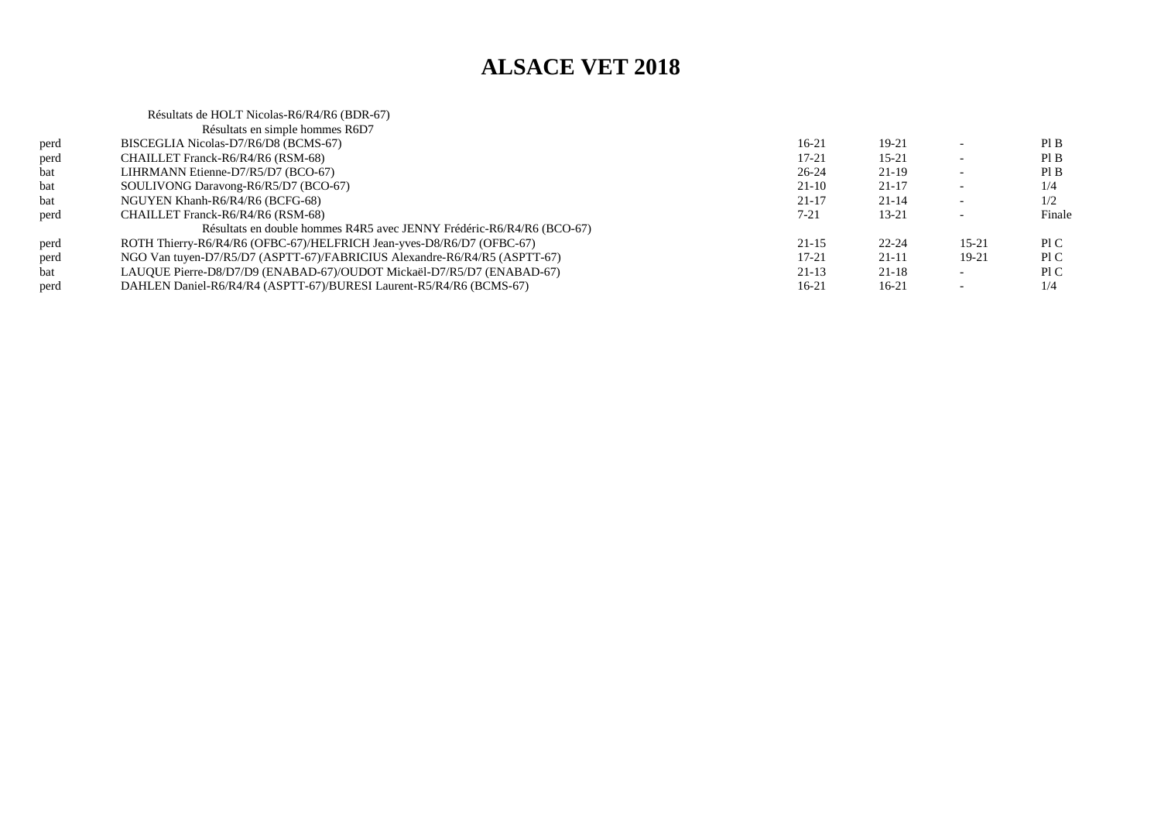|      | Résultats de HOLT Nicolas-R6/R4/R6 (BDR-67)                               |           |           |           |        |
|------|---------------------------------------------------------------------------|-----------|-----------|-----------|--------|
|      | Résultats en simple hommes R6D7                                           |           |           |           |        |
| perd | BISCEGLIA Nicolas-D7/R6/D8 (BCMS-67)                                      | 16-21     | 19-21     |           | PI B   |
| perd | CHAILLET Franck-R6/R4/R6 (RSM-68)                                         | 17-21     | $15 - 21$ |           | PI B   |
| bat  | LIHRMANN Etienne-D7/R5/D7 (BCO-67)                                        | $26 - 24$ | $21-19$   |           | PI B   |
| bat  | SOULIVONG Daravong-R6/R5/D7 (BCO-67)                                      | $21-10$   | $21 - 17$ |           | 1/4    |
| bat  | NGUYEN Khanh-R6/R4/R6 (BCFG-68)                                           | $21 - 17$ | $21 - 14$ |           | 1/2    |
| perd | CHAILLET Franck-R6/R4/R6 (RSM-68)                                         | 7-21      | $13 - 21$ |           | Finale |
|      | Résultats en double hommes R4R5 avec JENNY Frédéric-R6/R4/R6 (BCO-67)     |           |           |           |        |
| perd | ROTH Thierry-R6/R4/R6 (OFBC-67)/HELFRICH Jean-yves-D8/R6/D7 (OFBC-67)     | $21-15$   | $22 - 24$ | $15 - 21$ | PLC    |
| perd | NGO Van tuyen-D7/R5/D7 (ASPTT-67)/FABRICIUS Alexandre-R6/R4/R5 (ASPTT-67) | $17 - 21$ | $21 - 11$ | 19-21     | PLC    |
| bat  | LAUQUE Pierre-D8/D7/D9 (ENABAD-67)/OUDOT Mickaël-D7/R5/D7 (ENABAD-67)     | $21-13$   | $21 - 18$ |           | PI C   |
| perd | DAHLEN Daniel-R6/R4/R4 (ASPTT-67)/BURESI Laurent-R5/R4/R6 (BCMS-67)       | 16-21     | 16-21     |           | 1/4    |
|      |                                                                           |           |           |           |        |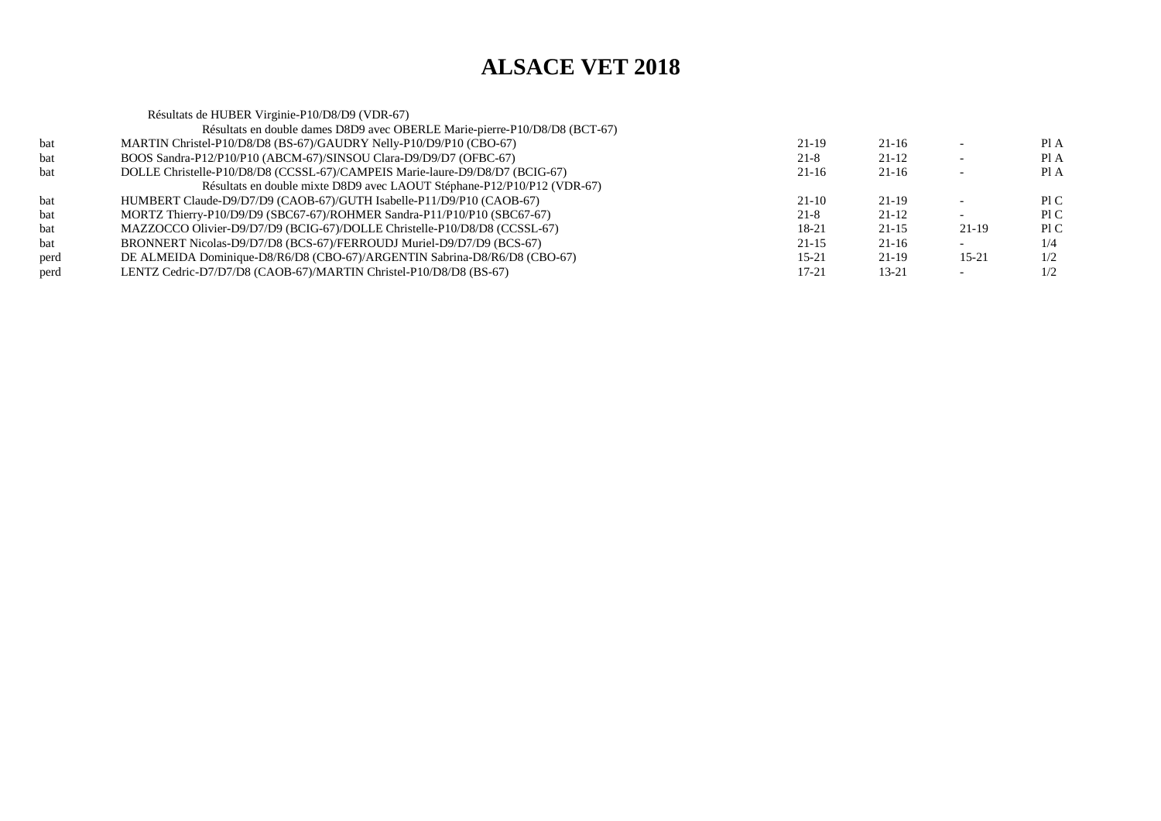|      | Résultats de HUBER Virginie-P10/D8/D9 (VDR-67)                               |           |           |           |      |
|------|------------------------------------------------------------------------------|-----------|-----------|-----------|------|
|      | Résultats en double dames D8D9 avec OBERLE Marie-pierre-P10/D8/D8 (BCT-67)   |           |           |           |      |
| bat  | MARTIN Christel-P10/D8/D8 (BS-67)/GAUDRY Nelly-P10/D9/P10 (CBO-67)           | 21-19     | 21-16     |           | Pl A |
| bat  | BOOS Sandra-P12/P10/P10 (ABCM-67)/SINSOU Clara-D9/D9/D7 (OFBC-67)            | $21 - 8$  | $21 - 12$ |           | Pl A |
| bat  | DOLLE Christelle-P10/D8/D8 (CCSSL-67)/CAMPEIS Marie-laure-D9/D8/D7 (BCIG-67) | $21-16$   | $21-16$   |           | Pl A |
|      | Résultats en double mixte D8D9 avec LAOUT Stéphane-P12/P10/P12 (VDR-67)      |           |           |           |      |
| bat  | HUMBERT Claude-D9/D7/D9 (CAOB-67)/GUTH Isabelle-P11/D9/P10 (CAOB-67)         | $21-10$   | 21-19     |           | PIC  |
| bat  | MORTZ Thierry-P10/D9/D9 (SBC67-67)/ROHMER Sandra-P11/P10/P10 (SBC67-67)      | $21 - 8$  | $21 - 12$ |           | P1C  |
| bat  | MAZZOCCO Olivier-D9/D7/D9 (BCIG-67)/DOLLE Christelle-P10/D8/D8 (CCSSL-67)    | 18-21     | $21 - 15$ | $21-19$   | P1C  |
| bat  | BRONNERT Nicolas-D9/D7/D8 (BCS-67)/FERROUDJ Muriel-D9/D7/D9 (BCS-67)         | $21 - 15$ | $21 - 16$ |           | 1/4  |
| perd | DE ALMEIDA Dominique-D8/R6/D8 (CBO-67)/ARGENTIN Sabrina-D8/R6/D8 (CBO-67)    | $15 - 21$ | $21-19$   | $15 - 21$ | 1/2  |
| perd | LENTZ Cedric-D7/D7/D8 (CAOB-67)/MARTIN Christel-P10/D8/D8 (BS-67)            | 17-21     | $13 - 21$ |           | 1/2  |
|      |                                                                              |           |           |           |      |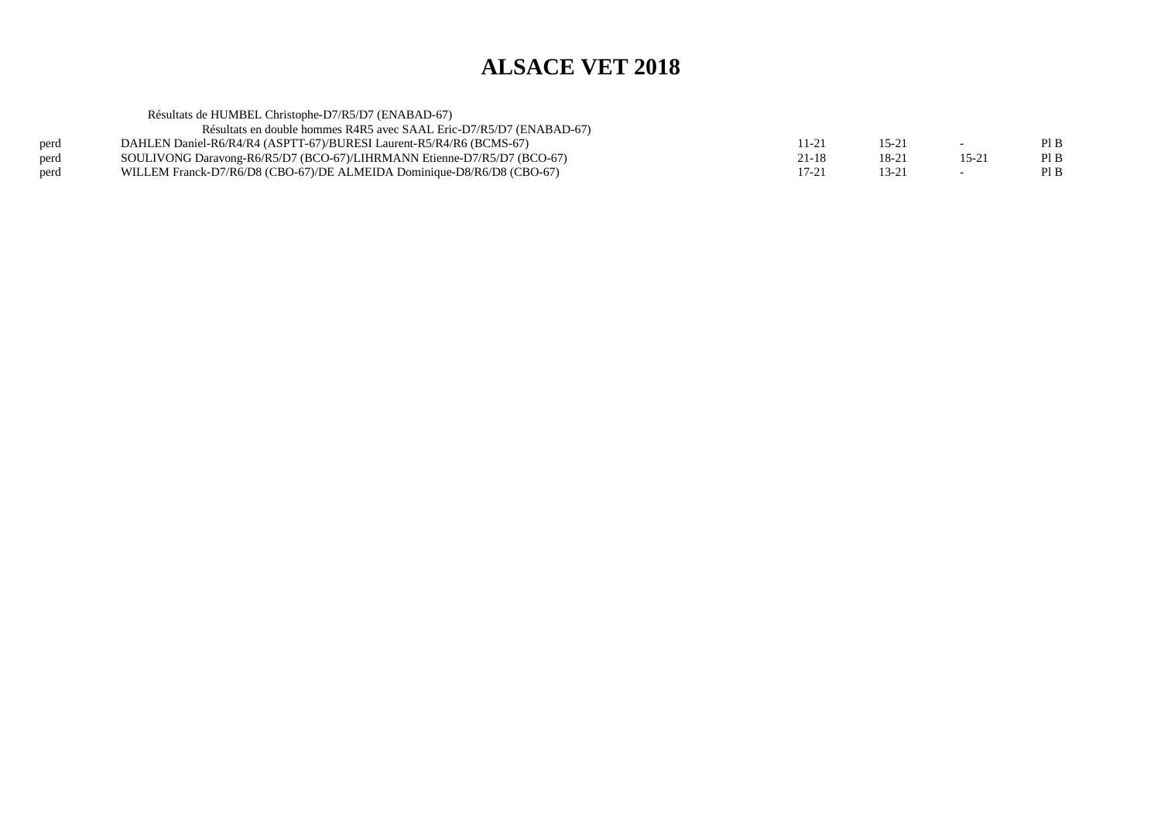|      | Résultats de HUMBEL Christophe-D7/R5/D7 (ENABAD-67)                     |           |       |           |      |
|------|-------------------------------------------------------------------------|-----------|-------|-----------|------|
|      | Résultats en double hommes R4R5 avec SAAL Eric-D7/R5/D7 (ENABAD-67)     |           |       |           |      |
| perd | DAHLEN Daniel-R6/R4/R4 (ASPTT-67)/BURESI Laurent-R5/R4/R6 (BCMS-67)     | 11-21     | 15-21 |           | PI B |
| perd | SOULIVONG Daravong-R6/R5/D7 (BCO-67)/LIHRMANN Etienne-D7/R5/D7 (BCO-67) | $21 - 18$ | 18-21 | $15 - 21$ | PI B |
| perd | WILLEM Franck-D7/R6/D8 (CBO-67)/DE ALMEIDA Dominique-D8/R6/D8 (CBO-67)  | $17 - 21$ | 13-21 |           | PI B |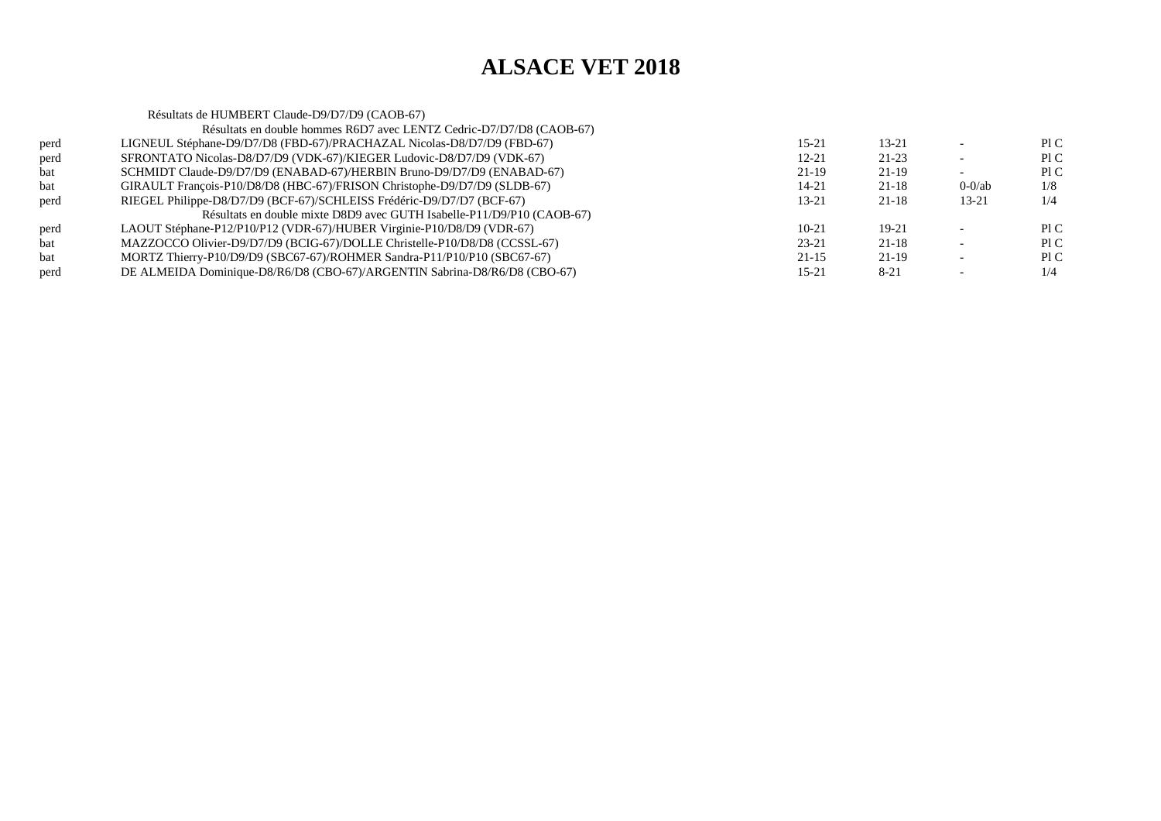|      | Résultats de HUMBERT Claude-D9/D7/D9 (CAOB-67)                            |           |           |           |     |
|------|---------------------------------------------------------------------------|-----------|-----------|-----------|-----|
|      | Résultats en double hommes R6D7 avec LENTZ Cedric-D7/D7/D8 (CAOB-67)      |           |           |           |     |
| perd | LIGNEUL Stéphane-D9/D7/D8 (FBD-67)/PRACHAZAL Nicolas-D8/D7/D9 (FBD-67)    | $15 - 21$ | $13 - 21$ |           | P1C |
| perd | SFRONTATO Nicolas-D8/D7/D9 (VDK-67)/KIEGER Ludovic-D8/D7/D9 (VDK-67)      | $12 - 21$ | 21-23     |           | P1C |
| bat  | SCHMIDT Claude-D9/D7/D9 (ENABAD-67)/HERBIN Bruno-D9/D7/D9 (ENABAD-67)     | 21-19     | $21-19$   |           | P1C |
| bat  | GIRAULT François-P10/D8/D8 (HBC-67)/FRISON Christophe-D9/D7/D9 (SLDB-67)  | 14-21     | 21-18     | $0-0$ /ab | 1/8 |
| perd | RIEGEL Philippe-D8/D7/D9 (BCF-67)/SCHLEISS Frédéric-D9/D7/D7 (BCF-67)     | $13 - 21$ | 21-18     | 13-21     | 1/4 |
|      | Résultats en double mixte D8D9 avec GUTH Isabelle-P11/D9/P10 (CAOB-67)    |           |           |           |     |
| perd | LAOUT Stéphane-P12/P10/P12 (VDR-67)/HUBER Virginie-P10/D8/D9 (VDR-67)     | $10-21$   | $19-21$   |           | P1C |
| bat  | MAZZOCCO Olivier-D9/D7/D9 (BCIG-67)/DOLLE Christelle-P10/D8/D8 (CCSSL-67) | $23 - 21$ | $21 - 18$ |           | P1C |
| bat  | MORTZ Thierry-P10/D9/D9 (SBC67-67)/ROHMER Sandra-P11/P10/P10 (SBC67-67)   | $21 - 15$ | 21-19     |           | PIC |
| perd | DE ALMEIDA Dominique-D8/R6/D8 (CBO-67)/ARGENTIN Sabrina-D8/R6/D8 (CBO-67) | $15 - 21$ | $8 - 21$  |           | 1/4 |
|      |                                                                           |           |           |           |     |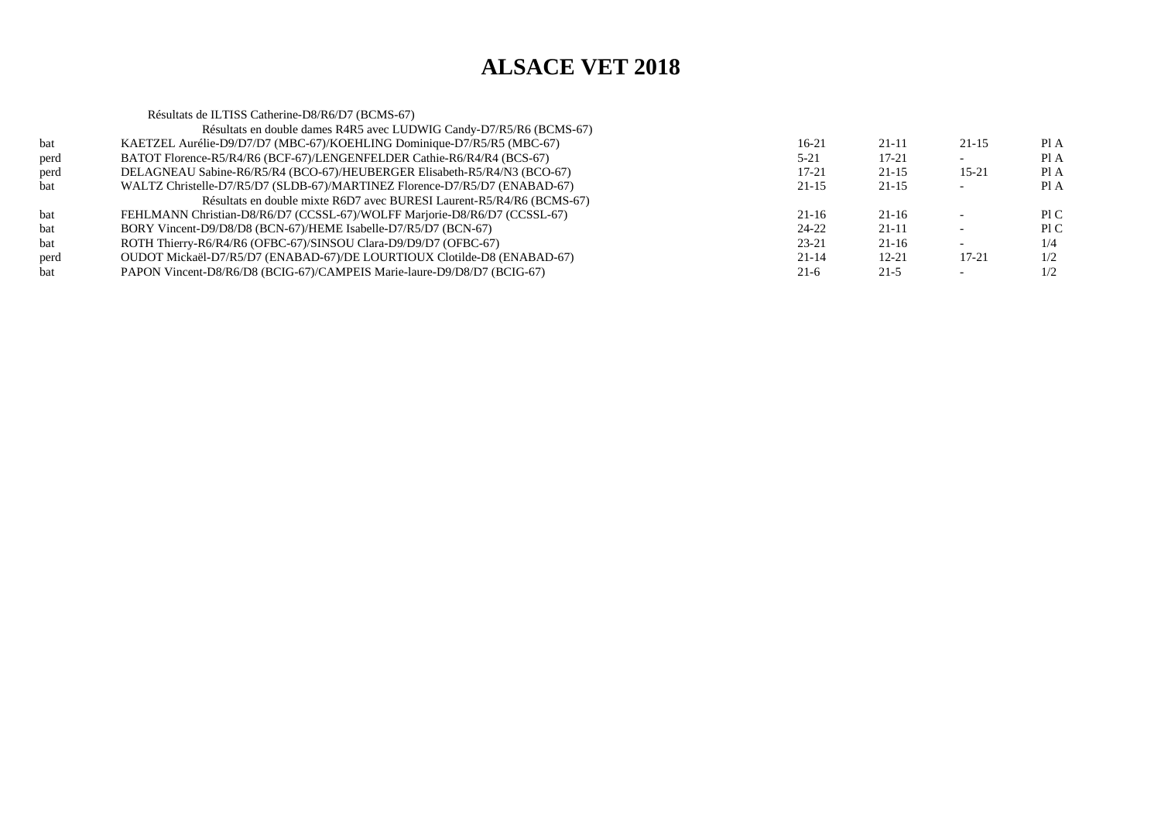Résultats de ILTISS Catherine-D8/R6/D7 (BCMS-67) Résultats en double dames R4R5 avec LUDWIG Candy-D7/R5/R6 (BCMS-67)bat KAETZEL Aurélie-D9/D7/D7 (MBC-67)/KOEHLING Dominique-D7/R5/R5 (MBC-67) $16-21$  21-11 21-15 PIA Pl A perd BATOT Florence-R5/R4/R6 (BCF-67)/LENGENFELDER Cathie-R6/R4/R4 (BCS-67) $5-21$  17-21 - PIA  $PIA$ perd DELAGNEAU Sabine-R6/R5/R4 (BCO-67)/HEUBERGER Elisabeth-R5/R4/N3 (BCO-67) $17-21$  21-15 15-21 PIA  $PIA$ bat WALTZ Christelle-D7/R5/D7 (SLDB-67)/MARTINEZ Florence-D7/R5/D7 (ENABAD-67) $21-15$  21-15 - PIA Résultats en double mixte R6D7 avec BURESI Laurent-R5/R4/R6 (BCMS-67)bat FEHLMANN Christian-D8/R6/D7 (CCSSL-67)/WOLFF Marjorie-D8/R6/D7 (CCSSL-67) $21-16$   $21-16$   $-$  PIC  $P<sub>l</sub> C$ bat BORY Vincent-D9/D8/D8 (BCN-67)/HEME Isabelle-D7/R5/D7 (BCN-67) $24-22$  21-11 - PIC  $1/4$ bat ROTH Thierry-R6/R4/R6 (OFBC-67)/SINSOU Clara-D9/D9/D7 (OFBC-67) $23-21$   $21-16$   $-1/4$  $1/2$ perd OUDOT Mickaël-D7/R5/D7 (ENABAD-67)/DE LOURTIOUX Clotilde-D8 (ENABAD-67) $21-14$  12-21 17-21 1/2  $1/2$ bat PAPON Vincent-D8/R6/D8 (BCIG-67)/CAMPEIS Marie-laure-D9/D8/D7 (BCIG-67) $21-6$  21-5 -  $1/2$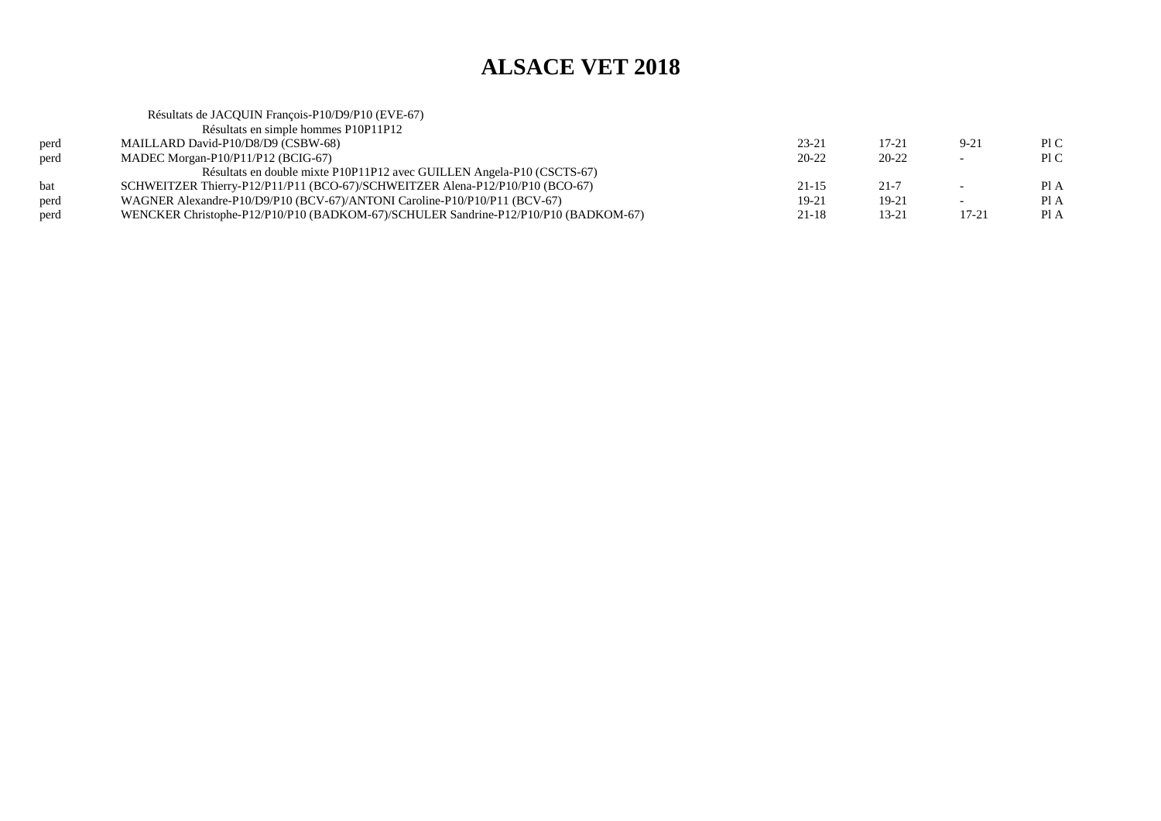|      | Résultats de JACQUIN François-P10/D9/P10 (EVE-67)                                   |           |           |        |      |
|------|-------------------------------------------------------------------------------------|-----------|-----------|--------|------|
|      | Résultats en simple hommes P10P11P12                                                |           |           |        |      |
| perd | MAILLARD David-P10/D8/D9 (CSBW-68)                                                  | $23 - 21$ | $17 - 21$ | $9-21$ | P1C  |
| perd | MADEC Morgan-P $10/P11/P12$ (BCIG-67)                                               | $20 - 22$ | $20 - 22$ |        | PIC  |
|      | Résultats en double mixte P10P11P12 avec GUILLEN Angela-P10 (CSCTS-67)              |           |           |        |      |
| bat  | SCHWEITZER Thierry-P12/P11/P11 (BCO-67)/SCHWEITZER Alena-P12/P10/P10 (BCO-67)       | $21 - 15$ | $21 - 7$  |        | PI A |
| perd | WAGNER Alexandre-P10/D9/P10 (BCV-67)/ANTONI Caroline-P10/P10/P11 (BCV-67)           | $19-21$   | 19-21     |        | PI A |
| perd | WENCKER Christophe-P12/P10/P10 (BADKOM-67)/SCHULER Sandrine-P12/P10/P10 (BADKOM-67) | 21-18     | $13 - 21$ | 17-21  | Pl A |
|      |                                                                                     |           |           |        |      |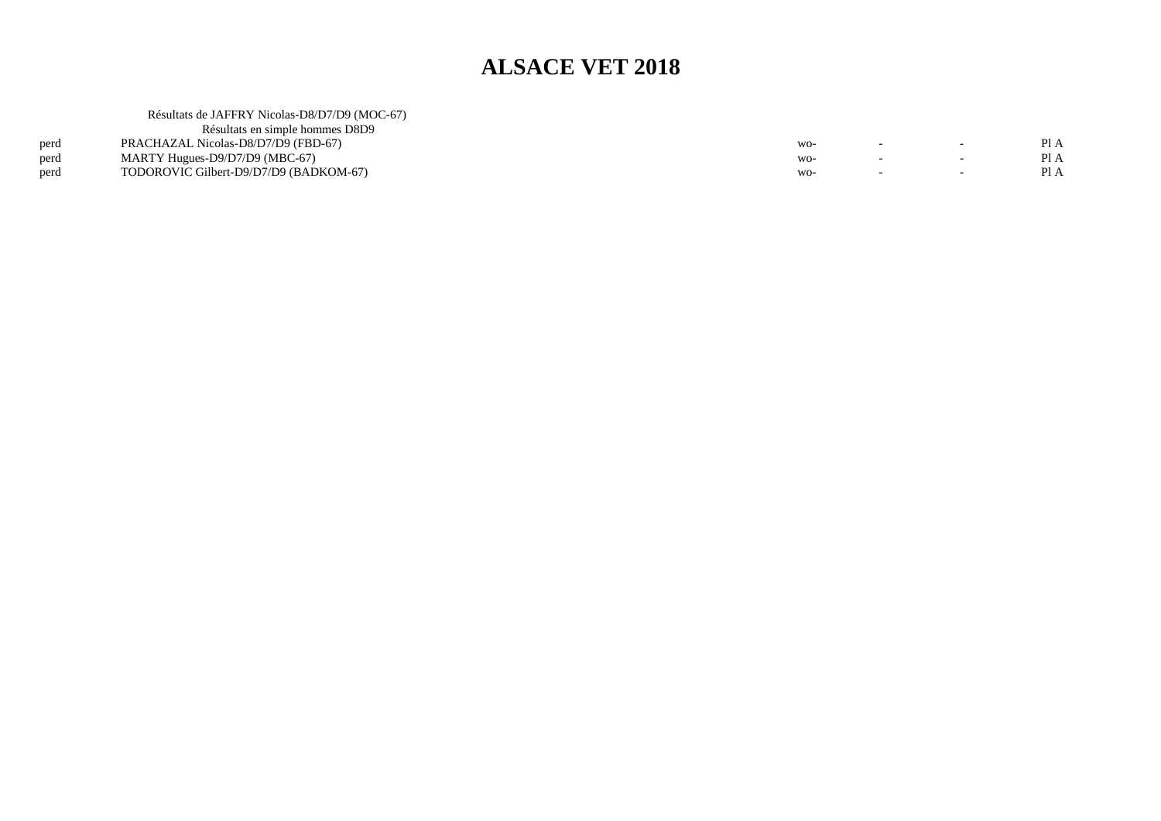| $\overline{\phantom{0}}$ | Pl A |
|--------------------------|------|
| $\overline{\phantom{0}}$ | Pl A |
| $\overline{\phantom{0}}$ | PI A |
|                          |      |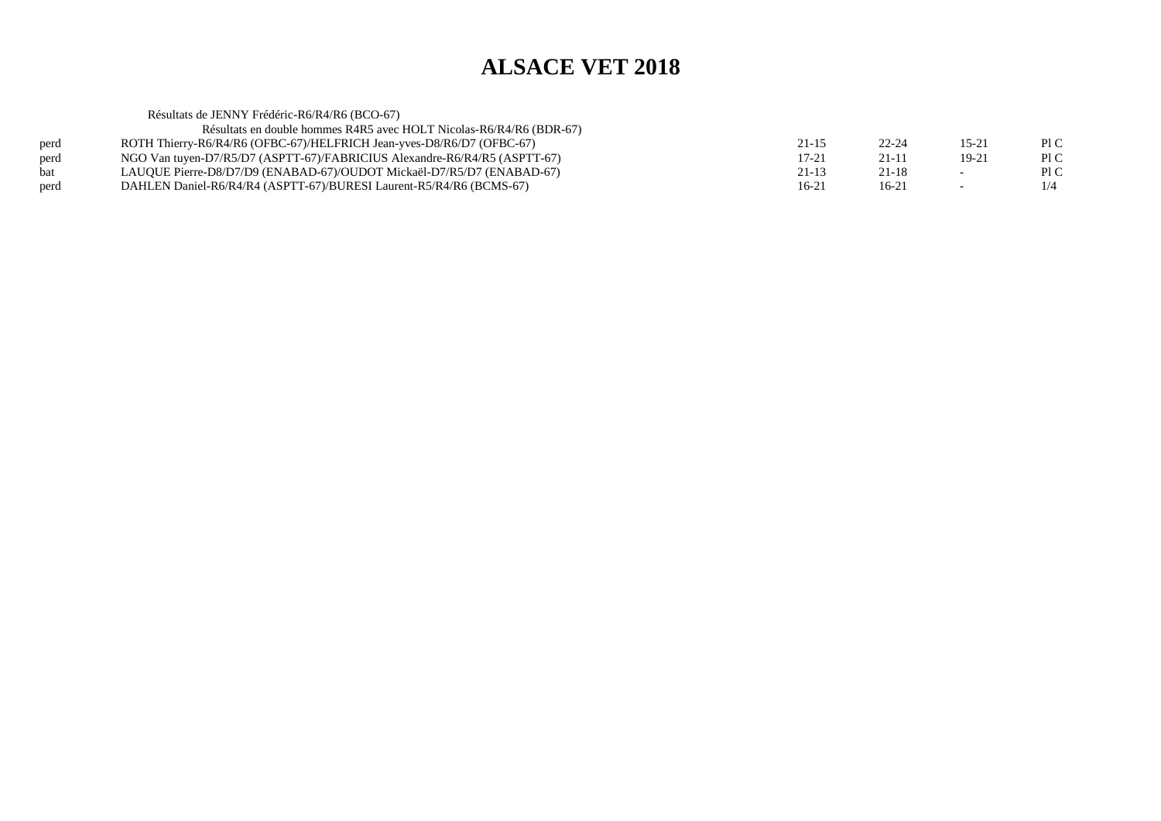Résultats de JENNY Frédéric-R6/R4/R6 (BCO-67) Résultats en double hommes R4R5 avec HOLT Nicolas-R6/R4/R6 (BDR-67)perd ROTH Thierry-R6/R4/R6 (OFBC-67)/HELFRICH Jean-yves-D8/R6/D7 (OFBC-67)<br>perd NGO Van tuyen-D7/R5/D7 (ASPTT-67)/FABRICIUS Alexandre-R6/R4/R5 (ASPTT  $21-15$  22-24 15-21 PIC Pl C perd NGO Van tuyen-D7/R5/D7 (ASPTT-67)/FABRICIUS Alexandre-R6/R4/R5 (ASPTT-67)<br>bat LAUQUE Pierre-D8/D7/D9 (ENABAD-67)/OUDOT Mickaël-D7/R5/D7 (ENABAD-67)  $17-21$  21-11 19-21 PIC  $P1C$ LAUQUE Pierre-D8/D7/D9 (ENABAD-67)/OUDOT Mickaël-D7/R5/D7 (ENABAD-67)  $21-13$   $21-18$   $-$  PIC  $1/4$ perd DAHLEN Daniel-R6/R4/R4 (ASPTT-67)/BURESI Laurent-R5/R4/R6 (BCMS-67) $16-21$  16-21 -  $1/4$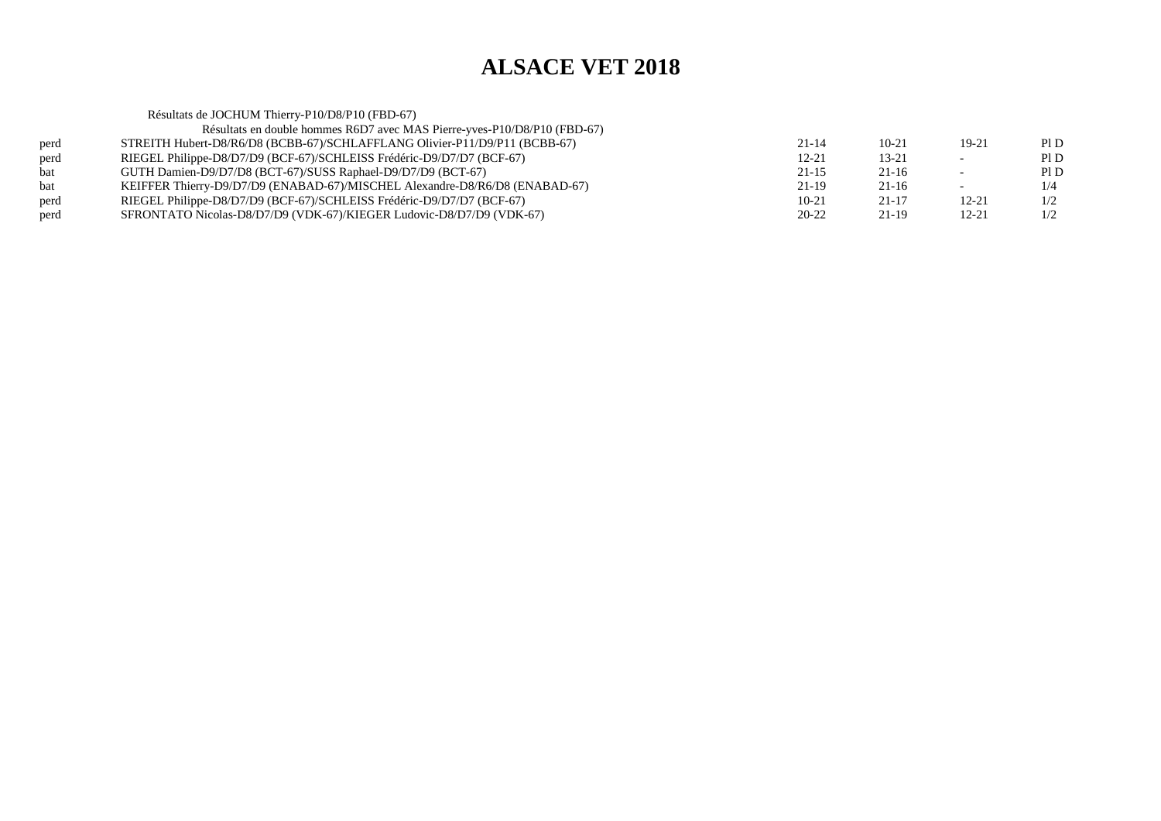Résultats de JOCHUM Thierry-P10/D8/P10 (FBD-67) Résultats en double hommes R6D7 avec MAS Pierre-yves-P10/D8/P10 (FBD-67)perd STREITH Hubert-D8/R6/D8 (BCBB-67)/SCHLAFFLANG Olivier-P11/D9/P11 (BCBB-67) $21-14$  10-21 19-21 PID  $P1D$ perd RIEGEL Philippe-D8/D7/D9 (BCF-67)/SCHLEISS Frédéric-D9/D7/D7 (BCF-67)<br>bat GUTH Damien-D9/D7/D8 (BCT-67)/SUSS Raphael-D9/D7/D9 (BCT-67)  $12-21$  13-21 - PID  $PID$ bat GUTH Damien-D9/D7/D8 (BCT-67)/SUSS Raphael-D9/D7/D9 (BCT-67) $21-15$  21-16 - PID  $1/4$ bat KEIFFER Thierry-D9/D7/D9 (ENABAD-67)/MISCHEL Alexandre-D8/R6/D8 (ENABAD-67) $21-19$  21-16 - 1/4  $1/2$ perd RIEGEL Philippe-D8/D7/D9 (BCF-67)/SCHLEISS Frédéric-D9/D7/D7 (BCF-67) $10-21$   $21-17$   $12-21$   $1/2$  $1/2$ perd SFRONTATO Nicolas-D8/D7/D9 (VDK-67)/KIEGER Ludovic-D8/D7/D9 (VDK-67) $20-22$  21-19 12-21 1/2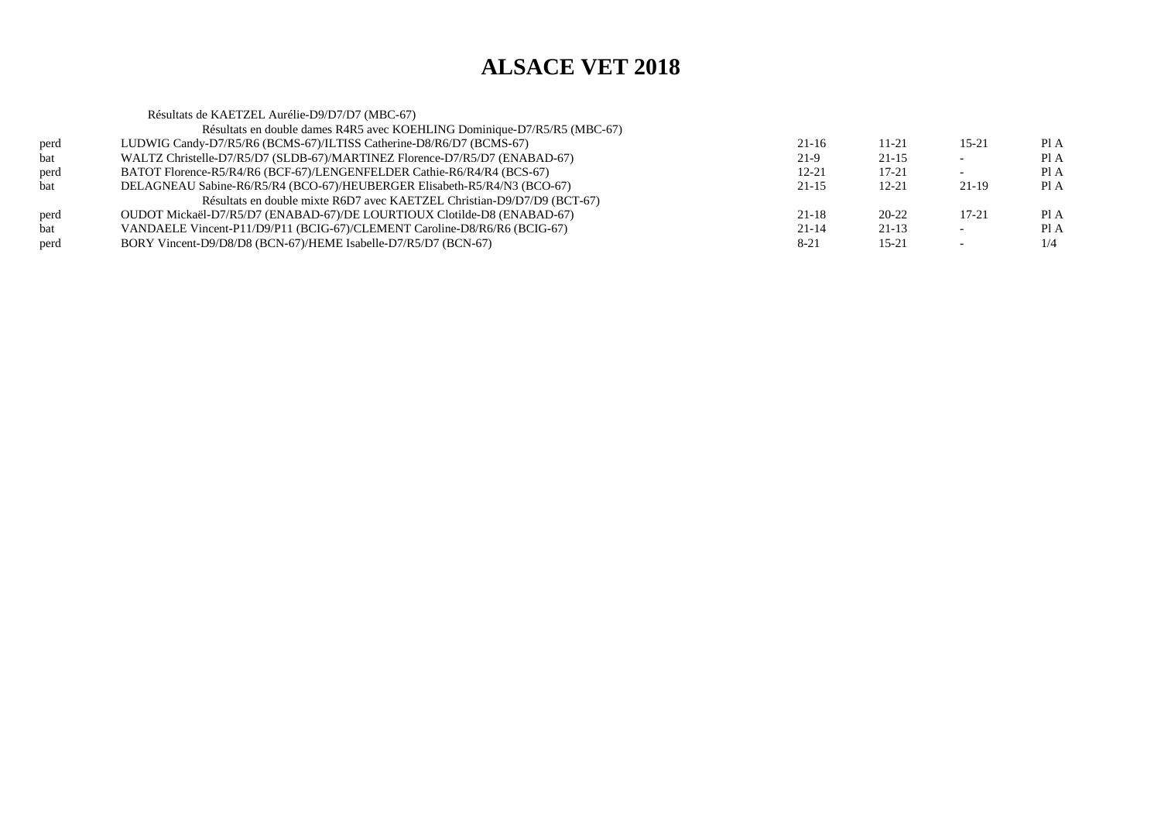Résultats de KAETZEL Aurélie-D9/D7/D7 (MBC-67) Résultats en double dames R4R5 avec KOEHLING Dominique-D7/R5/R5 (MBC-67)perd LUDWIG Candy-D7/R5/R6 (BCMS-67)/ILTISS Catherine-D8/R6/D7 (BCMS-67) $21-16$  11-21 15-21 PIA Pl A bat WALTZ Christelle-D7/R5/D7 (SLDB-67)/MARTINEZ Florence-D7/R5/D7 (ENABAD-67) $21-9$  21-15 - PIA  $PIA$ perd BATOT Florence-R5/R4/R6 (BCF-67)/LENGENFELDER Cathie-R6/R4/R4 (BCS-67) $12-21$   $17-21$   $-$  PIA  $PIA$ bat DELAGNEAU Sabine-R6/R5/R4 (BCO-67)/HEUBERGER Elisabeth-R5/R4/N3 (BCO-67) $21-15$  12-21 21-19 PIA Résultats en double mixte R6D7 avec KAETZEL Christian-D9/D7/D9 (BCT-67)perd OUDOT Mickaël-D7/R5/D7 (ENABAD-67)/DE LOURTIOUX Clotilde-D8 (ENABAD-67)<br>
VANDAELE Vincent-P11/D9/P11 (BCIG-67)/CLEMENT Caroline-D8/R6/R6 (BCIG-67)  $21-18$  20-22 17-21 PIA  $PIA$ VANDAELE Vincent-P11/D9/P11 (BCIG-67)/CLEMENT Caroline-D8/R6/R6 (BCIG-67)  $21-14$   $21-13$   $-$  PIA  $1/4$ perd BORY Vincent-D9/D8/D8 (BCN-67)/HEME Isabelle-D7/R5/D7 (BCN-67) $8-21$  15-21 -  $1/4$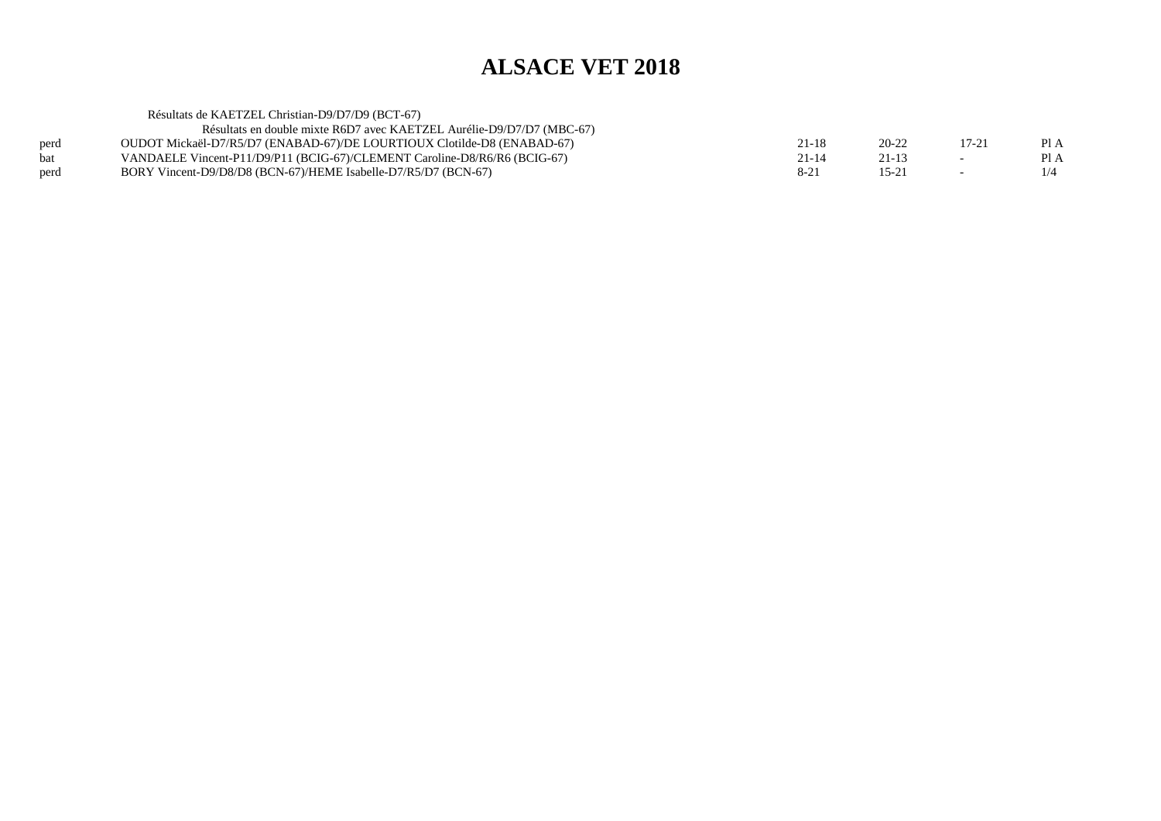|      | Résultats de KAETZEL Christian-D9/D7/D9 (BCT-67)                          |           |           |                          |      |
|------|---------------------------------------------------------------------------|-----------|-----------|--------------------------|------|
|      | Résultats en double mixte R6D7 avec KAETZEL Aurélie-D9/D7/D7 (MBC-67)     |           |           |                          |      |
| perd | OUDOT Mickaël-D7/R5/D7 (ENABAD-67)/DE LOURTIOUX Clotilde-D8 (ENABAD-67)   | $21 - 18$ | 20-22     | 17-21                    | Pl A |
| bat  | VANDAELE Vincent-P11/D9/P11 (BCIG-67)/CLEMENT Caroline-D8/R6/R6 (BCIG-67) | $21 - 14$ | $21 - 13$ | $\overline{\phantom{0}}$ | Pl A |
| perd | BORY Vincent-D9/D8/D8 (BCN-67)/HEME Isabelle-D7/R5/D7 (BCN-67)            | $8 - 21$  | 15-2      | $\overline{\phantom{0}}$ | 1/4  |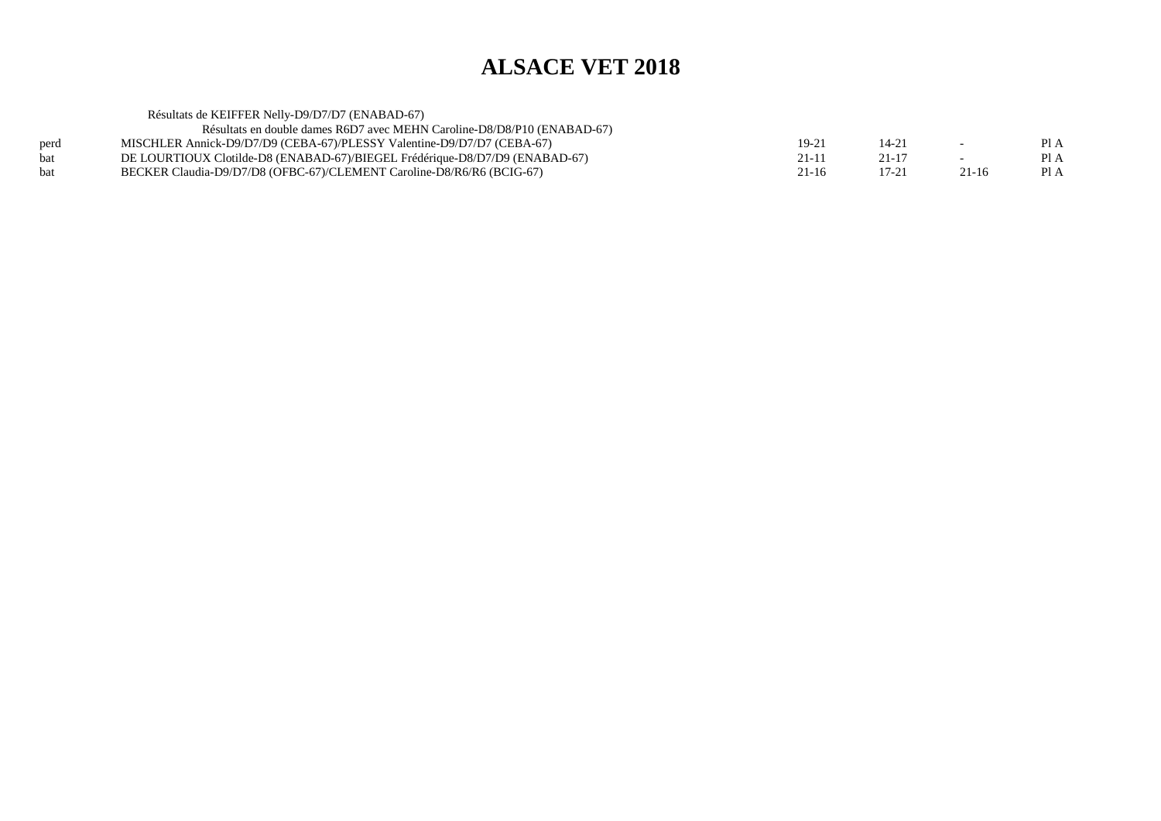|            | Résultats de KEIFFER Nelly-D9/D7/D7 (ENABAD-67)                             |                |           |           |      |
|------------|-----------------------------------------------------------------------------|----------------|-----------|-----------|------|
|            | Résultats en double dames R6D7 avec MEHN Caroline-D8/D8/P10 (ENABAD-67)     |                |           |           |      |
| perd       | MISCHLER Annick-D9/D7/D9 (CEBA-67)/PLESSY Valentine-D9/D7/D7 (CEBA-67)      | $19-2^{\circ}$ | $14 - 21$ |           | Pl A |
| bat        | DE LOURTIOUX Clotilde-D8 (ENABAD-67)/BIEGEL Frédérique-D8/D7/D9 (ENABAD-67) | $21 - 11$      | $21 - 17$ |           | PI A |
| <b>bat</b> | BECKER Claudia-D9/D7/D8 (OFBC-67)/CLEMENT Caroline-D8/R6/R6 (BCIG-67)       | 21-16          | $17 - 21$ | $21 - 16$ | Pl A |
|            |                                                                             |                |           |           |      |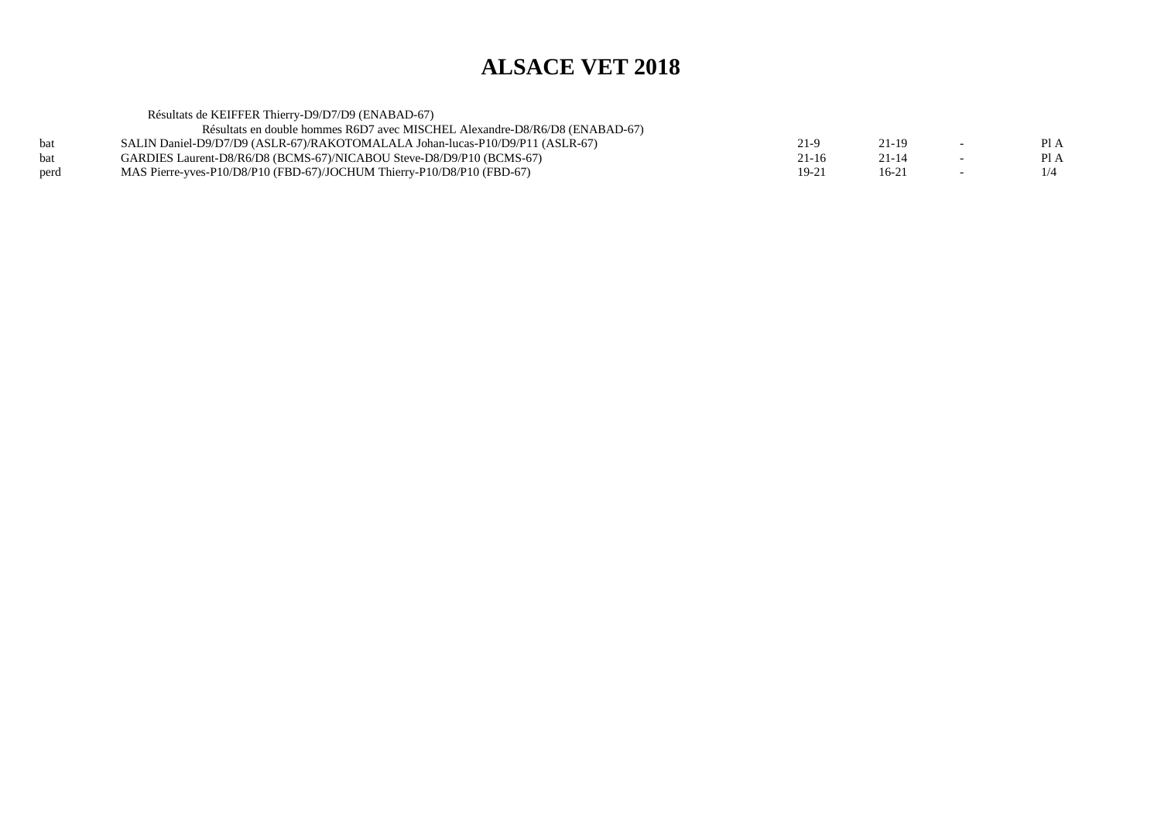|      | Résultats de KEIFFER Thierry-D9/D7/D9 (ENABAD-67)                             |           |           |                          |      |
|------|-------------------------------------------------------------------------------|-----------|-----------|--------------------------|------|
|      | Résultats en double hommes R6D7 avec MISCHEL Alexandre-D8/R6/D8 (ENABAD-67)   |           |           |                          |      |
| bat  | SALIN Daniel-D9/D7/D9 (ASLR-67)/RAKOTOMALALA Johan-lucas-P10/D9/P11 (ASLR-67) | 21-9      | 21-19     | $\overline{\phantom{0}}$ | PIA  |
| bat  | GARDIES Laurent-D8/R6/D8 (BCMS-67)/NICABOU Steve-D8/D9/P10 (BCMS-67)          | $21 - 16$ | $21 - 14$ | $\sim$                   | PI A |
| perd | MAS Pierre-yves-P10/D8/P10 (FBD-67)/JOCHUM Thierry-P10/D8/P10 (FBD-67)        | $19 - 21$ | $16-21$   | $\overline{\phantom{0}}$ | 1/4  |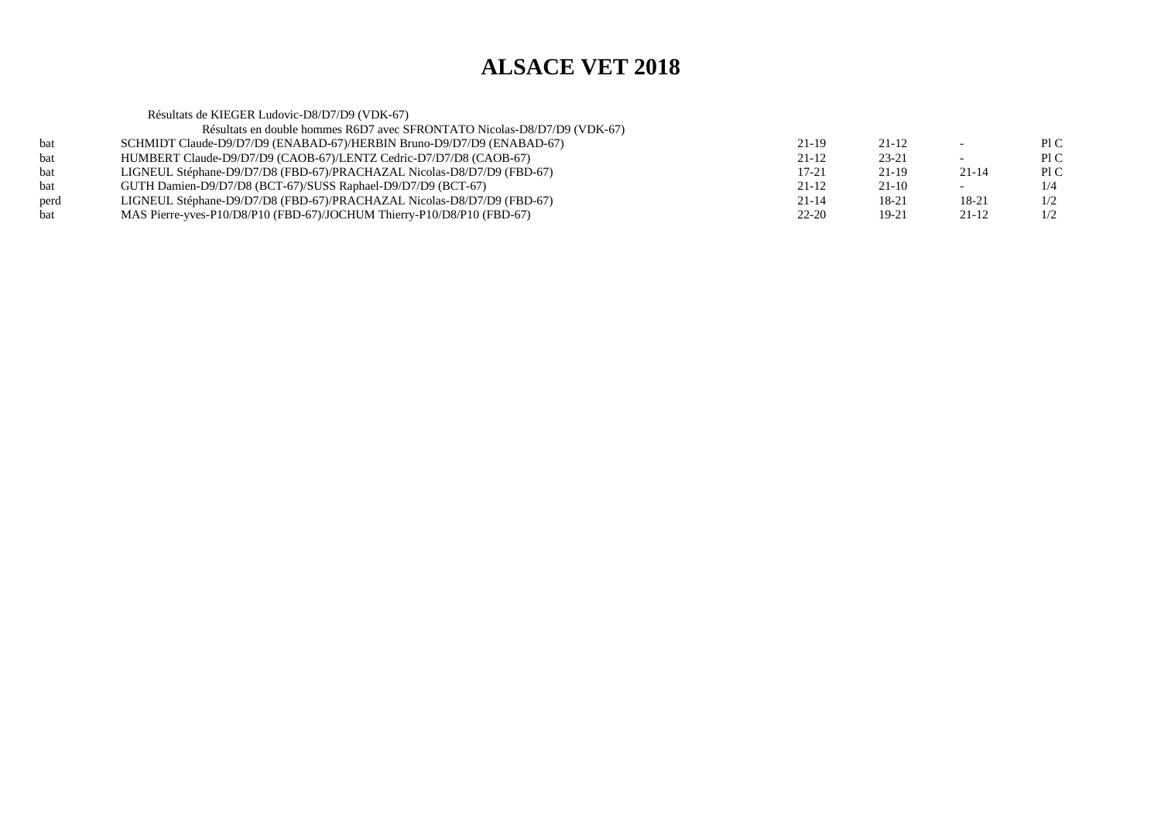|      | Résultats de KIEGER Ludovic-D8/D7/D9 (VDK-67)                            |           |         |                          |      |
|------|--------------------------------------------------------------------------|-----------|---------|--------------------------|------|
|      | Résultats en double hommes R6D7 avec SFRONTATO Nicolas-D8/D7/D9 (VDK-67) |           |         |                          |      |
| bat  | SCHMIDT Claude-D9/D7/D9 (ENABAD-67)/HERBIN Bruno-D9/D7/D9 (ENABAD-67)    | 21-19     | 21-12   |                          | P1C  |
| bat  | HUMBERT Claude-D9/D7/D9 (CAOB-67)/LENTZ Cedric-D7/D7/D8 (CAOB-67)        | $21-12$   | 23-21   | $\overline{\phantom{0}}$ | P1C  |
| bat  | LIGNEUL Stéphane-D9/D7/D8 (FBD-67)/PRACHAZAL Nicolas-D8/D7/D9 (FBD-67)   | $17 - 21$ | 21-19   | $21 - 14$                | Pl C |
| bat  | GUTH Damien-D9/D7/D8 (BCT-67)/SUSS Raphael-D9/D7/D9 (BCT-67)             | $21 - 12$ | $21-10$ | $\sim$                   | 1/4  |
| perd | LIGNEUL Stéphane-D9/D7/D8 (FBD-67)/PRACHAZAL Nicolas-D8/D7/D9 (FBD-67)   | $21 - 14$ | 18-21   | 18-21                    | 1/2  |
| bat  | MAS Pierre-yves-P10/D8/P10 (FBD-67)/JOCHUM Thierry-P10/D8/P10 (FBD-67)   | $22 - 20$ | 19-21   | 21-12                    | 1/2  |
|      |                                                                          |           |         |                          |      |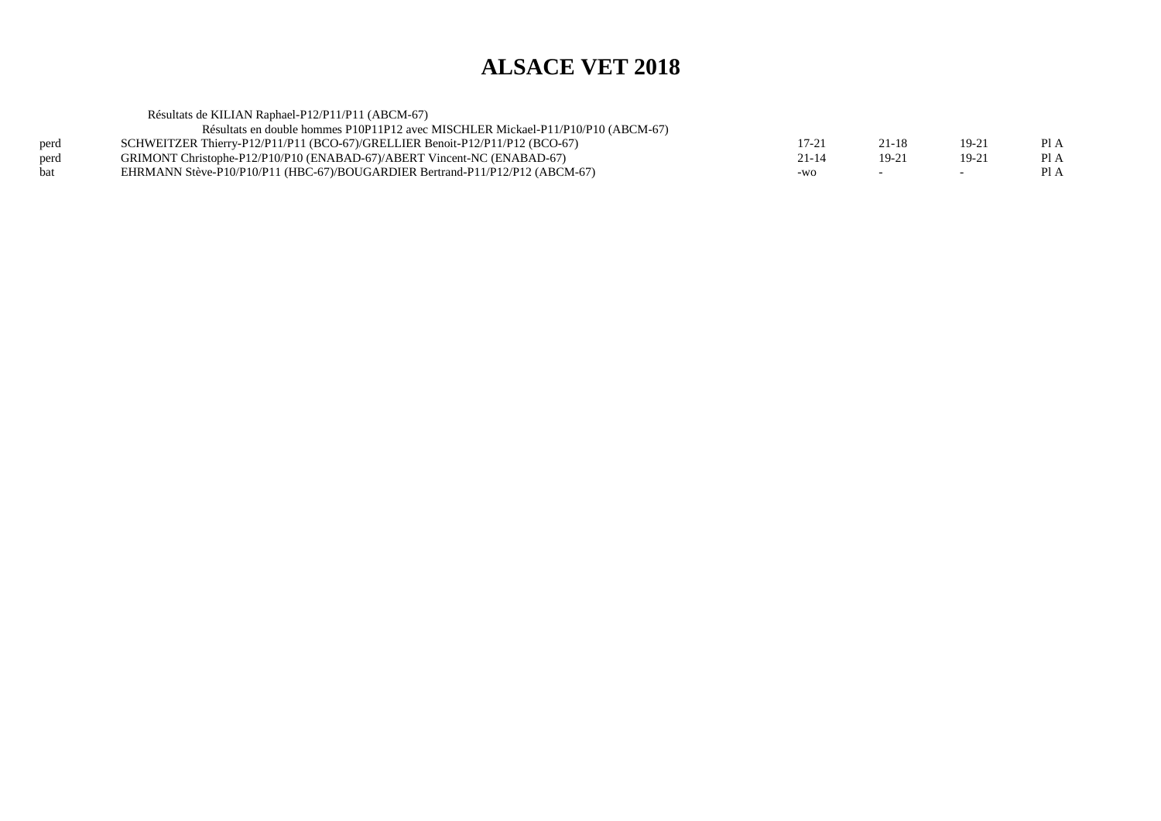|      | Résultats de KILIAN Raphael-P12/P11/P11 (ABCM-67)                                |           |         |           |      |
|------|----------------------------------------------------------------------------------|-----------|---------|-----------|------|
|      | Résultats en double hommes P10P11P12 avec MISCHLER Mickael-P11/P10/P10 (ABCM-67) |           |         |           |      |
| perd | SCHWEITZER Thierry-P12/P11/P11 (BCO-67)/GRELLIER Benoit-P12/P11/P12 (BCO-67)     | $17 - 21$ | 21-18   | $19 - 21$ | PI A |
| perd | GRIMONT Christophe-P12/P10/P10 (ENABAD-67)/ABERT Vincent-NC (ENABAD-67)          | $21 - 14$ | $19-21$ | $19 - 21$ | Pl A |
| bat  | EHRMANN Stève-P10/P10/P11 (HBC-67)/BOUGARDIER Bertrand-P11/P12/P12 (ABCM-67)     | $-WO$     |         |           | PI A |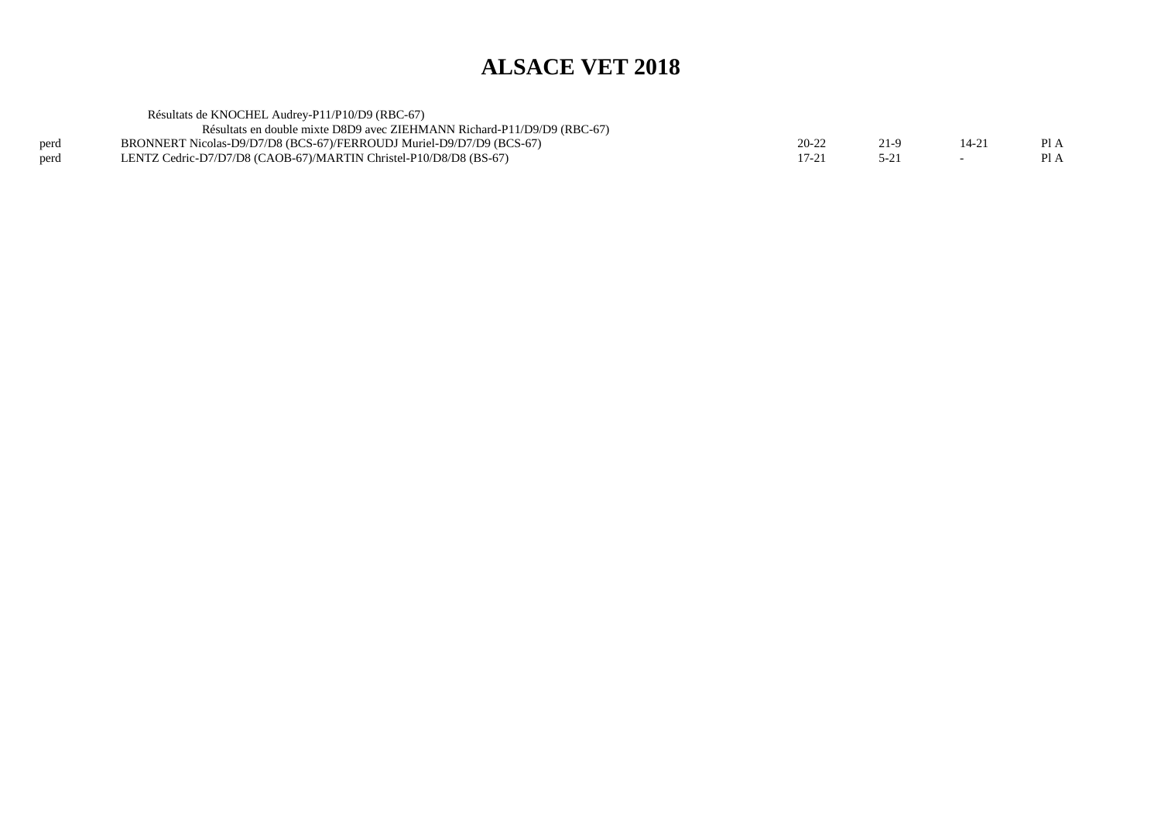|      | Résultats de KNOCHEL Audrey-P11/P10/D9 (RBC-67)                         |           |                |      |
|------|-------------------------------------------------------------------------|-----------|----------------|------|
|      | Résultats en double mixte D8D9 avec ZIEHMANN Richard-P11/D9/D9 (RBC-67) |           |                |      |
| perd | BRONNERT Nicolas-D9/D7/D8 (BCS-67)/FERROUDJ Muriel-D9/D7/D9 (BCS-67)    | $20 - 22$ | $14-2^{\circ}$ | Pl A |
| perd | LENTZ Cedric-D7/D7/D8 (CAOB-67)/MARTIN Christel-P10/D8/D8 (BS-67)       | 17-21     |                |      |
|      |                                                                         |           |                |      |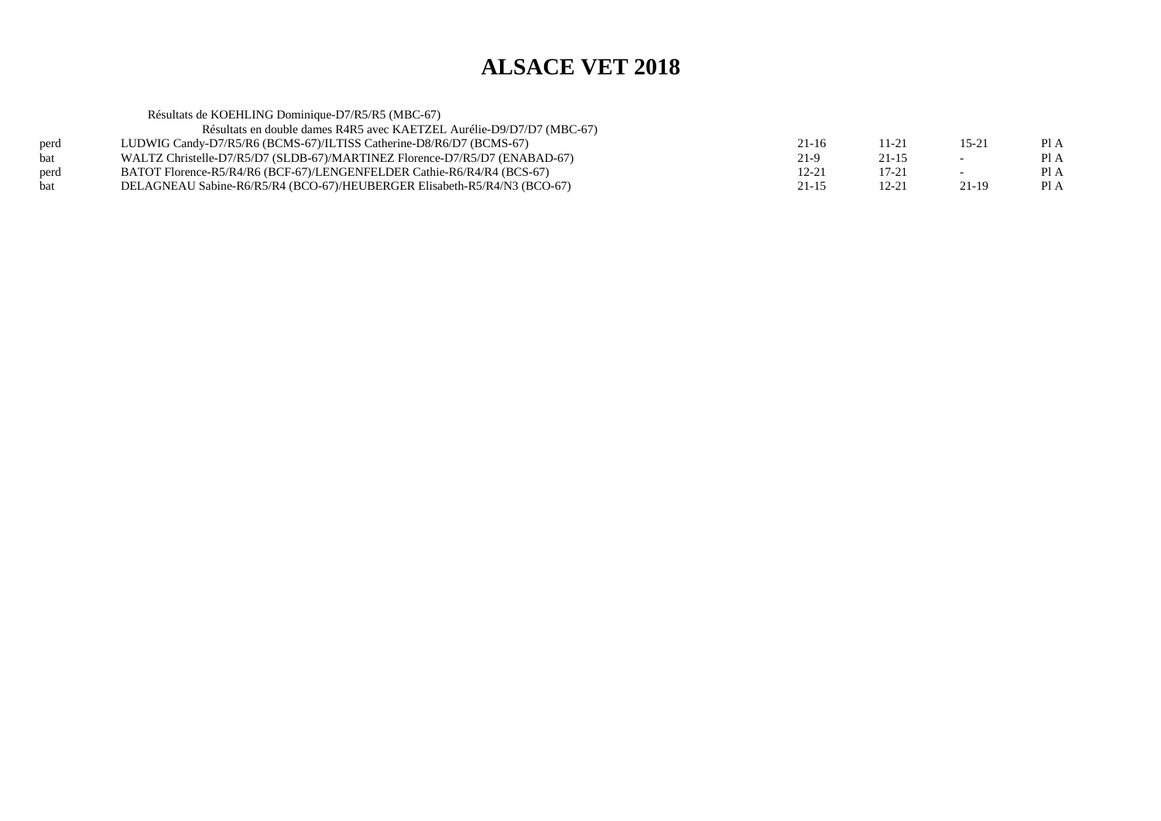|      | Résultats de KOEHLING Dominique-D7/R5/R5 (MBC-67)                          |           |           |                          |      |
|------|----------------------------------------------------------------------------|-----------|-----------|--------------------------|------|
|      | Résultats en double dames R4R5 avec KAETZEL Aurélie-D9/D7/D7 (MBC-67)      |           |           |                          |      |
| perd | LUDWIG Candy-D7/R5/R6 (BCMS-67)/ILTISS Catherine-D8/R6/D7 (BCMS-67)        | $21-16$   | 11-21     | $15-21$                  | Pl A |
| bat  | WALTZ Christelle-D7/R5/D7 (SLDB-67)/MARTINEZ Florence-D7/R5/D7 (ENABAD-67) | $21-9$    | $21 - 15$ | $\overline{\phantom{a}}$ | Pl A |
| perd | BATOT Florence-R5/R4/R6 (BCF-67)/LENGENFELDER Cathie-R6/R4/R4 (BCS-67)     | 12-21     | $17 - 21$ |                          | Pl A |
| bat  | DELAGNEAU Sabine-R6/R5/R4 (BCO-67)/HEUBERGER Elisabeth-R5/R4/N3 (BCO-67)   | $21 - 15$ | $12 - 21$ | 21-19                    | Pl A |
|      |                                                                            |           |           |                          |      |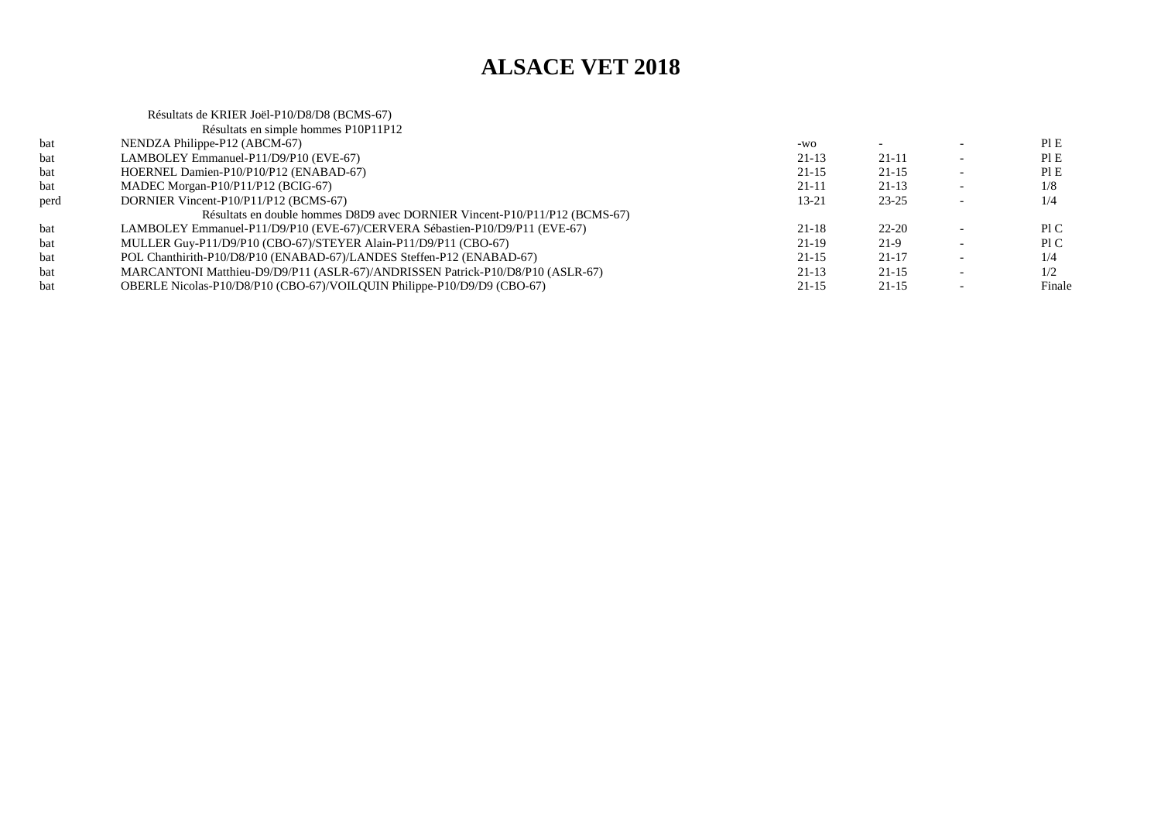Résultats de KRIER Joël-P10/D8/D8 (BCMS-67) Résultats en simple hommes P10P11P12

|      | Résultats en simple hommes PIOPIIPI2                                           |           |           |        |
|------|--------------------------------------------------------------------------------|-----------|-----------|--------|
| bat  | NENDZA Philippe-P12 (ABCM-67)                                                  | $-WO$     |           | PI E   |
| bat  | LAMBOLEY Emmanuel-P11/D9/P10 (EVE-67)                                          | $21-13$   | $21 - 11$ | PIE    |
| bat  | HOERNEL Damien-P10/P10/P12 (ENABAD-67)                                         | $21 - 15$ | $21 - 15$ | PIE    |
| bat  | MADEC Morgan-P $10/P11/P12$ (BCIG-67)                                          | 21-11     | $21-13$   | 1/8    |
| perd | DORNIER Vincent-P10/P11/P12 (BCMS-67)                                          | $13 - 21$ | $23 - 25$ | 1/4    |
|      | Résultats en double hommes D8D9 avec DORNIER Vincent-P10/P11/P12 (BCMS-67)     |           |           |        |
| bat  | LAMBOLEY Emmanuel-P11/D9/P10 (EVE-67)/CERVERA Sébastien-P10/D9/P11 (EVE-67)    | $21 - 18$ | $22 - 20$ | P1C    |
| bat  | MULLER Guy-P11/D9/P10 (CBO-67)/STEYER Alain-P11/D9/P11 (CBO-67)                | $21-19$   | 21-9      | PIC    |
| bat  | POL Chanthirith-P10/D8/P10 (ENABAD-67)/LANDES Steffen-P12 (ENABAD-67)          | $21 - 15$ | $21 - 17$ | 1/4    |
| bat  | MARCANTONI Matthieu-D9/D9/P11 (ASLR-67)/ANDRISSEN Patrick-P10/D8/P10 (ASLR-67) | $21-13$   | $21 - 15$ | 1/2    |
| bat  | OBERLE Nicolas-P10/D8/P10 (CBO-67)/VOILOUIN Philippe-P10/D9/D9 (CBO-67)        | $21 - 15$ | $21 - 15$ | Finale |
|      |                                                                                |           |           |        |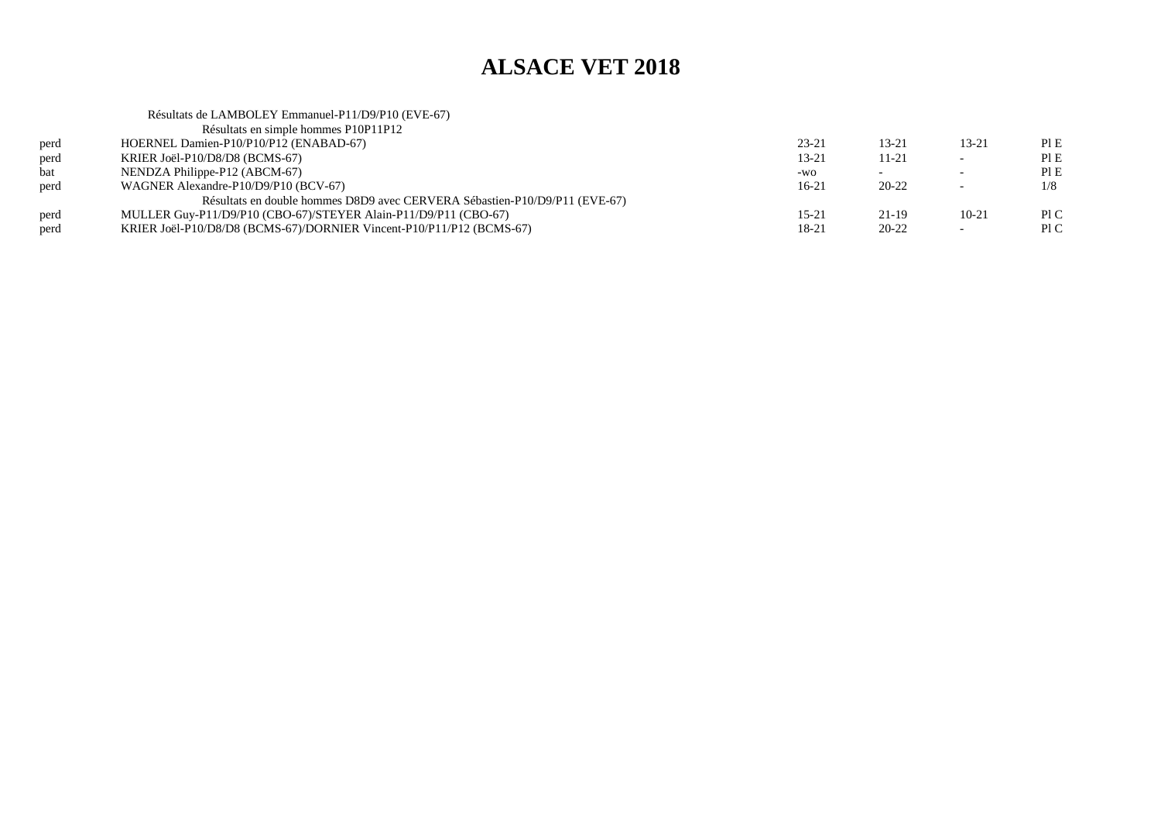#### Résultats de LAMBOLEY Emmanuel-P11/D9/P10 (EVE-67)Résultats en simple hommes P10P11P12perd HOERNEL Damien-P10/P10/P12 (ENABAD-67)<br>
RRIER Joël-P10/D8/D8 (BCMS-67)  $23-21$  13-21 13-21 PIE  $PIE$ perd KRIER Joël-P10/D8/D8 (BCMS-67)<br>bat NENDZA Philippe-P12 (ABCM-67)  $13-21$  11-21 - PIE  $PIE$ NENDZA Philippe-P12 (ABCM-67)  $-w_0$  - - Pl E  $1/8$ perd WAGNER Alexandre-P10/D9/P10 (BCV-67) $16-21$   $20-22$   $-1/8$ Résultats en double hommes D8D9 avec CERVERA Sébastien-P10/D9/P11 (EVE-67)perd MULLER Guy-P11/D9/P10 (CBO-67)/STEYER Alain-P11/D9/P11 (CBO-67)<br>KRIER Joël-P10/D8/D8 (BCMS-67)/DORNIER Vincent-P10/P11/P12 (BCMS 15-21 21-19 10-21 PIC  $P<sub>1</sub>C$ perd KRIER Joël-P10/D8/D8 (BCMS-67)/DORNIER Vincent-P10/P11/P12 (BCMS-67) $18-21$  20-22 - PIC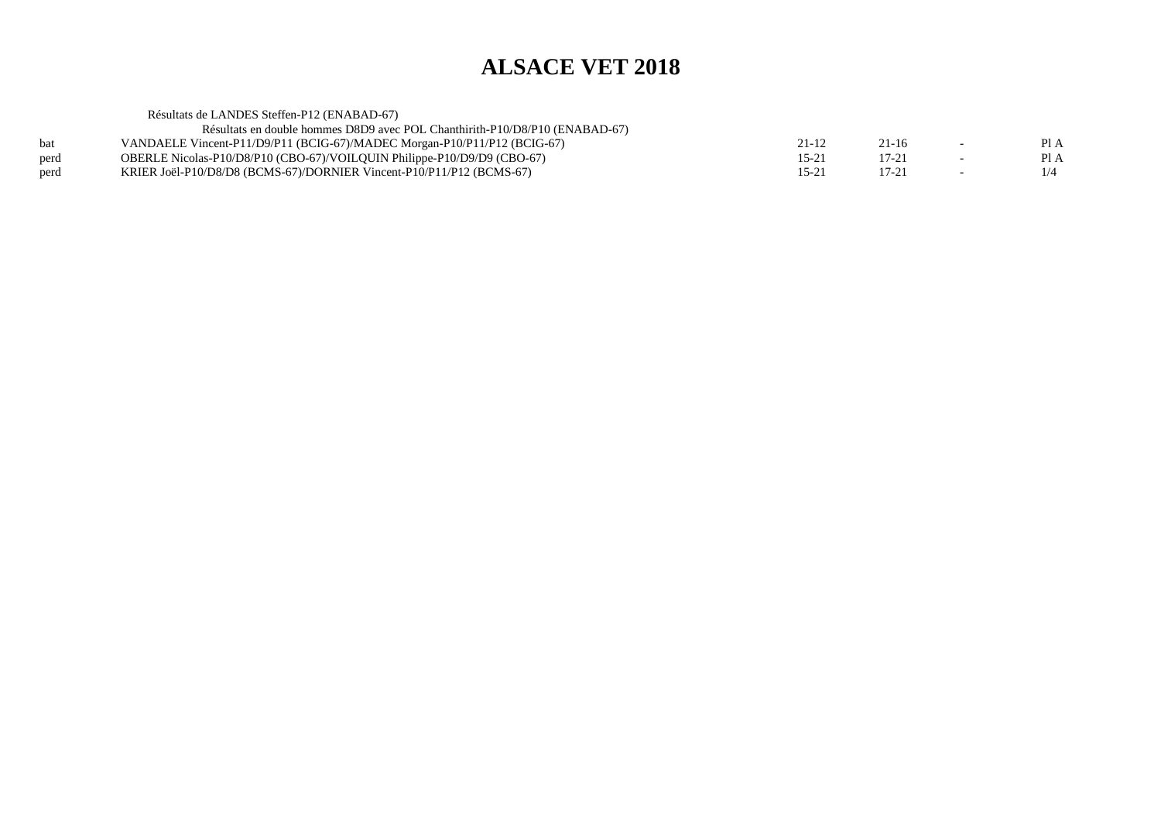Résultats de LANDES Steffen-P12 (ENABAD-67) Résultats en double hommes D8D9 avec POL Chanthirith-P10/D8/P10 (ENABAD-67)bat VANDAELE Vincent-P11/D9/P11 (BCIG-67)/MADEC Morgan-P10/P11/P12 (BCIG-67)<br>OBERLE Nicolas-P10/D8/P10 (CBO-67)/VOILQUIN Philippe-P10/D9/D9 (CBO-67)  $21-12$   $21-16$   $-$  PIA  $PIA$ perd OBERLE Nicolas-P10/D8/P10 (CBO-67)/VOILQUIN Philippe-P10/D9/D9 (CBO-67) $15-21$  17-21 - PIA  $1/4$ perd KRIER Joël-P10/D8/D8 (BCMS-67)/DORNIER Vincent-P10/P11/P12 (BCMS-67) $15-21$  17-21 -  $1/4$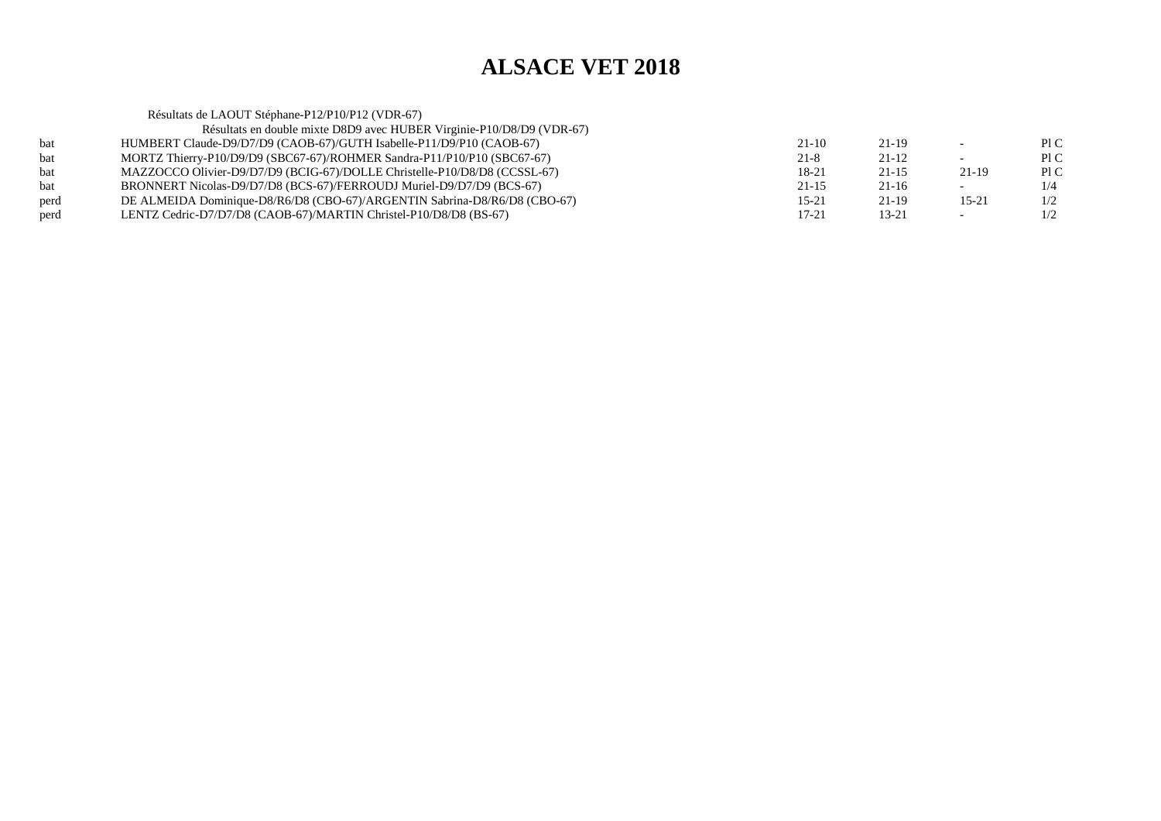|      | Résultats de LAOUT Stéphane-P12/P10/P12 (VDR-67)                          |           |           |                          |     |
|------|---------------------------------------------------------------------------|-----------|-----------|--------------------------|-----|
|      | Résultats en double mixte D8D9 avec HUBER Virginie-P10/D8/D9 (VDR-67)     |           |           |                          |     |
| bat  | HUMBERT Claude-D9/D7/D9 (CAOB-67)/GUTH Isabelle-P11/D9/P10 (CAOB-67)      | $21-10$   | 21-19     |                          | P1C |
| bat  | MORTZ Thierry-P10/D9/D9 (SBC67-67)/ROHMER Sandra-P11/P10/P10 (SBC67-67)   | $21 - 8$  | 21-12     |                          | P1C |
| bat  | MAZZOCCO Olivier-D9/D7/D9 (BCIG-67)/DOLLE Christelle-P10/D8/D8 (CCSSL-67) | 18-21     | $21 - 15$ | 21-19                    | P1C |
| bat  | BRONNERT Nicolas-D9/D7/D8 (BCS-67)/FERROUDJ Muriel-D9/D7/D9 (BCS-67)      | $21 - 15$ | 21-16     | $\overline{\phantom{0}}$ | 1/4 |
| perd | DE ALMEIDA Dominique-D8/R6/D8 (CBO-67)/ARGENTIN Sabrina-D8/R6/D8 (CBO-67) | $15 - 21$ | 21-19     | 15-21                    | 1/2 |
| perd | LENTZ Cedric-D7/D7/D8 (CAOB-67)/MARTIN Christel-P10/D8/D8 (BS-67)         | $17 - 21$ | $13 - 21$ |                          | 1/2 |
|      |                                                                           |           |           |                          |     |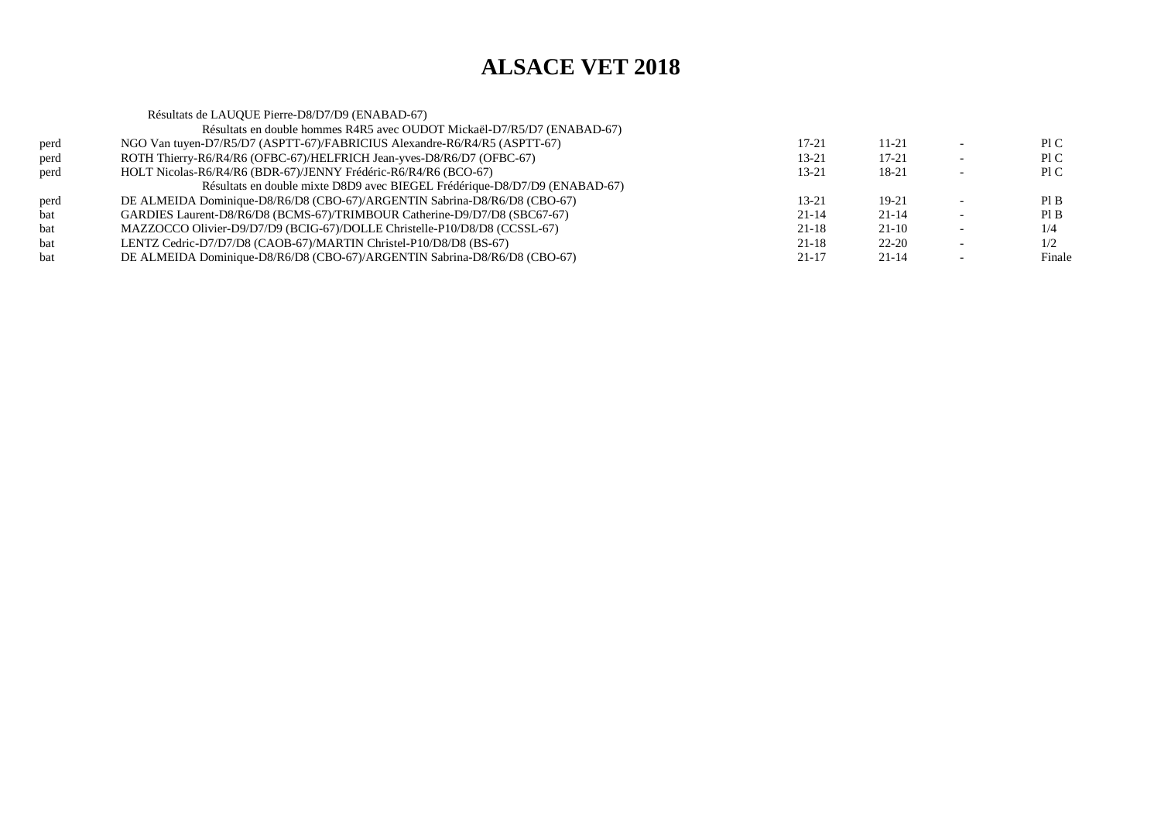| Résultats de LAUQUE Pierre-D8/D7/D9 (ENABAD-67)                            |           |           |        |
|----------------------------------------------------------------------------|-----------|-----------|--------|
| Résultats en double hommes R4R5 avec OUDOT Mickaël-D7/R5/D7 (ENABAD-67)    |           |           |        |
| NGO Van tuyen-D7/R5/D7 (ASPTT-67)/FABRICIUS Alexandre-R6/R4/R5 (ASPTT-67)  | 17-21     | $11 - 21$ | P1C    |
| ROTH Thierry-R6/R4/R6 (OFBC-67)/HELFRICH Jean-yves-D8/R6/D7 (OFBC-67)      | 13-21     | 17-21     | P1C    |
| HOLT Nicolas-R6/R4/R6 (BDR-67)/JENNY Frédéric-R6/R4/R6 (BCO-67)            | 13-21     | 18-21     | P1C    |
| Résultats en double mixte D8D9 avec BIEGEL Frédérique-D8/D7/D9 (ENABAD-67) |           |           |        |
| DE ALMEIDA Dominique-D8/R6/D8 (CBO-67)/ARGENTIN Sabrina-D8/R6/D8 (CBO-67)  | $13 - 21$ | $19-21$   | PI B   |
| GARDIES Laurent-D8/R6/D8 (BCMS-67)/TRIMBOUR Catherine-D9/D7/D8 (SBC67-67)  | $21 - 14$ | $21 - 14$ | PI B   |
| MAZZOCCO Olivier-D9/D7/D9 (BCIG-67)/DOLLE Christelle-P10/D8/D8 (CCSSL-67)  | $21 - 18$ | $21-10$   | 1/4    |
| LENTZ Cedric-D7/D7/D8 (CAOB-67)/MARTIN Christel-P10/D8/D8 (BS-67)          | $21 - 18$ | $22 - 20$ | 1/2    |
| DE ALMEIDA Dominique-D8/R6/D8 (CBO-67)/ARGENTIN Sabrina-D8/R6/D8 (CBO-67)  | $21 - 17$ | $21 - 14$ | Finale |
|                                                                            |           |           |        |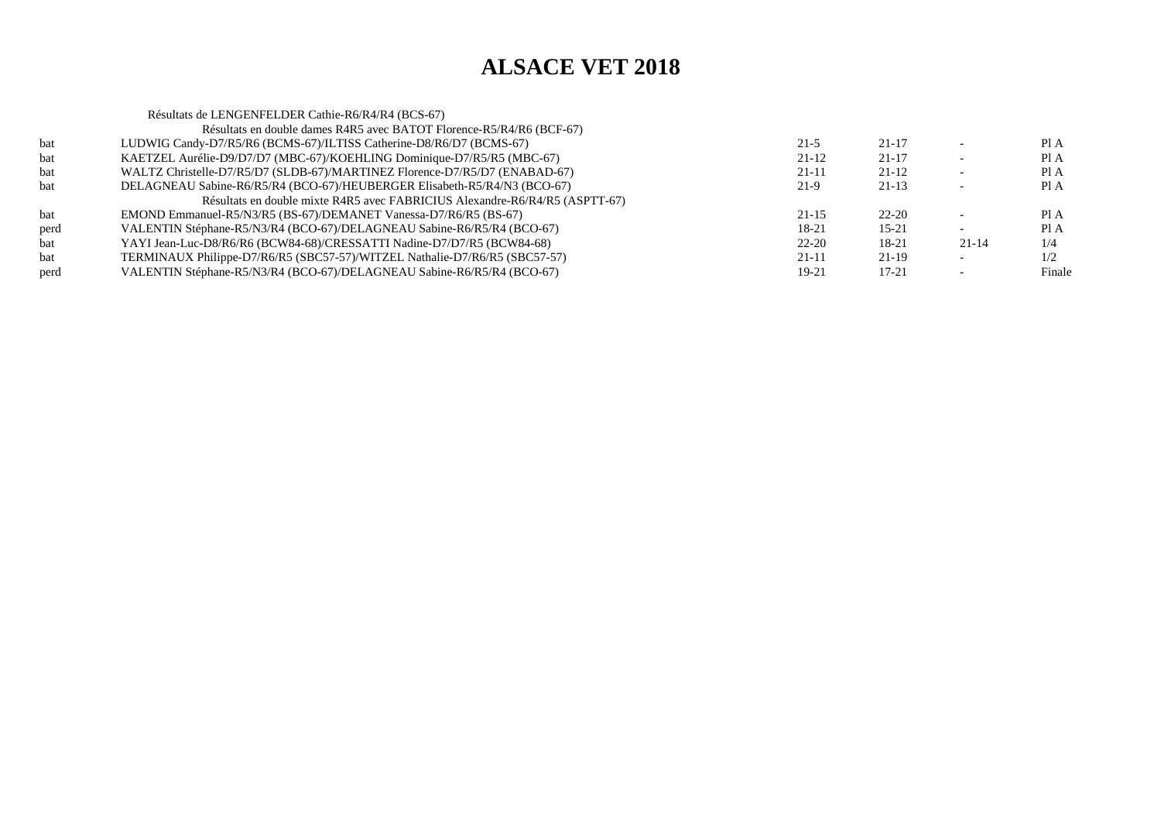|      | Résultats de LENGENFELDER Cathie-R6/R4/R4 (BCS-67)                          |           |           |           |        |
|------|-----------------------------------------------------------------------------|-----------|-----------|-----------|--------|
|      | Résultats en double dames R4R5 avec BATOT Florence-R5/R4/R6 (BCF-67)        |           |           |           |        |
| bat  | LUDWIG Candy-D7/R5/R6 (BCMS-67)/ILTISS Catherine-D8/R6/D7 (BCMS-67)         | $21-5$    | $21 - 17$ |           | PI A   |
| bat  | KAETZEL Aurélie-D9/D7/D7 (MBC-67)/KOEHLING Dominique-D7/R5/R5 (MBC-67)      | 21-12     | $21 - 17$ |           | Pl A   |
| bat  | WALTZ Christelle-D7/R5/D7 (SLDB-67)/MARTINEZ Florence-D7/R5/D7 (ENABAD-67)  | $21 - 11$ | $21 - 12$ |           | Pl A   |
| bat  | DELAGNEAU Sabine-R6/R5/R4 (BCO-67)/HEUBERGER Elisabeth-R5/R4/N3 (BCO-67)    | $21-9$    | $21 - 13$ |           | Pl A   |
|      | Résultats en double mixte R4R5 avec FABRICIUS Alexandre-R6/R4/R5 (ASPTT-67) |           |           |           |        |
| bat  | EMOND Emmanuel-R5/N3/R5 (BS-67)/DEMANET Vanessa-D7/R6/R5 (BS-67)            | $21 - 15$ | $22 - 20$ |           | PI A   |
| perd | VALENTIN Stéphane-R5/N3/R4 (BCO-67)/DELAGNEAU Sabine-R6/R5/R4 (BCO-67)      | $18-21$   | $15 - 21$ |           | Pl A   |
| bat  | YAYI Jean-Luc-D8/R6/R6 (BCW84-68)/CRESSATTI Nadine-D7/D7/R5 (BCW84-68)      | $22 - 20$ | 18-21     | $21 - 14$ | 1/4    |
| bat  | TERMINAUX Philippe-D7/R6/R5 (SBC57-57)/WITZEL Nathalie-D7/R6/R5 (SBC57-57)  | $21 - 11$ | $21 - 19$ |           | 1/2    |
| perd | VALENTIN Stéphane-R5/N3/R4 (BCO-67)/DELAGNEAU Sabine-R6/R5/R4 (BCO-67)      | $19-21$   | $17 - 21$ |           | Finale |
|      |                                                                             |           |           |           |        |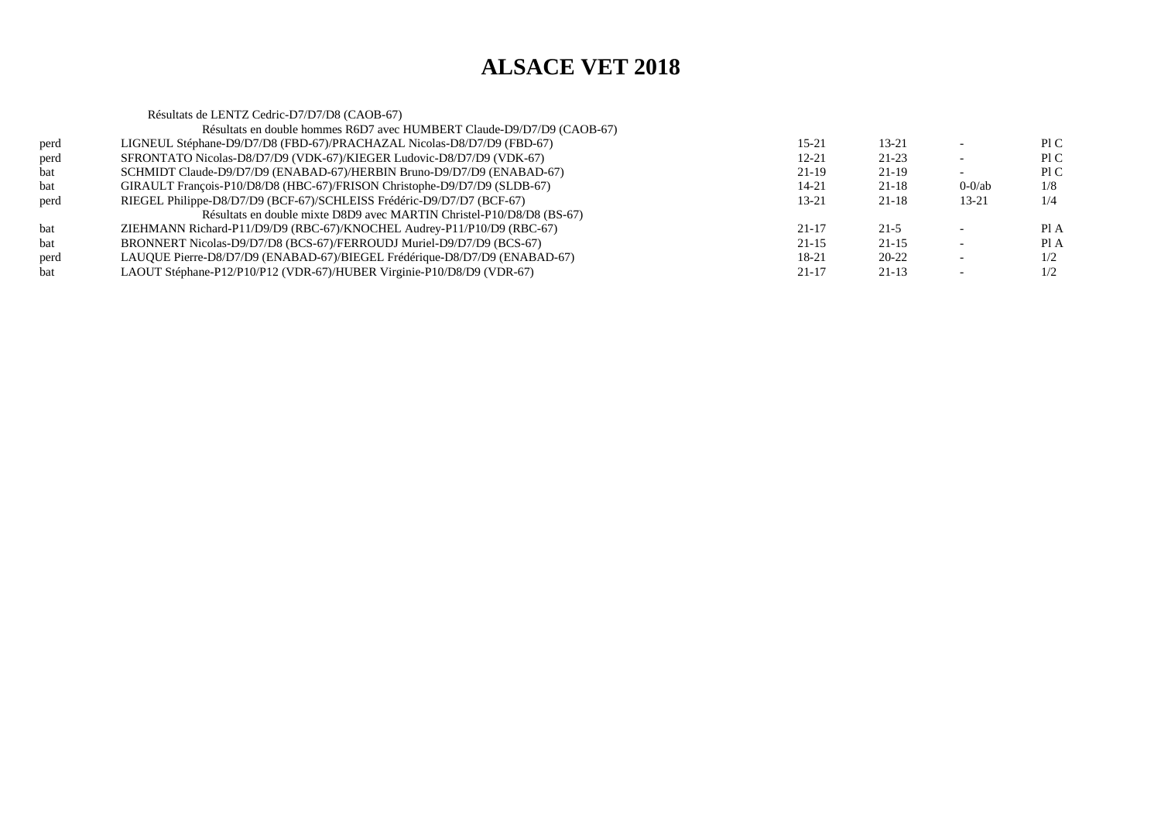|      | Résultats de LENTZ Cedric-D7/D7/D8 (CAOB-67)                              |           |           |           |      |
|------|---------------------------------------------------------------------------|-----------|-----------|-----------|------|
|      | Résultats en double hommes R6D7 avec HUMBERT Claude-D9/D7/D9 (CAOB-67)    |           |           |           |      |
| perd | LIGNEUL Stéphane-D9/D7/D8 (FBD-67)/PRACHAZAL Nicolas-D8/D7/D9 (FBD-67)    | $15 - 21$ | $13 - 21$ |           | PIC  |
| perd | SFRONTATO Nicolas-D8/D7/D9 (VDK-67)/KIEGER Ludovic-D8/D7/D9 (VDK-67)      | $12 - 21$ | $21 - 23$ |           | PIC  |
| bat  | SCHMIDT Claude-D9/D7/D9 (ENABAD-67)/HERBIN Bruno-D9/D7/D9 (ENABAD-67)     | 21-19     | $21-19$   |           | P1C  |
| bat  | GIRAULT François-P10/D8/D8 (HBC-67)/FRISON Christophe-D9/D7/D9 (SLDB-67)  | 14-21     | $21 - 18$ | $0-0$ /ab | 1/8  |
| perd | RIEGEL Philippe-D8/D7/D9 (BCF-67)/SCHLEISS Frédéric-D9/D7/D7 (BCF-67)     | $13 - 21$ | $21 - 18$ | $13 - 21$ | 1/4  |
|      | Résultats en double mixte D8D9 avec MARTIN Christel-P10/D8/D8 (BS-67)     |           |           |           |      |
| bat  | ZIEHMANN Richard-P11/D9/D9 (RBC-67)/KNOCHEL Audrey-P11/P10/D9 (RBC-67)    | $21 - 17$ | $21 - 5$  |           | PI A |
| bat  | BRONNERT Nicolas-D9/D7/D8 (BCS-67)/FERROUDJ Muriel-D9/D7/D9 (BCS-67)      | $21 - 15$ | $21 - 15$ |           | Pl A |
| perd | LAUQUE Pierre-D8/D7/D9 (ENABAD-67)/BIEGEL Frédérique-D8/D7/D9 (ENABAD-67) | 18-21     | $20 - 22$ |           | 1/2  |
| bat  | LAOUT Stéphane-P12/P10/P12 (VDR-67)/HUBER Virginie-P10/D8/D9 (VDR-67)     | $21 - 17$ | $21-13$   |           | 1/2  |
|      |                                                                           |           |           |           |      |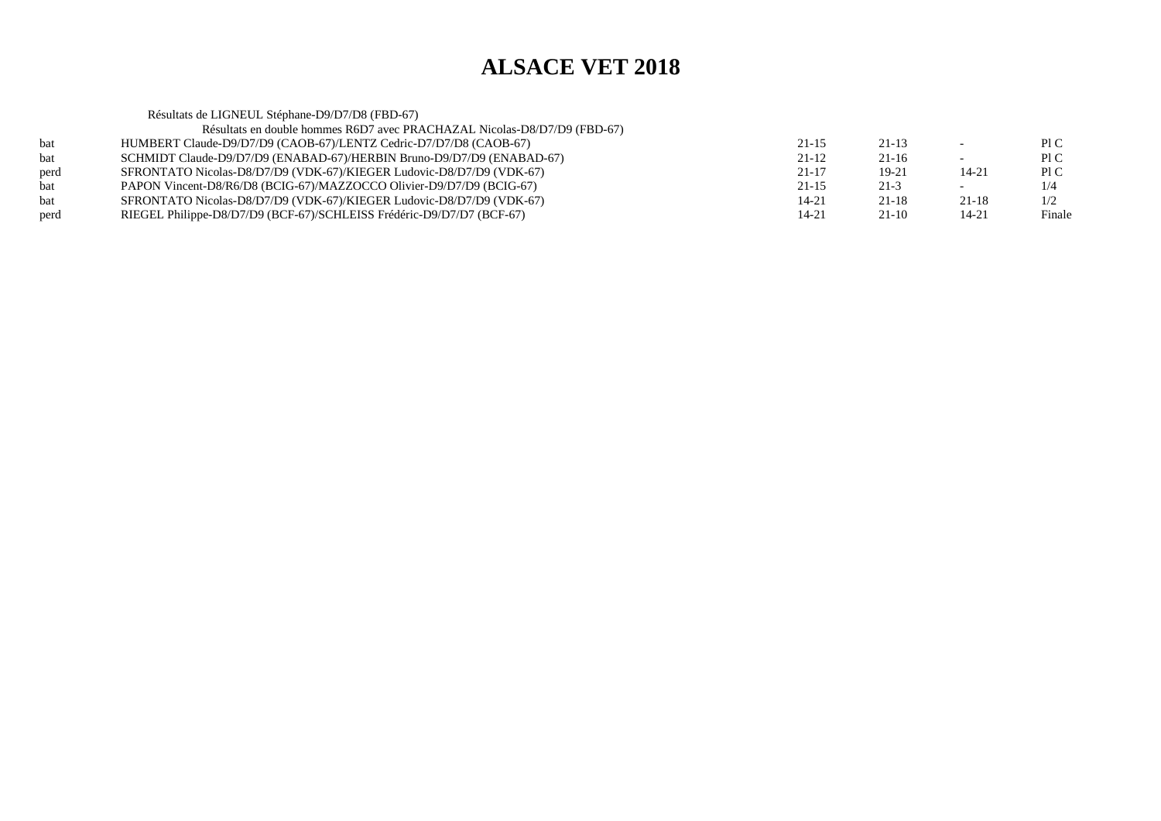Résultats de LIGNEUL Stéphane-D9/D7/D8 (FBD-67) Résultats en double hommes R6D7 avec PRACHAZAL Nicolas-D8/D7/D9 (FBD-67)bat HUMBERT Claude-D9/D7/D9 (CAOB-67)/LENTZ Cedric-D7/D7/D8 (CAOB-67) $21-15$   $21-13$   $-$  PIC Pl C bat SCHMIDT Claude-D9/D7/D9 (ENABAD-67)/HERBIN Bruno-D9/D7/D9 (ENABAD-67) $21-12$   $21-16$   $-$  PIC  $P1C$ perd SFRONTATO Nicolas-D8/D7/D9 (VDK-67)/KIEGER Ludovic-D8/D7/D9 (VDK-67) $21-17$  19-21 14-21 PIC  $1/4$ bat PAPON Vincent-D8/R6/D8 (BCIG-67)/MAZZOCCO Olivier-D9/D7/D9 (BCIG-67) $21-15$   $21-3$   $-1/4$  $1/2$ bat SFRONTATO Nicolas-D8/D7/D9 (VDK-67)/KIEGER Ludovic-D8/D7/D9 (VDK-67) $14-21$  21-18  $21-18$  1/2 Finale perd RIEGEL Philippe-D8/D7/D9 (BCF-67)/SCHLEISS Frédéric-D9/D7/D7 (BCF-67)(a)  $14-21$  21-10 14-21 Finale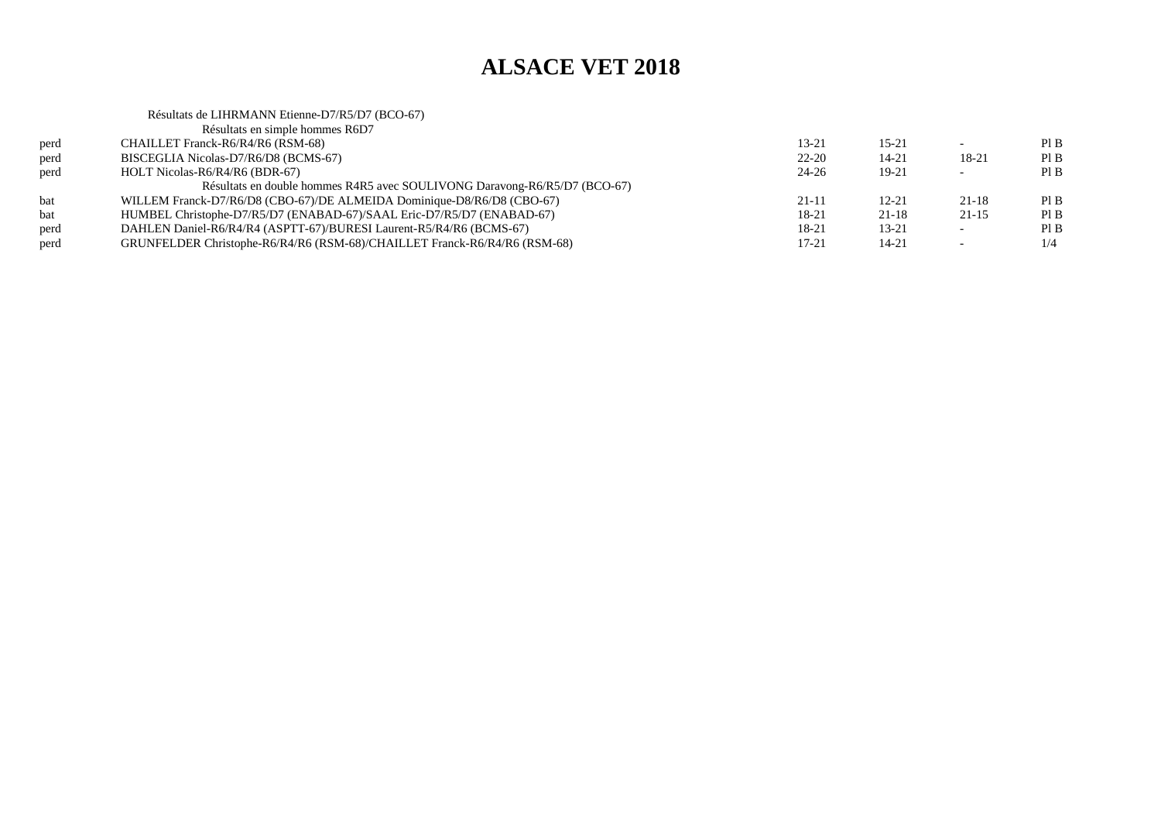$PIB$ 

 $PIB$ 

 $PIB$ 

 $PIB$ 

 $1/4$ 

### Résultats de LIHRMANN Etienne-D7/R5/D7 (BCO-67)Résultats en simple hommes R6D7perd CHAILLET Franck-R6/R4/R6 (RSM-68) $13-21$  15-21 - PIB perd BISCEGLIA Nicolas-D7/R6/D8 (BCMS-67) $22-20$  14-21 18-21 PIB perd HOLT Nicolas-R6/R4/R6 (BDR-67)  $24-26$  19-21 - PIB Résultats en double hommes R4R5 avec SOULIVONG Daravong-R6/R5/D7 (BCO-67)bat WILLEM Franck-D7/R6/D8 (CBO-67)/DE ALMEIDA Dominique-D8/R6/D8 (CBO-67) $21-11$   $12-21$   $21-18$  PIB bat HUMBEL Christophe-D7/R5/D7 (ENABAD-67)/SAAL Eric-D7/R5/D7 (ENABAD-67)(a)  $18-21$  21-18 21-15 PIB perd DAHLEN Daniel-R6/R4/R4 (ASPTT-67)/BURESI Laurent-R5/R4/R6 (BCMS-67) $18-21$  13-21 - PIB perd GRUNFELDER Christophe-R6/R4/R6 (RSM-68)/CHAILLET Franck-R6/R4/R6 (RSM-68) $17-21$   $14-21$   $-1/4$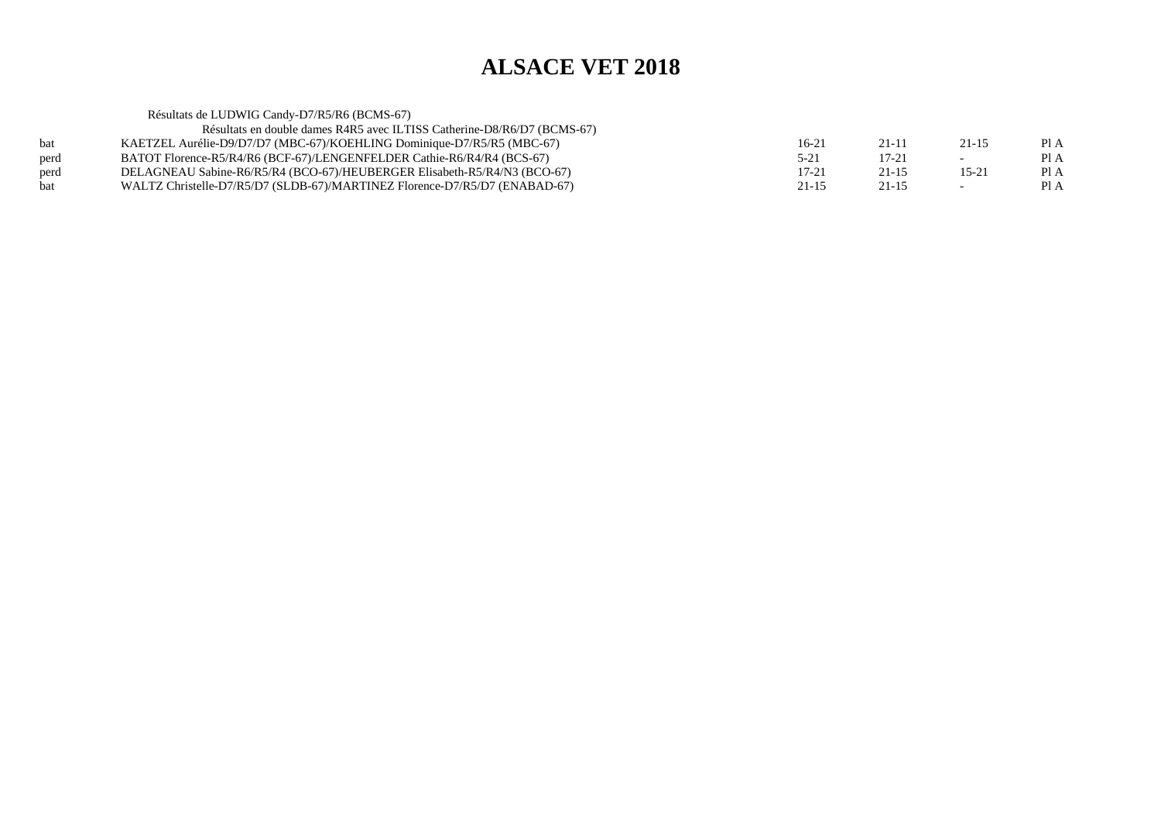|            | Résultats de LUDWIG Candy-D7/R5/R6 (BCMS-67)                               |           |           |           |      |
|------------|----------------------------------------------------------------------------|-----------|-----------|-----------|------|
|            | Résultats en double dames R4R5 avec ILTISS Catherine-D8/R6/D7 (BCMS-67)    |           |           |           |      |
| <b>bat</b> | KAETZEL Aurélie-D9/D7/D7 (MBC-67)/KOEHLING Dominique-D7/R5/R5 (MBC-67)     | $16-21$   | $21 - 11$ | $21 - 15$ | PIA  |
| perd       | BATOT Florence-R5/R4/R6 (BCF-67)/LENGENFELDER Cathie-R6/R4/R4 (BCS-67)     | $5 - 21$  | $17 - 21$ | $\sim$    | PI A |
| perd       | DELAGNEAU Sabine-R6/R5/R4 (BCO-67)/HEUBERGER Elisabeth-R5/R4/N3 (BCO-67)   | $17 - 21$ | $21 - 15$ | 15-21     | PI A |
| <b>bat</b> | WALTZ Christelle-D7/R5/D7 (SLDB-67)/MARTINEZ Florence-D7/R5/D7 (ENABAD-67) | $21 - 15$ | $21 - 15$ | $\sim$    | PI A |
|            |                                                                            |           |           |           |      |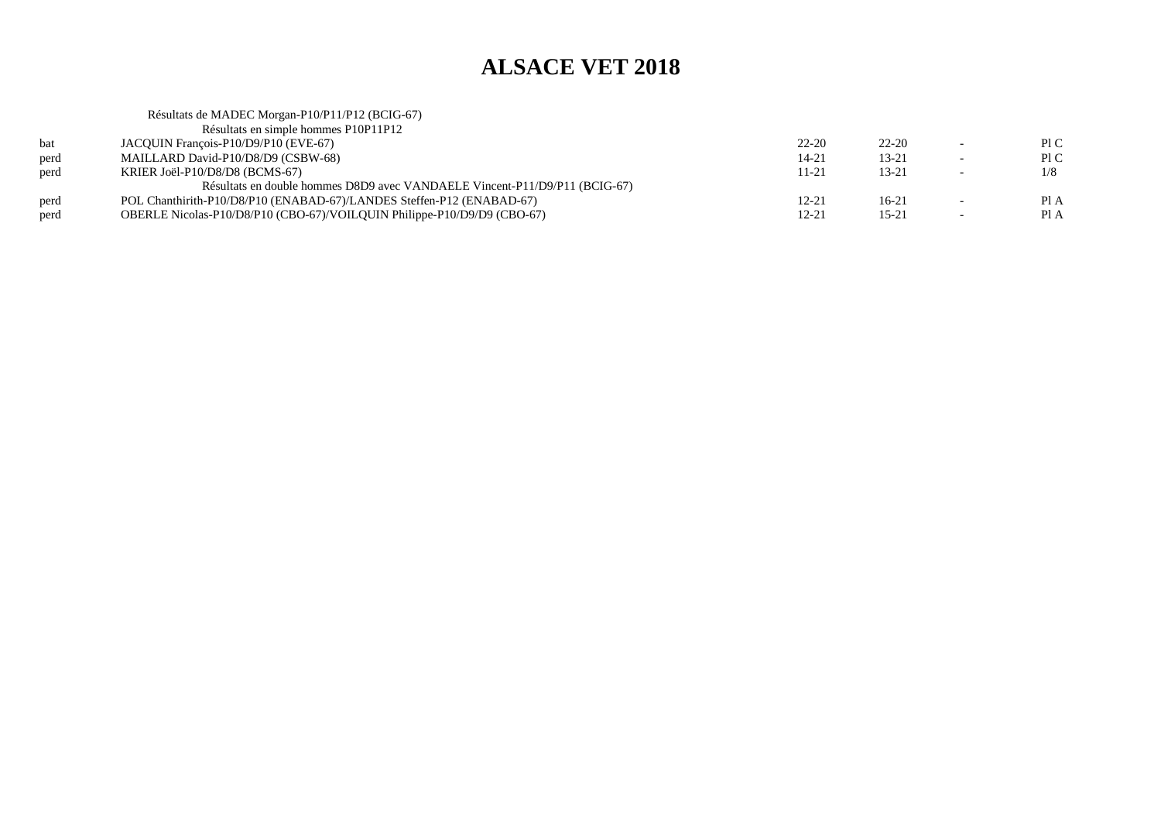|      | Résultats de MADEC Morgan-P10/P11/P12 (BCIG-67)                            |           |           |                          |      |
|------|----------------------------------------------------------------------------|-----------|-----------|--------------------------|------|
|      | Résultats en simple hommes P10P11P12                                       |           |           |                          |      |
| bat  | JACQUIN François-P10/D9/P10 (EVE-67)                                       | $22 - 20$ | $22 - 20$ | $\overline{\phantom{0}}$ | P1C  |
| perd | MAILLARD David-P10/D8/D9 (CSBW-68)                                         | $14 - 21$ | $13 - 21$ | $\overline{\phantom{0}}$ | P1C  |
| perd | KRIER Joël-P10/D8/D8 (BCMS-67)                                             | 11-21     | $13 - 21$ | $\overline{\phantom{0}}$ | 1/8  |
|      | Résultats en double hommes D8D9 avec VANDAELE Vincent-P11/D9/P11 (BCIG-67) |           |           |                          |      |
| perd | POL Chanthirith-P10/D8/P10 (ENABAD-67)/LANDES Steffen-P12 (ENABAD-67)      | 12-21     | 16-21     | $\overline{\phantom{0}}$ | Pl A |
| perd | OBERLE Nicolas-P10/D8/P10 (CBO-67)/VOILQUIN Philippe-P10/D9/D9 (CBO-67)    | 12-21     | $15 - 21$ | $\overline{\phantom{0}}$ | Pl A |
|      |                                                                            |           |           |                          |      |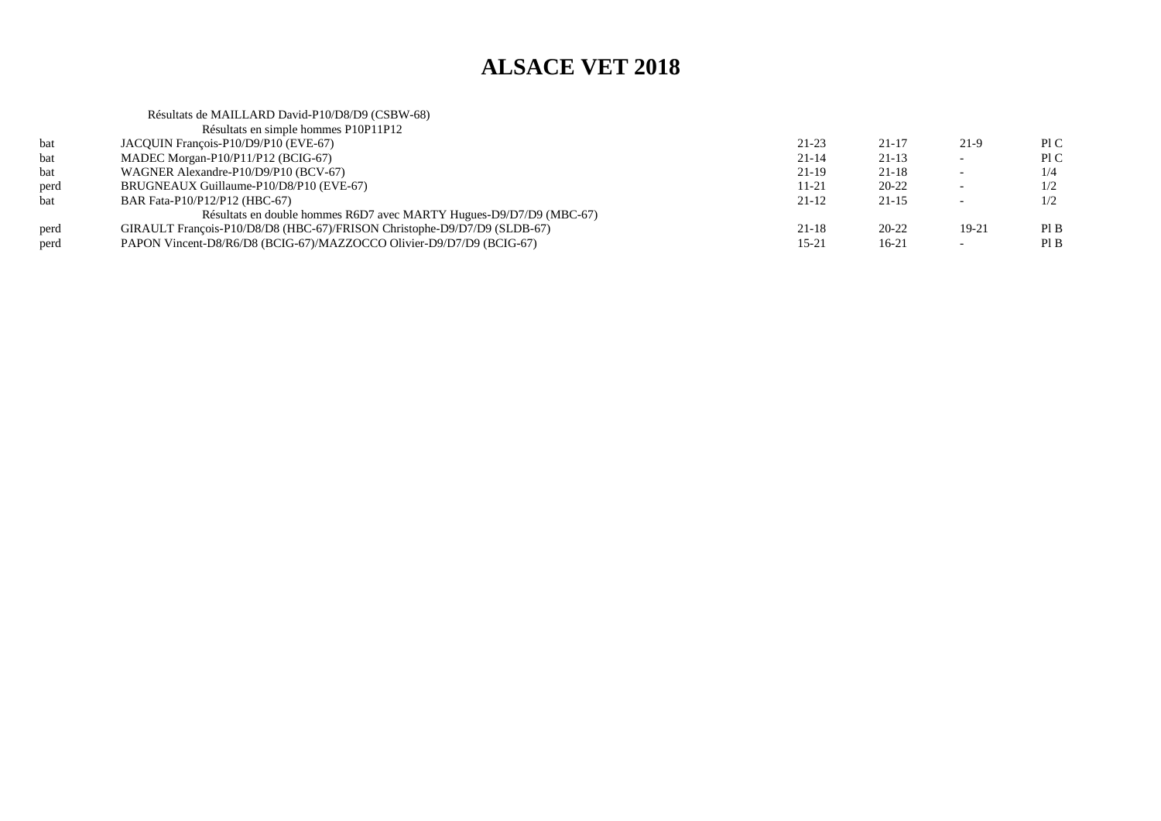#### Résultats de MAILLARD David-P10/D8/D9 (CSBW-68)Résultats en simple hommes P10P11P12bat JACQUIN François-P10/D9/P10 (EVE-67)  $21-23$  21-17 21-9 PIC Pl C bat MADEC Morgan-P10/P11/P12 (BCIG-67)  $21-14$   $21-13$   $-$  PIC  $1/4$ bat WAGNER Alexandre-P10/D9/P10 (BCV-67)  $21-19$   $21-18$   $-1/4$  $1/2$ perd BRUGNEAUX Guillaume-P10/D8/P10 (EVE-67) $11-21$   $20-22$   $-1/2$  $1/2$ bat BAR Fata-P10/P12/P12 (HBC-67)  $21-12$   $21-15$   $-1/2$ Résultats en double hommes R6D7 avec MARTY Hugues-D9/D7/D9 (MBC-67)perd GIRAULT François-P10/D8/D8 (HBC-67)/FRISON Christophe-D9/D7/D9 (SLDB-67) $21-18$   $20-22$   $19-21$  PIB  $PIB$ perd PAPON Vincent-D8/R6/D8 (BCIG-67)/MAZZOCCO Olivier-D9/D7/D9 (BCIG-67)  $15-21$   $16-21$   $-$  PIB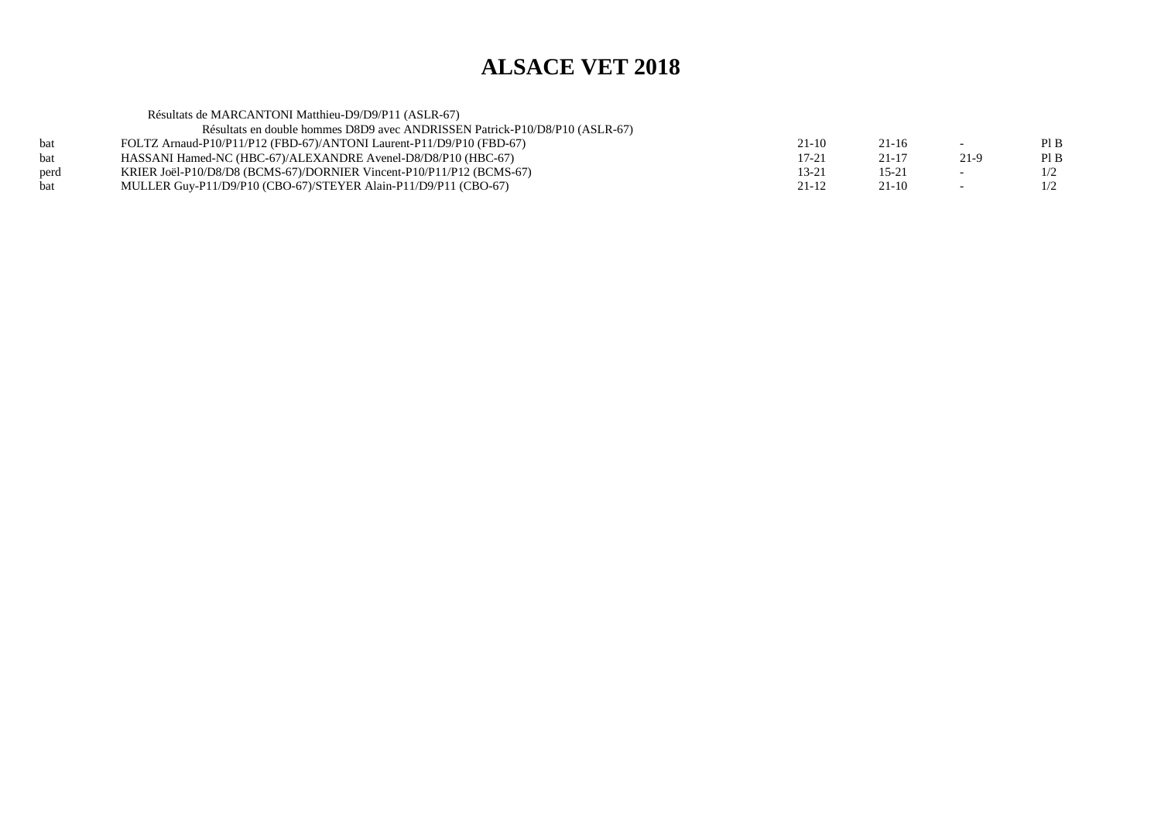| Résultats de MARCANTONI Matthieu-D9/D9/P11 (ASLR-67)                        |           |           |                |     |
|-----------------------------------------------------------------------------|-----------|-----------|----------------|-----|
| Résultats en double hommes D8D9 avec ANDRISSEN Patrick-P10/D8/P10 (ASLR-67) |           |           |                |     |
| FOLTZ Arnaud-P10/P11/P12 (FBD-67)/ANTONI Laurent-P11/D9/P10 (FBD-67)        | $21-10$   | $21 - 16$ | $\overline{a}$ | PIB |
| HASSANI Hamed-NC (HBC-67)/ALEXANDRE Avenel-D8/D8/P10 (HBC-67)               | $17 - 21$ | $21 - 17$ | 21-9           | PIB |
| KRIER Joël-P10/D8/D8 (BCMS-67)/DORNIER Vincent-P10/P11/P12 (BCMS-67)        | $13 - 21$ | $15 - 21$ |                | 1/2 |
| MULLER Guy-P11/D9/P10 (CBO-67)/STEYER Alain-P11/D9/P11 (CBO-67)             | $21 - 12$ | $21-10$   | $\sim$         | 1/2 |
|                                                                             |           |           |                |     |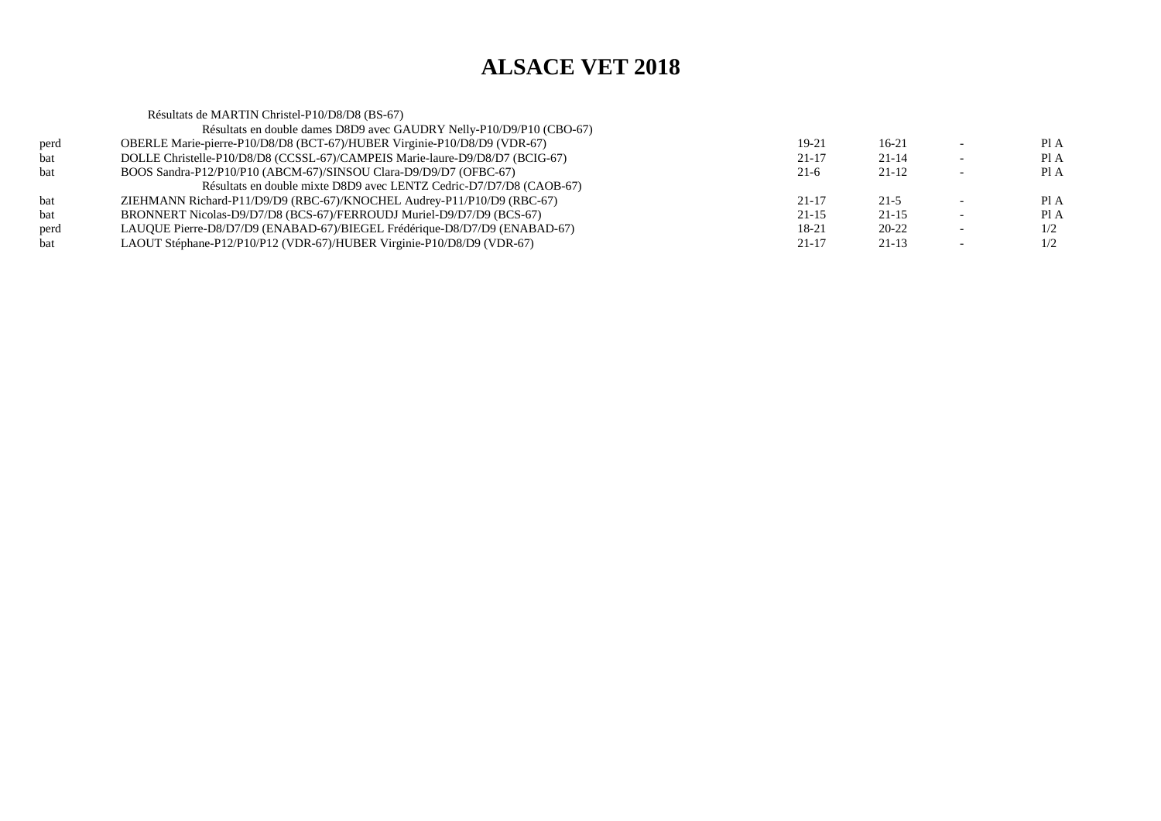Résultats de MARTIN Christel-P10/D8/D8 (BS-67) Résultats en double dames D8D9 avec GAUDRY Nelly-P10/D9/P10 (CBO-67)perd OBERLE Marie-pierre-P10/D8/D8 (BCT-67)/HUBER Virginie-P10/D8/D9 (VDR-67) $19-21$  16-21 - PIA Pl A bat DOLLE Christelle-P10/D8/D8 (CCSSL-67)/CAMPEIS Marie-laure-D9/D8/D7 (BCIG-67) $21-17$   $21-14$  - PIA  $PIA$ bat BOOS Sandra-P12/P10/P10 (ABCM-67)/SINSOU Clara-D9/D9/D7 (OFBC-67) $21-6$   $21-12$  - PIA Résultats en double mixte D8D9 avec LENTZ Cedric-D7/D7/D8 (CAOB-67)bat ZIEHMANN Richard-P11/D9/D9 (RBC-67)/KNOCHEL Audrey-P11/P10/D9 (RBC-67) $21-17$   $21-5$  - PIA Pl A bat BRONNERT Nicolas-D9/D7/D8 (BCS-67)/FERROUDJ Muriel-D9/D7/D9 (BCS-67) $21-15$   $21-15$   $-$  PIA  $1/2$ perd LAUQUE Pierre-D8/D7/D9 (ENABAD-67)/BIEGEL Frédérique-D8/D7/D9 (ENABAD-67) $18-21$  20-22 -  $1/2$  $1/2$ bat LAOUT Stéphane-P12/P10/P12 (VDR-67)/HUBER Virginie-P10/D8/D9 (VDR-67) $21-17$   $21-13$   $-1/2$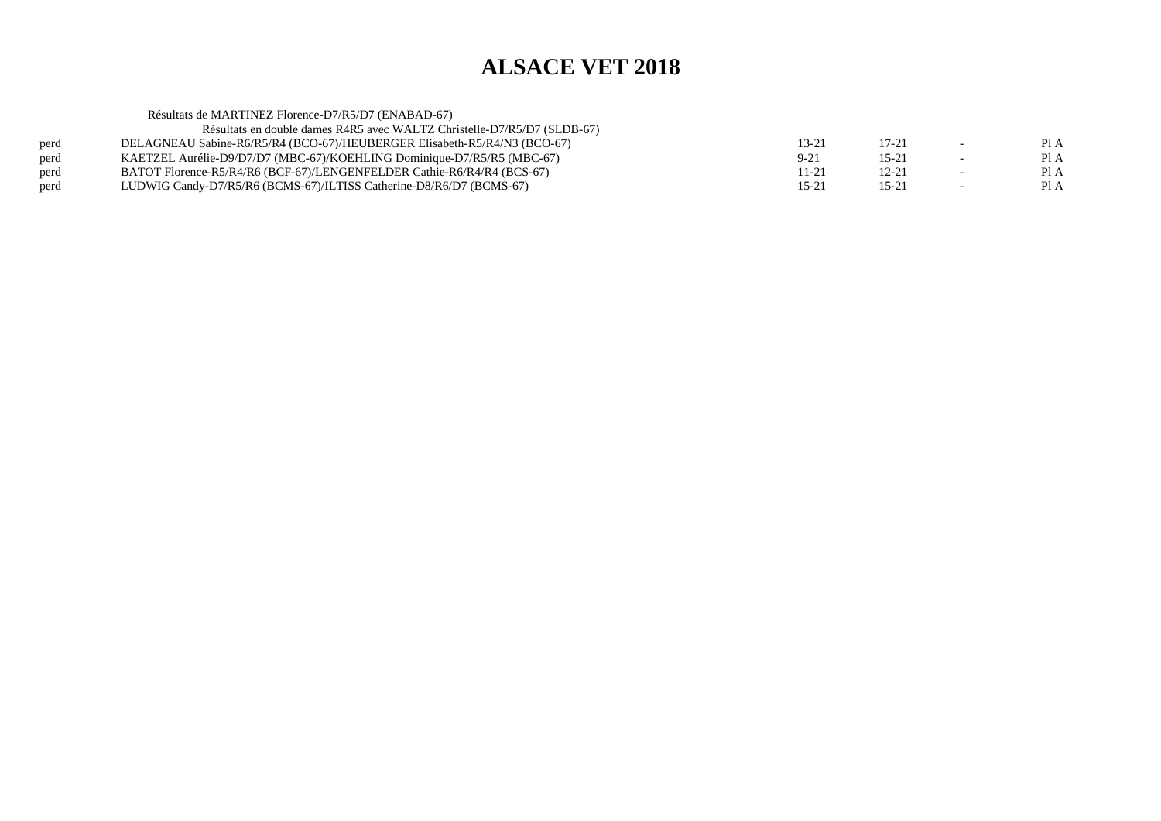| Résultats de MARTINEZ Florence-D7/R5/D7 (ENABAD-67)                      |          |           |                          |      |
|--------------------------------------------------------------------------|----------|-----------|--------------------------|------|
| Résultats en double dames R4R5 avec WALTZ Christelle-D7/R5/D7 (SLDB-67)  |          |           |                          |      |
| DELAGNEAU Sabine-R6/R5/R4 (BCO-67)/HEUBERGER Elisabeth-R5/R4/N3 (BCO-67) | 13-21    | $17 - 21$ | $\overline{\phantom{a}}$ | Pl A |
| KAETZEL Aurélie-D9/D7/D7 (MBC-67)/KOEHLING Dominique-D7/R5/R5 (MBC-67)   | $9 - 21$ | $15 - 21$ |                          | Pl A |
| BATOT Florence-R5/R4/R6 (BCF-67)/LENGENFELDER Cathie-R6/R4/R4 (BCS-67)   | 11-21    | $12 - 21$ | $\sim$                   | PI A |
| LUDWIG Candy-D7/R5/R6 (BCMS-67)/ILTISS Catherine-D8/R6/D7 (BCMS-67)      | 15-21    | 15-21     |                          | Pl A |
|                                                                          |          |           |                          |      |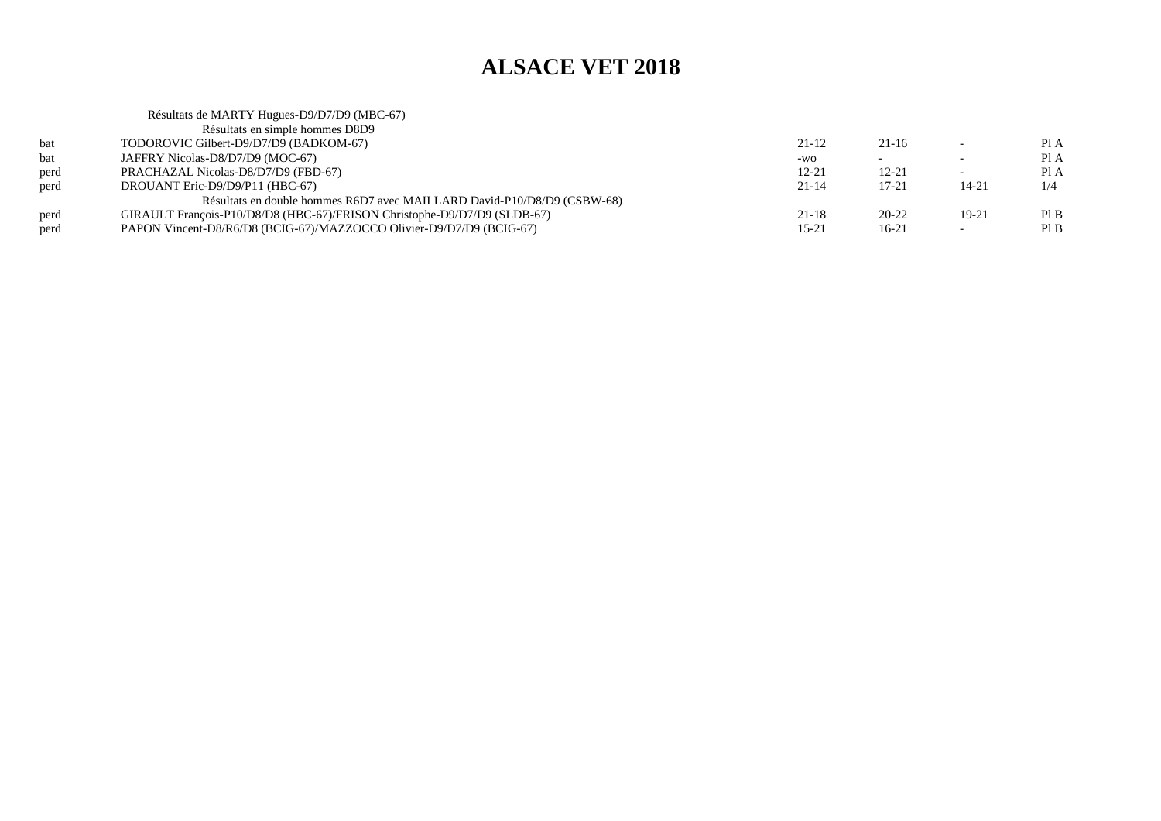#### Résultats de MARTY Hugues-D9/D7/D9 (MBC-67)Résultats en simple hommes D8D9 bat TODOROVIC Gilbert-D9/D7/D9 (BADKOM-67) $21-12$   $21-16$   $-$  PIA Pl A bat JAFFRY Nicolas-D8/D7/D9 (MOC-67)  $-$ wo - - Pl A  $PIA$ perd PRACHAZAL Nicolas-D8/D7/D9 (FBD-67) $12-21$  12-21 - PIA  $1/4$ perd DROUANT Eric-D9/D9/P11 (HBC-67)  $21-14$  17-21 14-21 1/4 Résultats en double hommes R6D7 avec MAILLARD David-P10/D8/D9 (CSBW-68)perd GIRAULT François-P10/D8/D8 (HBC-67)/FRISON Christophe-D9/D7/D9 (SLDB-67)<br>PAPON Vincent-D8/R6/D8 (BCIG-67)/MAZZOCCO Olivier-D9/D7/D9 (BCIG-67)  $21-18$  20-22 19-21 PIB  $PIB$ perd PAPON Vincent-D8/R6/D8 (BCIG-67)/MAZZOCCO Olivier-D9/D7/D9 (BCIG-67) $15-21$   $16-21$   $-$  PIB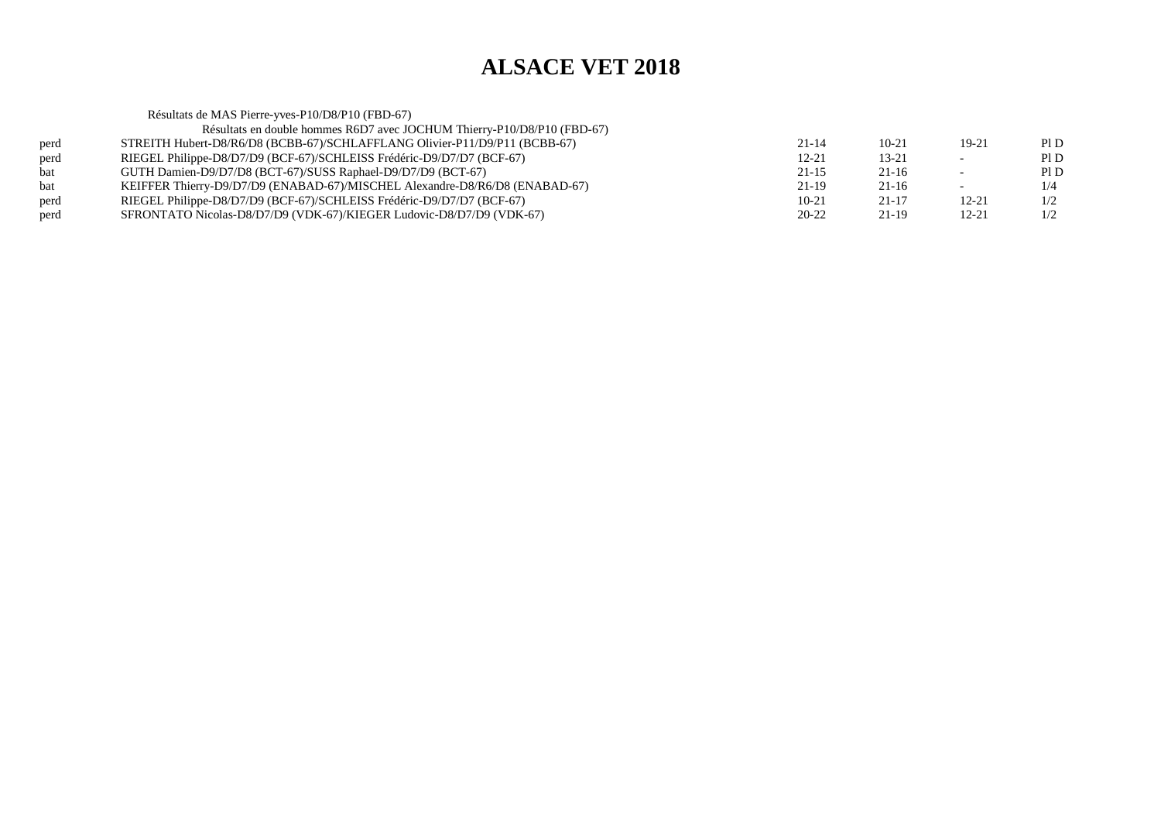Résultats de MAS Pierre-yves-P10/D8/P10 (FBD-67) Résultats en double hommes R6D7 avec JOCHUM Thierry-P10/D8/P10 (FBD-67)perd STREITH Hubert-D8/R6/D8 (BCBB-67)/SCHLAFFLANG Olivier-P11/D9/P11 (BCBB-67) $21-14$  10-21 19-21 PID  $P1D$ perd RIEGEL Philippe-D8/D7/D9 (BCF-67)/SCHLEISS Frédéric-D9/D7/D7 (BCF-67)<br>bat GUTH Damien-D9/D7/D8 (BCT-67)/SUSS Raphael-D9/D7/D9 (BCT-67)  $12-21$  13-21 - PID  $PID$ bat GUTH Damien-D9/D7/D8 (BCT-67)/SUSS Raphael-D9/D7/D9 (BCT-67) $21-15$  21-16 - PID  $1/4$ bat KEIFFER Thierry-D9/D7/D9 (ENABAD-67)/MISCHEL Alexandre-D8/R6/D8 (ENABAD-67) $21-19$  21-16 - 1/4  $1/2$ perd RIEGEL Philippe-D8/D7/D9 (BCF-67)/SCHLEISS Frédéric-D9/D7/D7 (BCF-67) $10-21$   $21-17$   $12-21$   $1/2$  $1/2$ perd SFRONTATO Nicolas-D8/D7/D9 (VDK-67)/KIEGER Ludovic-D8/D7/D9 (VDK-67) $20-22$  21-19 12-21 1/2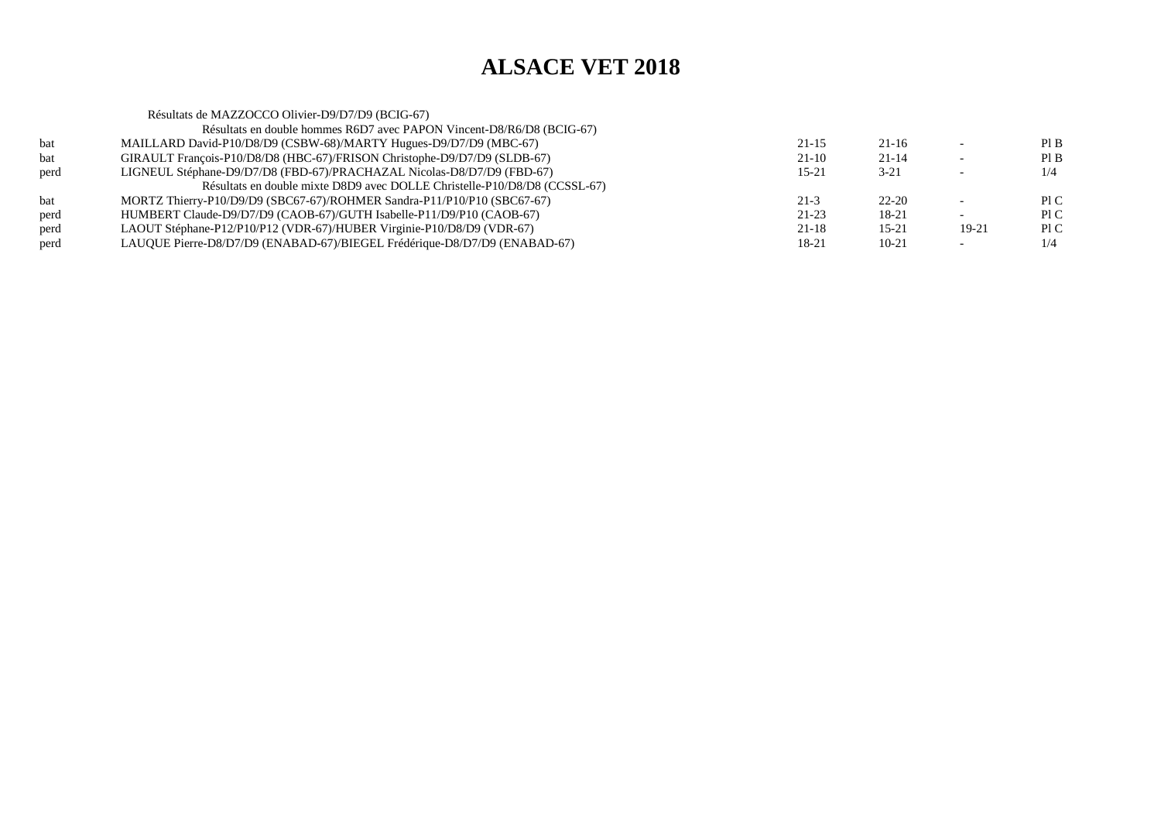|      | Résultats de MAZZOCCO Olivier-D9/D7/D9 (BCIG-67)                          |           |           |       |     |
|------|---------------------------------------------------------------------------|-----------|-----------|-------|-----|
|      | Résultats en double hommes R6D7 avec PAPON Vincent-D8/R6/D8 (BCIG-67)     |           |           |       |     |
| bat  | MAILLARD David-P10/D8/D9 (CSBW-68)/MARTY Hugues-D9/D7/D9 (MBC-67)         | $21 - 15$ | 21-16     |       | PIB |
| bat  | GIRAULT François-P10/D8/D8 (HBC-67)/FRISON Christophe-D9/D7/D9 (SLDB-67)  | $21-10$   | $21 - 14$ |       | PIB |
| perd | LIGNEUL Stéphane-D9/D7/D8 (FBD-67)/PRACHAZAL Nicolas-D8/D7/D9 (FBD-67)    | $15 - 21$ | $3 - 21$  |       | 1/4 |
|      | Résultats en double mixte D8D9 avec DOLLE Christelle-P10/D8/D8 (CCSSL-67) |           |           |       |     |
| bat  | MORTZ Thierry-P10/D9/D9 (SBC67-67)/ROHMER Sandra-P11/P10/P10 (SBC67-67)   | $21-3$    | $22 - 20$ |       | PIC |
| perd | HUMBERT Claude-D9/D7/D9 (CAOB-67)/GUTH Isabelle-P11/D9/P10 (CAOB-67)      | $21 - 23$ | 18-21     |       | P1C |
| perd | LAOUT Stéphane-P12/P10/P12 (VDR-67)/HUBER Virginie-P10/D8/D9 (VDR-67)     | $21-18$   | $15 - 21$ | 19-21 | P1C |
| perd | LAUQUE Pierre-D8/D7/D9 (ENABAD-67)/BIEGEL Frédérique-D8/D7/D9 (ENABAD-67) | 18-21     | $10 - 21$ |       | 1/4 |
|      |                                                                           |           |           |       |     |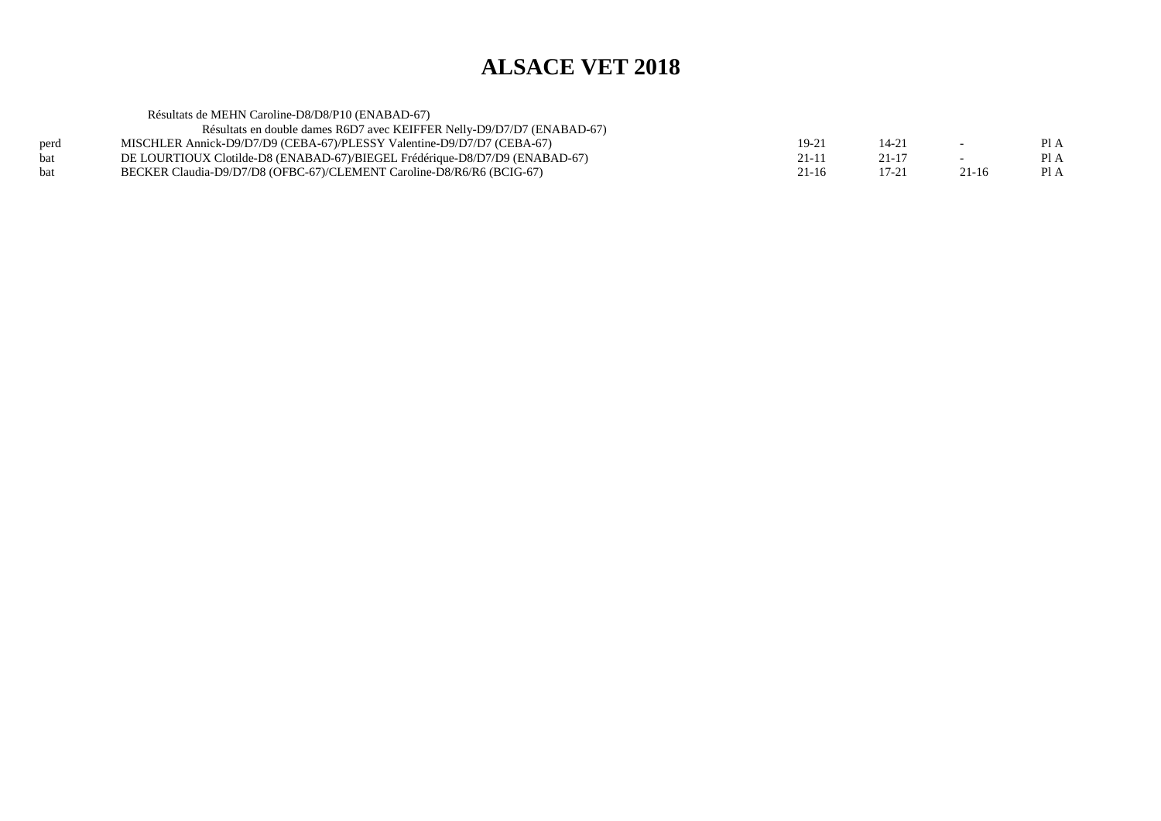|      | Résultats de MEHN Caroline-D8/D8/P10 (ENABAD-67)                            |           |           |                          |      |
|------|-----------------------------------------------------------------------------|-----------|-----------|--------------------------|------|
|      | Résultats en double dames R6D7 avec KEIFFER Nelly-D9/D7/D7 (ENABAD-67)      |           |           |                          |      |
| perd | MISCHLER Annick-D9/D7/D9 (CEBA-67)/PLESSY Valentine-D9/D7/D7 (CEBA-67)      | $19 - 21$ | 14-21     | $\sim$                   | Pl A |
| bat  | DE LOURTIOUX Clotilde-D8 (ENABAD-67)/BIEGEL Frédérique-D8/D7/D9 (ENABAD-67) | 21-11     | 21-17     | $\overline{\phantom{0}}$ | PI A |
| bat  | BECKER Claudia-D9/D7/D8 (OFBC-67)/CLEMENT Caroline-D8/R6/R6 (BCIG-67)       | 21-16     | $17 - 21$ | $21 - 16$                | Pl A |
|      |                                                                             |           |           |                          |      |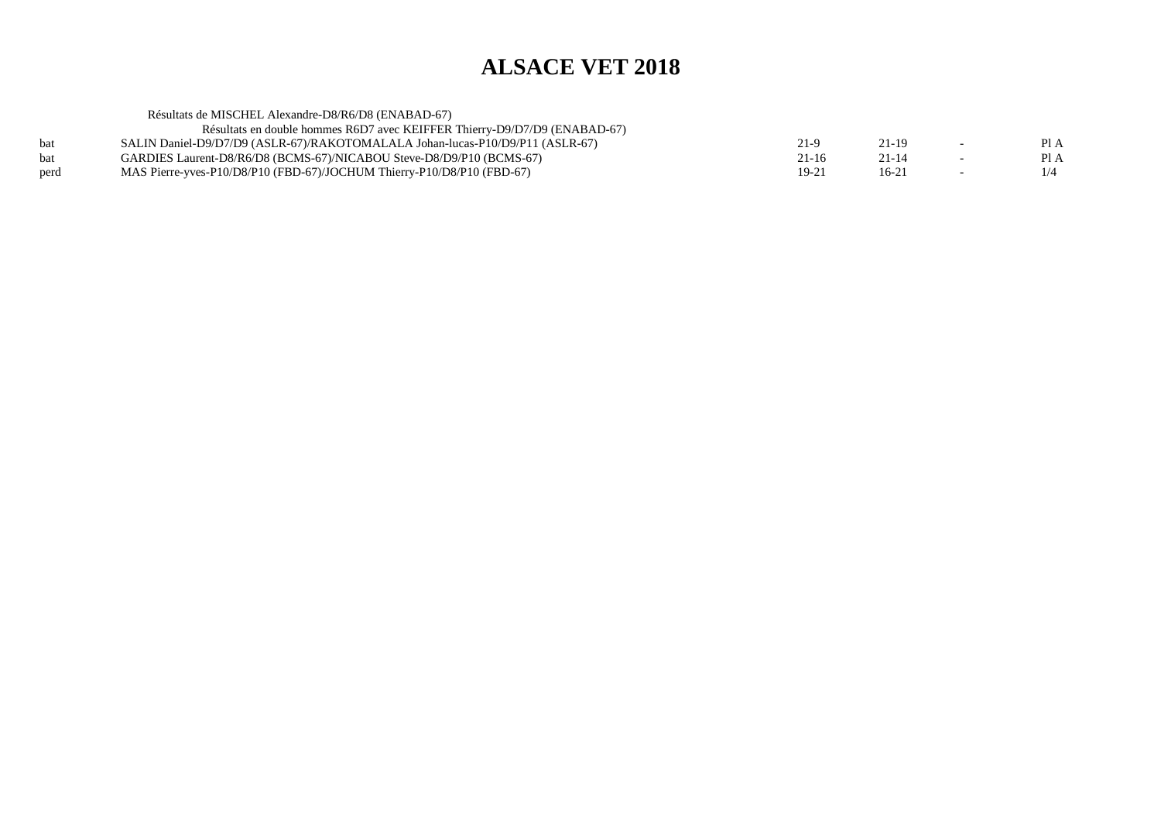|            | Résultats de MISCHEL Alexandre-D8/R6/D8 (ENABAD-67)                           |           |         |                          |      |
|------------|-------------------------------------------------------------------------------|-----------|---------|--------------------------|------|
|            | Résultats en double hommes R6D7 avec KEIFFER Thierry-D9/D7/D9 (ENABAD-67)     |           |         |                          |      |
| <b>bat</b> | SALIN Daniel-D9/D7/D9 (ASLR-67)/RAKOTOMALALA Johan-lucas-P10/D9/P11 (ASLR-67) | 21-9      | 21-19   | $\overline{\phantom{0}}$ | PI A |
| <b>bat</b> | GARDIES Laurent-D8/R6/D8 (BCMS-67)/NICABOU Steve-D8/D9/P10 (BCMS-67)          | $21 - 16$ | 21-14   | $\overline{\phantom{0}}$ | PI A |
| perd       | MAS Pierre-yves-P10/D8/P10 (FBD-67)/JOCHUM Thierry-P10/D8/P10 (FBD-67)        | $19 - 21$ | $16-21$ |                          | 1/4  |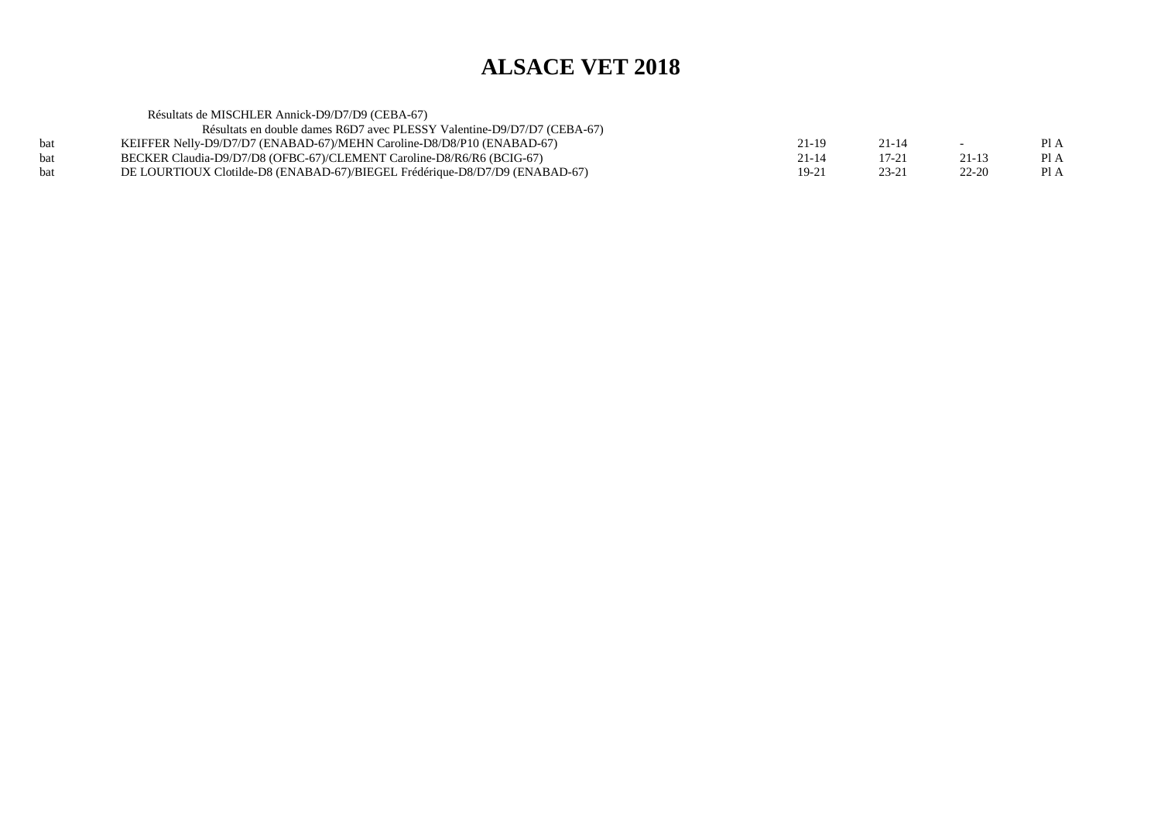| Résultats de MISCHLER Annick-D9/D7/D9 (CEBA-67)                             |       |           |           |      |
|-----------------------------------------------------------------------------|-------|-----------|-----------|------|
| Résultats en double dames R6D7 avec PLESSY Valentine-D9/D7/D7 (CEBA-67)     |       |           |           |      |
| KEIFFER Nelly-D9/D7/D7 (ENABAD-67)/MEHN Caroline-D8/D8/P10 (ENABAD-67)      | 21-19 | 21-14     | $-$       | Pl A |
| BECKER Claudia-D9/D7/D8 (OFBC-67)/CLEMENT Caroline-D8/R6/R6 (BCIG-67)       | 21-14 | 17-21     | $21 - 13$ | Pl A |
| DE LOURTIOUX Clotilde-D8 (ENABAD-67)/BIEGEL Frédérique-D8/D7/D9 (ENABAD-67) | 19-21 | $23 - 21$ | $22 - 20$ | Pl A |
|                                                                             |       |           |           |      |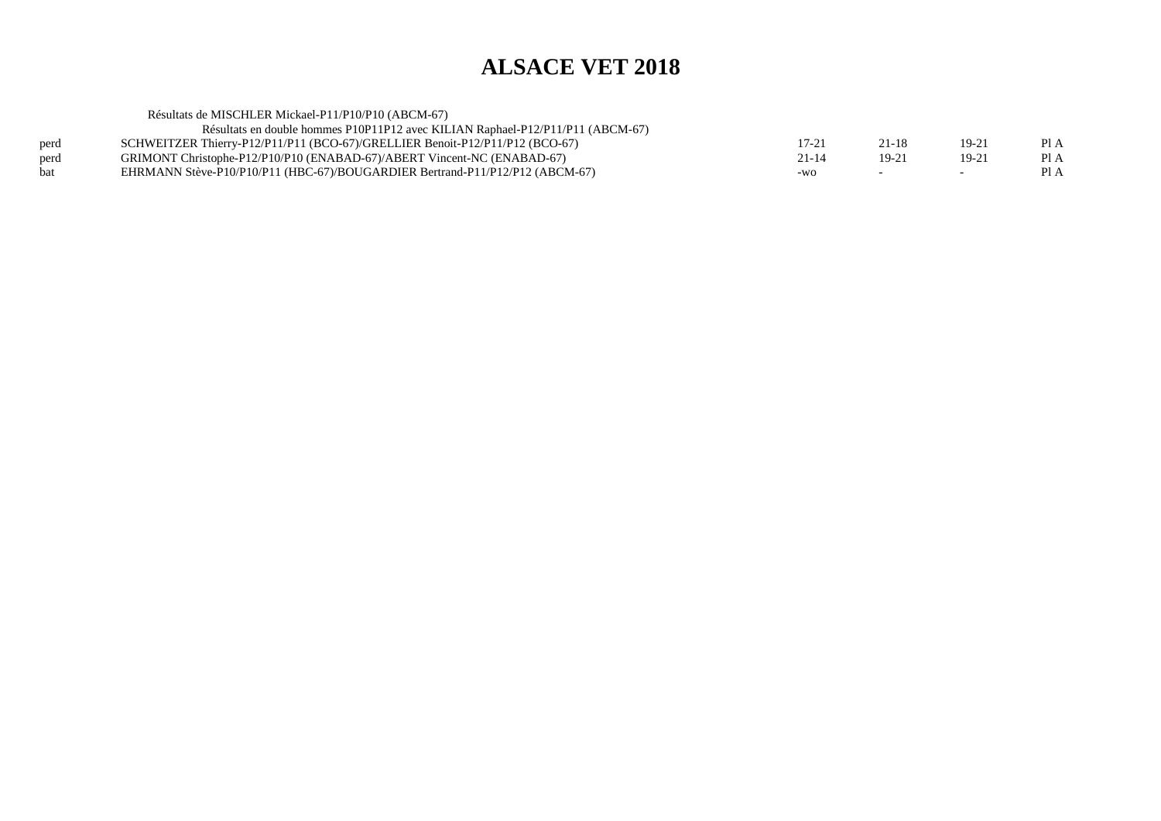| $17 - 21$                                                                                                                                                                                                                                                                                                                 | 21-18                                               | $19 - 21$ | PI A |
|---------------------------------------------------------------------------------------------------------------------------------------------------------------------------------------------------------------------------------------------------------------------------------------------------------------------------|-----------------------------------------------------|-----------|------|
| $21 - 14$                                                                                                                                                                                                                                                                                                                 | 19-21                                               | $19 - 21$ | Pl A |
| $-WO$                                                                                                                                                                                                                                                                                                                     |                                                     |           | PI A |
| Résultats en double hommes P10P11P12 avec KILIAN Raphael-P12/P11/P11 (ABCM-67)<br>SCHWEITZER Thierry-P12/P11/P11 (BCO-67)/GRELLIER Benoit-P12/P11/P12 (BCO-67)<br>GRIMONT Christophe-P12/P10/P10 (ENABAD-67)/ABERT Vincent-NC (ENABAD-67)<br>EHRMANN Stève-P10/P10/P11 (HBC-67)/BOUGARDIER Bertrand-P11/P12/P12 (ABCM-67) | Résultats de MISCHLER Mickael-P11/P10/P10 (ABCM-67) |           |      |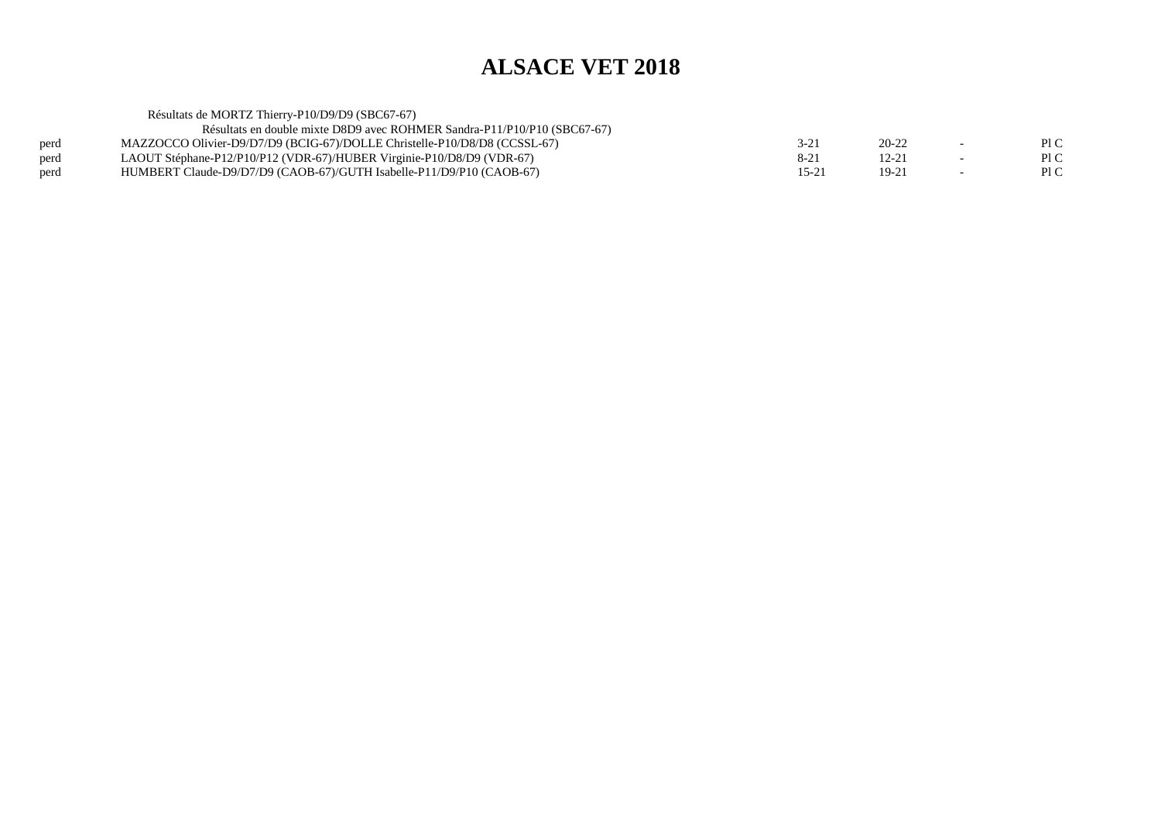Résultats de MORTZ Thierry-P10/D9/D9 (SBC67-67) Résultats en double mixte D8D9 avec ROHMER Sandra-P11/P10/P10 (SBC67-67)perd MAZZOCCO Olivier-D9/D7/D9 (BCIG-67)/DOLLE Christelle-P10/D8/D8 (CCSSL-67)<br>perd LAOUT Stéphane-P12/P10/P12 (VDR-67)/HUBER Virginie-P10/D8/D9 (VDR-67)  $3-21$  20-22 - PIC  $\mathop{\rm Pl} C$ perd LAOUT Stéphane-P12/P10/P12 (VDR-67)/HUBER Virginie-P10/D8/D9 (VDR-67)<br>perd HUMBERT Claude-D9/D7/D9 (CAOB-67)/GUTH Isabelle-P11/D9/P10 (CAOB-67)  $8-21$   $12-21$   $-$  PIC  $P1C$ perd HUMBERT Claude-D9/D7/D9 (CAOB-67)/GUTH Isabelle-P11/D9/P10 (CAOB-67) $15-21$  19-21 - PIC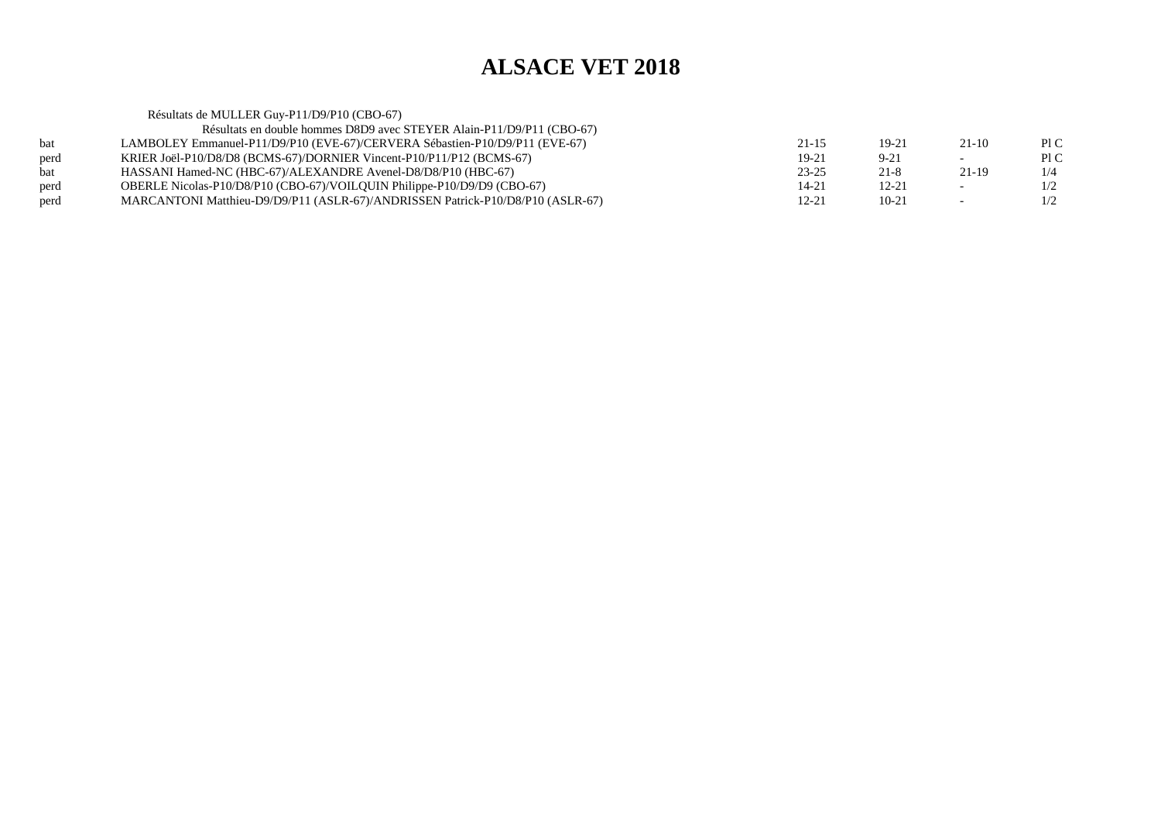|      | Résultats de MULLER Guy-P11/D9/P10 (CBO-67)                                    |           |           |                          |     |
|------|--------------------------------------------------------------------------------|-----------|-----------|--------------------------|-----|
|      | Résultats en double hommes D8D9 avec STEYER Alain-P11/D9/P11 (CBO-67)          |           |           |                          |     |
| bat  | LAMBOLEY Emmanuel-P11/D9/P10 (EVE-67)/CERVERA Sébastien-P10/D9/P11 (EVE-67)    | $21 - 15$ | $19-21$   | $21-10$                  | P1C |
| perd | KRIER Joël-P10/D8/D8 (BCMS-67)/DORNIER Vincent-P10/P11/P12 (BCMS-67)           | $19-21$   | $9 - 21$  |                          | P1C |
| bat  | HASSANI Hamed-NC (HBC-67)/ALEXANDRE Avenel-D8/D8/P10 (HBC-67)                  | $23 - 25$ | $21 - 8$  | 21-19                    | 1/4 |
| perd | OBERLE Nicolas-P10/D8/P10 (CBO-67)/VOILOUIN Philippe-P10/D9/D9 (CBO-67)        | $14 - 21$ | $12 - 21$ | $\overline{\phantom{0}}$ | 1/2 |
| perd | MARCANTONI Matthieu-D9/D9/P11 (ASLR-67)/ANDRISSEN Patrick-P10/D8/P10 (ASLR-67) | 12-21     | $10-21$   | $\overline{\phantom{0}}$ | 1/2 |
|      |                                                                                |           |           |                          |     |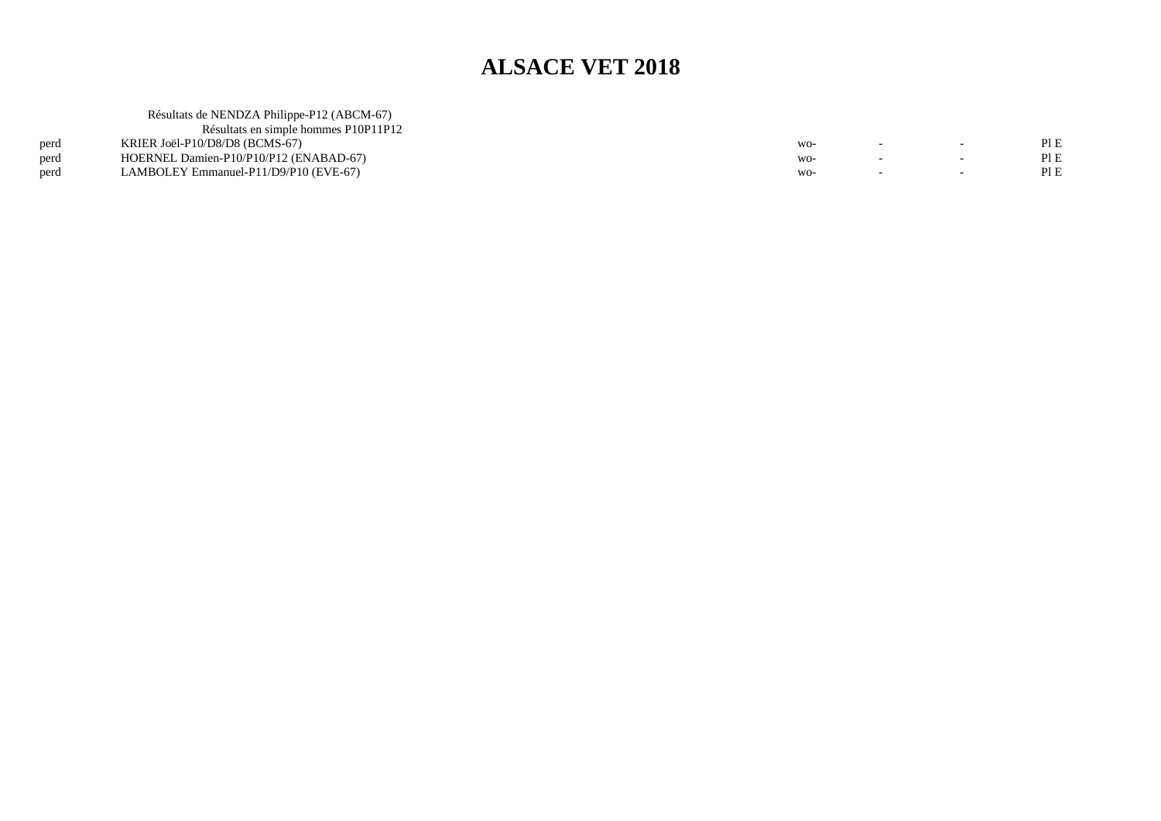|      | Résultats de NENDZA Philippe-P12 (ABCM-67) |       |                          |      |
|------|--------------------------------------------|-------|--------------------------|------|
|      | Résultats en simple hommes P10P11P12       |       |                          |      |
| perd | KRIER Joël-P10/D8/D8 (BCMS-67)             | WO-   | $\overline{\phantom{0}}$ | Pl E |
| perd | HOERNEL Damien-P10/P10/P12 (ENABAD-67)     | $WO-$ | $\sim$                   | Pl E |
| perd | LAMBOLEY Emmanuel-P11/D9/P10 (EVE-67)      | WO-   |                          |      |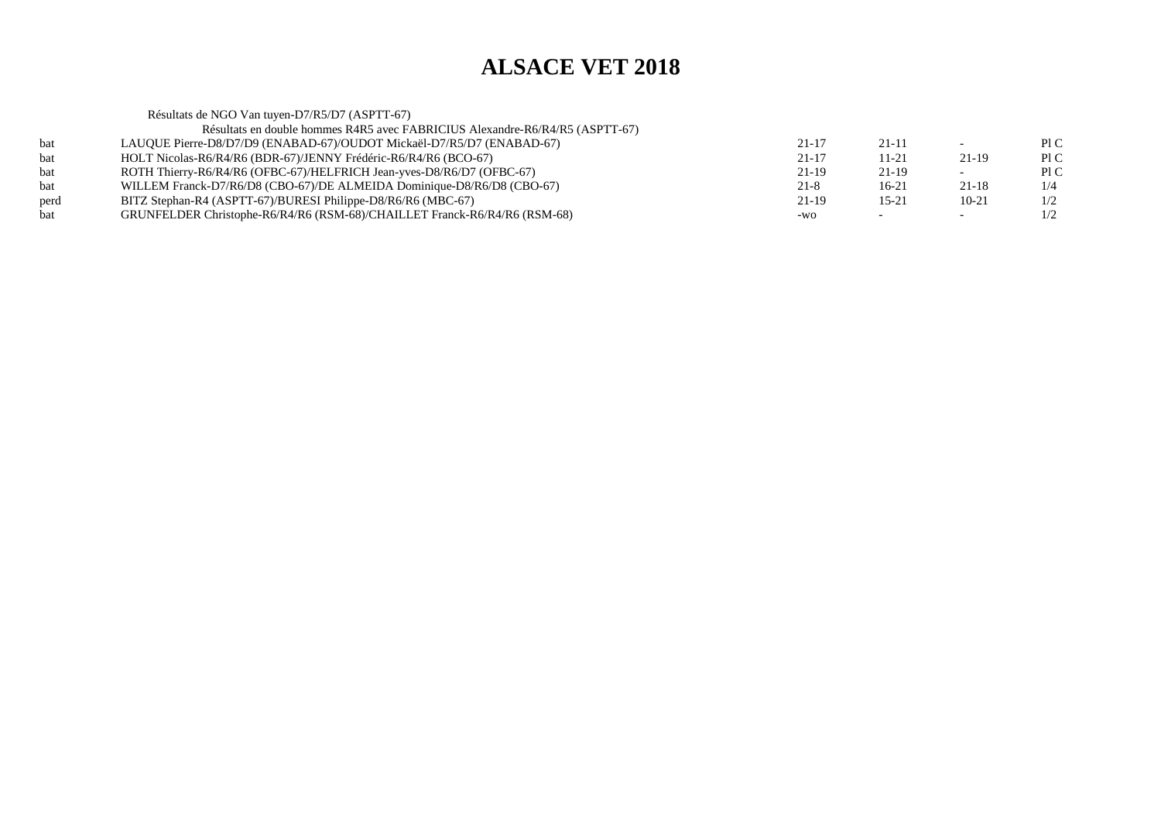Résultats de NGO Van tuyen-D7/R5/D7 (ASPTT-67) Résultats en double hommes R4R5 avec FABRICIUS Alexandre-R6/R4/R5 (ASPTT-67)bat LAUQUE Pierre-D8/D7/D9 (ENABAD-67)/OUDOT Mickaël-D7/R5/D7 (ENABAD-67) $21-17$   $21-11$  - PIC Pl C bat HOLT Nicolas-R6/R4/R6 (BDR-67)/JENNY Frédéric-R6/R4/R6 (BCO-67) $21-17$  11-21 21-19 PIC  $P1C$ bat ROTH Thierry-R6/R4/R6 (OFBC-67)/HELFRICH Jean-yves-D8/R6/D7 (OFBC-67) $21-19$  21-19 - PIC  $1/4$ bat WILLEM Franck-D7/R6/D8 (CBO-67)/DE ALMEIDA Dominique-D8/R6/D8 (CBO-67) $21-8$  16-21 21-18 1/4  $1/2$ perd BITZ Stephan-R4 (ASPTT-67)/BURESI Philippe-D8/R6/R6 (MBC-67) $21-19$  15-21 10-21 1/2  $1/2$ bat GRUNFELDER Christophe-R6/R4/R6 (RSM-68)/CHAILLET Franck-R6/R4/R6 (RSM-68) $-wo$  -  $-1/2$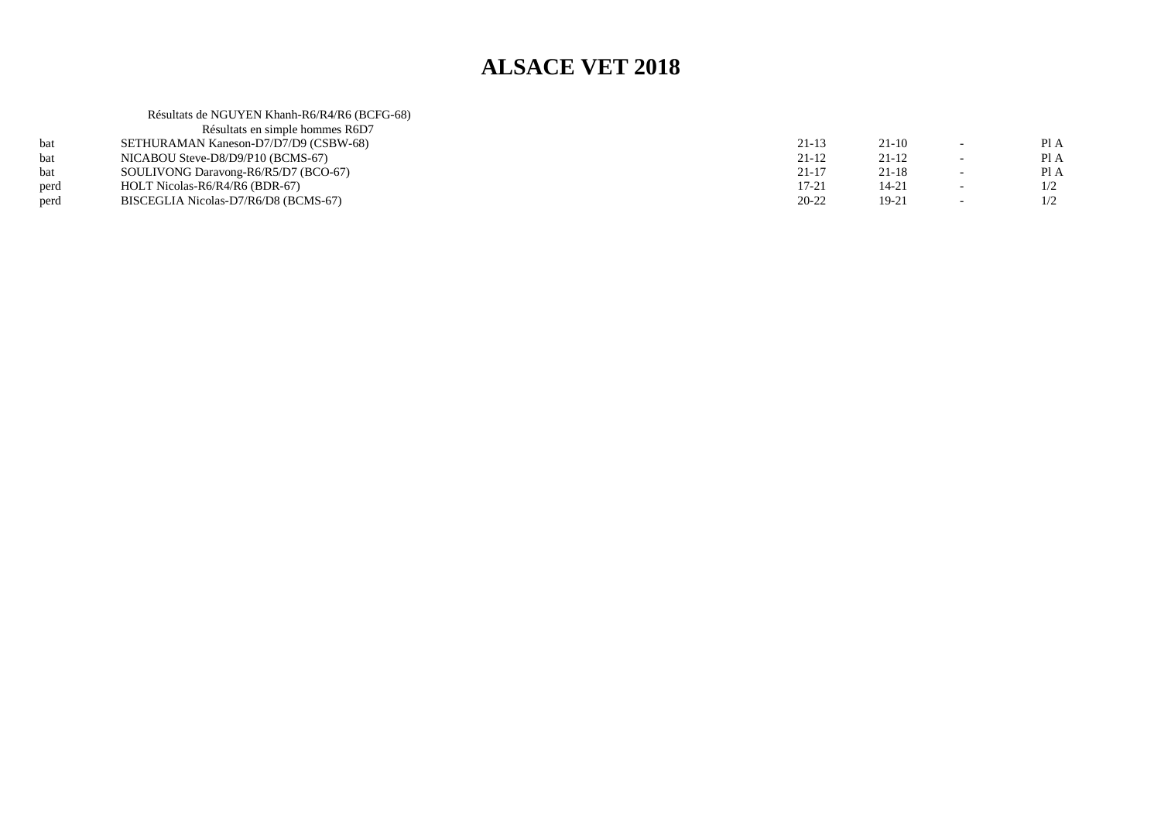|      | Résultats de NGUYEN Khanh-R6/R4/R6 (BCFG-68) |           |           |                          |      |
|------|----------------------------------------------|-----------|-----------|--------------------------|------|
|      | Résultats en simple hommes R6D7              |           |           |                          |      |
| bat  | SETHURAMAN Kaneson-D7/D7/D9 (CSBW-68)        | $21-13$   | $21-10$   |                          | Pl A |
| bat  | NICABOU Steve-D8/D9/P10 (BCMS-67)            | $21 - 12$ | $21-12$   |                          | Pl A |
| bat  | SOULIVONG Daravong-R6/R5/D7 (BCO-67)         | $21 - 17$ | $21 - 18$ | $\overline{\phantom{0}}$ | Pl A |
| perd | HOLT Nicolas-R6/R4/R6 (BDR-67)               | $17 - 21$ | 14-21     |                          | 1/2  |
| perd | BISCEGLIA Nicolas-D7/R6/D8 (BCMS-67)         | 20-22     | 19-21     | $\overline{\phantom{a}}$ | 1/2  |
|      |                                              |           |           |                          |      |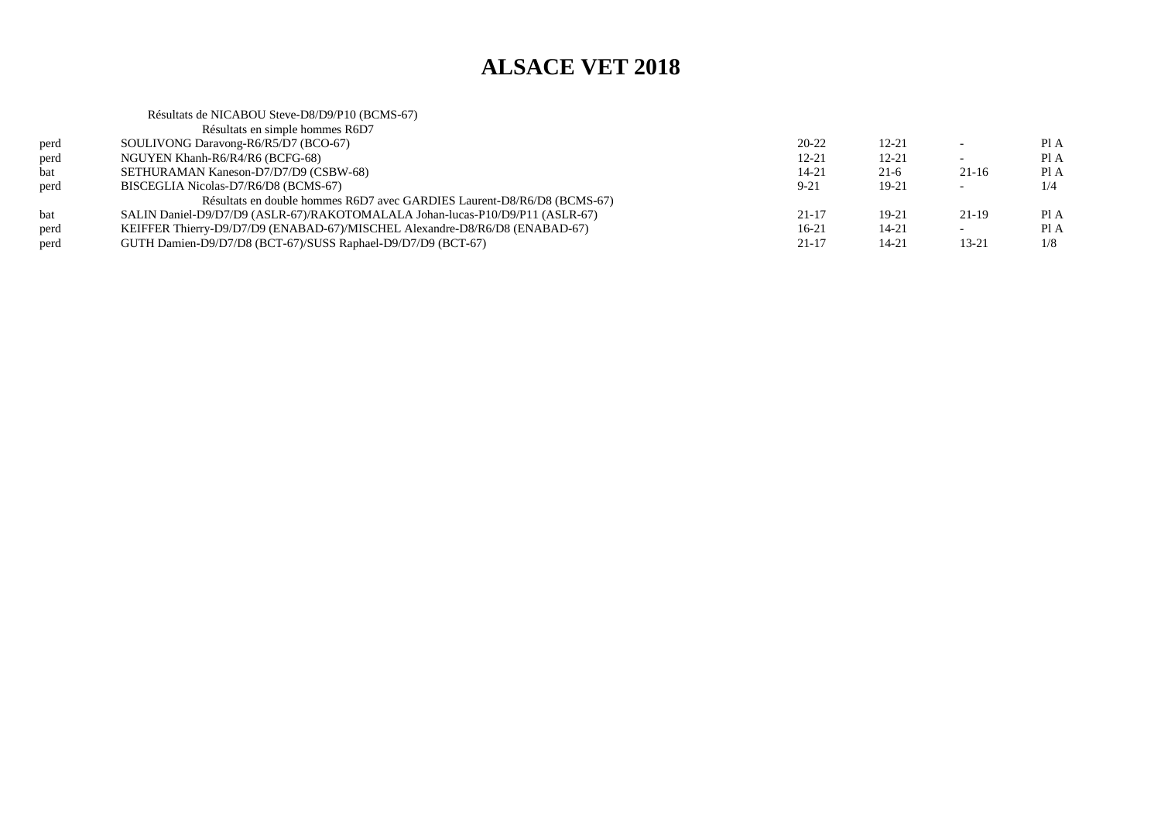|      | Résultats de NICABOU Steve-D8/D9/P10 (BCMS-67)                                |           |           |                          |      |
|------|-------------------------------------------------------------------------------|-----------|-----------|--------------------------|------|
|      | Résultats en simple hommes R6D7                                               |           |           |                          |      |
| perd | SOULIVONG Daravong-R6/R5/D7 (BCO-67)                                          | $20 - 22$ | $12 - 21$ | $\overline{\phantom{0}}$ | PIA  |
| perd | NGUYEN Khanh-R6/R4/R6 (BCFG-68)                                               | $12 - 21$ | $12 - 21$ | $\overline{\phantom{0}}$ | PIA  |
| bat  | SETHURAMAN Kaneson-D7/D7/D9 (CSBW-68)                                         | $14 - 21$ | $21-6$    | $21-16$                  | Pl A |
| perd | BISCEGLIA Nicolas-D7/R6/D8 (BCMS-67)                                          | $9 - 21$  | $19-21$   | $\sim$                   | 1/4  |
|      | Résultats en double hommes R6D7 avec GARDIES Laurent-D8/R6/D8 (BCMS-67)       |           |           |                          |      |
| bat  | SALIN Daniel-D9/D7/D9 (ASLR-67)/RAKOTOMALALA Johan-lucas-P10/D9/P11 (ASLR-67) | $21 - 17$ | $19-21$   | $21-19$                  | Pl A |
| perd | KEIFFER Thierry-D9/D7/D9 (ENABAD-67)/MISCHEL Alexandre-D8/R6/D8 (ENABAD-67)   | $16-21$   | $14 - 21$ | $\overline{\phantom{a}}$ | PI A |
| perd | GUTH Damien-D9/D7/D8 (BCT-67)/SUSS Raphael-D9/D7/D9 (BCT-67)                  | $21 - 17$ | $14 - 21$ | 13-21                    | 1/8  |
|      |                                                                               |           |           |                          |      |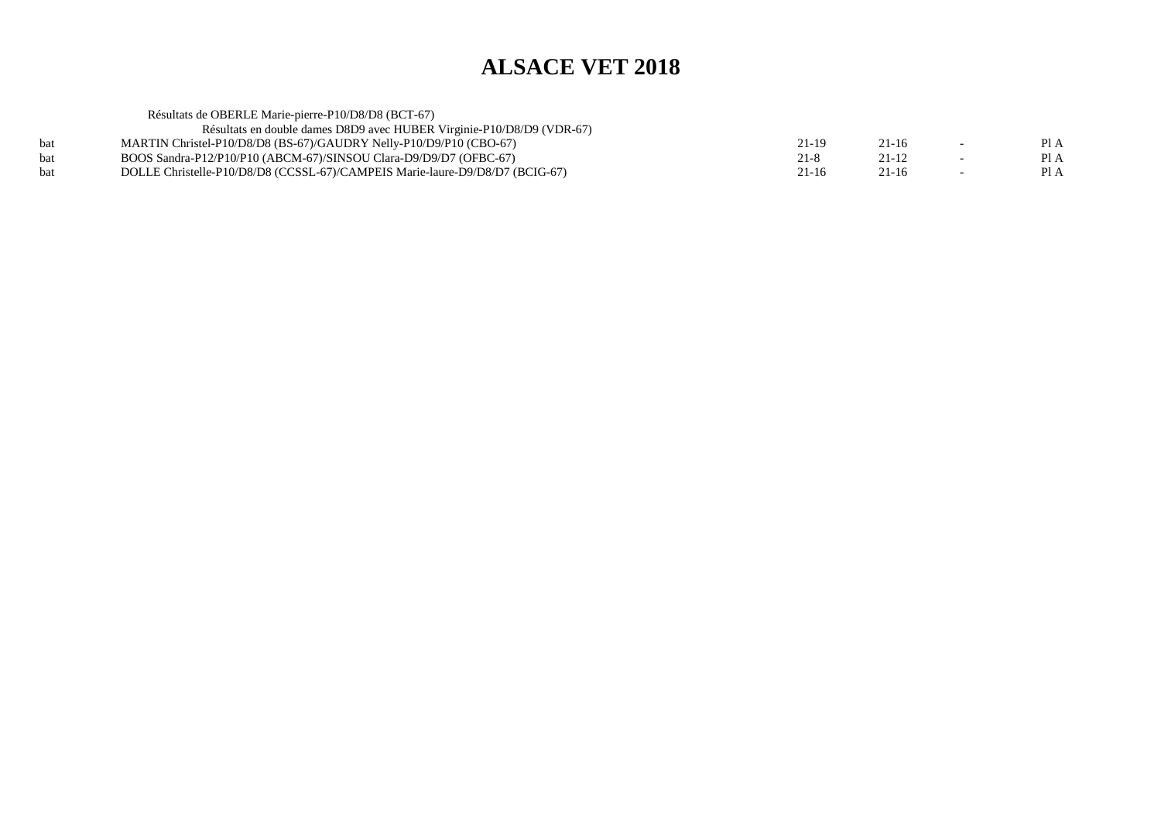| Résultats de OBERLE Marie-pierre-P10/D8/D8 (BCT-67)                          |           |           |        |      |
|------------------------------------------------------------------------------|-----------|-----------|--------|------|
| Résultats en double dames D8D9 avec HUBER Virginie-P10/D8/D9 (VDR-67)        |           |           |        |      |
| MARTIN Christel-P10/D8/D8 (BS-67)/GAUDRY Nelly-P10/D9/P10 (CBO-67)           | 21-19     | $21 - 16$ | $\sim$ | Pl A |
| BOOS Sandra-P12/P10/P10 (ABCM-67)/SINSOU Clara-D9/D9/D7 (OFBC-67)            | $21 - 8$  | $21 - 12$ |        | Pl A |
| DOLLE Christelle-P10/D8/D8 (CCSSL-67)/CAMPEIS Marie-laure-D9/D8/D7 (BCIG-67) | $21 - 16$ | 21-16     |        | Pl A |
|                                                                              |           |           |        |      |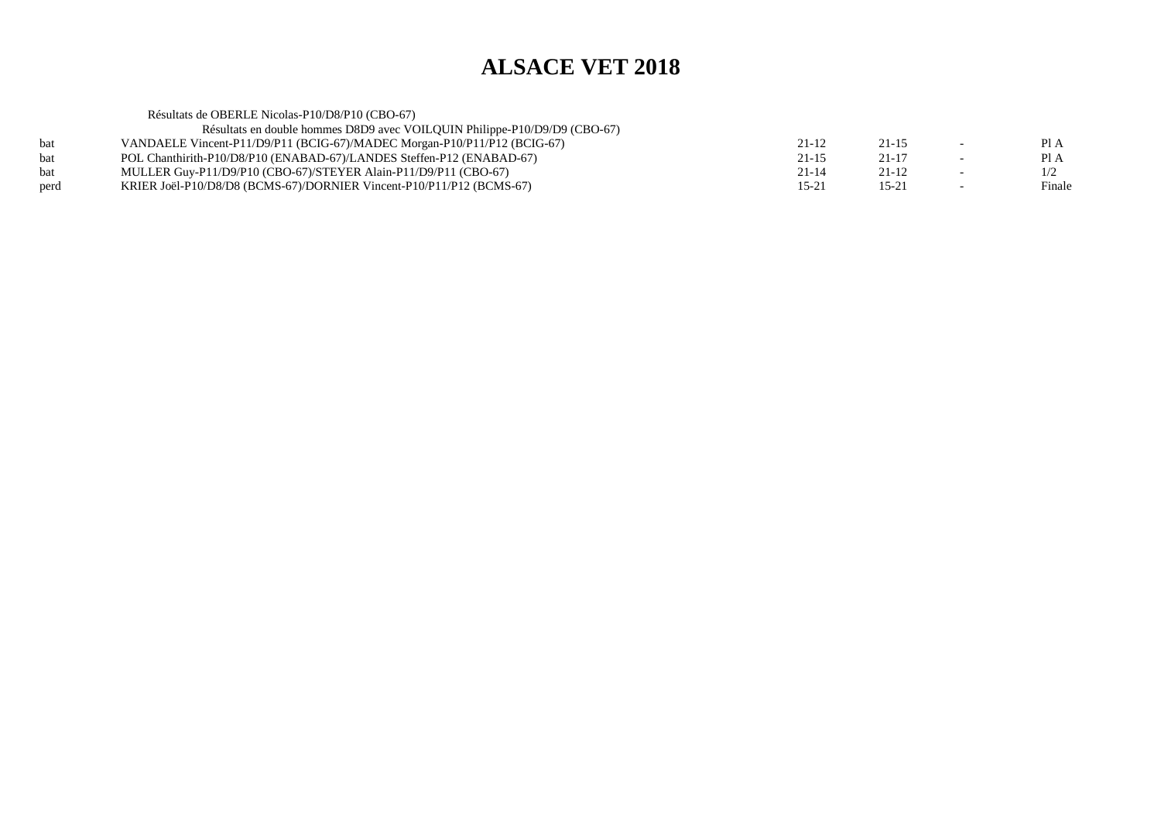Résultats de OBERLE Nicolas-P10/D8/P10 (CBO-67) Résultats en double hommes D8D9 avec VOILQUIN Philippe-P10/D9/D9 (CBO-67)bat VANDAELE Vincent-P11/D9/P11 (BCIG-67)/MADEC Morgan-P10/P11/P12 (BCIG-67) $21-12$   $21-15$   $-$  PIA  $PIA$ bat POL Chanthirith-P10/D8/P10 (ENABAD-67)/LANDES Steffen-P12 (ENABAD-67)<br>MULLER Guy-P11/D9/P10 (CBO-67)/STEYER Alain-P11/D9/P11 (CBO-67)  $21-15$   $21-17$  - PIA  $1/2$ bat MULLER Guy-P11/D9/P10 (CBO-67)/STEYER Alain-P11/D9/P11 (CBO-67) $21-14$   $21-12$   $-1/2$ Finale perd KRIER Joël-P10/D8/D8 (BCMS-67)/DORNIER Vincent-P10/P11/P12 (BCMS-67)(a) 15-21 15-21 - Finale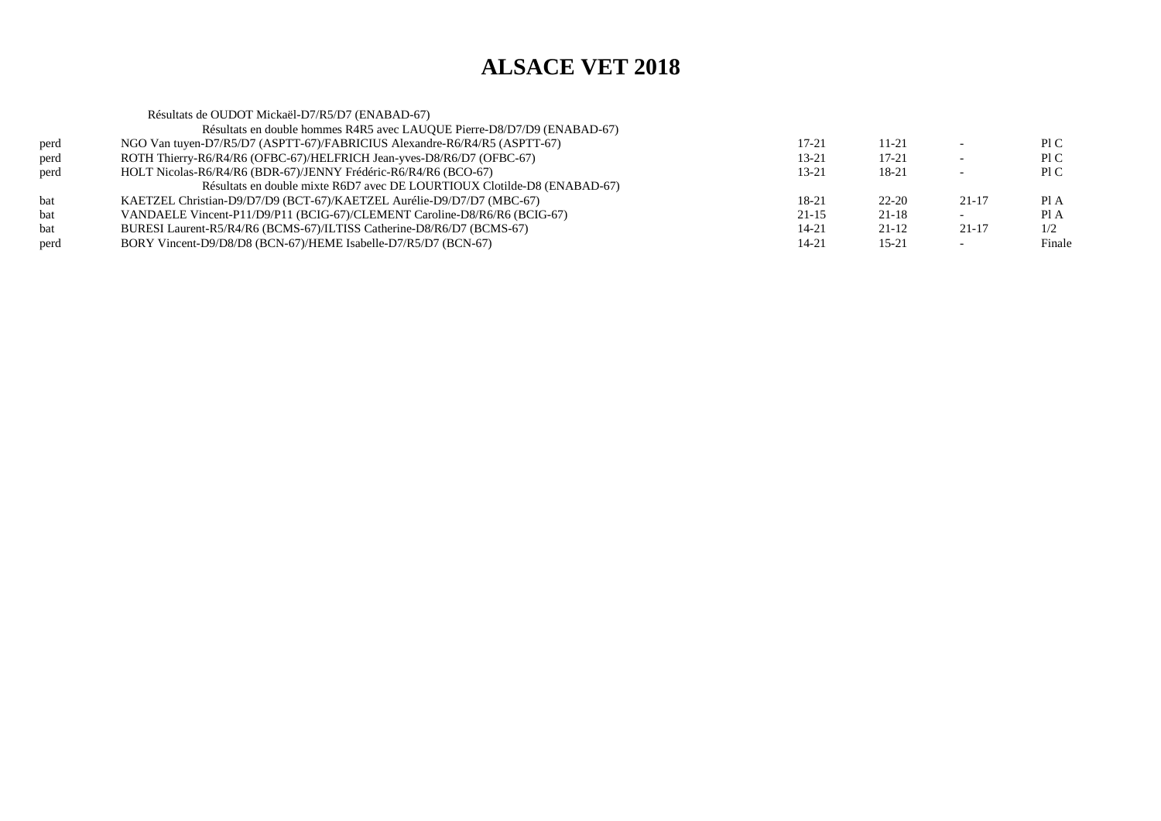|      | Résultats de OUDOT Mickaël-D7/R5/D7 (ENABAD-67)                           |           |           |           |        |
|------|---------------------------------------------------------------------------|-----------|-----------|-----------|--------|
|      | Résultats en double hommes R4R5 avec LAUQUE Pierre-D8/D7/D9 (ENABAD-67)   |           |           |           |        |
| perd | NGO Van tuyen-D7/R5/D7 (ASPTT-67)/FABRICIUS Alexandre-R6/R4/R5 (ASPTT-67) | 17-21     | 11-21     |           | PI C   |
| perd | ROTH Thierry-R6/R4/R6 (OFBC-67)/HELFRICH Jean-yves-D8/R6/D7 (OFBC-67)     | 13-21     | 17-21     |           | P1C    |
| perd | HOLT Nicolas-R6/R4/R6 (BDR-67)/JENNY Frédéric-R6/R4/R6 (BCO-67)           | $13 - 21$ | 18-21     |           | P1C    |
|      | Résultats en double mixte R6D7 avec DE LOURTIOUX Clotilde-D8 (ENABAD-67)  |           |           |           |        |
| bat  | KAETZEL Christian-D9/D7/D9 (BCT-67)/KAETZEL Aurélie-D9/D7/D7 (MBC-67)     | $18-21$   | $22 - 20$ | 21-17     | PI A   |
| bat  | VANDAELE Vincent-P11/D9/P11 (BCIG-67)/CLEMENT Caroline-D8/R6/R6 (BCIG-67) | $21 - 15$ | $21 - 18$ |           | Pl A   |
| bat  | BURESI Laurent-R5/R4/R6 (BCMS-67)/ILTISS Catherine-D8/R6/D7 (BCMS-67)     | $14 - 21$ | $21 - 12$ | $21 - 17$ | 1/2    |
| perd | BORY Vincent-D9/D8/D8 (BCN-67)/HEME Isabelle-D7/R5/D7 (BCN-67)            | 14-21     | $15 - 21$ |           | Finale |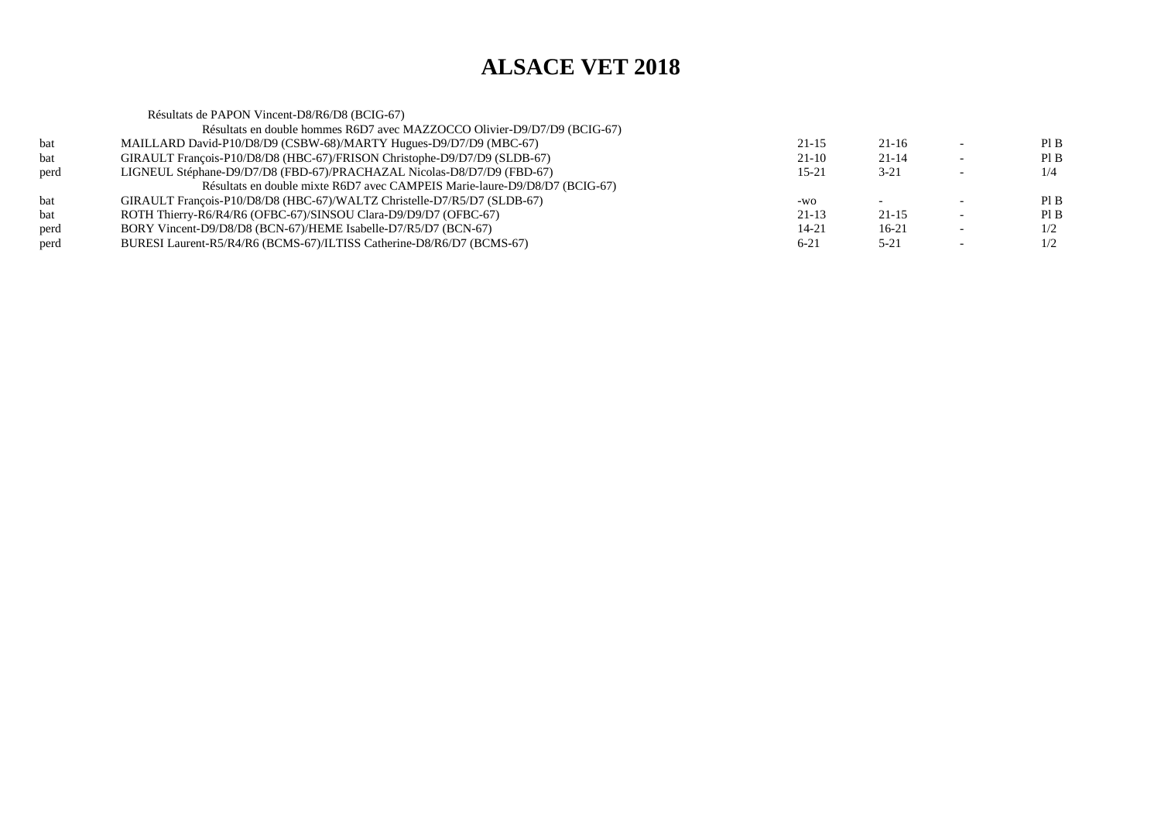|      | Résultats de PAPON Vincent-D8/R6/D8 (BCIG-67)                              |           |           |                          |     |
|------|----------------------------------------------------------------------------|-----------|-----------|--------------------------|-----|
|      | Résultats en double hommes R6D7 avec MAZZOCCO Olivier-D9/D7/D9 (BCIG-67)   |           |           |                          |     |
| bat  | MAILLARD David-P10/D8/D9 (CSBW-68)/MARTY Hugues-D9/D7/D9 (MBC-67)          | $21 - 15$ | 21-16     |                          | PIB |
| bat  | GIRAULT François-P10/D8/D8 (HBC-67)/FRISON Christophe-D9/D7/D9 (SLDB-67)   | $21-10$   | $21 - 14$ | $\overline{\phantom{0}}$ | PIB |
| perd | LIGNEUL Stéphane-D9/D7/D8 (FBD-67)/PRACHAZAL Nicolas-D8/D7/D9 (FBD-67)     | $15 - 21$ | $3 - 21$  |                          | 1/4 |
|      | Résultats en double mixte R6D7 avec CAMPEIS Marie-laure-D9/D8/D7 (BCIG-67) |           |           |                          |     |
| bat  | GIRAULT François-P10/D8/D8 (HBC-67)/WALTZ Christelle-D7/R5/D7 (SLDB-67)    | -WO       |           |                          | PIB |
| bat  | ROTH Thierry-R6/R4/R6 (OFBC-67)/SINSOU Clara-D9/D9/D7 (OFBC-67)            | $21-13$   | $21 - 15$ | $\overline{\phantom{0}}$ | PIB |
| perd | BORY Vincent-D9/D8/D8 (BCN-67)/HEME Isabelle-D7/R5/D7 (BCN-67)             | 14-21     | $16-21$   | $\overline{\phantom{0}}$ | 1/2 |
| perd | BURESI Laurent-R5/R4/R6 (BCMS-67)/ILTISS Catherine-D8/R6/D7 (BCMS-67)      | $6 - 21$  | $5 - 21$  |                          | 1/2 |
|      |                                                                            |           |           |                          |     |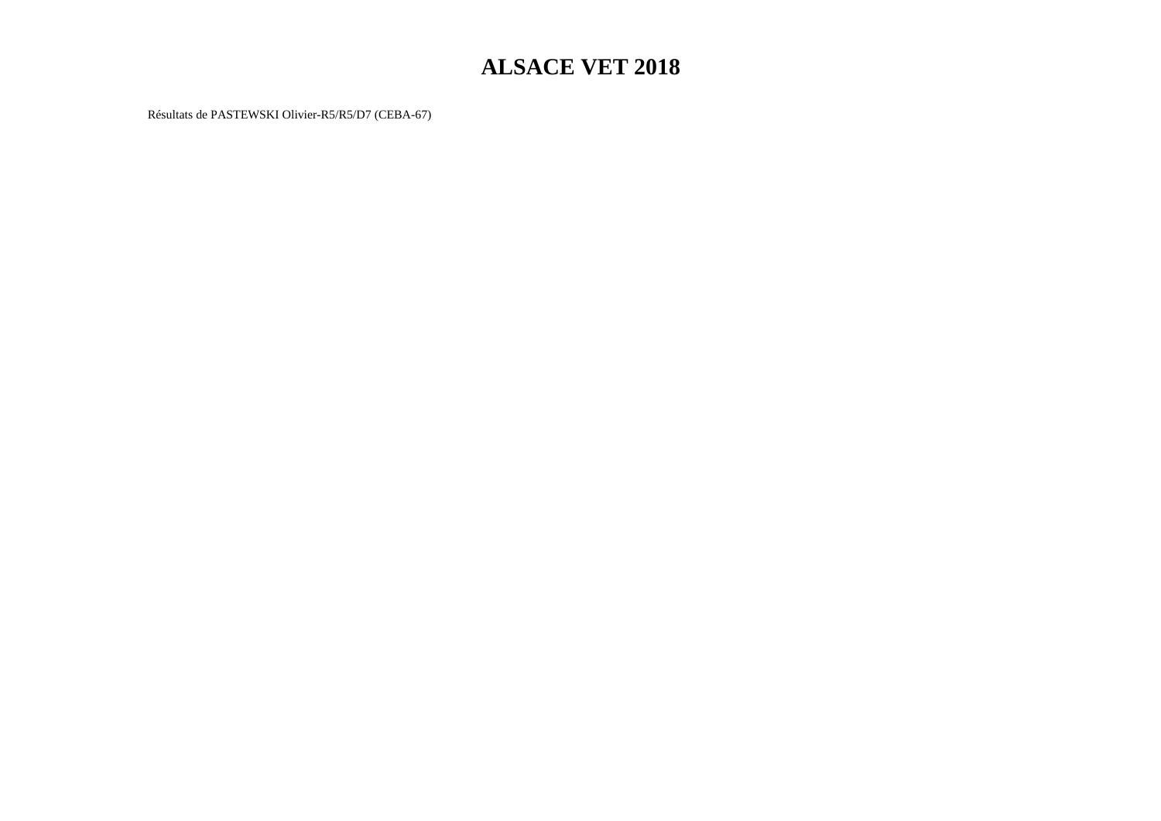Résultats de PASTEWSKI Olivier-R5/R5/D7 (CEBA-67)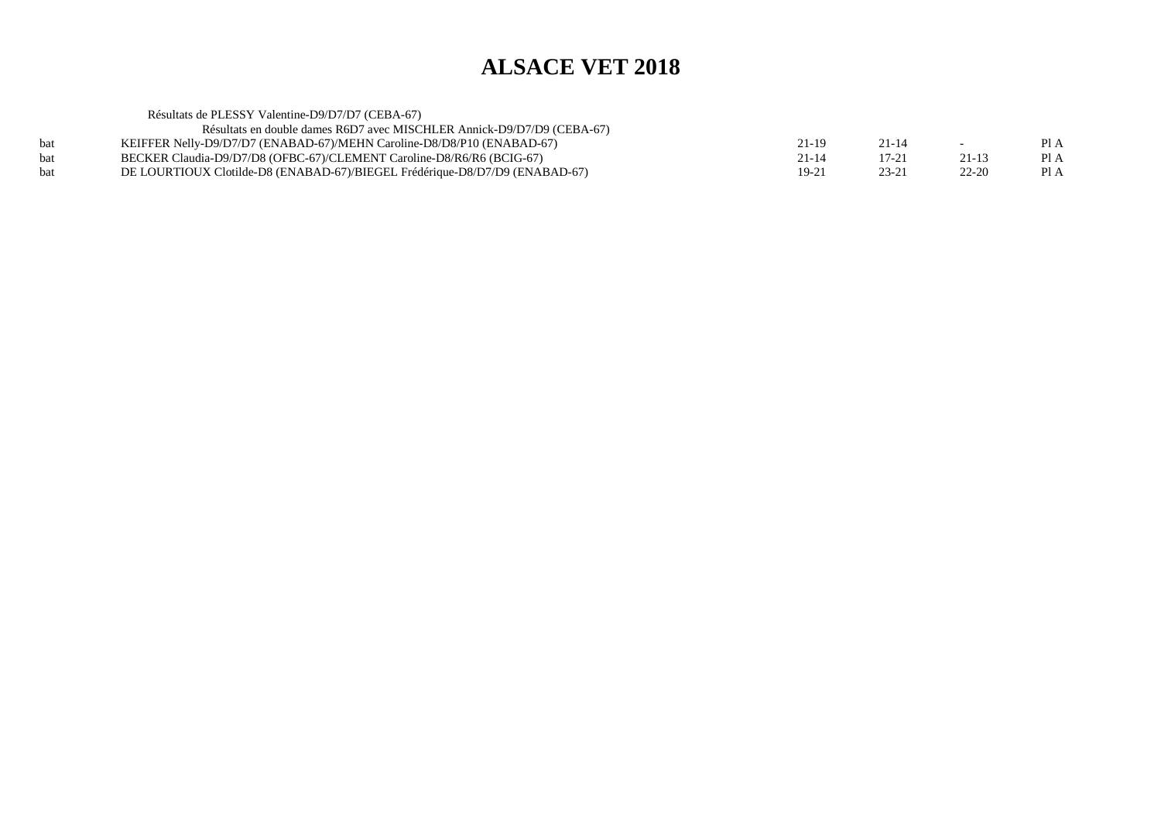| Résultats de PLESSY Valentine-D9/D7/D7 (CEBA-67)                            |           |           |           |      |
|-----------------------------------------------------------------------------|-----------|-----------|-----------|------|
| Résultats en double dames R6D7 avec MISCHLER Annick-D9/D7/D9 (CEBA-67)      |           |           |           |      |
| KEIFFER Nelly-D9/D7/D7 (ENABAD-67)/MEHN Caroline-D8/D8/P10 (ENABAD-67)      | 21-19     | $21 - 14$ | $\sim$    | Pl A |
| BECKER Claudia-D9/D7/D8 (OFBC-67)/CLEMENT Caroline-D8/R6/R6 (BCIG-67)       | $21 - 14$ | $17 - 21$ | $21 - 13$ | Pl A |
| DE LOURTIOUX Clotilde-D8 (ENABAD-67)/BIEGEL Frédérique-D8/D7/D9 (ENABAD-67) | $19 - 21$ | $23 - 21$ | $22 - 20$ | Pl A |
|                                                                             |           |           |           |      |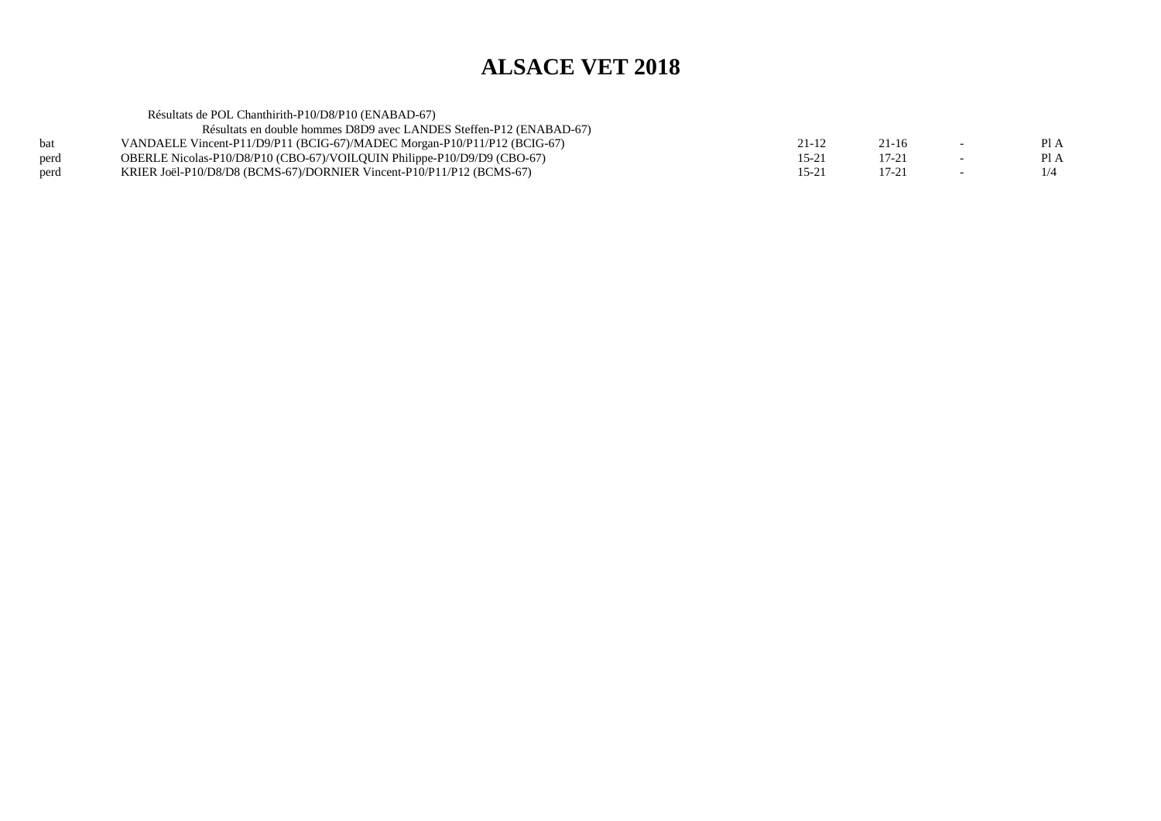|      | Résultats de POL Chanthirith-P10/D8/P10 (ENABAD-67)                      |           |           |        |      |
|------|--------------------------------------------------------------------------|-----------|-----------|--------|------|
|      | Résultats en double hommes D8D9 avec LANDES Steffen-P12 (ENABAD-67)      |           |           |        |      |
| bat  | VANDAELE Vincent-P11/D9/P11 (BCIG-67)/MADEC Morgan-P10/P11/P12 (BCIG-67) | 21-12     | $21 - 16$ | $\sim$ | PI A |
| perd | OBERLE Nicolas-P10/D8/P10 (CBO-67)/VOILQUIN Philippe-P10/D9/D9 (CBO-67)  | $15 - 21$ | $17 - 21$ |        | PI A |
| perd | KRIER Joël-P10/D8/D8 (BCMS-67)/DORNIER Vincent-P10/P11/P12 (BCMS-67)     | $15 - 21$ | 17-21     |        | 1/4  |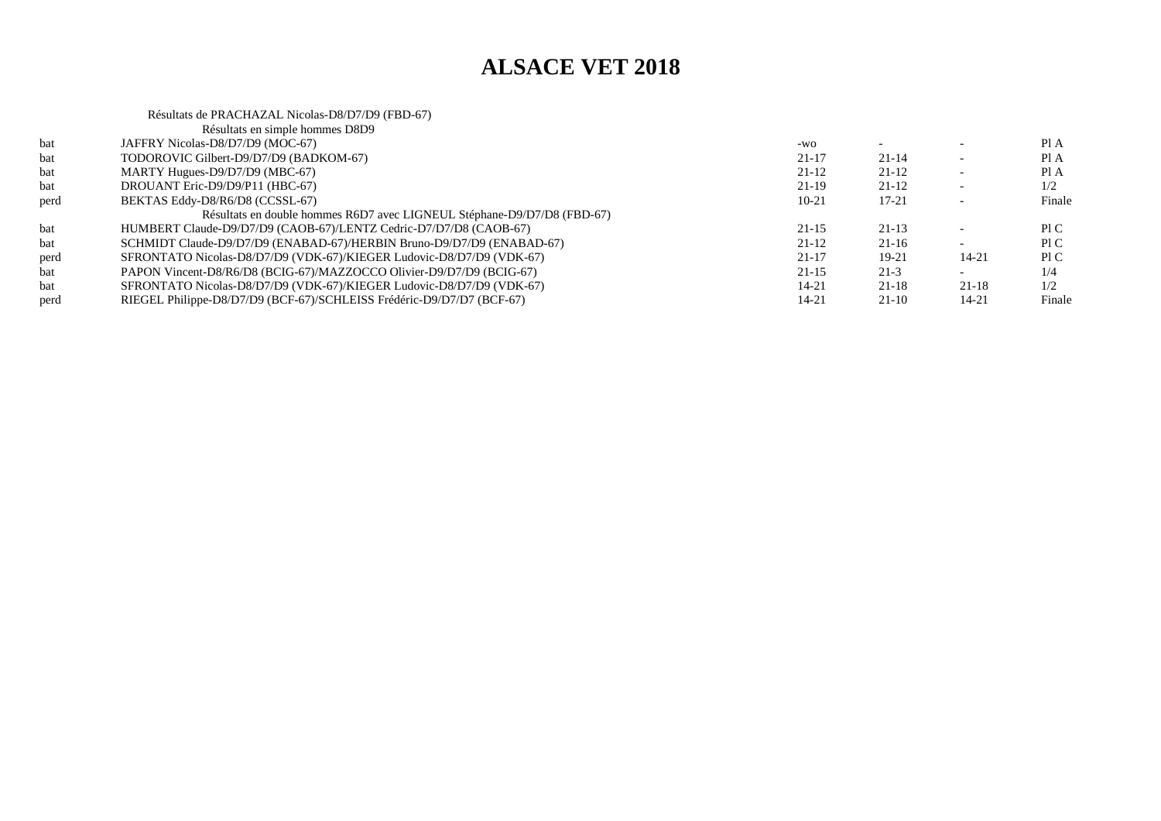Résultats de PRACHAZAL Nicolas-D8/D7/D9 (FBD-67)

|      | Résultats en simple hommes D8D9                                         |           |           |           |        |
|------|-------------------------------------------------------------------------|-----------|-----------|-----------|--------|
| bat  | JAFFRY Nicolas-D8/D7/D9 (MOC-67)                                        | $-WO$     |           |           | PI A   |
| bat  | TODOROVIC Gilbert-D9/D7/D9 (BADKOM-67)                                  | $21 - 17$ | $21 - 14$ |           | Pl A   |
| bat  | MARTY Hugues-D9/D7/D9 (MBC-67)                                          | $21 - 12$ | $21-12$   |           | Pl A   |
| bat  | DROUANT Eric-D9/D9/P11 (HBC-67)                                         | $21-19$   | $21-12$   |           | 1/2    |
| perd | BEKTAS Eddy-D8/R6/D8 (CCSSL-67)                                         | $10 - 21$ | $17 - 21$ |           | Finale |
|      | Résultats en double hommes R6D7 avec LIGNEUL Stéphane-D9/D7/D8 (FBD-67) |           |           |           |        |
| bat  | HUMBERT Claude-D9/D7/D9 (CAOB-67)/LENTZ Cedric-D7/D7/D8 (CAOB-67)       | $21 - 15$ | $21 - 13$ |           | PLC.   |
| bat  | SCHMIDT Claude-D9/D7/D9 (ENABAD-67)/HERBIN Bruno-D9/D7/D9 (ENABAD-67)   | $21 - 12$ | 21-16     |           | PI C   |
| perd | SFRONTATO Nicolas-D8/D7/D9 (VDK-67)/KIEGER Ludovic-D8/D7/D9 (VDK-67)    | $21 - 17$ | 19-21     | 14-21     | P1C    |
| bat  | PAPON Vincent-D8/R6/D8 (BCIG-67)/MAZZOCCO Olivier-D9/D7/D9 (BCIG-67)    | $21-15$   | $21-3$    |           | 1/4    |
| bat  | SFRONTATO Nicolas-D8/D7/D9 (VDK-67)/KIEGER Ludovic-D8/D7/D9 (VDK-67)    | 14-21     | $21 - 18$ | $21 - 18$ | 1/2    |
| perd | RIEGEL Philippe-D8/D7/D9 (BCF-67)/SCHLEISS Frédéric-D9/D7/D7 (BCF-67)   | 14-21     | $21-10$   | 14-21     | Finale |
|      |                                                                         |           |           |           |        |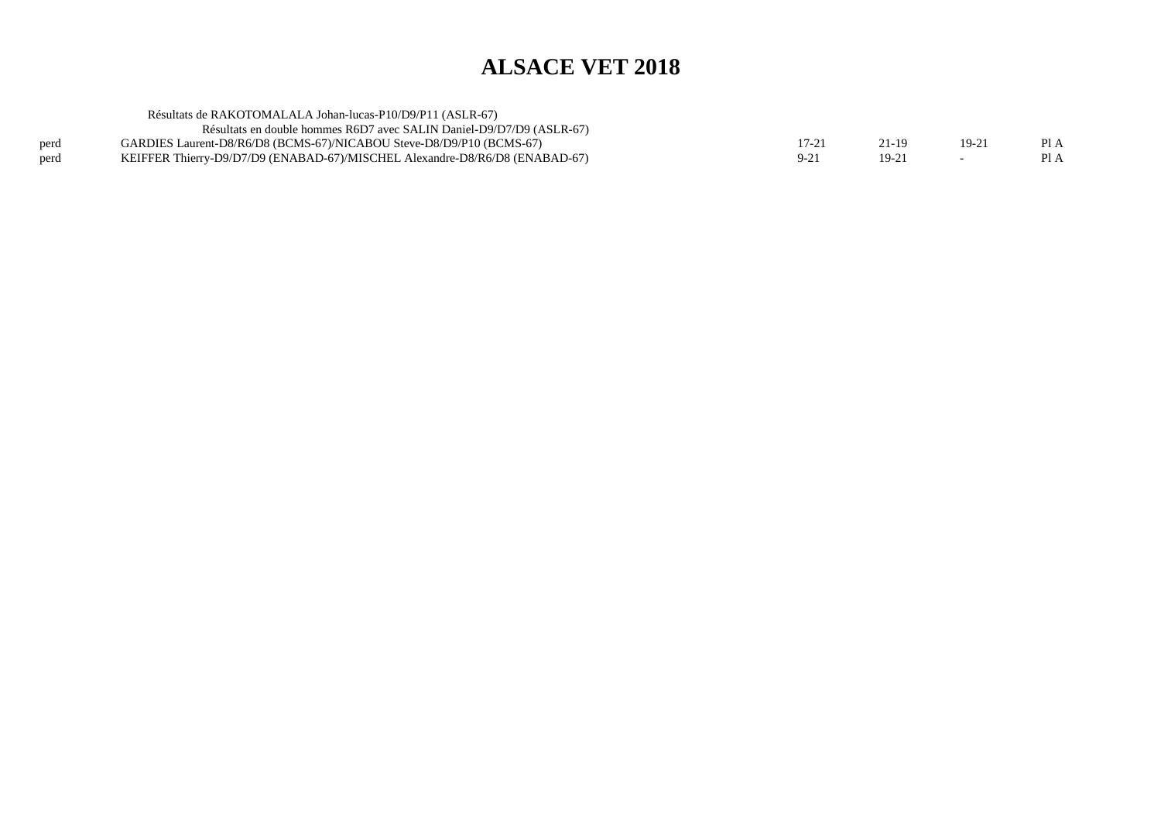|      | Résultats de RAKOTOMALALA Johan-lucas-P10/D9/P11 (ASLR-67)                  |         |       |         |      |
|------|-----------------------------------------------------------------------------|---------|-------|---------|------|
|      | Résultats en double hommes R6D7 avec SALIN Daniel-D9/D7/D9 (ASLR-67)        |         |       |         |      |
| perd | GARDIES Laurent-D8/R6/D8 (BCMS-67)/NICABOU Steve-D8/D9/P10 (BCMS-67)        | $17-21$ | 21-19 | $19-2i$ |      |
| perd | KEIFFER Thierry-D9/D7/D9 (ENABAD-67)/MISCHEL Alexandre-D8/R6/D8 (ENABAD-67) |         | 19-21 |         | Pl A |
|      |                                                                             |         |       |         |      |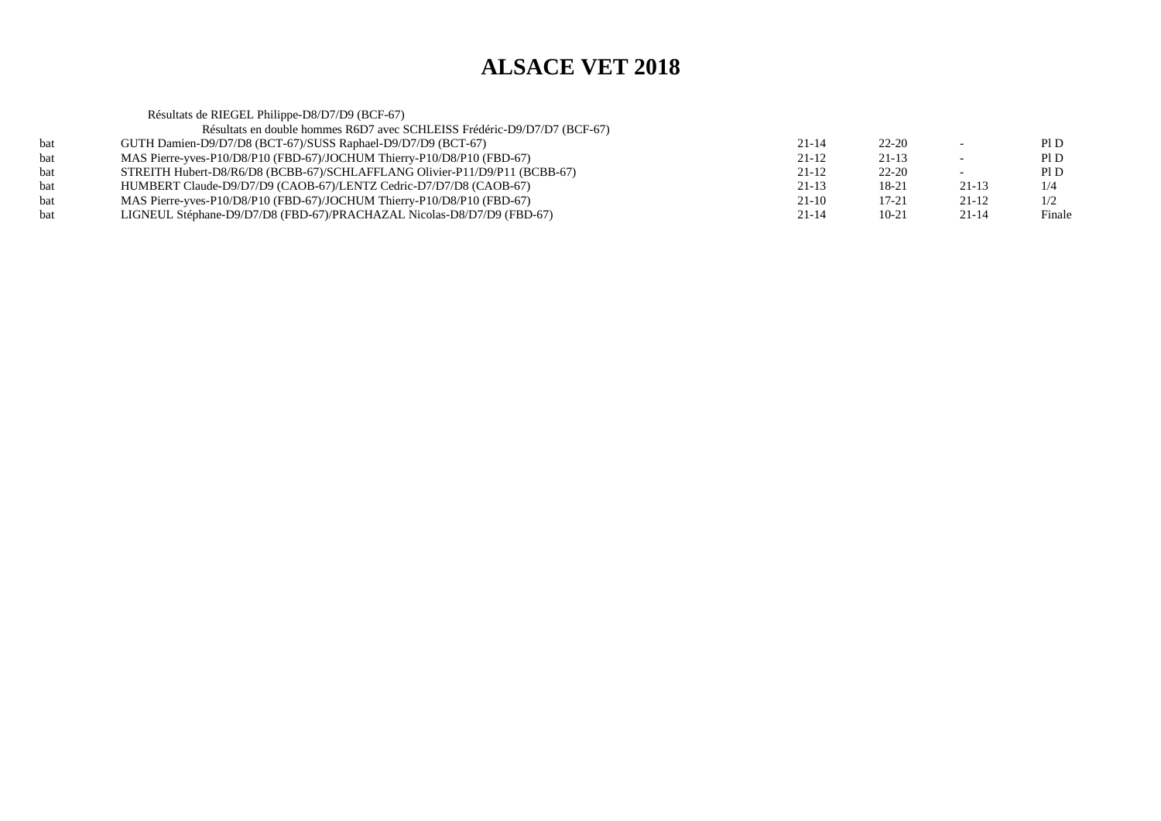|     | Résultats de RIEGEL Philippe-D8/D7/D9 (BCF-67)                             |           |           |           |        |
|-----|----------------------------------------------------------------------------|-----------|-----------|-----------|--------|
|     | Résultats en double hommes R6D7 avec SCHLEISS Frédéric-D9/D7/D7 (BCF-67)   |           |           |           |        |
| bat | GUTH Damien-D9/D7/D8 (BCT-67)/SUSS Raphael-D9/D7/D9 (BCT-67)               | $21 - 14$ | $22 - 20$ |           | PI D   |
| bat | MAS Pierre-yves-P10/D8/P10 (FBD-67)/JOCHUM Thierry-P10/D8/P10 (FBD-67)     | $21 - 12$ | $21 - 13$ |           | PI D   |
| bat | STREITH Hubert-D8/R6/D8 (BCBB-67)/SCHLAFFLANG Olivier-P11/D9/P11 (BCBB-67) | $21 - 12$ | $22 - 20$ |           | PI D   |
| bat | HUMBERT Claude-D9/D7/D9 (CAOB-67)/LENTZ Cedric-D7/D7/D8 (CAOB-67)          | $21-13$   | 18-21     | $21-13$   | 1/4    |
| bat | MAS Pierre-yves-P10/D8/P10 (FBD-67)/JOCHUM Thierry-P10/D8/P10 (FBD-67)     | $21-10$   | $17 - 21$ | $21-12$   | 1/2    |
| bat | LIGNEUL Stéphane-D9/D7/D8 (FBD-67)/PRACHAZAL Nicolas-D8/D7/D9 (FBD-67)     | $21 - 14$ | $10-21$   | $21 - 14$ | Finale |
|     |                                                                            |           |           |           |        |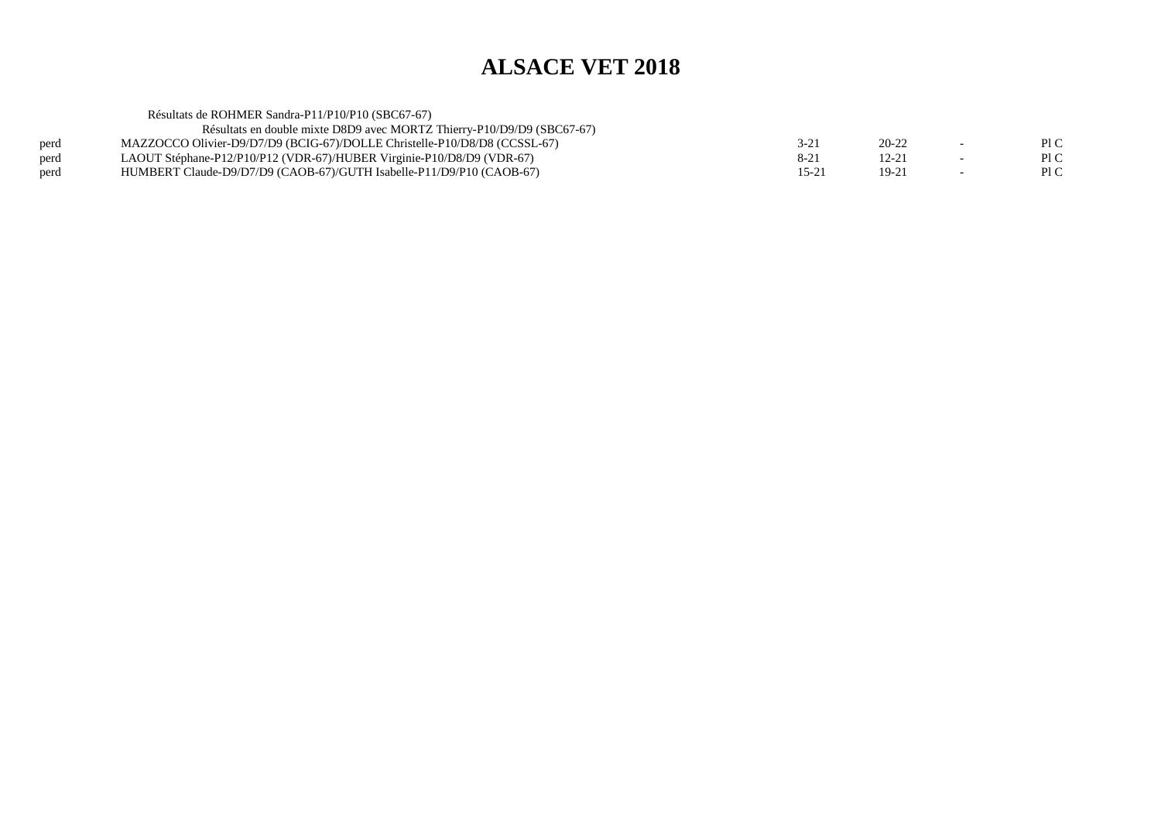|      | Résultats de ROHMER Sandra-P11/P10/P10 (SBC67-67)                         |                |           |      |
|------|---------------------------------------------------------------------------|----------------|-----------|------|
|      | Résultats en double mixte D8D9 avec MORTZ Thierry-P10/D9/D9 (SBC67-67)    |                |           |      |
| perd | MAZZOCCO Olivier-D9/D7/D9 (BCIG-67)/DOLLE Christelle-P10/D8/D8 (CCSSL-67) | 3-21           | $20 - 22$ | Pl C |
| perd | LAOUT Stéphane-P12/P10/P12 (VDR-67)/HUBER Virginie-P10/D8/D9 (VDR-67)     | $8-21$         | 12-21     | P1C  |
| perd | HUMBERT Claude-D9/D7/D9 (CAOB-67)/GUTH Isabelle-P11/D9/P10 (CAOB-67)      | $15-2^{\circ}$ | $19-21$   | PI C |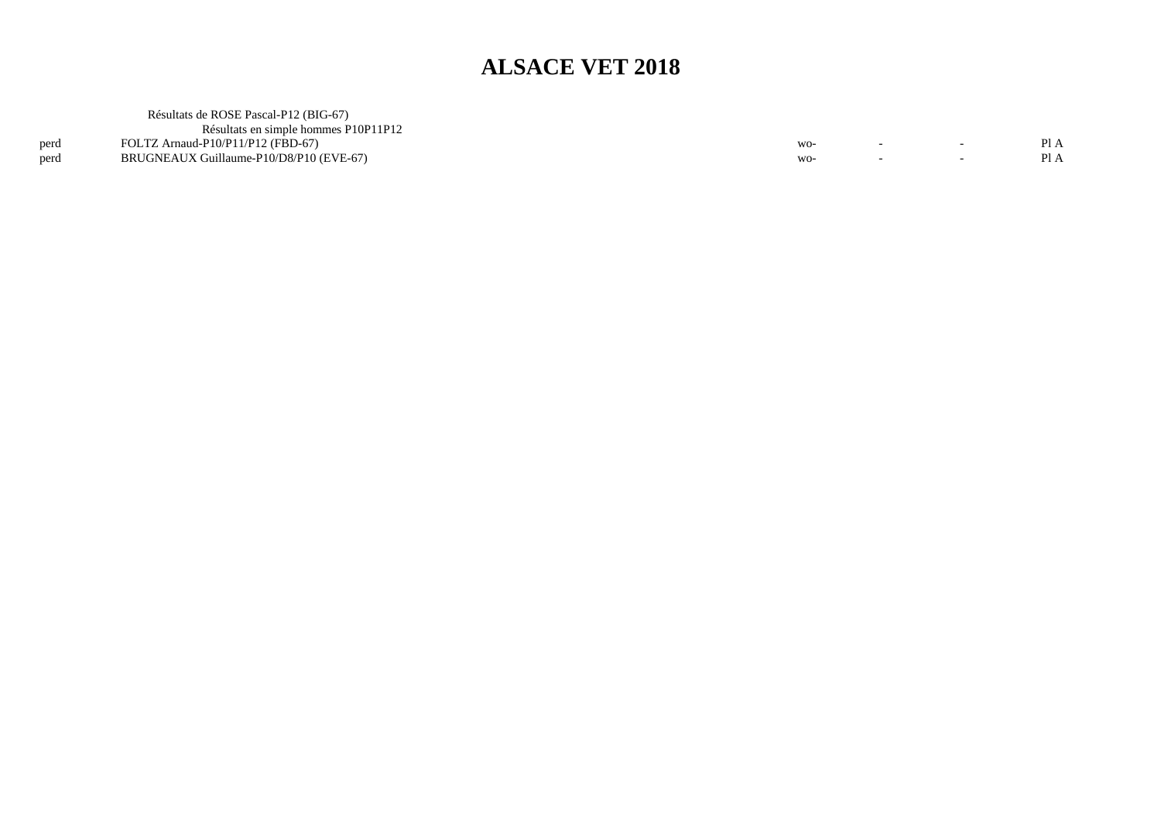|      | Résultats de ROSE Pascal-P12 (BIG-67)   |     |                          |     |
|------|-----------------------------------------|-----|--------------------------|-----|
|      | Résultats en simple hommes P10P11P12    |     |                          |     |
| perd | FOLTZ Arnaud-P10/P11/P12 (FBD-67)       |     |                          | PIA |
| perd | BRUGNEAUX Guillaume-P10/D8/P10 (EVE-67) | $-$ | $\overline{\phantom{0}}$ | PIA |
|      |                                         |     |                          |     |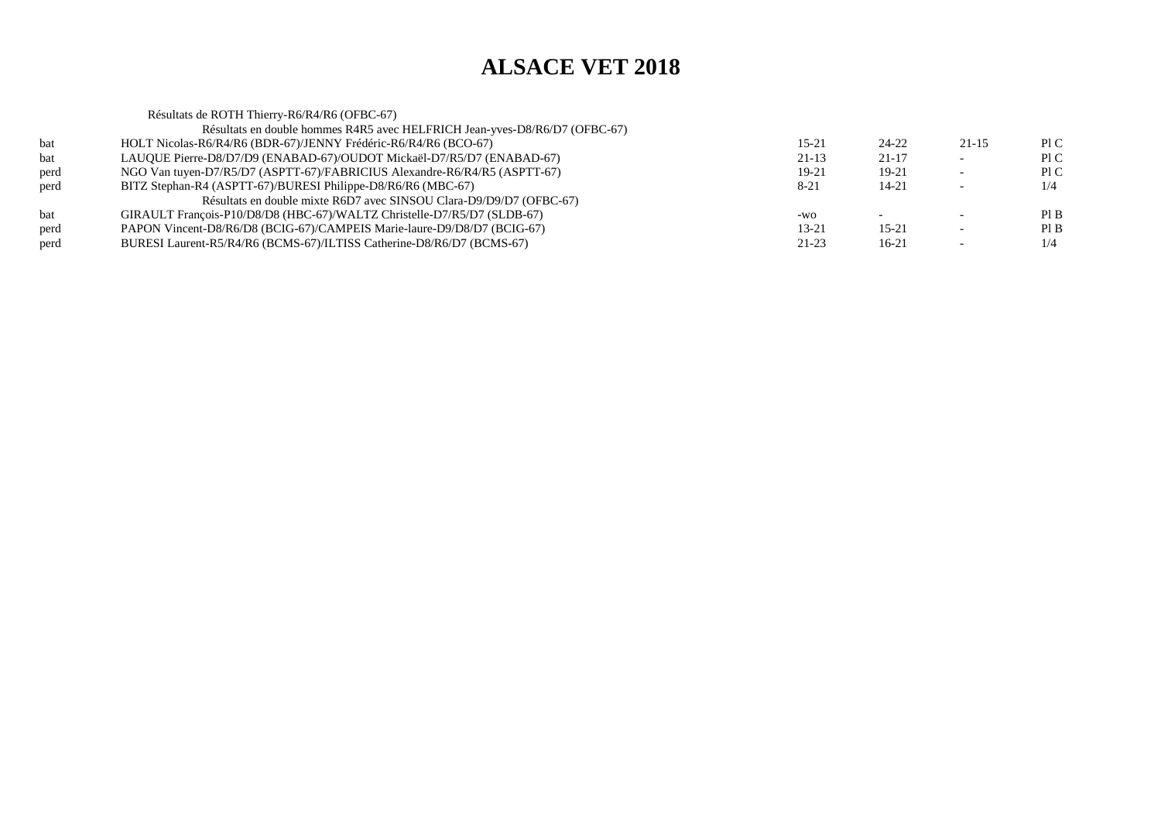Résultats de ROTH Thierry-R6/R4/R6 (OFBC-67) Résultats en double hommes R4R5 avec HELFRICH Jean-yves-D8/R6/D7 (OFBC-67)bat HOLT Nicolas-R6/R4/R6 (BDR-67)/JENNY Frédéric-R6/R4/R6 (BCO-67) $15-21$   $24-22$   $21-15$  PIC Pl C bat LAUQUE Pierre-D8/D7/D9 (ENABAD-67)/OUDOT Mickaël-D7/R5/D7 (ENABAD-67) $21-13$   $21-17$  - PIC  $P1C$ perd NGO Van tuyen-D7/R5/D7 (ASPTT-67)/FABRICIUS Alexandre-R6/R4/R5 (ASPTT-67) $19-21$  19-21 - PIC  $1/4$ perd BITZ Stephan-R4 (ASPTT-67)/BURESI Philippe-D8/R6/R6 (MBC-67) $8-21$  14-21 - 1/4 Résultats en double mixte R6D7 avec SINSOU Clara-D9/D9/D7 (OFBC-67)bat GIRAULT François-P10/D8/D8 (HBC-67)/WALTZ Christelle-D7/R5/D7 (SLDB-67) $-wo$  -  $-$  Pl B  $PIB$ perd PAPON Vincent-D8/R6/D8 (BCIG-67)/CAMPEIS Marie-laure-D9/D8/D7 (BCIG-67) $13-21$  15-21 - PIB  $1/4$ perd BURESI Laurent-R5/R4/R6 (BCMS-67)/ILTISS Catherine-D8/R6/D7 (BCMS-67) $21-23$  16-21 - 1/4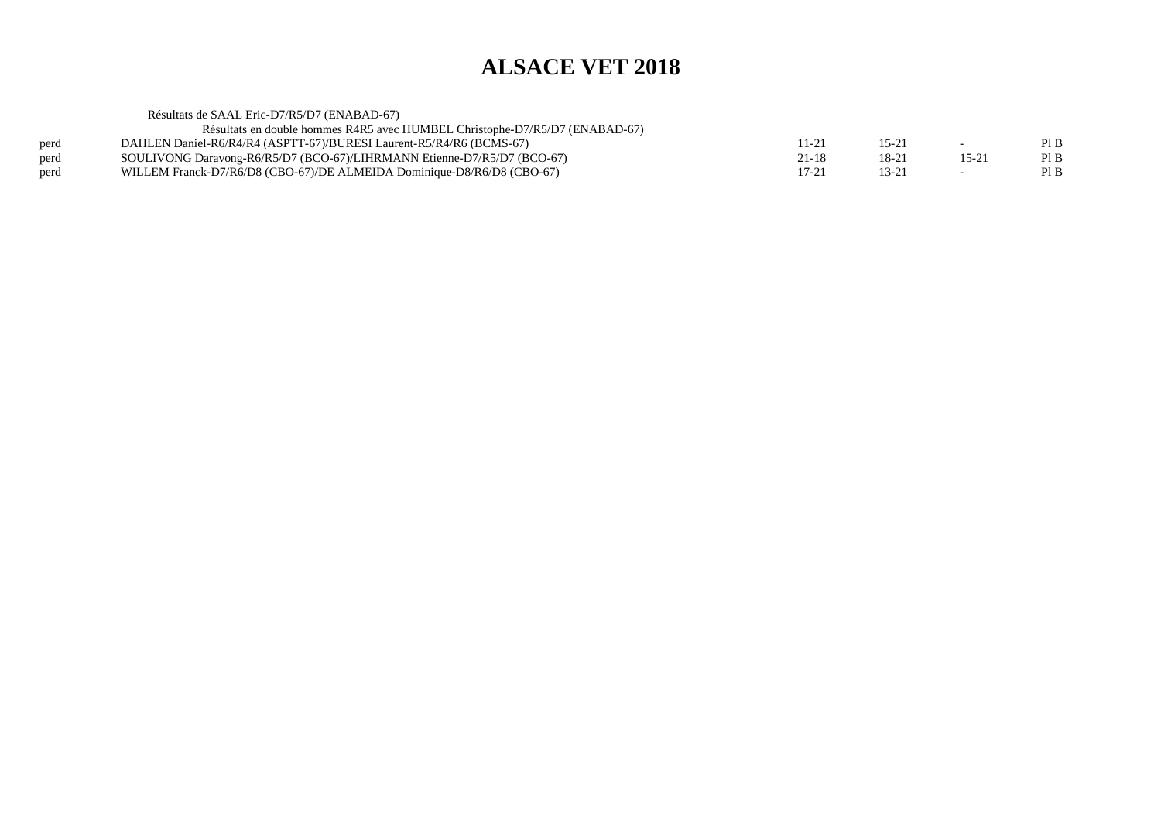Résultats de SAAL Eric-D7/R5/D7 (ENABAD-67)

Résultats en double hommes R4R5 avec HUMBEL Christophe-D7/R5/D7 (ENABAD-67)

| perd | DAHLEN Daniel-R6/R4/R4 (ASPTT-67)/BURESI Laurent-R5/R4/R6 (BCMS-67)     |  |  |
|------|-------------------------------------------------------------------------|--|--|
| perd | SOULIVONG Daravong-R6/R5/D7 (BCO-67)/LIHRMANN Etienne-D7/R5/D7 (BCO-67) |  |  |
| perd | WILLEM Franck-D7/R6/D8 (CBO-67)/DE ALMEIDA Dominique-D8/R6/D8 (CBO-67)  |  |  |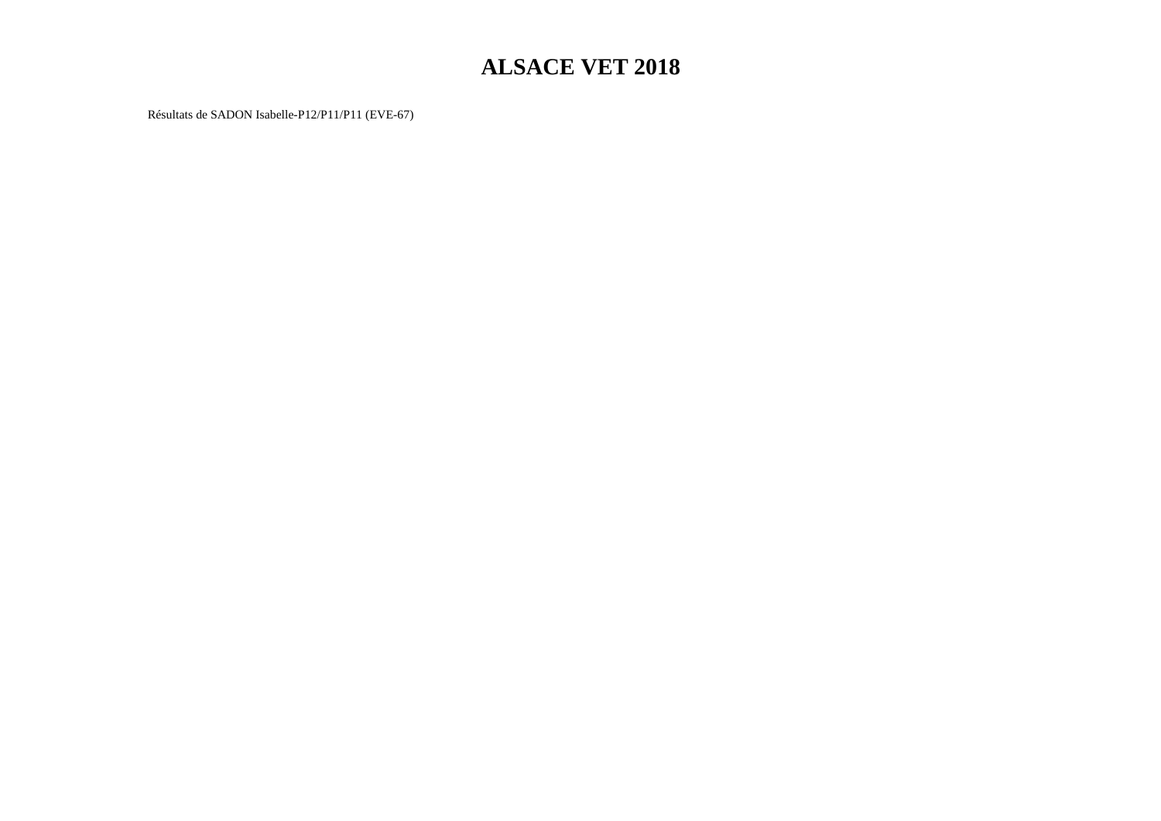Résultats de SADON Isabelle-P12/P11/P11 (EVE-67)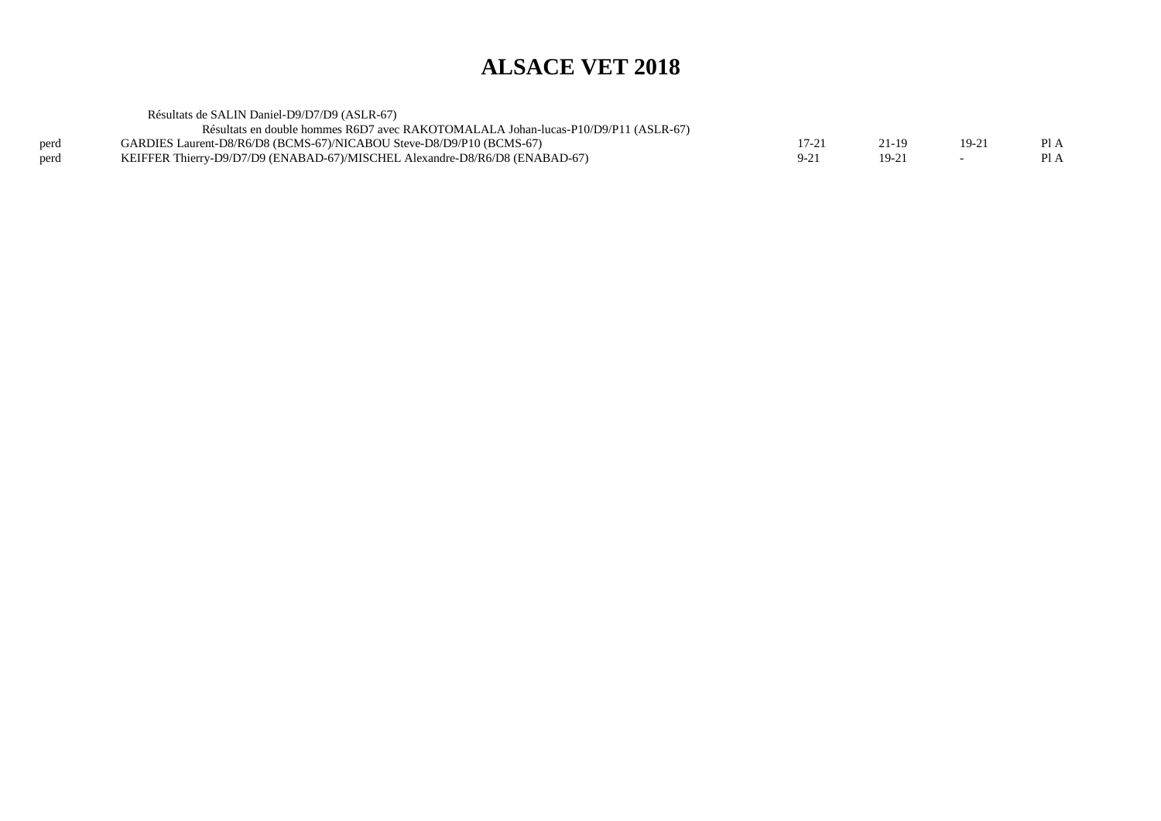|      | Résultats de SALIN Daniel-D9/D7/D9 (ASLR-67)                                       |       |        |      |
|------|------------------------------------------------------------------------------------|-------|--------|------|
|      | Résultats en double hommes R6D7 avec RAKOTOMALALA Johan-lucas-P10/D9/P11 (ASLR-67) |       |        |      |
| perd | GARDIES Laurent-D8/R6/D8 (BCMS-67)/NICABOU Steve-D8/D9/P10 (BCMS-67)               | 21-19 | $19-2$ | Pl A |
| perd | KEIFFER Thierry-D9/D7/D9 (ENABAD-67)/MISCHEL Alexandre-D8/R6/D8 (ENABAD-67)        | 19-21 |        | Pl A |
|      |                                                                                    |       |        |      |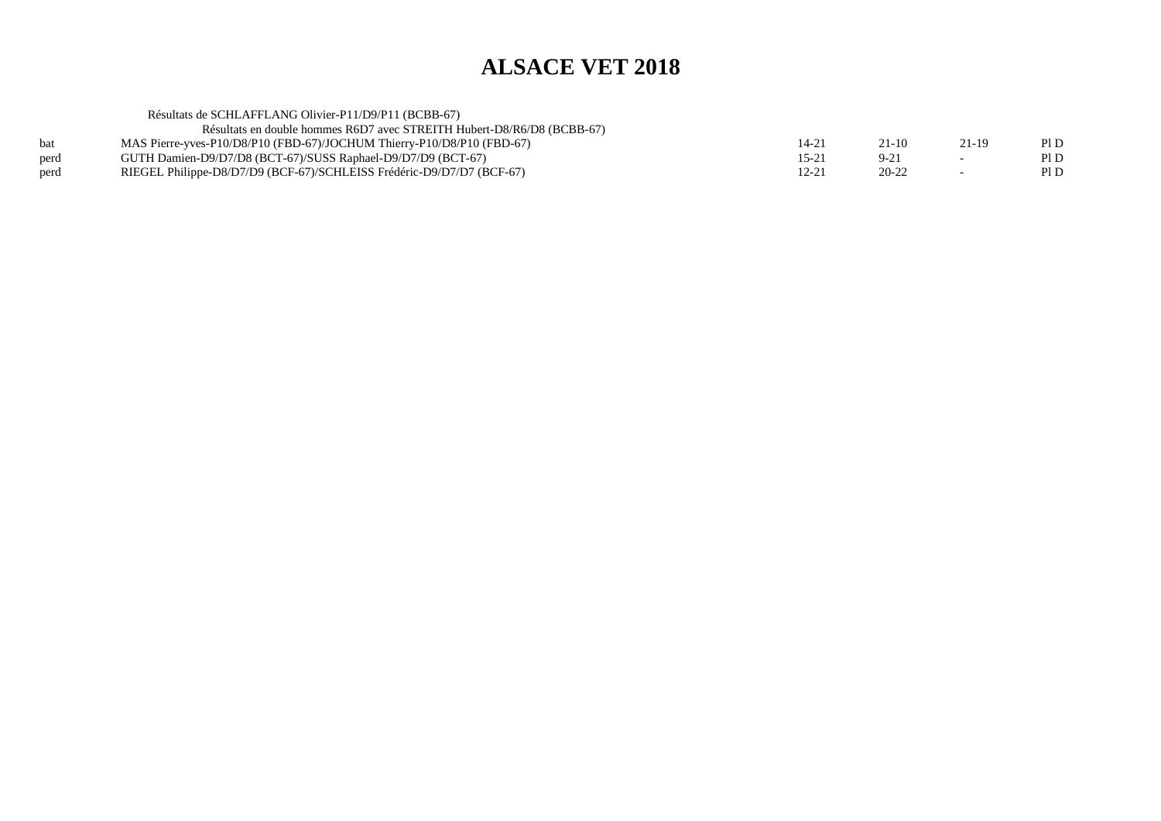#### Résultats de SCHLAFFLANG Olivier-P11/D9/P11 (BCBB-67) Résultats en double hommes R6D7 avec STREITH Hubert-D8/R6/D8 (BCBB-67)bat MAS Pierre-yves-P10/D8/P10 (FBD-67)/JOCHUM Thierry-P10/D8/P10 (FBD-67)<br>perd GUTH Damien-D9/D7/D8 (BCT-67)/SUSS Raphael-D9/D7/D9 (BCT-67) ) 14-21 21-10 21-19 PID  $PID$ perd GUTH Damien-D9/D7/D8 (BCT-67)/SUSS Raphael-D9/D7/D9 (BCT-67)<br>perd RIEGEL Philippe-D8/D7/D9 (BCF-67)/SCHLEISS Frédéric-D9/D7/D7 (B  $15-21$  9-21 - PID  $PID$ perd RIEGEL Philippe-D8/D7/D9 (BCF-67)/SCHLEISS Frédéric-D9/D7/D7 (BCF-67) $12-21$   $20-22$  - PID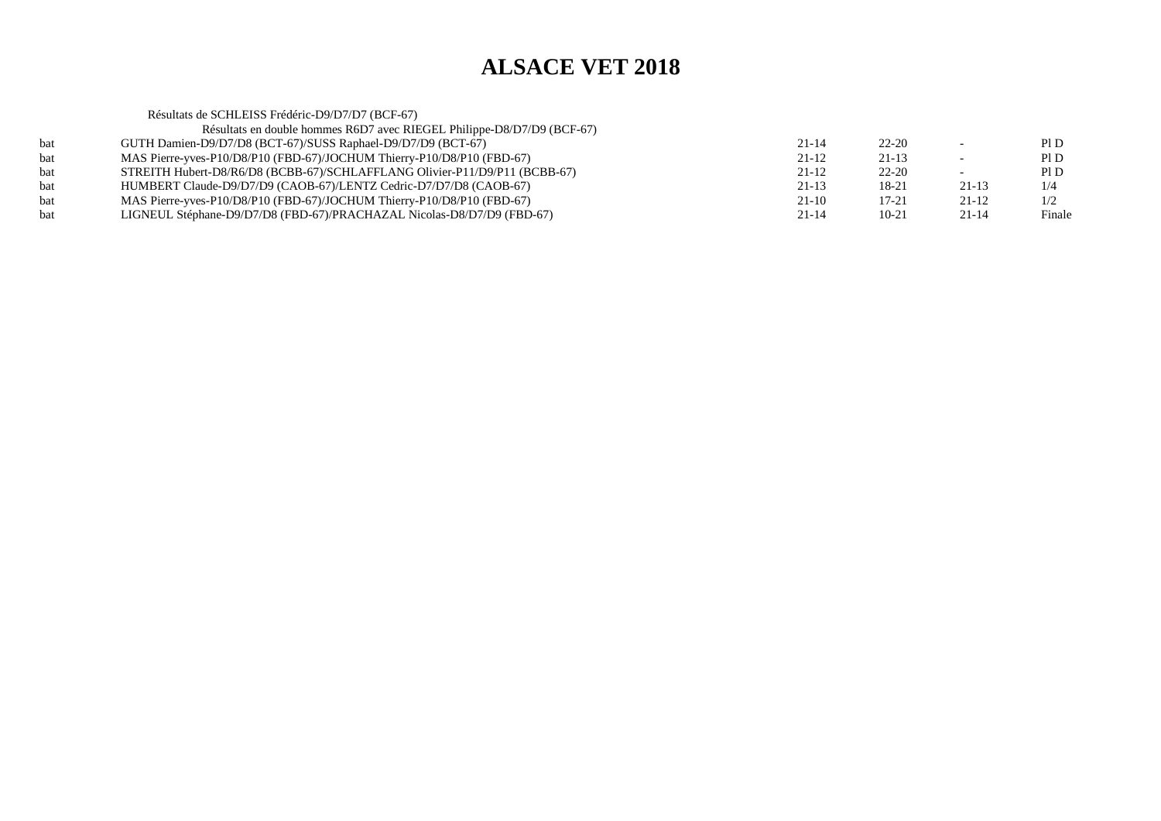|     | Résultats de SCHLEISS Frédéric-D9/D7/D7 (BCF-67)                           |           |           |           |        |
|-----|----------------------------------------------------------------------------|-----------|-----------|-----------|--------|
|     | Résultats en double hommes R6D7 avec RIEGEL Philippe-D8/D7/D9 (BCF-67)     |           |           |           |        |
| bat | GUTH Damien-D9/D7/D8 (BCT-67)/SUSS Raphael-D9/D7/D9 (BCT-67)               | $21 - 14$ | $22 - 20$ |           | PID    |
| bat | MAS Pierre-yves-P10/D8/P10 (FBD-67)/JOCHUM Thierry-P10/D8/P10 (FBD-67)     | $21 - 12$ | $21 - 13$ |           | PID    |
| bat | STREITH Hubert-D8/R6/D8 (BCBB-67)/SCHLAFFLANG Olivier-P11/D9/P11 (BCBB-67) | $21 - 12$ | $22 - 20$ |           | PI D   |
| bat | HUMBERT Claude-D9/D7/D9 (CAOB-67)/LENTZ Cedric-D7/D7/D8 (CAOB-67)          | $21 - 13$ | 18-21     | $21 - 13$ | 1/4    |
| bat | MAS Pierre-yves-P10/D8/P10 (FBD-67)/JOCHUM Thierry-P10/D8/P10 (FBD-67)     | $21-10$   | $17 - 21$ | $21 - 12$ | 1/2    |
| bat | LIGNEUL Stéphane-D9/D7/D8 (FBD-67)/PRACHAZAL Nicolas-D8/D7/D9 (FBD-67)     | $21 - 14$ | $10 - 21$ | $21 - 14$ | Finale |
|     |                                                                            |           |           |           |        |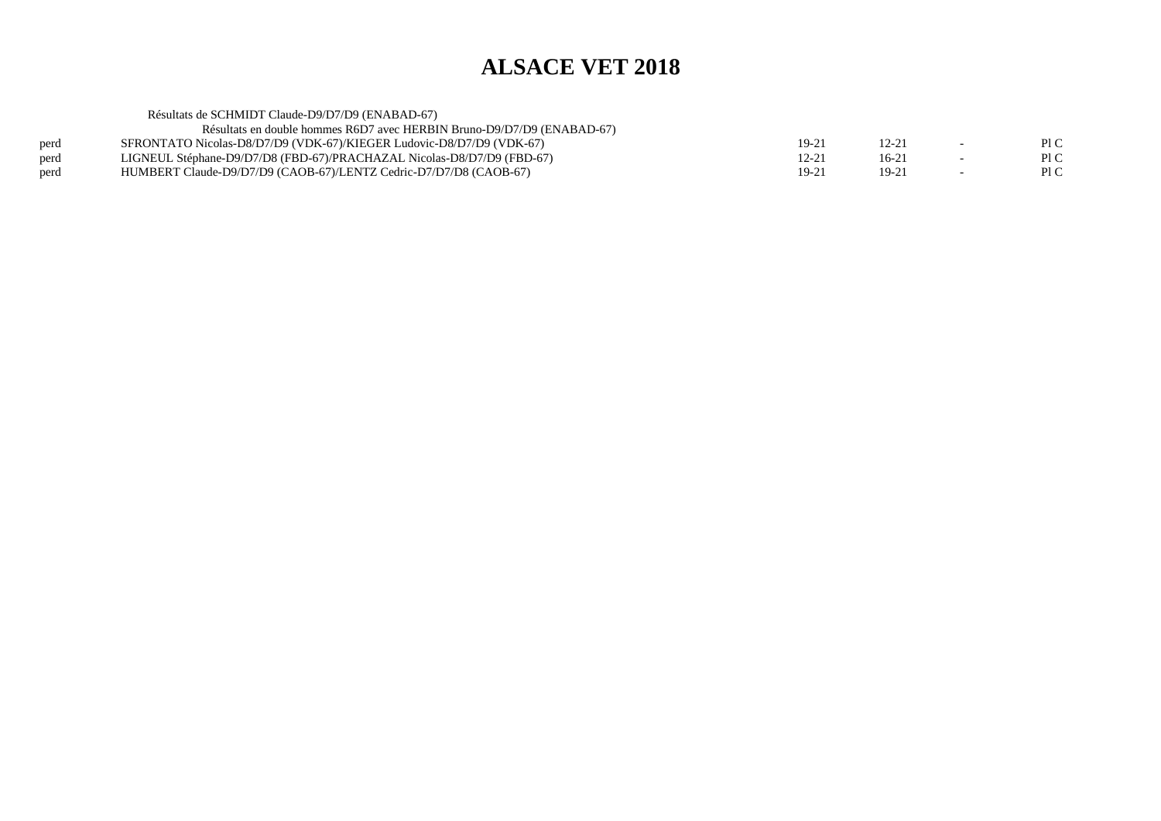|      | Résultats de SCHMIDT Claude-D9/D7/D9 (ENABAD-67)                       |           |         |                          |      |
|------|------------------------------------------------------------------------|-----------|---------|--------------------------|------|
|      | Résultats en double hommes R6D7 avec HERBIN Bruno-D9/D7/D9 (ENABAD-67) |           |         |                          |      |
| perd | SFRONTATO Nicolas-D8/D7/D9 (VDK-67)/KIEGER Ludovic-D8/D7/D9 (VDK-67)   | 19-21     | 12-21   | $\sim$                   | P1C  |
| perd | LIGNEUL Stéphane-D9/D7/D8 (FBD-67)/PRACHAZAL Nicolas-D8/D7/D9 (FBD-67) | 12-21     | $16-21$ | $\overline{\phantom{0}}$ | Pl C |
| perd | HUMBERT Claude-D9/D7/D9 (CAOB-67)/LENTZ Cedric-D7/D7/D8 (CAOB-67)      | $19 - 21$ | 19-21   | $\overline{\phantom{0}}$ | Pl C |
|      |                                                                        |           |         |                          |      |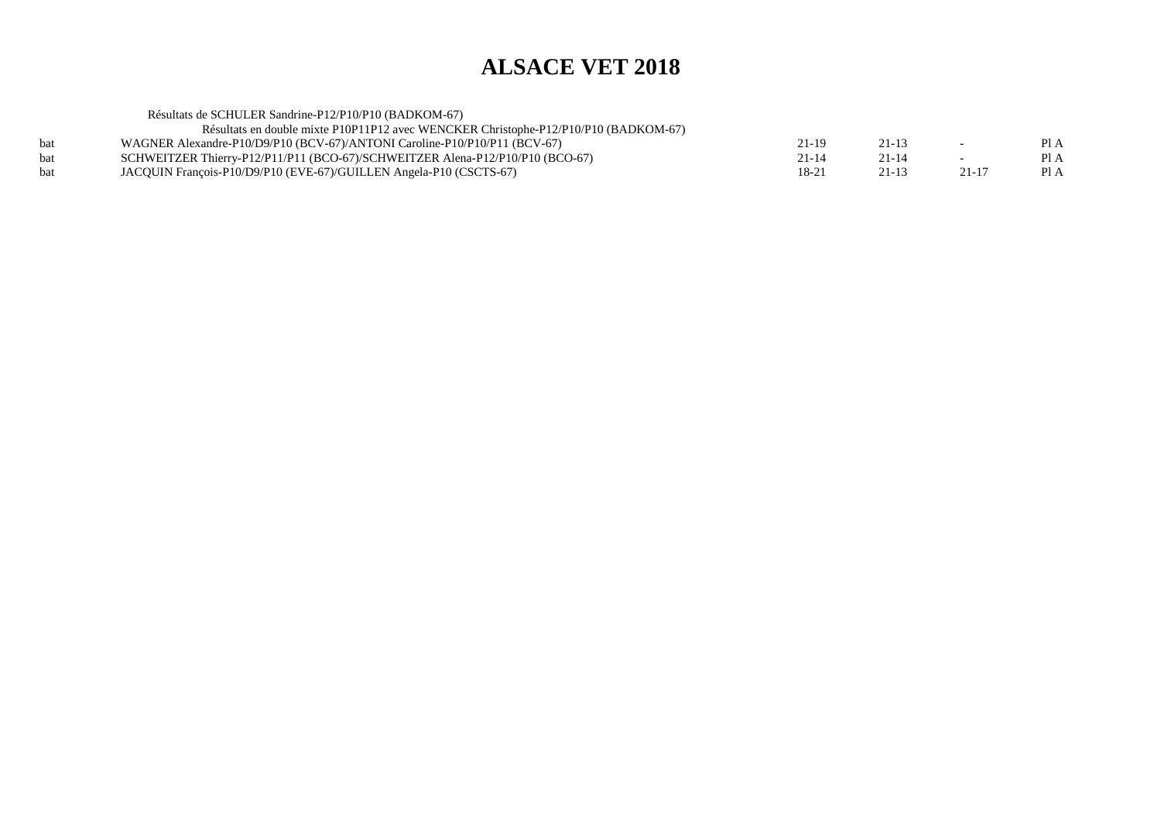| Résultats de SCHULER Sandrine-P12/P10/P10 (BADKOM-67)                               |           |           |                          |      |
|-------------------------------------------------------------------------------------|-----------|-----------|--------------------------|------|
| Résultats en double mixte P10P11P12 avec WENCKER Christophe-P12/P10/P10 (BADKOM-67) |           |           |                          |      |
| WAGNER Alexandre-P10/D9/P10 (BCV-67)/ANTONI Caroline-P10/P10/P11 (BCV-67)           | 21-19     | $21 - 13$ | $\overline{\phantom{0}}$ | Pl A |
| SCHWEITZER Thierry-P12/P11/P11 (BCO-67)/SCHWEITZER Alena-P12/P10/P10 (BCO-67)       | $21 - 14$ | $21 - 14$ | $\overline{\phantom{0}}$ | Pl A |
| JACQUIN François-P10/D9/P10 (EVE-67)/GUILLEN Angela-P10 (CSCTS-67)                  | 18-21     | 21-13     | $21 - 17$                | Pl A |
|                                                                                     |           |           |                          |      |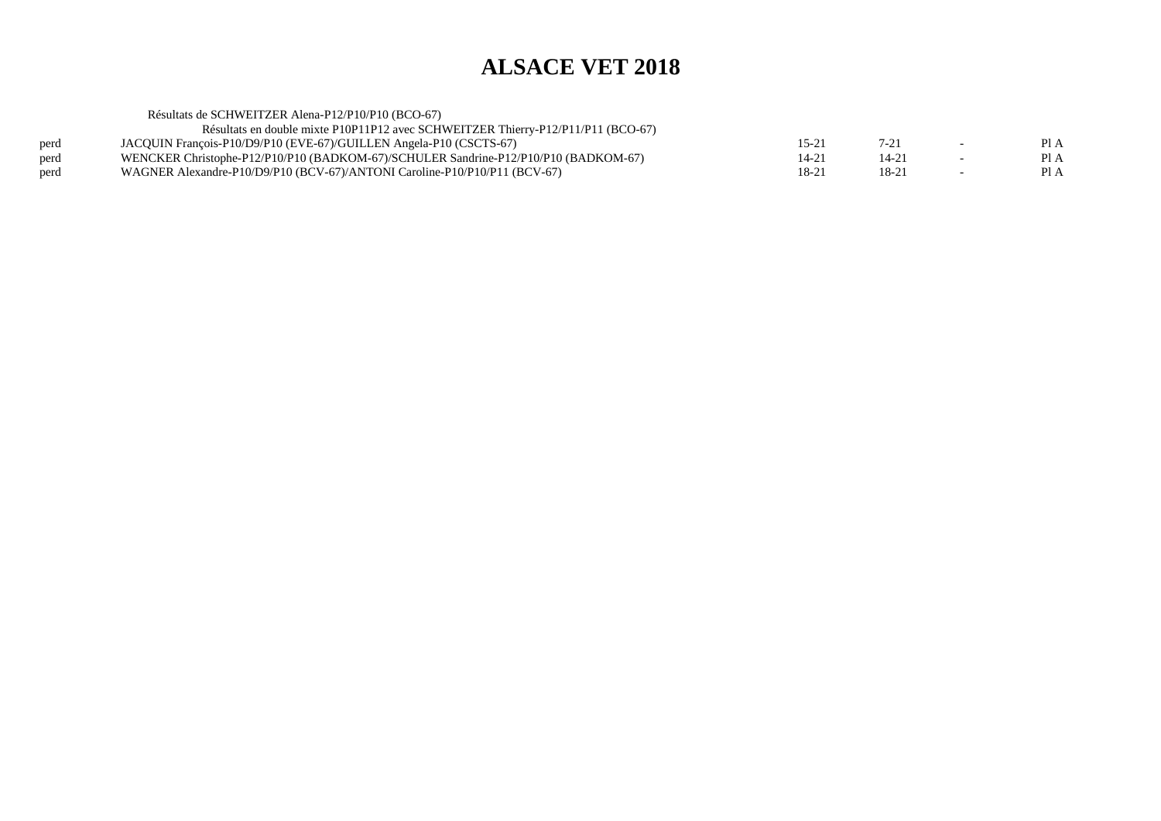Résultats de SCHWEITZER Alena-P12/P10/P10 (BCO-67) Résultats en double mixte P10P11P12 avec SCHWEITZER Thierry-P12/P11/P11 (BCO-67)perd JACQUIN François-P10/D9/P10 (EVE-67)/GUILLEN Angela-P10 (CSCTS-67)<br>perd WENCKER Christophe-P12/P10/P10 (BADKOM-67)/SCHULER Sandrine-P12/  $15-21$   $7-21$   $-$  PIA  $PIA$ perd WENCKER Christophe-P12/P10/P10 (BADKOM-67)/SCHULER Sandrine-P12/P10/P10 (BADKOM-67) 14-21 14-21 14-21 14-21<br>Perd WAGNER Alexandre-P10/D9/P10 (BCV-67)/ANTONI Caroline-P10/P10/P11 (BCV-67) 16-21 18-21 18-21 18-21  $PIA$ WAGNER Alexandre-P10/D9/P10 (BCV-67)/ANTONI Caroline-P10/P10/P11 (BCV-67)  $18-21$  18-21 - PIA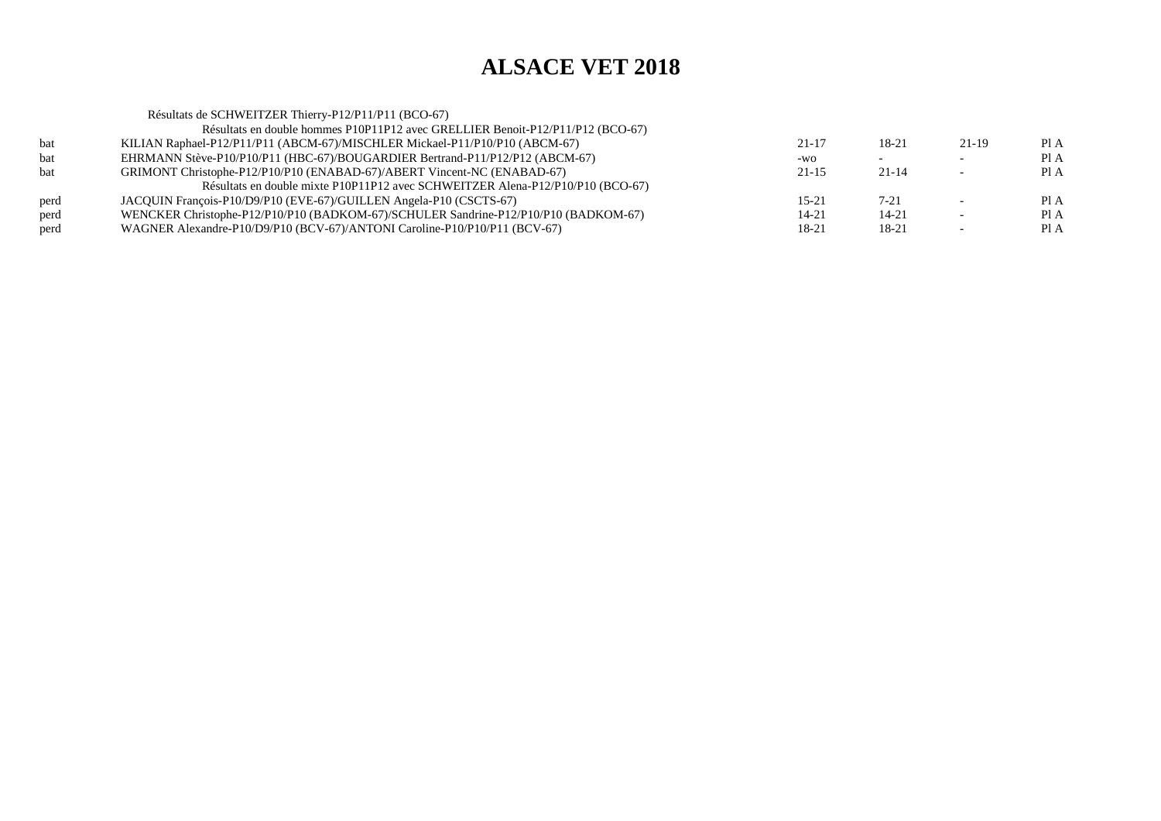|      | Résultats de SCHWEITZER Thierry-P12/P11/P11 (BCO-67)                                |           |           |         |      |
|------|-------------------------------------------------------------------------------------|-----------|-----------|---------|------|
|      | Résultats en double hommes P10P11P12 avec GRELLIER Benoit-P12/P11/P12 (BCO-67)      |           |           |         |      |
| bat  | KILIAN Raphael-P12/P11/P11 (ABCM-67)/MISCHLER Mickael-P11/P10/P10 (ABCM-67)         | $21 - 17$ | 18-21     | $21-19$ | Pl A |
| bat  | EHRMANN Stève-P10/P10/P11 (HBC-67)/BOUGARDIER Bertrand-P11/P12/P12 (ABCM-67)        | -WO       |           |         | Pl A |
| bat  | GRIMONT Christophe-P12/P10/P10 (ENABAD-67)/ABERT Vincent-NC (ENABAD-67)             | $21 - 15$ | $21 - 14$ |         | PI A |
|      | Résultats en double mixte P10P11P12 avec SCHWEITZER Alena-P12/P10/P10 (BCO-67)      |           |           |         |      |
| perd | JACQUIN François-P10/D9/P10 (EVE-67)/GUILLEN Angela-P10 (CSCTS-67)                  | $15 - 21$ | $7 - 21$  |         | PI A |
| perd | WENCKER Christophe-P12/P10/P10 (BADKOM-67)/SCHULER Sandrine-P12/P10/P10 (BADKOM-67) | 14-21     | 14-21     |         | PI A |
| perd | WAGNER Alexandre-P10/D9/P10 (BCV-67)/ANTONI Caroline-P10/P10/P11 (BCV-67)           | 18-21     | 18-21     |         | Pl A |
|      |                                                                                     |           |           |         |      |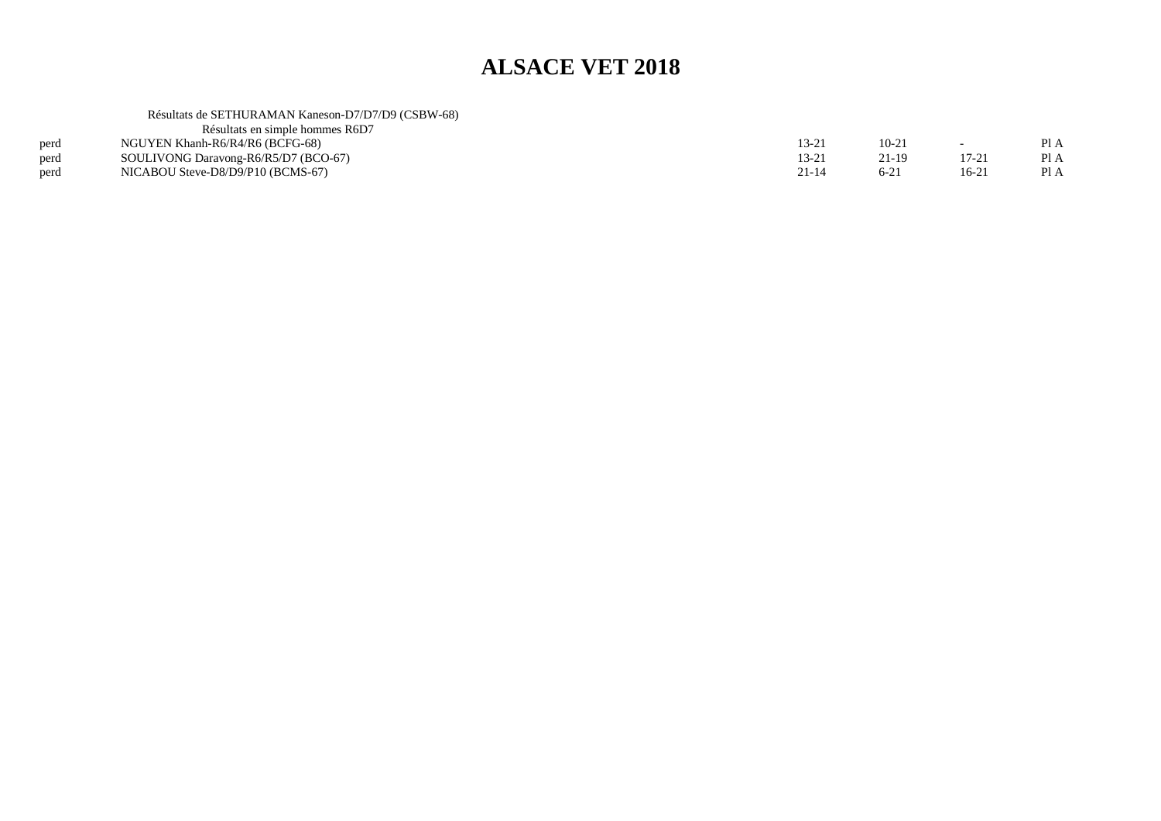#### Résultats de SETHURAMAN Kaneson-D7/D7/D9 (CSBW-68)

| Résultats en simple hommes R6D7      |           |         |        |      |
|--------------------------------------|-----------|---------|--------|------|
| NGUYEN Khanh-R6/R4/R6 (BCFG-68)      | 13-21     | $10-21$ |        | Pl A |
| SOULIVONG Daravong-R6/R5/D7 (BCO-67) | 13-21     | 21-19   |        | Pl A |
| NICABOU Steve-D8/D9/P10 (BCMS-67)    | $21 - 14$ | $6-2i$  | $16-2$ | Pl A |
|                                      |           |         |        |      |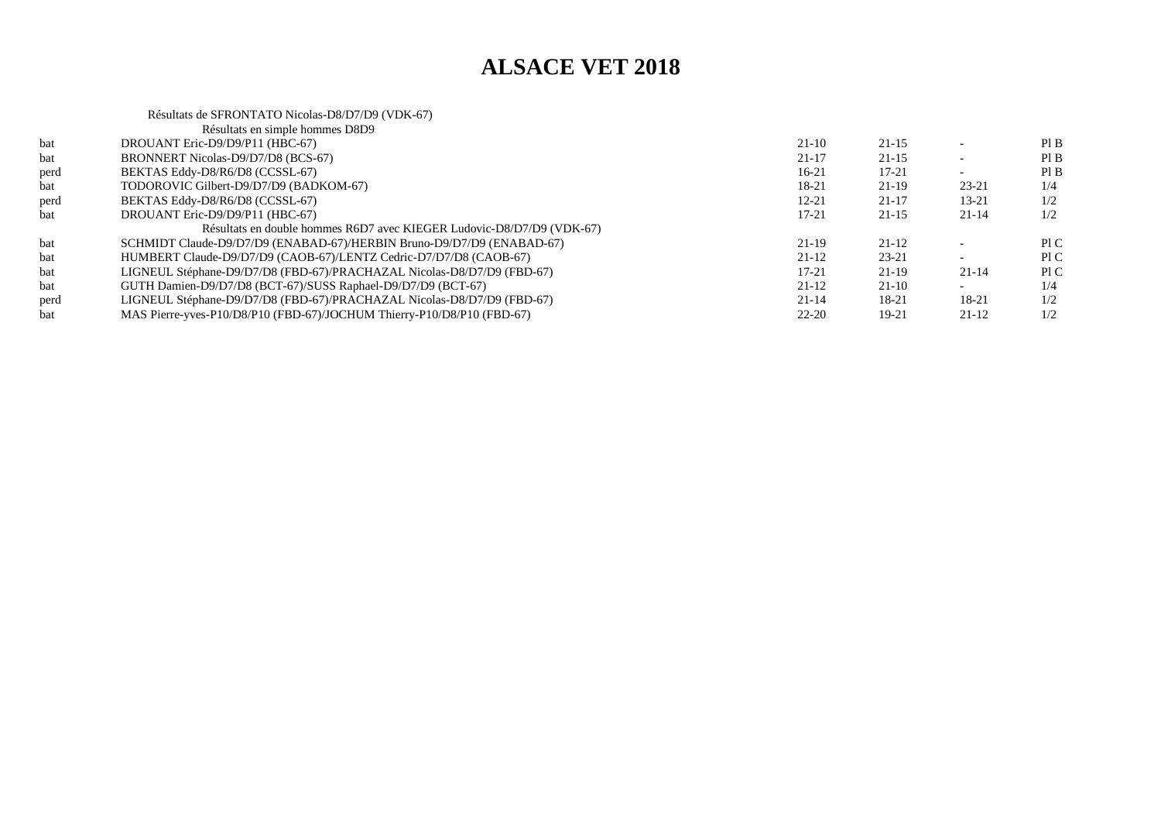|      | Résultats de SFRONTATO Nicolas-D8/D7/D9 (VDK-67)                       |           |           |           |     |
|------|------------------------------------------------------------------------|-----------|-----------|-----------|-----|
|      | Résultats en simple hommes D8D9                                        |           |           |           |     |
| bat  | DROUANT Eric-D9/D9/P11 (HBC-67)                                        | $21-10$   | $21 - 15$ |           | PIB |
| bat  | BRONNERT Nicolas-D9/D7/D8 (BCS-67)                                     | $21 - 17$ | $21 - 15$ |           | PIB |
| perd | BEKTAS Eddy-D8/R6/D8 (CCSSL-67)                                        | $16 - 21$ | $17 - 21$ |           | PIB |
| bat  | TODOROVIC Gilbert-D9/D7/D9 (BADKOM-67)                                 | 18-21     | $21-19$   | $23 - 21$ | 1/4 |
| perd | BEKTAS Eddy-D8/R6/D8 (CCSSL-67)                                        | $12 - 21$ | $21 - 17$ | $13 - 21$ | 1/2 |
| bat  | DROUANT Eric-D9/D9/P11 (HBC-67)                                        | 17-21     | $21 - 15$ | $21 - 14$ | 1/2 |
|      | Résultats en double hommes R6D7 avec KIEGER Ludovic-D8/D7/D9 (VDK-67)  |           |           |           |     |
| bat  | SCHMIDT Claude-D9/D7/D9 (ENABAD-67)/HERBIN Bruno-D9/D7/D9 (ENABAD-67)  | $21-19$   | $21 - 12$ |           | P1C |
| bat  | HUMBERT Claude-D9/D7/D9 (CAOB-67)/LENTZ Cedric-D7/D7/D8 (CAOB-67)      | $21 - 12$ | $23 - 21$ |           | P1C |
| bat  | LIGNEUL Stéphane-D9/D7/D8 (FBD-67)/PRACHAZAL Nicolas-D8/D7/D9 (FBD-67) | $17 - 21$ | $21-19$   | $21 - 14$ | PIC |
| bat  | GUTH Damien-D9/D7/D8 (BCT-67)/SUSS Raphael-D9/D7/D9 (BCT-67)           | $21-12$   | $21-10$   |           | 1/4 |
| perd | LIGNEUL Stéphane-D9/D7/D8 (FBD-67)/PRACHAZAL Nicolas-D8/D7/D9 (FBD-67) | $21 - 14$ | 18-21     | 18-21     | 1/2 |
| bat  | MAS Pierre-yves-P10/D8/P10 (FBD-67)/JOCHUM Thierry-P10/D8/P10 (FBD-67) | $22 - 20$ | 19-21     | 21-12     | 1/2 |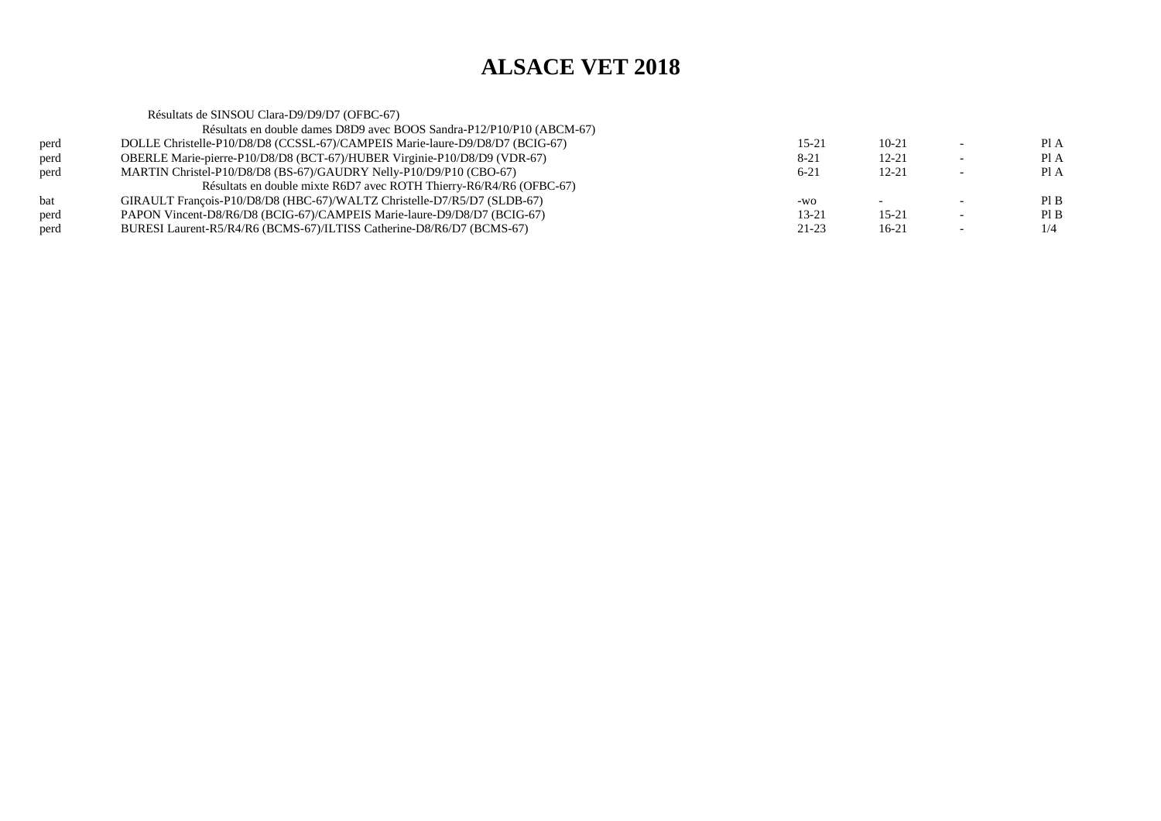Résultats de SINSOU Clara-D9/D9/D7 (OFBC-67) Résultats en double dames D8D9 avec BOOS Sandra-P12/P10/P10 (ABCM-67)perd DOLLE Christelle-P10/D8/D8 (CCSSL-67)/CAMPEIS Marie-laure-D9/D8/D7 (BCIG-67) $15-21$   $10-21$   $-$  PIA Pl A perd OBERLE Marie-pierre-P10/D8/D8 (BCT-67)/HUBER Virginie-P10/D8/D9 (VDR-67) $8-21$  12-21 - PIA  $PIA$ perd MARTIN Christel-P10/D8/D8 (BS-67)/GAUDRY Nelly-P10/D9/P10 (CBO-67)  $6-21$  12-21 - PIA Résultats en double mixte R6D7 avec ROTH Thierry-R6/R4/R6 (OFBC-67)bat GIRAULT François-P10/D8/D8 (HBC-67)/WALTZ Christelle-D7/R5/D7 (SLDB-67) $-$ wo - - Pl B  $PIB$ perd PAPON Vincent-D8/R6/D8 (BCIG-67)/CAMPEIS Marie-laure-D9/D8/D7 (BCIG-67) $13-21$  15-21 - PIB  $1/4$ perd BURESI Laurent-R5/R4/R6 (BCMS-67)/ILTISS Catherine-D8/R6/D7 (BCMS-67) $21-23$  16-21 - 1/4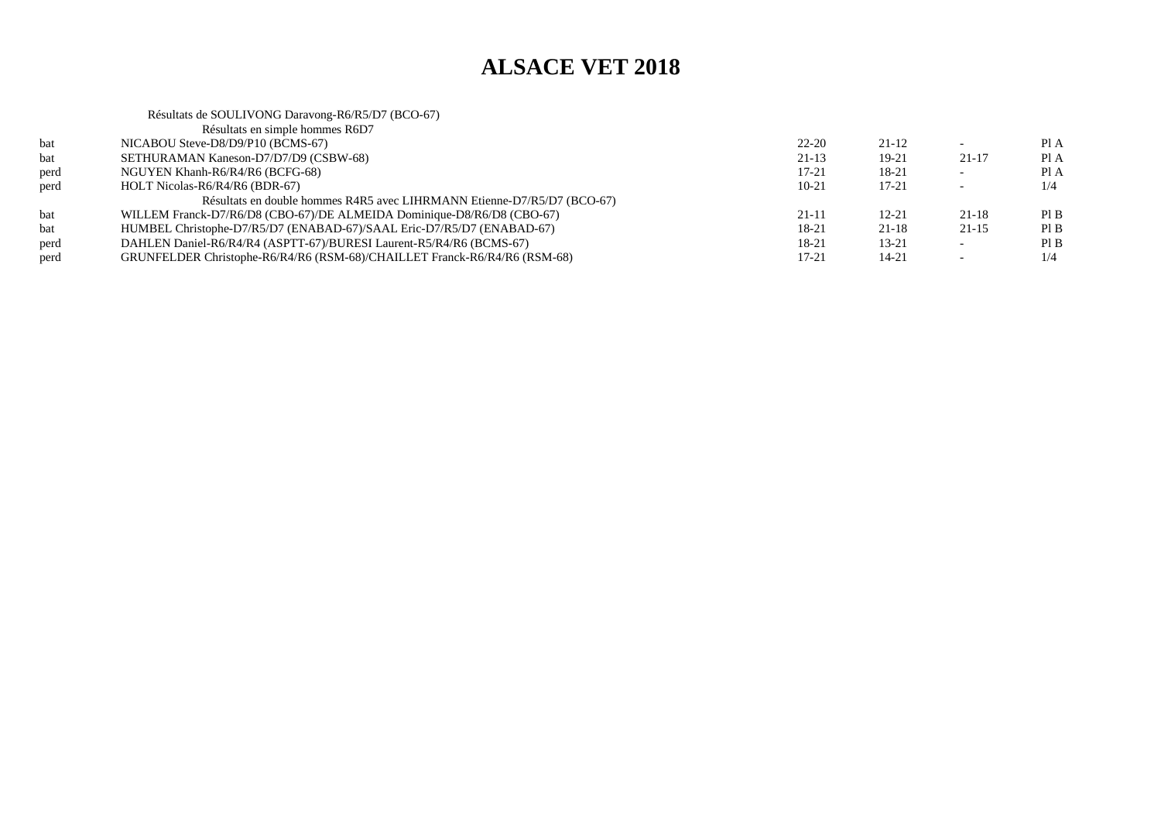|      | Résultats de SOULIVONG Daravong-R6/R5/D7 (BCO-67)                         |           |           |                          |      |
|------|---------------------------------------------------------------------------|-----------|-----------|--------------------------|------|
|      | Résultats en simple hommes R6D7                                           |           |           |                          |      |
| bat  | NICABOU Steve-D8/D9/P10 (BCMS-67)                                         | $22 - 20$ | $21 - 12$ |                          | PI A |
| bat  | SETHURAMAN Kaneson-D7/D7/D9 (CSBW-68)                                     | $21-13$   | $19-21$   | $21 - 17$                | Pl A |
| perd | NGUYEN Khanh-R6/R4/R6 (BCFG-68)                                           | $17 - 21$ | 18-21     | $\overline{\phantom{0}}$ | Pl A |
| perd | HOLT Nicolas-R6/R4/R6 (BDR-67)                                            | $10-21$   | $17 - 21$ | $\overline{\phantom{0}}$ | 1/4  |
|      | Résultats en double hommes R4R5 avec LIHRMANN Etienne-D7/R5/D7 (BCO-67)   |           |           |                          |      |
| bat  | WILLEM Franck-D7/R6/D8 (CBO-67)/DE ALMEIDA Dominique-D8/R6/D8 (CBO-67)    | $21 - 11$ | $12 - 21$ | $21 - 18$                | PIB  |
| bat  | HUMBEL Christophe-D7/R5/D7 (ENABAD-67)/SAAL Eric-D7/R5/D7 (ENABAD-67)     | $18-21$   | $21 - 18$ | $21-15$                  | PIB  |
| perd | DAHLEN Daniel-R6/R4/R4 (ASPTT-67)/BURESI Laurent-R5/R4/R6 (BCMS-67)       | 18-21     | $13 - 21$ |                          | PIB  |
| perd | GRUNFELDER Christophe-R6/R4/R6 (RSM-68)/CHAILLET Franck-R6/R4/R6 (RSM-68) | 17-21     | $14 - 21$ | $\overline{\phantom{0}}$ | 1/4  |
|      |                                                                           |           |           |                          |      |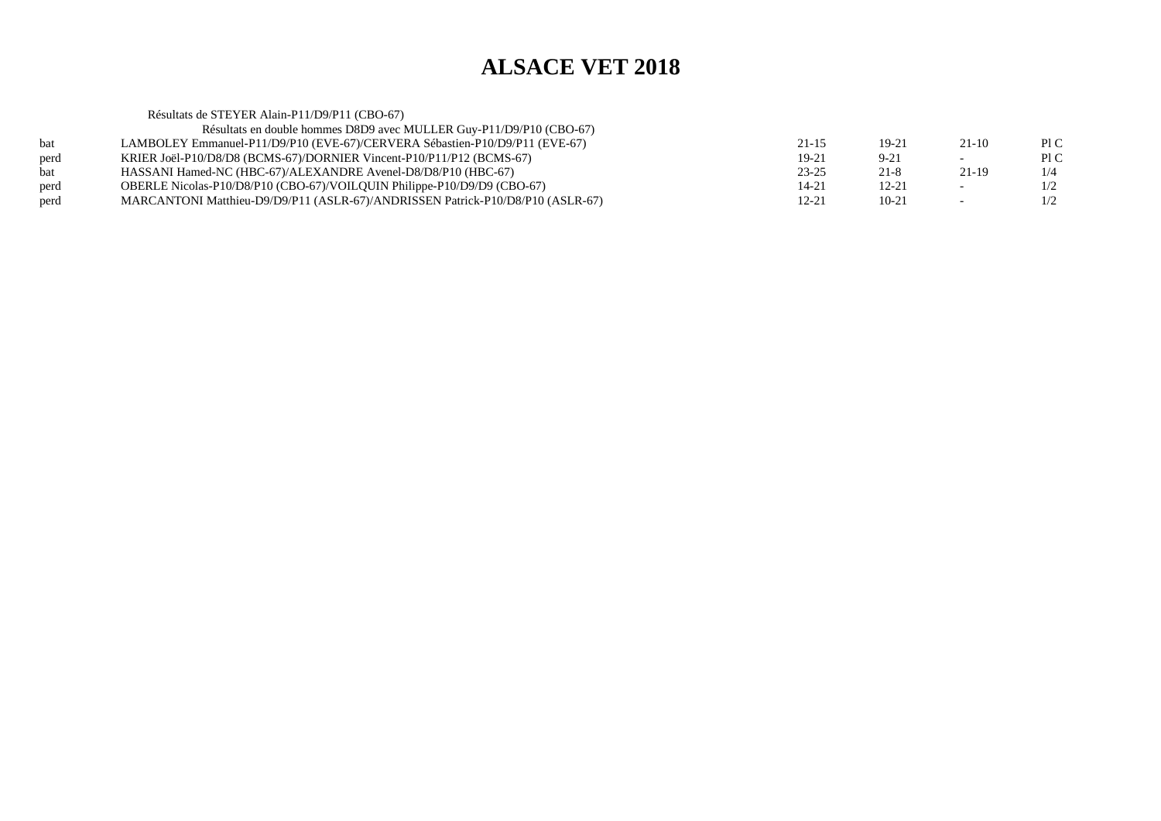Résultats de STEYER Alain-P11/D9/P11 (CBO-67) Résultats en double hommes D8D9 avec MULLER Guy-P11/D9/P10 (CBO-67) bat LAMBOLEY Emmanuel-P11/D9/P10 (EVE-67)/CERVERA Sébastien-P10/D9/P11 (EVE-67) $21-15$  19-21 21-10 PIC Pl C perd KRIER Joël-P10/D8/D8 (BCMS-67)/DORNIER Vincent-P10/P11/P12 (BCMS-67)<br>bat HASSANI Hamed-NC (HBC-67)/ALEXANDRE Avenel-D8/D8/P10 (HBC-67)  $19-21$  9-21 - PIC  $1/4$ bat HASSANI Hamed-NC (HBC-67)/ALEXANDRE Avenel-D8/D8/P10 (HBC-67) $23-25$  21-8 21-19 1/4  $1/2$ perd OBERLE Nicolas-P10/D8/P10 (CBO-67)/VOILQUIN Philippe-P10/D9/D9 (CBO-67) $14-21$  12-21 -  $1/2$  $1/2$ perd MARCANTONI Matthieu-D9/D9/P11 (ASLR-67)/ANDRISSEN Patrick-P10/D8/P10 (ASLR-67) 12-21 10-21 10-21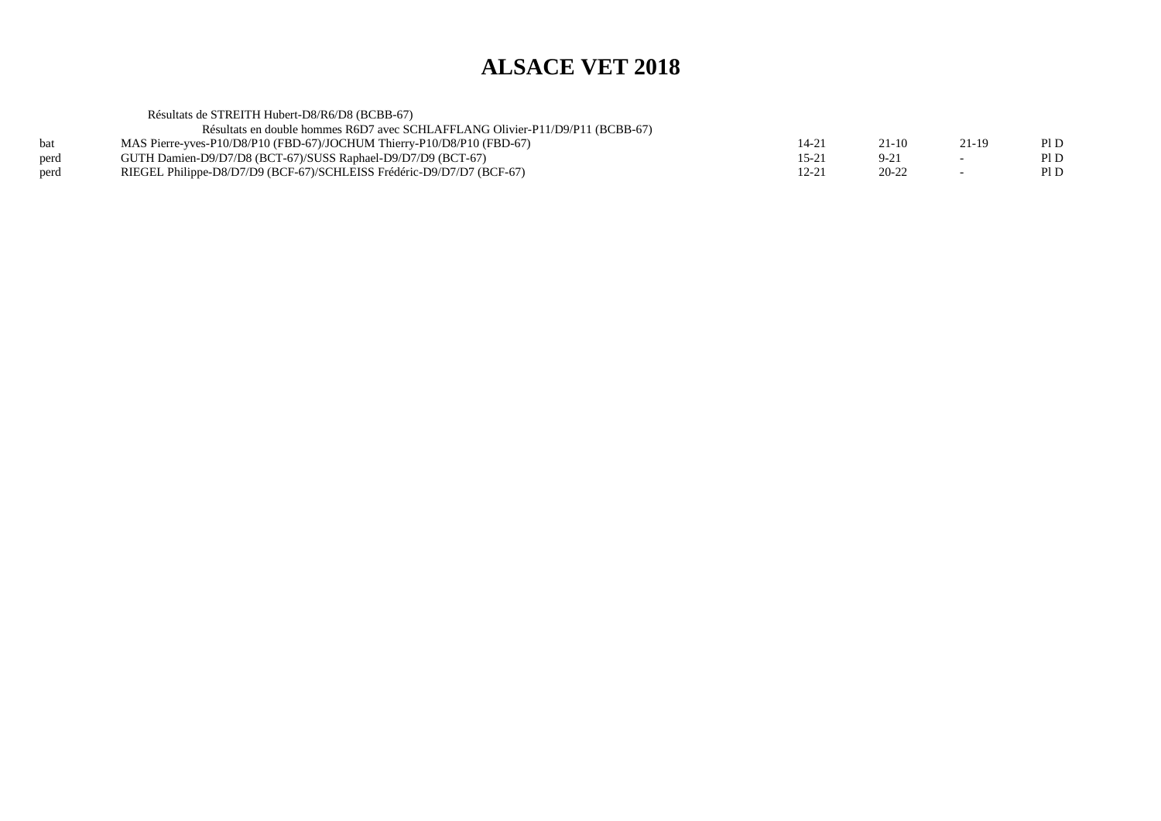Résultats de STREITH Hubert-D8/R6/D8 (BCBB-67)

Résultats en double hommes R6D7 avec SCHLAFFLANG Olivier-P11/D9/P11 (BCBB-67)

| bat  | MAS Pierre-yves-P10/D8/P10 (FBD-67)/JOCHUM Thierry-P10/D8/P10 (FBD-67) |       | Pl D |
|------|------------------------------------------------------------------------|-------|------|
| perd | GUTH Damien-D9/D7/D8 (BCT-67)/SUSS Raphael-D9/D7/D9 (BCT-67)           |       | Pl D |
| perd | RIEGEL Philippe-D8/D7/D9 (BCF-67)/SCHLEISS Frédéric-D9/D7/D7 (BCF-67)  | 20-22 | Pl D |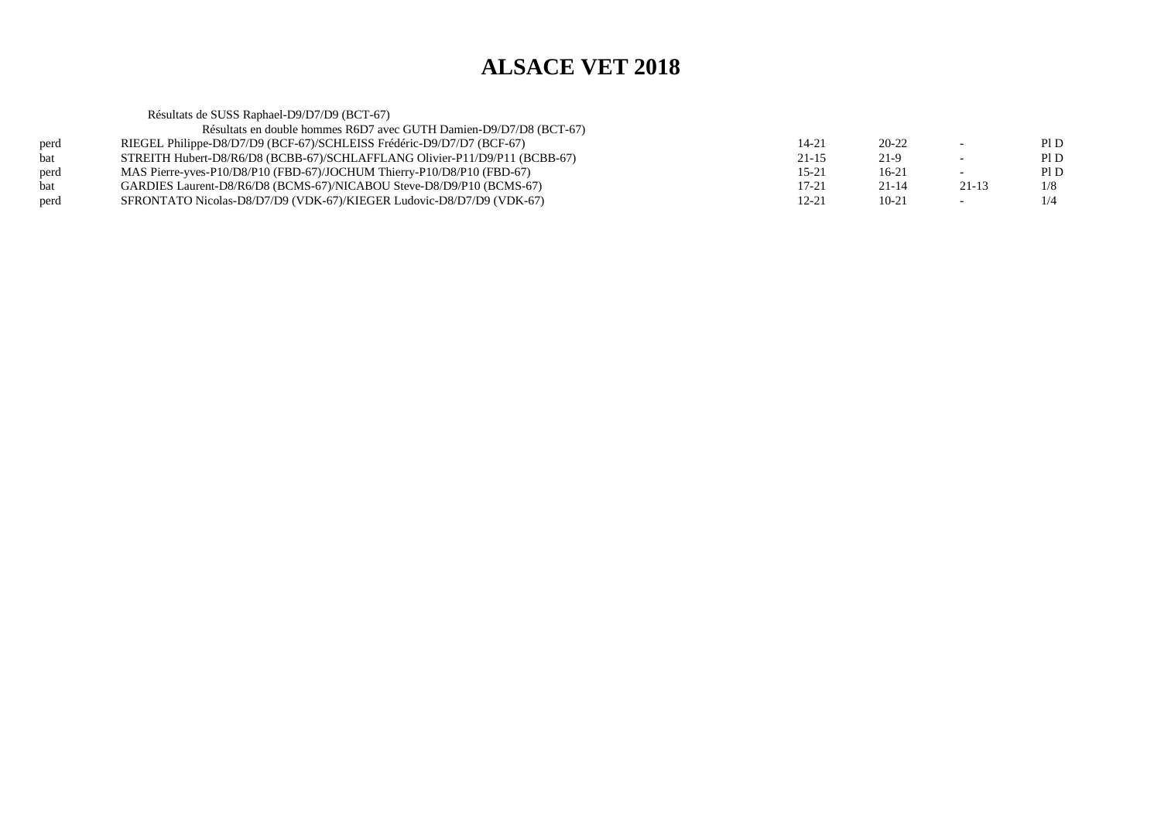|            | Résultats de SUSS Raphael-D9/D7/D9 (BCT-67)                                |           |           |                          |      |
|------------|----------------------------------------------------------------------------|-----------|-----------|--------------------------|------|
|            | Résultats en double hommes R6D7 avec GUTH Damien-D9/D7/D8 (BCT-67)         |           |           |                          |      |
| perd       | RIEGEL Philippe-D8/D7/D9 (BCF-67)/SCHLEISS Frédéric-D9/D7/D7 (BCF-67)      | 14-21     | 20-22     | $\overline{\phantom{0}}$ | PID  |
| <b>bat</b> | STREITH Hubert-D8/R6/D8 (BCBB-67)/SCHLAFFLANG Olivier-P11/D9/P11 (BCBB-67) | $21 - 15$ | 21-9      | $\overline{\phantom{0}}$ | PI D |
| perd       | MAS Pierre-yves-P10/D8/P10 (FBD-67)/JOCHUM Thierry-P10/D8/P10 (FBD-67)     | $15 - 21$ | $16-21$   | $\overline{\phantom{0}}$ | PI D |
| <b>bat</b> | GARDIES Laurent-D8/R6/D8 (BCMS-67)/NICABOU Steve-D8/D9/P10 (BCMS-67)       | $17 - 21$ | $21 - 14$ | $21 - 13$                | 1/8  |
| perd       | SFRONTATO Nicolas-D8/D7/D9 (VDK-67)/KIEGER Ludovic-D8/D7/D9 (VDK-67)       | 12-21     | $10 - 21$ | $\overline{\phantom{0}}$ | 1/4  |
|            |                                                                            |           |           |                          |      |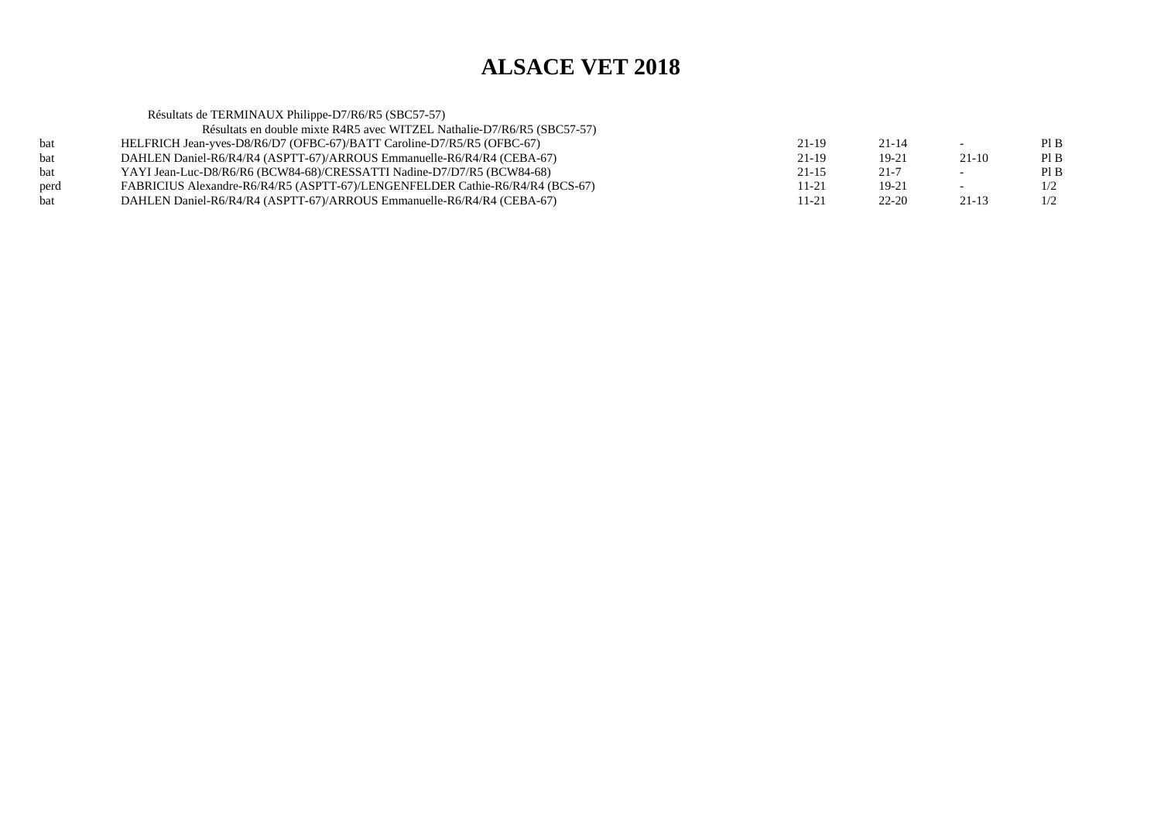|      | Résultats de TERMINAUX Philippe-D7/R6/R5 (SBC57-57)                           |           |           |                          |     |
|------|-------------------------------------------------------------------------------|-----------|-----------|--------------------------|-----|
|      | Résultats en double mixte R4R5 avec WITZEL Nathalie-D7/R6/R5 (SBC57-57)       |           |           |                          |     |
| bat  | HELFRICH Jean-yves-D8/R6/D7 (OFBC-67)/BATT Caroline-D7/R5/R5 (OFBC-67)        | $21-19$   | $21 - 14$ | $\sim$                   | PIB |
| bat  | DAHLEN Daniel-R6/R4/R4 (ASPTT-67)/ARROUS Emmanuelle-R6/R4/R4 (CEBA-67)        | 21-19     | 19-21     | $21-10$                  | PIB |
| bat  | YAYI Jean-Luc-D8/R6/R6 (BCW84-68)/CRESSATTI Nadine-D7/D7/R5 (BCW84-68)        | $21 - 15$ | $21 - 7$  | $\overline{\phantom{a}}$ | PIB |
| perd | FABRICIUS Alexandre-R6/R4/R5 (ASPTT-67)/LENGENFELDER Cathie-R6/R4/R4 (BCS-67) | $11 - 21$ | 19-21     | $\overline{\phantom{a}}$ | 1/2 |
| bat  | DAHLEN Daniel-R6/R4/R4 (ASPTT-67)/ARROUS Emmanuelle-R6/R4/R4 (CEBA-67)        | $11 - 21$ | $22 - 20$ | 21-13                    | 1/2 |
|      |                                                                               |           |           |                          |     |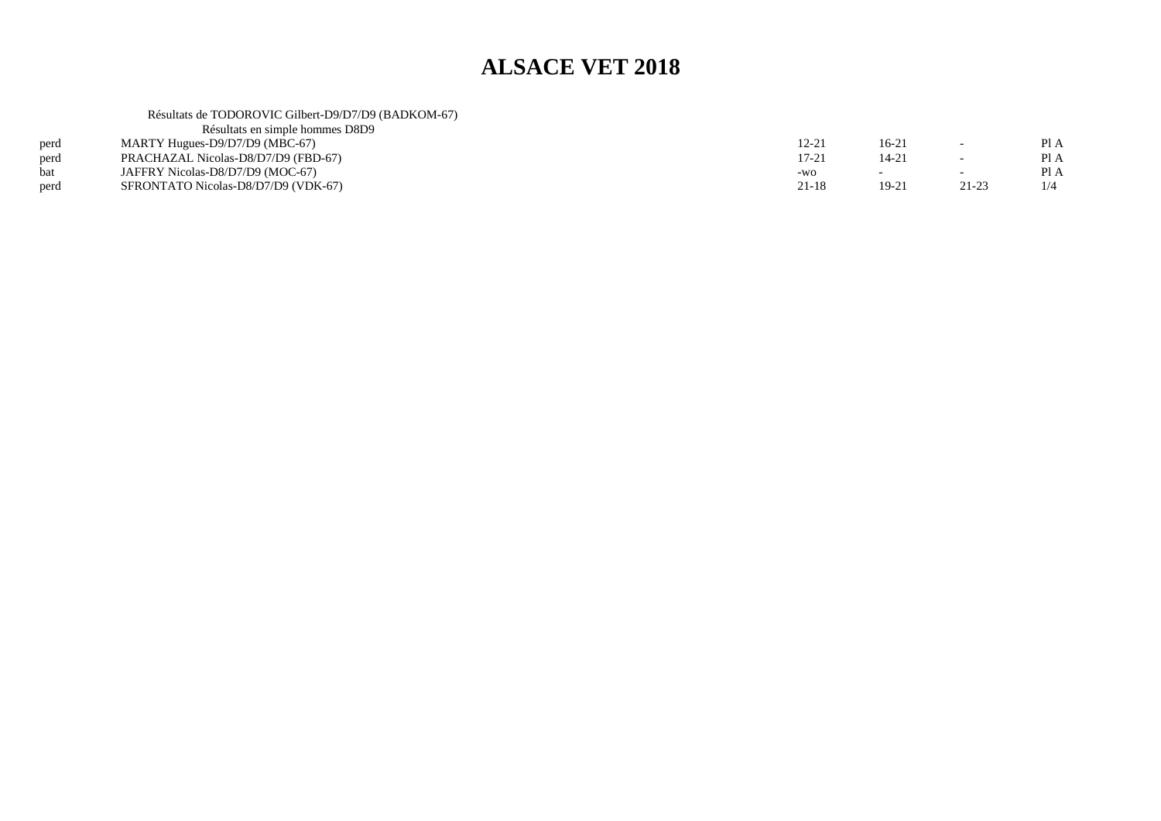#### Résultats de TODOROVIC Gilbert-D9/D7/D9 (BADKOM-67)

| Résultats en simple hommes D8D9     |           |           |                          |     |
|-------------------------------------|-----------|-----------|--------------------------|-----|
| MARTY Hugues-D9/D7/D9 (MBC-67)      | 12-21     | 16-21     | $\overline{\phantom{0}}$ | PIA |
| PRACHAZAL Nicolas-D8/D7/D9 (FBD-67) | $17 - 21$ | $14 - 21$ | $\overline{\phantom{0}}$ | PIA |
| JAFFRY Nicolas-D8/D7/D9 (MOC-67)    | -WO       |           | $\overline{\phantom{0}}$ | PIA |
| SFRONTATO Nicolas-D8/D7/D9 (VDK-67) | 21-18     | $19-21$   | 21-23                    | 1/4 |
|                                     |           |           |                          |     |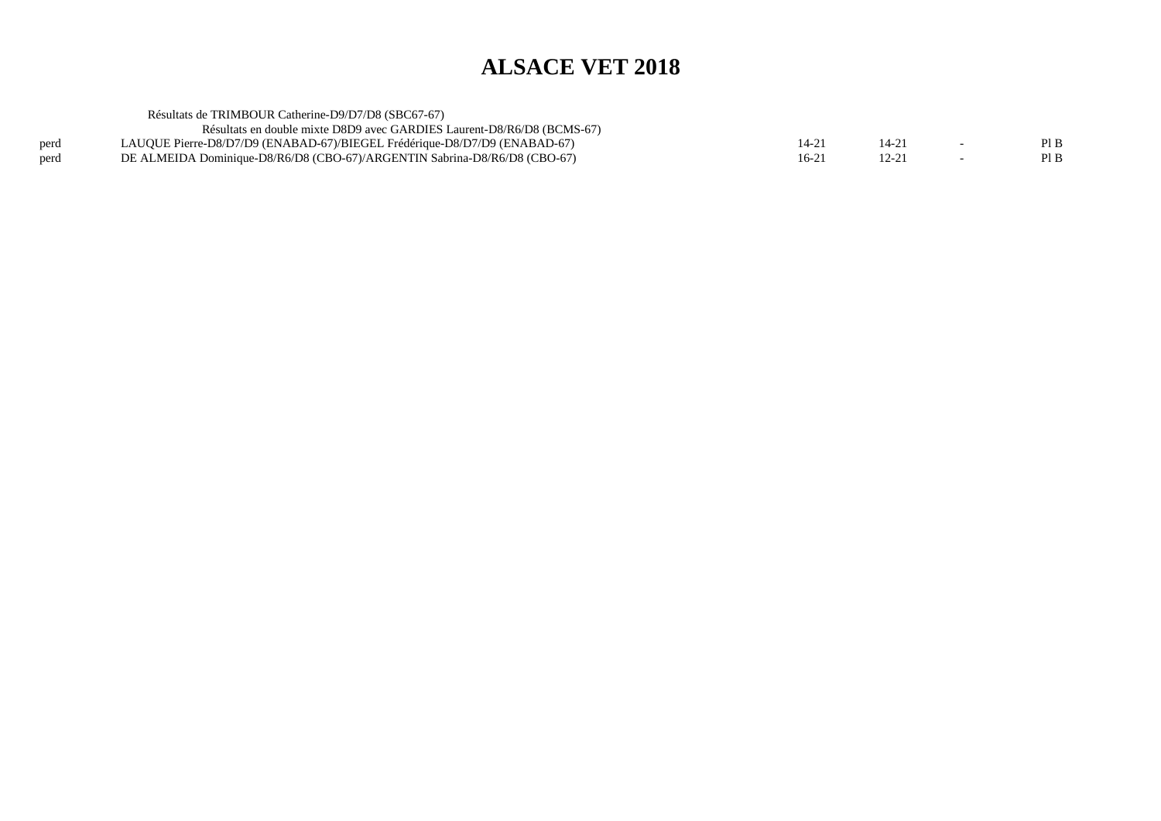|      | Résultats de TRIMBOUR Catherine-D9/D7/D8 (SBC67-67)                       |           |       |     |
|------|---------------------------------------------------------------------------|-----------|-------|-----|
|      | Résultats en double mixte D8D9 avec GARDIES Laurent-D8/R6/D8 (BCMS-67)    |           |       |     |
| perd | LAUQUE Pierre-D8/D7/D9 (ENABAD-67)/BIEGEL Frédérique-D8/D7/D9 (ENABAD-67) | $14 - 21$ |       | PIB |
| perd | DE ALMEIDA Dominique-D8/R6/D8 (CBO-67)/ARGENTIN Sabrina-D8/R6/D8 (CBO-67) | $16-21$   | 12-21 | PIB |
|      |                                                                           |           |       |     |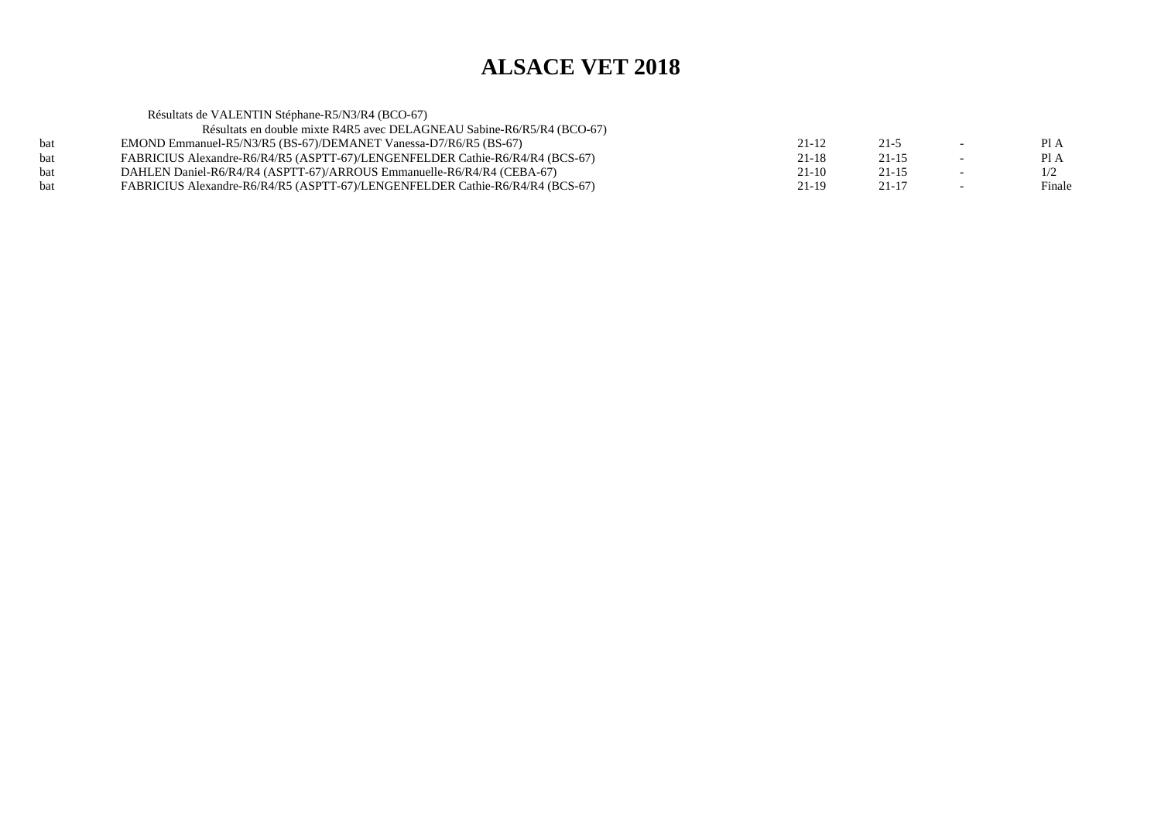|     | Résultats de VALENTIN Stéphane-R5/N3/R4 (BCO-67)                              |           |           |        |
|-----|-------------------------------------------------------------------------------|-----------|-----------|--------|
|     | Résultats en double mixte R4R5 avec DELAGNEAU Sabine-R6/R5/R4 (BCO-67)        |           |           |        |
| bat | EMOND Emmanuel-R5/N3/R5 (BS-67)/DEMANET Vanessa-D7/R6/R5 (BS-67)              | $21 - 12$ | $21 - 5$  | PI A   |
| bat | FABRICIUS Alexandre-R6/R4/R5 (ASPTT-67)/LENGENFELDER Cathie-R6/R4/R4 (BCS-67) | $21 - 18$ | $21 - 15$ | PI A   |
| bat | DAHLEN Daniel-R6/R4/R4 (ASPTT-67)/ARROUS Emmanuelle-R6/R4/R4 (CEBA-67)        | $21-10$   | $21 - 15$ | 1/2    |
| bat | FABRICIUS Alexandre-R6/R4/R5 (ASPTT-67)/LENGENFELDER Cathie-R6/R4/R4 (BCS-67) | $21-19$   | $21 - 17$ | Finale |
|     |                                                                               |           |           |        |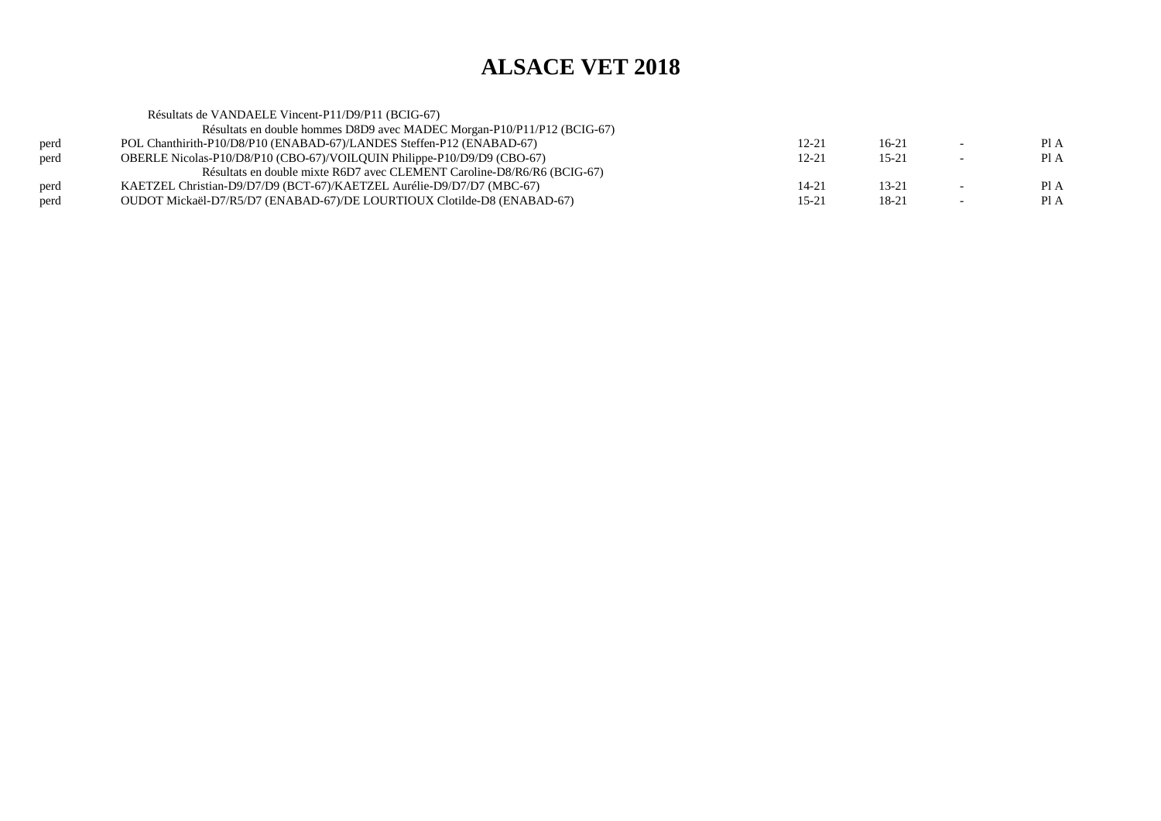|      | Résultats de VANDAELE Vincent-P11/D9/P11 (BCIG-67)                      |           |           |                          |      |
|------|-------------------------------------------------------------------------|-----------|-----------|--------------------------|------|
|      | Résultats en double hommes D8D9 avec MADEC Morgan-P10/P11/P12 (BCIG-67) |           |           |                          |      |
| perd | POL Chanthirith-P10/D8/P10 (ENABAD-67)/LANDES Steffen-P12 (ENABAD-67)   | 12-21     | 16-21     | $\overline{\phantom{0}}$ | Pl A |
| perd | OBERLE Nicolas-P10/D8/P10 (CBO-67)/VOILQUIN Philippe-P10/D9/D9 (CBO-67) | $12 - 21$ | $15 - 21$ | $\overline{\phantom{0}}$ | Pl A |
|      | Résultats en double mixte R6D7 avec CLEMENT Caroline-D8/R6/R6 (BCIG-67) |           |           |                          |      |
| perd | KAETZEL Christian-D9/D7/D9 (BCT-67)/KAETZEL Aurélie-D9/D7/D7 (MBC-67)   | 14-21     | 13-21     | $\overline{\phantom{0}}$ | PIA  |
| perd | OUDOT Mickaël-D7/R5/D7 (ENABAD-67)/DE LOURTIOUX Clotilde-D8 (ENABAD-67) | $15 - 21$ | 18-21     | $\overline{\phantom{a}}$ | Pl A |
|      |                                                                         |           |           |                          |      |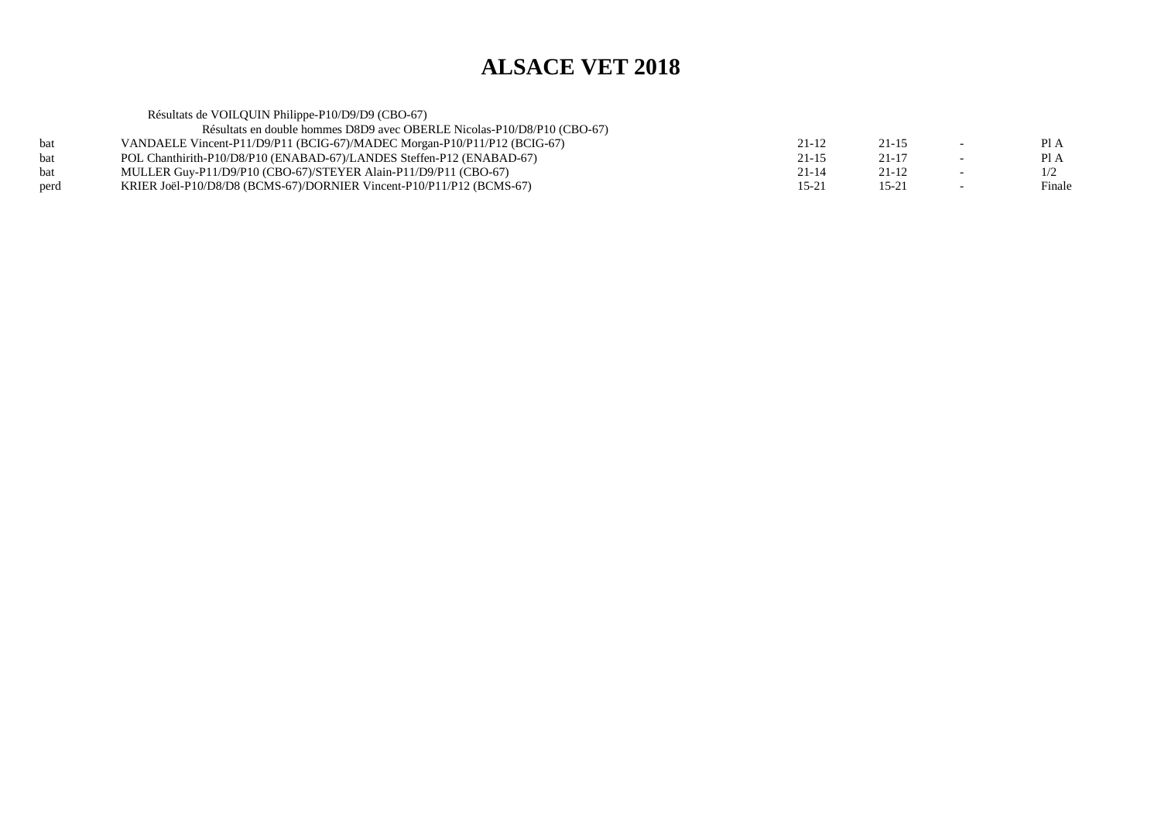| PI A   |
|--------|
| Pl A   |
| 1/2    |
| Finale |
|        |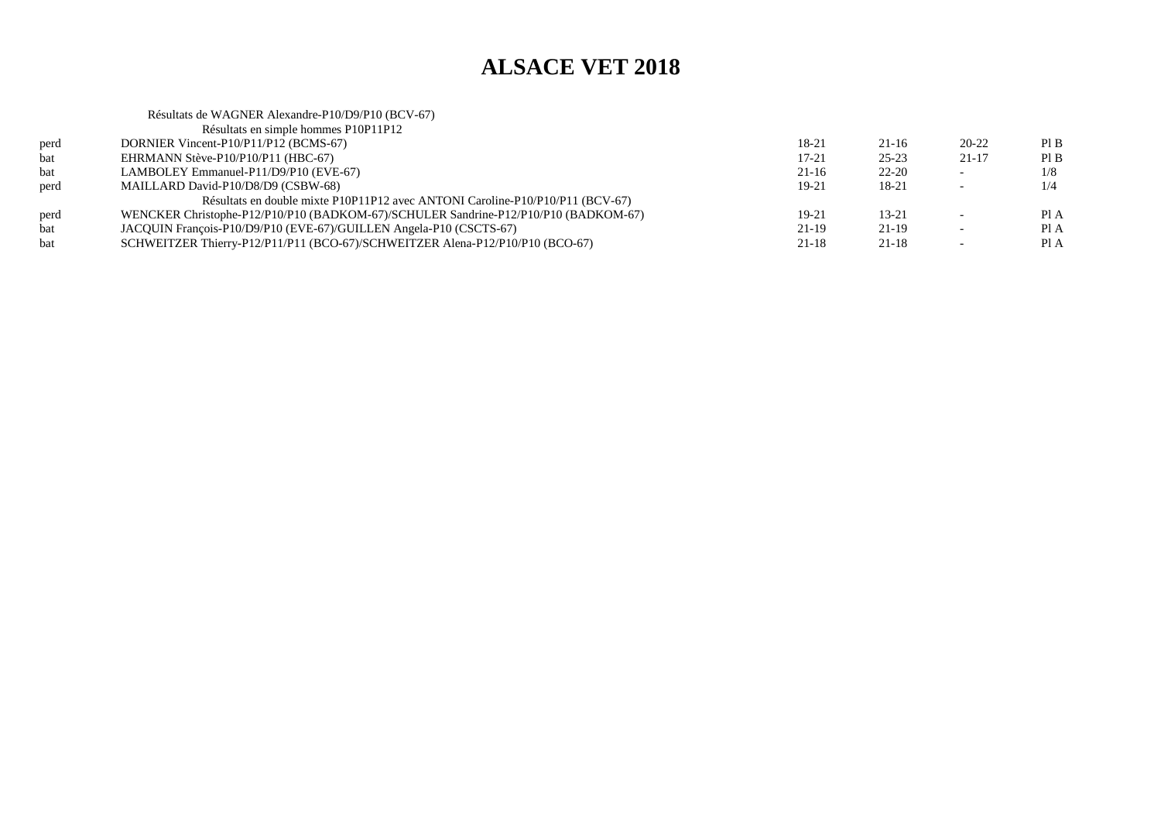#### Résultats de WAGNER Alexandre-P10/D9/P10 (BCV-67)Résultats en simple hommes P10P11P12

|      | $\alpha$ and $\alpha$ is a simple homing. I for the $\alpha$                        |           |           |                          |      |
|------|-------------------------------------------------------------------------------------|-----------|-----------|--------------------------|------|
| perd | DORNIER Vincent-P10/P11/P12 (BCMS-67)                                               | 18-21     | $21-16$   | 20-22                    | Pl B |
| bat  | EHRMANN Stève-P10/P10/P11 (HBC-67)                                                  | $17 - 21$ | $25 - 23$ | $21-17$                  | PIB  |
| bat  | LAMBOLEY Emmanuel-P11/D9/P10 (EVE-67)                                               | $21-16$   | $22 - 20$ | $\overline{\phantom{0}}$ | 1/8  |
| perd | MAILLARD David-P10/D8/D9 (CSBW-68)                                                  | $19-21$   | 18-21     |                          | 1/4  |
|      | Résultats en double mixte P10P11P12 avec ANTONI Caroline-P10/P10/P11 (BCV-67)       |           |           |                          |      |
| perd | WENCKER Christophe-P12/P10/P10 (BADKOM-67)/SCHULER Sandrine-P12/P10/P10 (BADKOM-67) | $19-21$   | $13 - 21$ |                          | PI A |
| bat  | JACQUIN François-P10/D9/P10 (EVE-67)/GUILLEN Angela-P10 (CSCTS-67)                  | 21-19     | 21-19     |                          | Pl A |
| bat  | SCHWEITZER Thierry-P12/P11/P11 (BCO-67)/SCHWEITZER Alena-P12/P10/P10 (BCO-67)       | 21-18     | 21-18     | $\overline{\phantom{0}}$ | Pl A |
|      |                                                                                     |           |           |                          |      |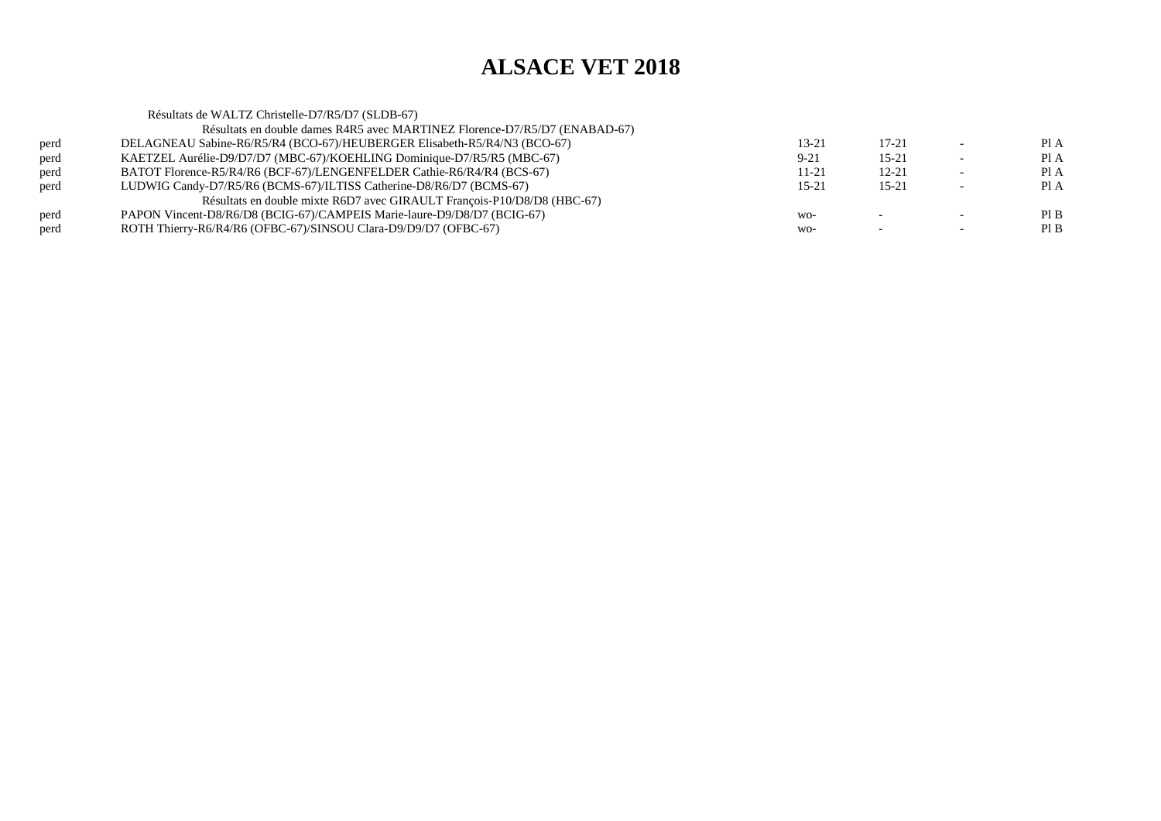Résultats de WALTZ Christelle-D7/R5/D7 (SLDB-67) Résultats en double dames R4R5 avec MARTINEZ Florence-D7/R5/D7 (ENABAD-67)perd DELAGNEAU Sabine-R6/R5/R4 (BCO-67)/HEUBERGER Elisabeth-R5/R4/N3 (BCO-67) $13-21$   $17-21$   $-$  PIA Pl A perd KAETZEL Aurélie-D9/D7/D7 (MBC-67)/KOEHLING Dominique-D7/R5/R5 (MBC-67) $9-21$  15-21 - PIA  $PIA$ perd BATOT Florence-R5/R4/R6 (BCF-67)/LENGENFELDER Cathie-R6/R4/R4 (BCS-67) $11-21$   $12-21$   $-$  PIA  $PIA$ perd LUDWIG Candy-D7/R5/R6 (BCMS-67)/ILTISS Catherine-D8/R6/D7 (BCMS-67) $15-21$  15-21 - PIA Résultats en double mixte R6D7 avec GIRAULT François-P10/D8/D8 (HBC-67)perd PAPON Vincent-D8/R6/D8 (BCIG-67)/CAMPEIS Marie-laure-D9/D8/D7 (BCIG-67) $\sim$  -  $\sim$  Pl B  $PIB$ perd ROTH Thierry-R6/R4/R6 (OFBC-67)/SINSOU Clara-D9/D9/D7 (OFBC-67) $\sqrt{WQ}$  - - Pl B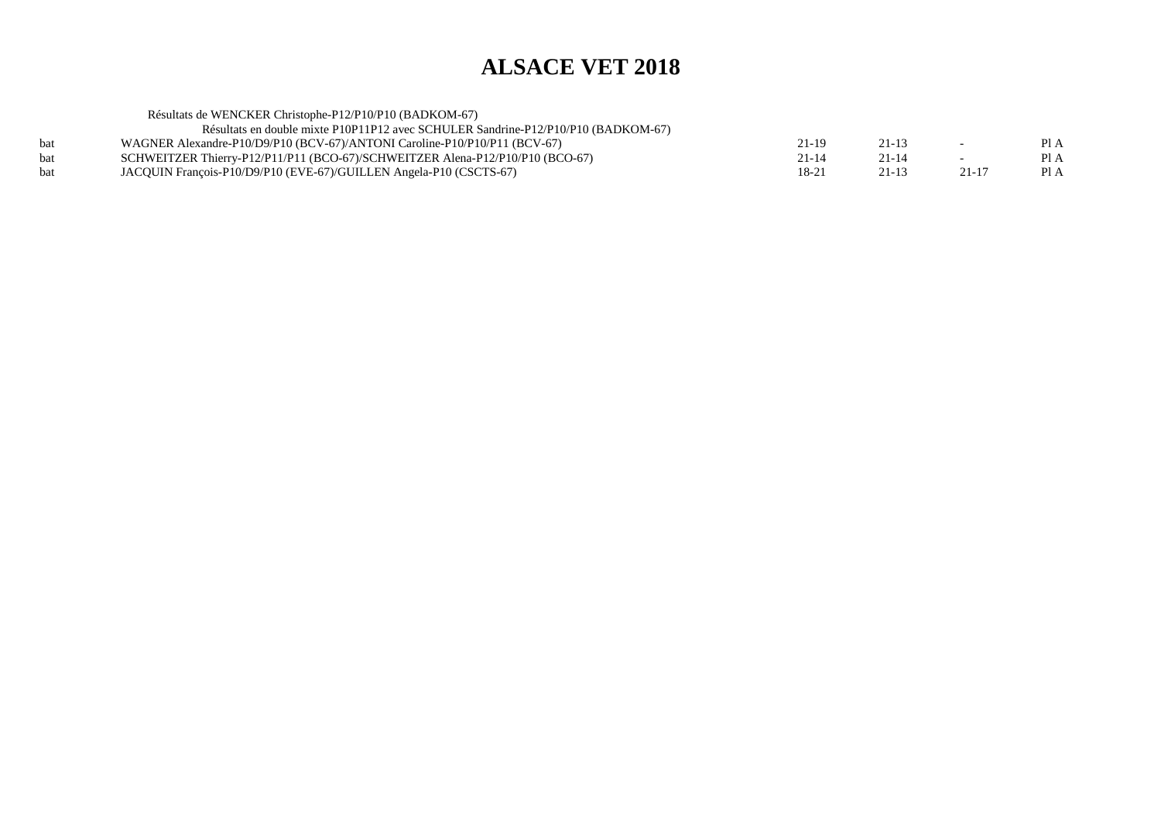| Résultats de WENCKER Christophe-P12/P10/P10 (BADKOM-67)                           |           |           |        |      |
|-----------------------------------------------------------------------------------|-----------|-----------|--------|------|
| Résultats en double mixte P10P11P12 avec SCHULER Sandrine-P12/P10/P10 (BADKOM-67) |           |           |        |      |
| WAGNER Alexandre-P10/D9/P10 (BCV-67)/ANTONI Caroline-P10/P10/P11 (BCV-67)         | 21-19     | $21 - 13$ | $\sim$ | PI A |
| SCHWEITZER Thierry-P12/P11/P11 (BCO-67)/SCHWEITZER Alena-P12/P10/P10 (BCO-67)     | $21 - 14$ | $21 - 14$ |        | Pl A |
| JACQUIN François-P10/D9/P10 (EVE-67)/GUILLEN Angela-P10 (CSCTS-67)                | 18-21     | $21 - 13$ | 21-17  | Pl A |
|                                                                                   |           |           |        |      |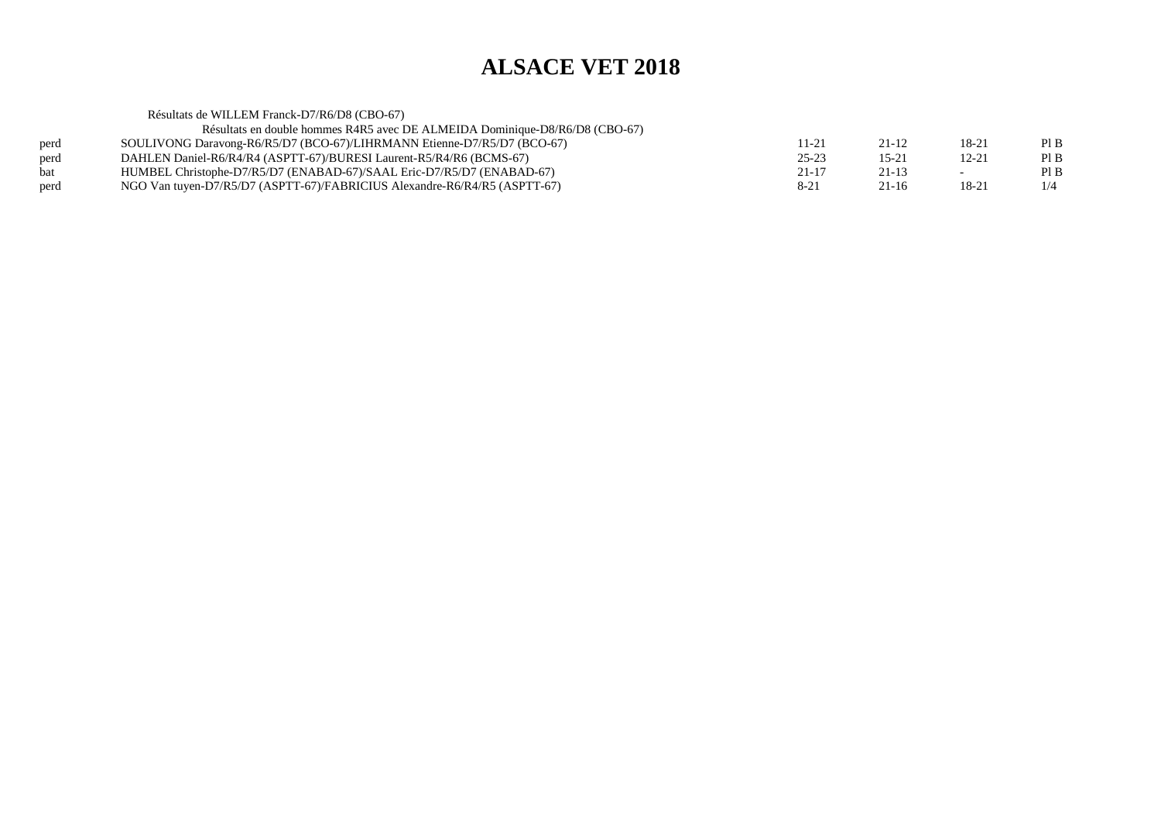Résultats de WILLEM Franck-D7/R6/D8 (CBO-67) Résultats en double hommes R4R5 avec DE ALMEIDA Dominique-D8/R6/D8 (CBO-67)perd SOULIVONG Daravong-R6/R5/D7 (BCO-67)/LIHRMANN Etienne-D7/R5/D7 (BCO-67)<br>perd DAHLEN Daniel-R6/R4/R4 (ASPTT-67)/BURESI Laurent-R5/R4/R6 (BCMS-67)  $11-21$   $21-12$   $18-21$  PIB  $PIB$ perd DAHLEN Daniel-R6/R4/R4 (ASPTT-67)/BURESI Laurent-R5/R4/R6 (BCMS-67)<br>bat HUMBEL Christophe-D7/R5/D7 (ENABAD-67)/SAAL Eric-D7/R5/D7 (ENABAD  $25-23$  15-21 12-21 PIB  $PIB$ bat HUMBEL Christophe-D7/R5/D7 (ENABAD-67)/SAAL Eric-D7/R5/D7 (ENABAD-67)<br>perd NGO Van tuyen-D7/R5/D7 (ASPTT-67)/FABRICIUS Alexandre-R6/R4/R5 (ASPTT-67)  $21-17$   $21-13$   $-$  PIB  $1/4$ NGO Van tuyen-D7/R5/D7 (ASPTT-67)/FABRICIUS Alexandre-R6/R4/R5 (ASPTT-67)  $8-21$  21-16 18-21 1/4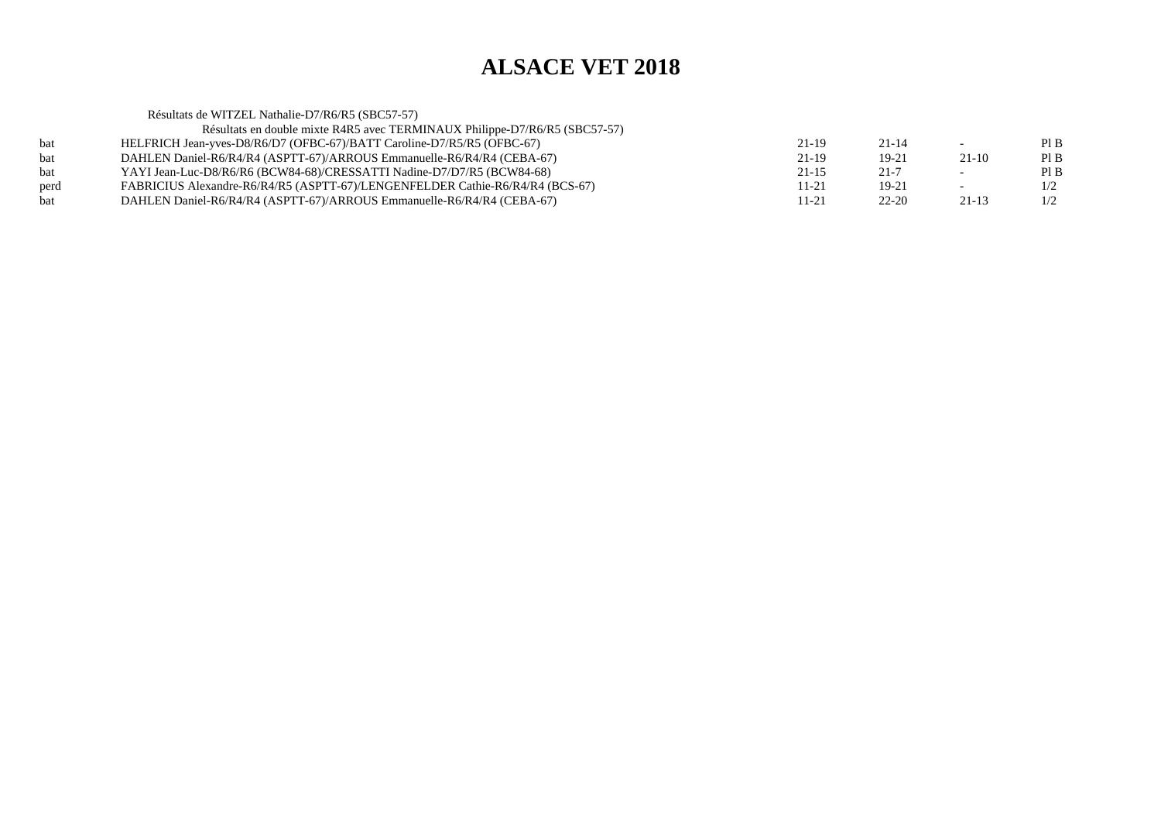Résultats de WITZEL Nathalie-D7/R6/R5 (SBC57-57) Résultats en double mixte R4R5 avec TERMINAUX Philippe-D7/R6/R5 (SBC57-57)bat HELFRICH Jean-yves-D8/R6/D7 (OFBC-67)/BATT Caroline-D7/R5/R5 (OFBC-67) $21-19$   $21-14$  - PIB  $PIB$ bat DAHLEN Daniel-R6/R4/R4 (ASPTT-67)/ARROUS Emmanuelle-R6/R4/R4 (CEBA-67) $21-19$   $19-21$   $21-10$  PIB  $PIB$ bat YAYI Jean-Luc-D8/R6/R6 (BCW84-68)/CRESSATTI Nadine-D7/D7/R5 (BCW84-68) $21-15$  21-7 - PIB  $1/2$ perd FABRICIUS Alexandre-R6/R4/R5 (ASPTT-67)/LENGENFELDER Cathie-R6/R4/R4 (BCS-67) $11-21$  19-21 -  $1/2$  $1/2$ bat DAHLEN Daniel-R6/R4/R4 (ASPTT-67)/ARROUS Emmanuelle-R6/R4/R4 (CEBA-67) $11-21$   $22-20$   $21-13$   $1/2$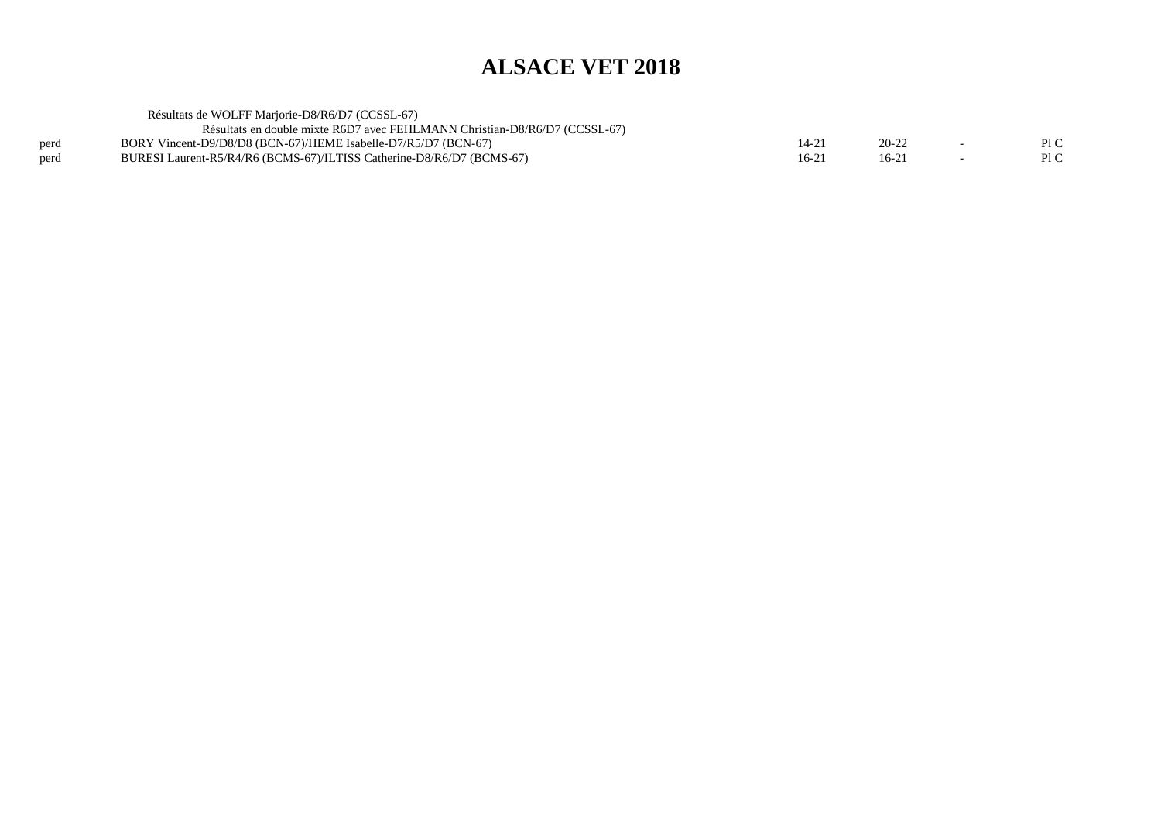|      | Résultats de WOLFF Mariorie-D8/R6/D7 (CCSSL-67)                            |           |           |     |
|------|----------------------------------------------------------------------------|-----------|-----------|-----|
|      | Résultats en double mixte R6D7 avec FEHLMANN Christian-D8/R6/D7 (CCSSL-67) |           |           |     |
| perd | BORY Vincent-D9/D8/D8 (BCN-67)/HEME Isabelle-D7/R5/D7 (BCN-67)             | $14 - 21$ | $20 - 22$ | P1C |
| perd | BURESI Laurent-R5/R4/R6 (BCMS-67)/ILTISS Catherine-D8/R6/D7 (BCMS-67)      | $16-21$   | 16-21     | P1C |
|      |                                                                            |           |           |     |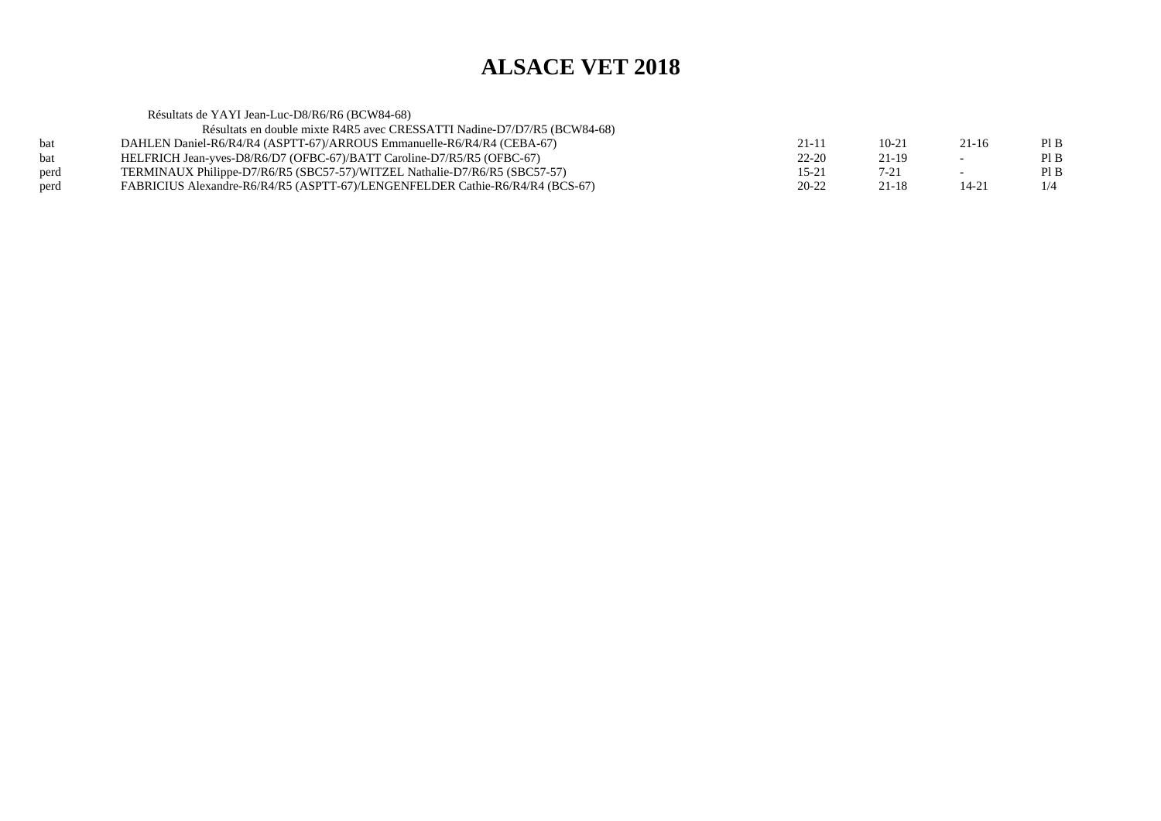Résultats de YAYI Jean-Luc-D8/R6/R6 (BCW84-68) Résultats en double mixte R4R5 avec CRESSATTI Nadine-D7/D7/R5 (BCW84-68)bat DAHLEN Daniel-R6/R4/R4 (ASPTT-67)/ARROUS Emmanuelle-R6/R4/R4 (CEBA-67) $21-11$   $10-21$   $21-16$  PIB  $PIB$ bat HELFRICH Jean-yves-D8/R6/D7 (OFBC-67)/BATT Caroline-D7/R5/R5 (OFBC-67)<br>TERMINAUX Philippe-D7/R6/R5 (SBC57-57)/WITZEL Nathalie-D7/R6/R5 (SBC57  $22-20$   $21-19$  - PIB  $PIB$ perd TERMINAUX Philippe-D7/R6/RS (SBC57-57)/WITZEL Nathalie-D7/R6/R5 (SBC57-57)<br>FABRICIUS Alexandre-R6/R4/R5 (ASPTT-67)/LENGENFELDER Cathie-R6/R4/R4 (BCS  $15-21$   $7-21$   $-$  PIB  $1/4$ perd FABRICIUS Alexandre-R6/R4/R5 (ASPTT-67)/LENGENFELDER Cathie-R6/R4/R4 (BCS-67) $20-22$  21-18 14-21 1/4